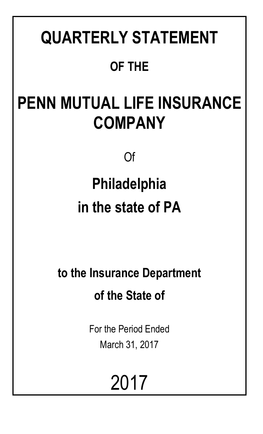# **QUARTERLY STATEMENT OF THE**

# **PENN MUTUAL LIFE INSURANCE COMPANY**

Of

# **Philadelphia in the state of PA**

**to the Insurance Department of the State of**

> For the Period Ended March 31, 2017

> > 2017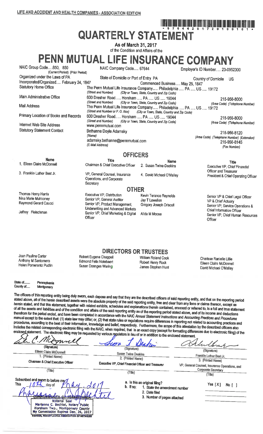## I IEBRO DAN DAN DAN DAN DAN DIRI DAN DAN DAN DAN DAN DAN DAN DAN BERDAMA DA **QUARTERLY STATEMENT**

As of March 31, 2017 of the Condition and Affairs of the

PENN MUTUAL LIFE INSURANCE COMPANY

NAIC Group Code.....850, 850 NAIC Company Code..... 67644 Employer's ID Number..... 23-0952300 (Current Period) (Prior Period) Organized under the Laws of PA State of Domicile or Port of Entry PA Country of Domicile US Incorporated/Organized..... February 24, 1847 Commenced Business..... May 25, 1847 The Penn Mutual Life Insurance Company..... Philadelphia ..... PA ..... US ..... 19172 **Statutory Home Office** (Street and Number) (City or Town, State, Country and Zip Code) Main Administrative Office 600 Dresher Road..... Horsham ..... PA ..... US ..... 19044 215-956-8000 (Street and Number) (City or Town, State, Country and Zip Code) (Area Code) (Telephone Number) The Penn Mutual Life Insurance Company..... Philadelphia ..... PA ..... US ..... 19172 **Mail Address** (Street and Number or P.O. Box) (City or Town, State, Country and Zip Code) Primary Location of Books and Records 600 Dresher Road..... Horsham ..... PA ..... US ..... 19044 215-956-8000 (Street and Number) (City or Town, State, Country and Zip Code) (Area Code) (Telephone Number) Internet Web Site Address www.pennmutual.com **Statutory Statement Contact** Bethanne Doyle Adamsky 215-956-8120 (Name) (Area Code) (Telephone Number) (Extension) adamsky.bethanne@pennmutual.com 215-956-8145 (E-Mail Address) (Fax Number) **OFFICERS Name** Title **Name** Title 1. Eileen Claire McDonnell Chairman & Chief Executive Officer 2. Susan Twine Deakins Executive VP, Chief Financial Officer and Treasurer 3. Franklin Luther Best Jr. VP, General Counsel, Insurance 4. David Michael O'Malley President & Chief Operating Officer Operations, and Corporate

Thomas Henry Harris Nina Marie Mulrooney Raymond Gerard Caucci

Jeffrey Fleischman

Executive VP, Distribution Senior VP, General Auditor Senior VP, Product Management, Underwriting and Advanced Markets Senior VP, Chief Marketing & Digital Officer

**OTHER** Kevin Terance Reynolds Jay T Lewellen Gregory Joseph Driscoll

Alida M Moose

Senior VP & Chief Legal Officer VP & Chief Actuary Senior VP, Service Operations & Chief Information Officer Senior VP, Chief Human Resources Officer

Joan Pauline Carter Anthony M Santomero Helen Pomerantz Pudlin

Robert Eugene Chappell **Edmond Felix Notebaert** Susan Doenges Waring

Secretary

**DIRECTORS OR TRUSTEES** William Roland Cook Robert Henry Rock

James Stephen Hunt

Charisse Ranielle Lillie Eileen Claire McDonnell David Michael O'Malley

State of....... Pennsylvania County of.....

Montgomery

The officers of this reporting entity being duly swom, each depose and say that they are the described officers of said reporting entity, and that on the reporting period stated above, all of the herein described assets were the absolute property of the said reporting entity, free and clear from any liens or claims thereon, except as herein stated, and that this statement, together with related exhibits, schedules and explanations therein contained, annexed or referred to, is a full and true statement of all the assets and liabilities and of the condition and affairs of the said reporting entity as of the reporting period stated above, and of its income and deductions therefrom for the period ended, and have been completed in accordance with the NAIC Annual Statement Instructions and Accounting Practices and Procedures manual except to the extent that: (1) state law may differ; or, (2) that state rules or regulations require differences in reporting not related to accounting practices and procedures, according to the best of their information, knowledge and belief, respectively. Furthermore, the scope of this attestation by the described officers also includes the related corresponding electronic filing with the NAIC, when required, that is an exact copy (except for formatting differences due to electronic filing) of the enclosed statement. The electronic filing may be requested by various regulators in lieu of or in addition to the enclosed statement.

| (Signature)<br>Eileen Claire McDonnell<br>1. (Printed Name)<br>Chairman & Chief Executive Officer<br>(Title)                                                                                                                                                                                 | (Signature)<br><b>Susan Twine Deakins</b><br>2. (Printed Name)<br>Executive VP, Chief Financial Officer and Treasurer<br>(Title) | (Signature)<br>Franklin Luther Best Jr.<br>3. (Printed Name)<br>VP, General Counsel, Insurance Operations, and<br><b>Corporate Secretary</b><br>(Title) |
|----------------------------------------------------------------------------------------------------------------------------------------------------------------------------------------------------------------------------------------------------------------------------------------------|----------------------------------------------------------------------------------------------------------------------------------|---------------------------------------------------------------------------------------------------------------------------------------------------------|
| Subscribed and swom to before me/<br><b>This</b><br>day of<br>∩TH_∩8–5680<br><b>COMMONY</b><br><b>ASVAL</b><br>Notarial Seal<br>Marlanne C. Bechtel, Notary Public<br>Horsham Twp., Montgomery County<br>My Commission Expires Dec. 26, 2017<br>MEMOUR, PENNSYLVANIA ASSOCIATION OF NOTARIES | a. Is this an original filing?<br>b. If no:<br>1. State the amendment number<br>2. Date filed<br>3. Number of pages attached     | Yes $[X]$<br>No f                                                                                                                                       |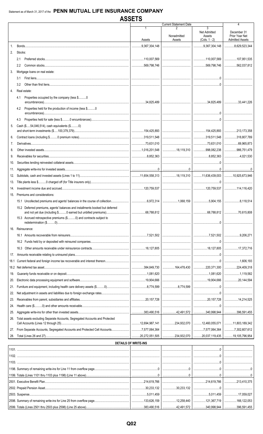|             |                                                                               |                             | <b>Current Statement Date</b>               |                     | 4                      |
|-------------|-------------------------------------------------------------------------------|-----------------------------|---------------------------------------------|---------------------|------------------------|
|             |                                                                               | 1                           | 2                                           | 3                   |                        |
|             |                                                                               |                             |                                             | <b>Net Admitted</b> | December 31            |
|             |                                                                               |                             | Nonadmitted                                 | Assets              | Prior Year Net         |
|             |                                                                               | Assets                      | Assets                                      | $(Cols. 1 - 2)$     | <b>Admitted Assets</b> |
| $1_{\cdot}$ |                                                                               | $$ 9,367,304,148            |                                             |                     | 3,629,523,344          |
| 2.          | Stocks:                                                                       |                             |                                             |                     |                        |
|             |                                                                               |                             |                                             |                     |                        |
|             | 2.1                                                                           | 110,007,569                 |                                             |                     |                        |
|             | $2.2^{\circ}$                                                                 | 569,798,746                 |                                             |                     |                        |
| 3.          | Mortgage loans on real estate:                                                |                             |                                             |                     |                        |
|             |                                                                               |                             |                                             |                     |                        |
|             | 3.1                                                                           |                             |                                             |                     |                        |
|             | 3.2                                                                           |                             |                                             |                     |                        |
| 4.          | Real estate:                                                                  |                             |                                             |                     |                        |
|             |                                                                               |                             |                                             |                     |                        |
|             | Properties occupied by the company (less \$0<br>4.1                           |                             |                                             |                     |                        |
|             |                                                                               |                             |                                             |                     |                        |
|             | Properties held for the production of income (less \$0<br>4.2                 |                             |                                             |                     |                        |
|             |                                                                               |                             |                                             |                     |                        |
|             | 4.3                                                                           |                             |                                             |                     |                        |
|             |                                                                               |                             |                                             |                     |                        |
| 5.          | Cash (\$54,046,514), cash equivalents (\$0)                                   |                             |                                             |                     |                        |
|             |                                                                               |                             |                                             |                     |                        |
| 6.          |                                                                               |                             |                                             |                     | 318,807,789            |
| 7.          |                                                                               |                             |                                             |                     | $\ldots$ 69,965,873    |
|             |                                                                               |                             |                                             |                     |                        |
| 8.          |                                                                               |                             |                                             |                     | 986,751,479            |
| 9.          |                                                                               |                             |                                             |                     | 1.1.1.1.1.4.021.530    |
| 10.         |                                                                               |                             |                                             |                     |                        |
|             |                                                                               |                             |                                             |                     |                        |
| 11.         |                                                                               |                             |                                             |                     |                        |
| 12.         |                                                                               |                             |                                             |                     |                        |
|             |                                                                               |                             |                                             |                     |                        |
| 13.         |                                                                               |                             |                                             |                     |                        |
| 14.         |                                                                               |                             |                                             |                     | 114,116,420            |
| 15.         | Premiums and considerations:                                                  |                             |                                             |                     |                        |
|             |                                                                               |                             |                                             |                     |                        |
|             |                                                                               |                             |                                             |                     |                        |
|             | 15.2 Deferred premiums, agents' balances and installments booked but deferred |                             |                                             |                     |                        |
|             |                                                                               |                             |                                             |                     |                        |
|             | 15.3 Accrued retrospective premiums (\$0) and contracts subject to            |                             |                                             |                     |                        |
|             |                                                                               |                             |                                             | . . 0<br>           |                        |
| 16.         | Reinsurance:                                                                  |                             |                                             |                     |                        |
|             |                                                                               |                             |                                             |                     |                        |
|             |                                                                               |                             |                                             |                     |                        |
|             |                                                                               |                             |                                             |                     |                        |
|             | 16.3                                                                          |                             |                                             |                     | 17,372,716             |
|             |                                                                               |                             |                                             |                     |                        |
| 17.         |                                                                               |                             |                                             |                     |                        |
| 18.1        |                                                                               |                             |                                             |                     | 1.606.193              |
|             |                                                                               |                             |                                             |                     | 224,409,318            |
|             |                                                                               |                             |                                             |                     |                        |
| 19.         |                                                                               |                             |                                             |                     | 1,119,582              |
| 20.         |                                                                               |                             |                                             |                     |                        |
| 21.         |                                                                               |                             |                                             |                     |                        |
|             |                                                                               |                             |                                             |                     |                        |
| 22.         |                                                                               |                             |                                             |                     |                        |
| 23.         |                                                                               |                             |                                             |                     |                        |
| 24.         |                                                                               |                             |                                             |                     |                        |
|             |                                                                               |                             |                                             |                     |                        |
| 25.         |                                                                               |                             |                                             |                     |                        |
| 26.         | Total assets excluding Separate Accounts, Segregated Accounts and Protected   |                             |                                             |                     |                        |
|             |                                                                               |                             |                                             |                     | 11,803,189,342         |
|             |                                                                               |                             |                                             |                     |                        |
|             |                                                                               |                             |                                             |                     |                        |
| 28.         |                                                                               |                             |                                             |                     | 105,796,954            |
|             |                                                                               | <b>DETAILS OF WRITE-INS</b> |                                             |                     |                        |
|             |                                                                               |                             |                                             |                     |                        |
|             |                                                                               |                             |                                             |                     |                        |
|             |                                                                               |                             |                                             |                     |                        |
|             |                                                                               |                             |                                             |                     |                        |
|             |                                                                               |                             |                                             |                     |                        |
|             |                                                                               |                             |                                             |                     |                        |
|             |                                                                               |                             |                                             |                     |                        |
|             |                                                                               |                             |                                             |                     | 213,410,375            |
|             |                                                                               |                             |                                             |                     |                        |
|             |                                                                               |                             |                                             |                     |                        |
|             |                                                                               | 5,011,459                   |                                             |                     | 17,059,027             |
|             |                                                                               | 133,626,159                 | 12,258,440   121,367,719                    |                     | 166, 122, 053          |
|             |                                                                               |                             |                                             |                     |                        |
|             | 2599. Totals (Lines 2501 thru 2503 plus 2598) (Line 25 above)                 | .383,490,516                | $\ldots$ 42,491,572 340,998,944 396,591,455 |                     |                        |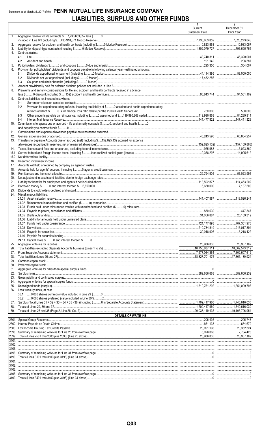## Statement as of March 31, 2017 of the PENN MUTUAL LIFE INSURANCE COMPANY **LIABILITIES, SURPLUS AND OTHER FUNDS**

|                |                                                                                                                              | -1<br>Current<br><b>Statement Date</b> | 2<br>December 31<br>Prior Year |
|----------------|------------------------------------------------------------------------------------------------------------------------------|----------------------------------------|--------------------------------|
| 1 <sub>1</sub> | Aggregate reserve for life contracts \$7,736,653,852 less \$0                                                                |                                        |                                |
| 2.             |                                                                                                                              |                                        |                                |
| 3.             |                                                                                                                              |                                        | 796,695,755                    |
| 4.             | Contract claims:                                                                                                             |                                        |                                |
|                | 4.1<br>4.2                                                                                                                   | 48,740,311                             | 208,387                        |
| 5.             |                                                                                                                              |                                        | 304,007                        |
| 6.             | Provision for policyholders' dividends and coupons payable in following calendar year - estimated amounts:                   |                                        |                                |
|                | 6.1                                                                                                                          |                                        |                                |
|                | 6.2                                                                                                                          |                                        |                                |
| 7.             | 6.3                                                                                                                          |                                        |                                |
| 8.             | Premiums and annuity considerations for life and accident and health contracts received in advance                           |                                        |                                |
|                |                                                                                                                              |                                        |                                |
| 9.             | Contract liabilities not included elsewhere:                                                                                 |                                        |                                |
|                | 9.1<br>Provision for experience rating refunds, including the liability of \$ 0 accident and health experience rating<br>9.2 |                                        |                                |
|                |                                                                                                                              |                                        |                                |
|                | 9.3                                                                                                                          |                                        |                                |
|                | 9.4                                                                                                                          |                                        |                                |
| 10.            | Commissions to agents due or accrued - life and annuity contracts \$0, accident and health \$0                               |                                        |                                |
| 11.            |                                                                                                                              |                                        |                                |
| 12.            |                                                                                                                              |                                        |                                |
| 13.            | Transfers to Separate Accounts due or accrued (net) (including \$152,625,132 accrued for expense                             |                                        |                                |
|                |                                                                                                                              |                                        |                                |
| 14.<br>15.1    |                                                                                                                              |                                        |                                |
| 15.2           |                                                                                                                              |                                        |                                |
| 16.            |                                                                                                                              |                                        |                                |
| 17.            |                                                                                                                              |                                        |                                |
| 18.<br>19.     |                                                                                                                              |                                        |                                |
| 20.            |                                                                                                                              |                                        |                                |
| 21.            |                                                                                                                              |                                        |                                |
| 22.            |                                                                                                                              |                                        |                                |
| 23.            | Miscellaneous liabilities:                                                                                                   |                                        |                                |
| 24.            |                                                                                                                              |                                        |                                |
|                |                                                                                                                              |                                        |                                |
|                |                                                                                                                              |                                        |                                |
|                |                                                                                                                              |                                        |                                |
|                |                                                                                                                              |                                        |                                |
|                |                                                                                                                              |                                        |                                |
|                |                                                                                                                              |                                        | 216.017.394                    |
|                |                                                                                                                              | 30,048,906 5,218,422                   |                                |
|                |                                                                                                                              |                                        |                                |
| 25.            |                                                                                                                              |                                        |                                |
| 26.            |                                                                                                                              |                                        |                                |
| 27.            |                                                                                                                              | 7,577,064,364                          |                                |
| 28.<br>29.     |                                                                                                                              |                                        |                                |
| 30.            |                                                                                                                              |                                        |                                |
| 31.            |                                                                                                                              |                                        |                                |
| 32.            |                                                                                                                              | 389,656,668 389,606,232                |                                |
| 33.<br>34.     |                                                                                                                              |                                        |                                |
| 35.            |                                                                                                                              | 1,319,761,292   1,351,009,798          |                                |
| 36.            | Less treasury stock, at cost:                                                                                                |                                        |                                |
|                |                                                                                                                              |                                        |                                |
| 37.            |                                                                                                                              |                                        |                                |
| 38.            |                                                                                                                              | 1,709,417,960   1,740,616,030          |                                |
| 39.            |                                                                                                                              |                                        |                                |
|                | <b>DETAILS OF WRITE-INS</b>                                                                                                  |                                        |                                |
|                |                                                                                                                              |                                        | 205,743                        |
|                |                                                                                                                              |                                        | 20,362,324                     |
|                |                                                                                                                              |                                        | 2,784,425                      |
|                |                                                                                                                              |                                        |                                |
|                |                                                                                                                              |                                        |                                |
| 3103.          |                                                                                                                              |                                        |                                |
|                |                                                                                                                              |                                        |                                |
|                |                                                                                                                              |                                        |                                |
|                |                                                                                                                              |                                        |                                |
|                |                                                                                                                              |                                        |                                |
| 3403.          |                                                                                                                              |                                        |                                |
|                |                                                                                                                              |                                        |                                |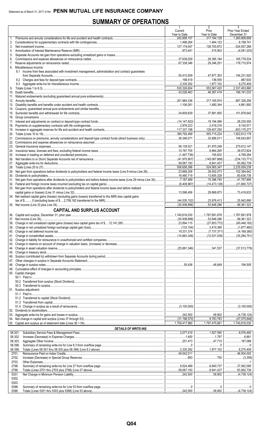## **SUMMARY OF OPERATIONS**

|          |                                                                                                                       | Current<br>Year to Date        | Z<br>Prior<br>Year to Date | Prior Year Ended<br>December 31     |
|----------|-----------------------------------------------------------------------------------------------------------------------|--------------------------------|----------------------------|-------------------------------------|
| 1.       |                                                                                                                       |                                | 317,164,128                | 1,260,808,606                       |
| 2.       |                                                                                                                       | 1,498,264                      |                            | 3,199,741                           |
| 3.       |                                                                                                                       |                                |                            | 524,557,268                         |
| 4.<br>5. |                                                                                                                       |                                |                            |                                     |
| 6.       |                                                                                                                       |                                |                            | 165,778,534                         |
| 7.       |                                                                                                                       |                                | 0.29,346,251<br>.          | 178,710,974                         |
|          | 8. Miscellaneous Income:                                                                                              |                                |                            |                                     |
|          | 8.1 Income from fees associated with investment management, administration and contract guarantees                    |                                |                            | 194,231,920                         |
|          |                                                                                                                       |                                |                            |                                     |
|          |                                                                                                                       |                                |                            |                                     |
|          |                                                                                                                       |                                |                            |                                     |
|          |                                                                                                                       |                                |                            |                                     |
|          |                                                                                                                       |                                |                            |                                     |
|          |                                                                                                                       |                                |                            | 4,661,892                           |
|          |                                                                                                                       |                                |                            |                                     |
|          |                                                                                                                       |                                |                            | 151,876,642<br>                     |
|          |                                                                                                                       |                                |                            |                                     |
|          |                                                                                                                       |                                |                            |                                     |
|          |                                                                                                                       |                                |                            | 653,175,277                         |
|          |                                                                                                                       |                                |                            | 1,922,612,178<br>148,543,857        |
|          |                                                                                                                       |                                |                            |                                     |
|          |                                                                                                                       |                                |                            |                                     |
|          |                                                                                                                       |                                |                            | $\vert$ 39.572.824                  |
|          |                                                                                                                       |                                |                            | 4,789,264                           |
|          |                                                                                                                       |                                |                            | $$ 83,062,739                       |
|          |                                                                                                                       |                                |                            | 1.111122235.059.238                 |
|          | 29. Net gain from operations before dividends to policyholders and federal income taxes (Line 9 minus Line 28)        | $\ldots$ 23,668,208 29,002,073 |                            | 102,394,642                         |
|          | 31. Net gain from operations after dividends to policyholders and before federal income taxes (Line 29 minus Line 30) |                                |                            | 60,636,736<br>.41,757,906           |
|          |                                                                                                                       |                                |                            | .                                   |
|          | 33. Net gain from operations after dividends to policyholders and federal income taxes and before realized            |                                |                            |                                     |
|          |                                                                                                                       |                                |                            | 73,418,633                          |
|          | 34. Net realized capital gains (losses) (excluding gains (losses) transferred to the IMR) less capital gains          |                                |                            |                                     |
|          |                                                                                                                       |                                |                            | 25,942,690<br>.<br>.99.361.323<br>. |
|          | <b>CAPITAL AND SURPLUS ACCOUNT</b>                                                                                    |                                |                            |                                     |
|          |                                                                                                                       |                                |                            |                                     |
|          |                                                                                                                       |                                |                            |                                     |
|          |                                                                                                                       |                                |                            |                                     |
|          |                                                                                                                       |                                |                            |                                     |
|          |                                                                                                                       |                                |                            |                                     |
|          |                                                                                                                       |                                |                            |                                     |
|          |                                                                                                                       |                                |                            |                                     |
|          |                                                                                                                       |                                |                            |                                     |
|          |                                                                                                                       |                                |                            |                                     |
|          |                                                                                                                       |                                |                            |                                     |
|          |                                                                                                                       |                                |                            |                                     |
|          | 50. Capital changes:                                                                                                  |                                |                            |                                     |
|          |                                                                                                                       |                                |                            |                                     |
|          |                                                                                                                       |                                |                            |                                     |
|          |                                                                                                                       |                                |                            |                                     |
|          | 51. Surplus adjustment:                                                                                               |                                |                            |                                     |
|          |                                                                                                                       |                                |                            |                                     |
|          |                                                                                                                       |                                |                            |                                     |
|          |                                                                                                                       |                                |                            |                                     |
|          |                                                                                                                       |                                |                            |                                     |
|          |                                                                                                                       |                                |                            |                                     |
|          |                                                                                                                       |                                |                            |                                     |
|          | <b>DETAILS OF WRITE-INS</b>                                                                                           |                                |                            |                                     |
|          | 08.301.                                                                                                               |                                |                            |                                     |
|          | 08.302.                                                                                                               |                                |                            |                                     |
|          | 08.303.<br>08.398.                                                                                                    |                                |                            |                                     |
|          | 08.399.                                                                                                               |                                |                            |                                     |
|          | 2701.                                                                                                                 |                                |                            | 46,004,002                          |
|          | 2702.                                                                                                                 |                                |                            |                                     |
|          | 2703.<br>2798.                                                                                                        |                                |                            | 37.062.095                          |
|          | 2799.                                                                                                                 |                                |                            |                                     |
|          | 5301.                                                                                                                 |                                |                            |                                     |
|          | 5302.                                                                                                                 |                                |                            |                                     |
|          | 5303.                                                                                                                 |                                |                            |                                     |
|          | 5398.<br>5399.                                                                                                        |                                |                            |                                     |
|          |                                                                                                                       |                                |                            |                                     |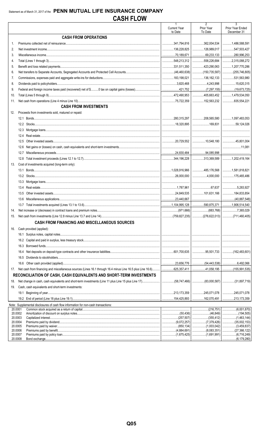|                    |                                                                                    | $\mathbf{1}$                   | $\overline{2}$                       | $\overline{3}$                            |
|--------------------|------------------------------------------------------------------------------------|--------------------------------|--------------------------------------|-------------------------------------------|
|                    |                                                                                    | <b>Current Year</b><br>to Date | Prior Year<br>To Date                | Prior Year Ended<br>December 31           |
|                    | <b>CASH FROM OPERATIONS</b>                                                        |                                |                                      |                                           |
| 1.                 |                                                                                    |                                | 362,004,534                          | 1,486,588,591                             |
| 2.                 |                                                                                    |                                | $\ldots$ 126,989,017                 |                                           |
| 3.                 |                                                                                    |                                | $\ldots$ 69,233,133 280,996,253      |                                           |
| 4.                 |                                                                                    |                                | $\ldots$ 558,226,684 2,315,088,272   |                                           |
| 5.                 |                                                                                    |                                | 423,290,063                          | 1,207,770,286                             |
| 6.                 |                                                                                    |                                | $\ldots$ (150,735,587) (255,746,805) |                                           |
| 7.                 |                                                                                    |                                | 136.162.133                          | 531,563,980                               |
| 8.                 |                                                                                    |                                |                                      |                                           |
| 9.                 |                                                                                    |                                |                                      |                                           |
| 10.                |                                                                                    |                                | 405,663,452                          | 1,479,534,050                             |
| 11.                |                                                                                    |                                | 152,563,232 835,554,221              |                                           |
|                    | <b>CASH FROM INVESTMENTS</b>                                                       |                                |                                      |                                           |
| 12.                | Proceeds from investments sold, matured or repaid:                                 |                                |                                      |                                           |
|                    |                                                                                    |                                |                                      |                                           |
|                    |                                                                                    |                                |                                      | 59,124,026                                |
|                    | 12.3                                                                               |                                |                                      |                                           |
|                    | 12.4                                                                               |                                |                                      |                                           |
|                    | 12.5                                                                               |                                |                                      |                                           |
|                    | 12.6                                                                               |                                |                                      | 11,081                                    |
|                    | 12.7                                                                               |                                | 94,085,998                           |                                           |
|                    | 12.8                                                                               |                                | $\dots$ 313,369,589 1,202,419,164    |                                           |
| 13.                | Cost of investments acquired (long-term only):                                     |                                |                                      |                                           |
|                    |                                                                                    |                                |                                      |                                           |
|                    |                                                                                    |                                |                                      |                                           |
|                    | 13.3                                                                               |                                |                                      |                                           |
|                    | 13.4                                                                               |                                | $rac{67,637}{ }$                     | 5,283,927                                 |
|                    | 13.5                                                                               |                                | 101,631.166                          |                                           |
|                    | 13.6                                                                               |                                |                                      |                                           |
|                    |                                                                                    |                                |                                      |                                           |
|                    |                                                                                    |                                |                                      |                                           |
| 14.                |                                                                                    |                                |                                      |                                           |
| 15.                |                                                                                    |                                |                                      |                                           |
|                    | <b>CASH FROM FINANCING AND MISCELLANEOUS SOURCES</b>                               |                                |                                      |                                           |
| 16.                | Cash provided (applied):                                                           |                                |                                      |                                           |
|                    |                                                                                    |                                |                                      |                                           |
|                    |                                                                                    |                                |                                      |                                           |
|                    | 16.3                                                                               |                                |                                      |                                           |
|                    | 16.4                                                                               |                                |                                      |                                           |
|                    | 16.5                                                                               |                                |                                      |                                           |
|                    | 16.6                                                                               |                                |                                      |                                           |
| 17.                |                                                                                    |                                |                                      |                                           |
|                    | RECONCILIATION OF CASH, CASH EQUIVALENTS AND SHORT-TERM INVESTMENTS                |                                |                                      |                                           |
| 18.                |                                                                                    |                                |                                      |                                           |
| 19.                | Cash, cash equivalents and short-term investments:                                 |                                |                                      |                                           |
|                    |                                                                                    |                                | 245,071,078                          | .245,071,078<br>.                         |
|                    |                                                                                    |                                | 162,070.491                          | .213,173,359                              |
|                    | Note: Supplemental disclosures of cash flow information for non-cash transactions: |                                |                                      |                                           |
| 20.0001            |                                                                                    |                                | (216,751)                            | (6,001,870)<br>.                          |
|                    | 20.0002                                                                            |                                |                                      | (194,505)<br>.                            |
| 20.0003<br>20.0004 |                                                                                    |                                | (355,412)<br>.<br>(7,379,426)<br>.   | (1,463,144)<br>.<br>$\ldots$ (35,002,153) |
| 20.0005            |                                                                                    |                                | (1,003,042)<br>.                     | (3,459,837)<br>.                          |
|                    | 20.0006                                                                            |                                | (8,083,351)<br>.                     |                                           |
| 20.0007            | 20.0008                                                                            |                                | (1,691,991)                          | (6,716,249)<br>(6.179.280)                |
|                    |                                                                                    |                                |                                      |                                           |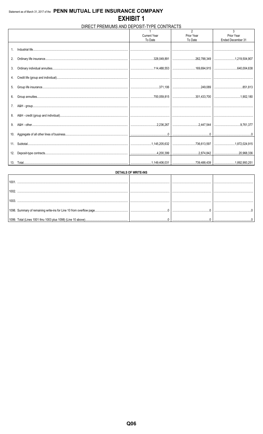## DIRECT PREMIUMS AND DEPOSIT-TYPE CONTRACTS

|    |                     | $\mathfrak{p}$ | 3                 |
|----|---------------------|----------------|-------------------|
|    | <b>Current Year</b> | Prior Year     | Prior Year        |
|    | To Date             | To Date        | Ended December 31 |
| 1. |                     |                |                   |
| 2. |                     |                |                   |
| 3. |                     |                |                   |
|    |                     |                |                   |
| 5. |                     |                |                   |
| 6. |                     |                |                   |
| 7. |                     |                |                   |
| 8. |                     |                |                   |
| 9. |                     |                |                   |
|    |                     |                |                   |
|    |                     |                |                   |
|    |                     |                |                   |
|    |                     |                |                   |

| DETAILS OF WRITE-INS |                                                              |  |  |  |  |  |  |  |
|----------------------|--------------------------------------------------------------|--|--|--|--|--|--|--|
|                      |                                                              |  |  |  |  |  |  |  |
|                      |                                                              |  |  |  |  |  |  |  |
|                      |                                                              |  |  |  |  |  |  |  |
|                      |                                                              |  |  |  |  |  |  |  |
|                      | 1099. Total (Lines 1001 thru 1003 plus 1098) (Line 10 above) |  |  |  |  |  |  |  |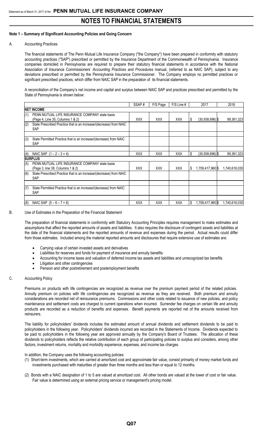### **Note 1 – Summary of Significant Accounting Policies and Going Concern**

#### A. Accounting Practices

The financial statements of The Penn Mutual Life Insurance Company ("the Company") have been prepared in conformity with statutory accounting practices ("SAP") prescribed or permitted by the Insurance Department of the Commonwealth of Pennsylvania. Insurance companies domiciled in Pennsylvania are required to prepare their statutory financial statements in accordance with the National Association of Insurance Commissioners' *Accounting Practices and Procedures* manual, (referred to as NAIC SAP), subject to any deviations prescribed or permitted by the Pennsylvania Insurance Commissioner. The Company employs no permitted practices or significant prescribed practices, which differ from NAIC SAP in the preparation of its financial statements.

A reconciliation of the Company's net income and capital and surplus between NAIC SAP and practices prescribed and permitted by the State of Pennsylvania is shown below:

|     |                                                                                    | SSAP#      | F/S Page   | $F/S$ Line # |    | 2017             | 2016          |
|-----|------------------------------------------------------------------------------------|------------|------------|--------------|----|------------------|---------------|
|     | <b>NET INCOME</b>                                                                  |            |            |              |    |                  |               |
| (1) | PENN MUTUAL LIFE INSURANCE COMPANY state basis<br>(Page 4, Line 35, Columns 1 & 2) | <b>XXX</b> | <b>XXX</b> | <b>XXX</b>   | S  | (30.938.696)     | 99,361,323    |
| (2) | State Prescribed Practice that is an increase/(decrease) from NAIC<br><b>SAP</b>   |            |            |              |    |                  |               |
| (3) | State Permitted Practice that is an increase/(decrease) from NAIC<br><b>SAP</b>    |            |            |              |    |                  |               |
| (4) | NAIC SAP $(1 – 2 – 3 = 4)$                                                         | <b>XXX</b> | <b>XXX</b> | XXX          | \$ | (30,938,696)     | 99,361,323    |
|     | <b>SURPLUS</b>                                                                     |            |            |              |    |                  |               |
| (5) | PENN MUTUAL LIFE INSURANCE COMPANY state basis<br>(Page 3, line 38, Columns 1 & 2) | <b>XXX</b> | <b>XXX</b> | <b>XXX</b>   | S  | 1,709,417,960 \$ | 1,740,616,030 |
| (6) | State Prescribed Practice that is an increase/(decrease) from NAIC<br><b>SAP</b>   |            |            |              |    |                  |               |
| (7) | State Permitted Practice that is an increase/(decrease) from NAIC<br><b>SAP</b>    |            |            |              |    |                  |               |
| (8) | NAIC SAP $(5 - 6 - 7 = 8)$                                                         | <b>XXX</b> | <b>XXX</b> | <b>XXX</b>   | S  | 1,709,417,960 \$ | 1,740,616,030 |

### B. Use of Estimates in the Preparation of the Financial Statement

The preparation of financial statements in conformity with Statutory Accounting Principles requires management to make estimates and assumptions that affect the reported amounts of assets and liabilities. It also requires the disclosure of contingent assets and liabilities at the date of the financial statements and the reported amounts of revenue and expenses during the period. Actual results could differ from those estimates. Included among the material reported amounts and disclosures that require extensive use of estimates are:

- Carrying value of certain invested assets and derivatives
- Liabilities for reserves and funds for payment of insurance and annuity benefits
- Accounting for income taxes and valuation of deferred income tax assets and liabilities and unrecognized tax benefits
- Litigation and other contingencies
- Pension and other postretirement and postemployment benefits

### C. Accounting Policy

Premiums on products with life contingencies are recognized as revenue over the premium payment period of the related policies. Annuity premium on policies with life contingencies are recognized as revenue as they are received. Both premium and annuity considerations are recorded net of reinsurance premiums. Commissions and other costs related to issuance of new policies, and policy maintenance and settlement costs are charged to current operations when incurred. Surrender fee charges on certain life and annuity products are recorded as a reduction of benefits and expenses. Benefit payments are reported net of the amounts received from reinsurers.

The liability for policyholders' dividends includes the estimated amount of annual dividends and settlement dividends to be paid to policyholders in the following year. Policyholders' dividends incurred are recorded in the Statements of Income. Dividends expected to be paid to policyholders in the following year are approved annually by the Company's Board of Trustees. The allocation of these dividends to policyholders reflects the relative contribution of each group of participating policies to surplus and considers, among other factors, investment returns, mortality and morbidity experience, expenses, and income tax charges.

In addition, the Company uses the following accounting policies:

- (1) Short-term investments, which are carried at amortized cost and approximate fair value, consist primarily of money market funds and investments purchased with maturities of greater than three months and less than or equal to 12 months.
- (2) Bonds with a NAIC designation of 1 to 5 are valued at amortized cost. All other bonds are valued at the lower of cost or fair value. Fair value is determined using an external pricing service or management's pricing model.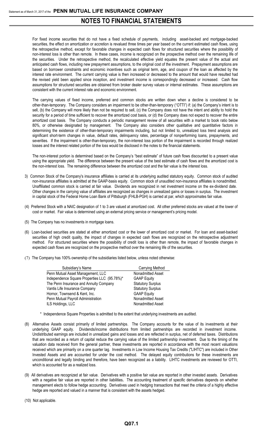For fixed income securities that do not have a fixed schedule of payments, including asset-backed and mortgage-backed securities, the effect on amortization or accretion is revalued three times per year based on the current estimated cash flows, using the retrospective method, except for favorable changes in expected cash flows for structured securities where the possibility of non-interest loss is other than remote. In these cases, income is recognized on the prospective method over the remaining life of the securities. Under the retrospective method, the recalculated effective yield equates the present value of the actual and anticipated cash flows, including new prepayment assumptions, to the original cost of the investment. Prepayment assumptions are based on borrower constraints and economic incentives such as original term, age, and coupon of the loan as affected by the interest rate environment. The current carrying value is then increased or decreased to the amount that would have resulted had the revised yield been applied since inception, and investment income is correspondingly decreased or increased. Cash flow assumptions for structured securities are obtained from broker dealer survey values or internal estimates. These assumptions are consistent with the current interest rate and economic environment.

The carrying values of fixed income, preferred and common stocks are written down when a decline is considered to be other-than-temporary. The Company considers an impairment to be other-than-temporary ("OTTI") if: (a) the Company's intent is to sell, (b) the Company will more likely than not be required to sell, (c) the Company does not have the intent and ability to hold the security for a period of time sufficient to recover the amortized cost basis, or (d) the Company does not expect to recover the entire amortized cost basis. The Company conducts a periodic management review of all securities with a market to book ratio below 80%, or otherwise designated by management. The Company also considers other qualitative and quantitative factors in determining the existence of other-than-temporary impairments including, but not limited to, unrealized loss trend analysis and significant short-term changes in value, default rates, delinquency rates, percentage of nonperforming loans, prepayments, and severities. If the impairment is other-than-temporary, the non-interest loss portion of the impairment is recorded through realized losses and the interest related portion of the loss would be disclosed in the notes to the financial statements.

The non-interest portion is determined based on the Company's "best estimate" of future cash flows discounted to a present value using the appropriate yield. The difference between the present value of the best estimate of cash flows and the amortized cost is the non-interest loss. The remaining difference between the amortized cost and the fair value is the interest loss.

- 3) Common Stock of the Company's insurance affiliates is carried at its underlying audited statutory equity. Common stock of audited non-insurance affiliates is admitted at the GAAP-basis equity. Common stock of unaudited non-insurance affiliates is nonadmitted. Unaffiliated common stock is carried at fair value. Dividends are recognized in net investment income on the ex-dividend date. Other changes in the carrying value of affiliates are recognized as changes in unrealized gains or losses in surplus. The investment in capital stock of the Federal Home Loan Bank of Pittsburgh (FHLB-PGH) is carried at par, which approximates fair value.
- (4) Preferred Stock with a NAIC designation of 1 to 3 are valued at amortized cost. All other preferred stocks are valued at the lower of cost or market. Fair value is determined using an external pricing service or management's pricing model.
- (5) The Company has no investments in mortgage loans.
- (6) Loan-backed securities are stated at either amortized cost or the lower of amortized cost or market. For loan and asset-backed securities of high credit quality, the impact of changes in expected cash flows are recognized on the retrospective adjustment method. For structured securities where the possibility of credit loss is other than remote, the impact of favorable changes in expected cash flows are recognized on the prospective method over the remaining life of the securities.
- (7) The Company has 100% ownership of the subsidiaries listed below, unless noted otherwise:

| Subsidiary's Name                            | Carrying Method          |
|----------------------------------------------|--------------------------|
| Penn Mutual Asset Management, LLC            | Nonadmitted Asset        |
| Independence Square Properties LLC (95.78%)* | <b>GAAP Equity</b>       |
| The Penn Insurance and Annuity Company       | <b>Statutory Surplus</b> |
| Vantis Life Insurance Company                | <b>Statutory Surplus</b> |
| Hornor, Townsend & Kent, Inc.                | <b>GAAP Equity</b>       |
| Penn Mutual Payroll Administration           | Nonadmitted Asset        |
| ILS Holdings, LLC                            | Nonadmitted Asset        |
|                                              |                          |

- \* Independence Square Properties is admitted to the extent that underlying investments are audited.
- (8) Alternative Assets consist primarily of limited partnerships. The Company accounts for the value of its investments at their underlying GAAP equity. Dividends/income distributions from limited partnerships are recorded in investment income. Undistributed earnings are included in unrealized gains and losses and are reflected in surplus, net of deferred taxes. Distributions that are recorded as a return of capital reduce the carrying value of the limited partnership investment. Due to the timing of the valuation data received from the general partner, these investments are reported in accordance with the most recent valuations received which are primarily on a one quarter lag. Investments in Low Income Housing Tax Credits ("LIHTC") are included in Other Invested Assets and are accounted for under the cost method. The delayed equity contributions for these investments are unconditional and legally binding and therefore, have been recognized as a liability. LIHTC investments are reviewed for OTTI, which is accounted for as a realized loss.
- (9) All derivatives are recognized at fair value. Derivatives with a positive fair value are reported in other invested assets. Derivatives with a negative fair value are reported in other liabilities**.** The accounting treatment of specific derivatives depends on whether management elects to follow hedge accounting. Derivatives used in hedging transactions that meet the criteria of a highly effective hedge are reported and valued in a manner that is consistent with the assets hedged.
- (10) Not applicable.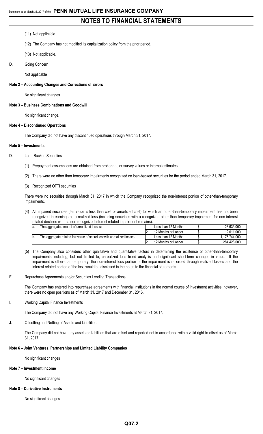### (11) Not applicable.

- (12) The Company has not modified its capitalization policy from the prior period.
- (13) Not applicable.
- D. Going Concern

Not applicable

#### **Note 2 – Accounting Changes and Corrections of Errors**

No significant changes

#### **Note 3 – Business Combinations and Goodwill**

No significant change.

#### **Note 4 – Discontinued Operations**

The Company did not have any discontinued operations through March 31, 2017.

#### **Note 5 – Investments**

- D. Loan-Backed Securities
	- (1) Prepayment assumptions are obtained from broker dealer survey values or internal estimates.
	- (2) There were no other than temporary impairments recognized on loan-backed securities for the period ended March 31, 2017.
	- (3) Recognized OTTI securities

There were no securities through March 31, 2017 in which the Company recognized the non-interest portion of other-than-temporary impairments.

(4) All impaired securities (fair value is less than cost or amortized cost) for which an other-than-temporary impairment has not been recognized in earnings as a realized loss (including securities with a recognized other-than-temporary impairment for non-interest related declines when a non-recognized interest related impairment remains):

| la. | The aggregate amount of unrealized losses:                             | Less than 12 Months | 26.633.000    |
|-----|------------------------------------------------------------------------|---------------------|---------------|
|     |                                                                        | 12 Months or Longer | 12.611.000    |
|     | The aggregate related fair value of securities with unrealized losses: | Less than 12 Months | 1.178.744.000 |
|     |                                                                        | 12 Months or Longer | 284.426.000   |

- (5) The Company also considers other qualitative and quantitative factors in determining the existence of other-than-temporary impairments including, but not limited to, unrealized loss trend analysis and significant short-term changes in value. If the impairment is other-than-temporary, the non-interest loss portion of the impairment is recorded through realized losses and the interest related portion of the loss would be disclosed in the notes to the financial statements.
- E. Repurchase Agreements and/or Securities Lending Transactions

The Company has entered into repurchase agreements with financial institutions in the normal course of investment activities; however, there were no open positions as of March 31, 2017 and December 31, 2016.

### I. Working Capital Finance Investments

The Company did not have any Working Capital Finance Investments at March 31, 2017.

J. Offsetting and Netting of Assets and Liabilities

The Company did not have any assets or liabilities that are offset and reported net in accordance with a valid right to offset as of March 31, 2017.

#### **Note 6 – Joint Ventures, Partnerships and Limited Liability Companies**

No significant changes

#### **Note 7 – Investment Income**

No significant changes

#### **Note 8 – Derivative Instruments**

No significant changes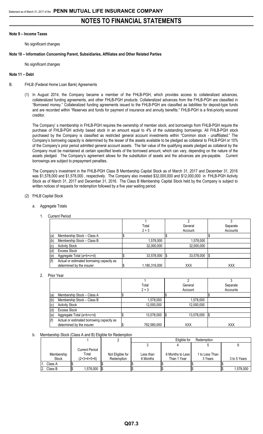### **Note 9 – Income Taxes**

No significant changes

#### **Note 10 – Information Concerning Parent, Subsidiaries, Affiliates and Other Related Parties**

No significant changes

#### **Note 11 – Debt**

- B. FHLB (Federal Home Loan Bank) Agreements
	- (1) In August 2014, the Company became a member of the FHLB-PGH, which provides access to collateralized advances, collateralized funding agreements, and other FHLB-PGH products. Collateralized advances from the FHLB-PGH are classified in "Borrowed money." Collateralized funding agreements issued to the FHLB-PGH are classified as liabilities for deposit-type funds and are recorded within "Reserves and funds for payment of insurance and annuity benefits." FHLB-PGH is a first-priority secured creditor.

The Company' s membership in FHLB-PGH requires the ownership of member stock, and borrowings from FHLB-PGH require the purchase of FHLB-PGH activity based stock in an amount equal to 4% of the outstanding borrowings. All FHLB-PGH stock purchased by the Company is classified as restricted general account investments within "Common stock - unaffiliated." The Company's borrowing capacity is determined by the lesser of the assets available to be pledged as collateral to FHLB-PGH or 10% of the Company's prior period admitted general account assets. The fair value of the qualifying assets pledged as collateral by the Company must be maintained at certain specified levels of the borrowed amount, which can vary, depending on the nature of the assets pledged. The Company's agreement allows for the substitution of assets and the advances are pre-payable. Current borrowings are subject to prepayment penalties.

The Company's investment in the FHLB-PGH Class B Membership Capital Stock as of March 31, 2017 and December 31, 2016 was \$1,578,000 and \$1,578,000 , respectively. The Company also invested \$32,000,000 and \$12,000,000 in FHLB-PGH Activity Stock as of March 31, 2017 and December 31, 2016. The Class B Membership Capital Stock held by the Company is subject to written notices of requests for redemption followed by a five year waiting period.

#### (2) FHLB Capital Stock

#### a. Aggregate Totals

1. Current Period

|     |                                           | Total         |     | General    | Separate   |
|-----|-------------------------------------------|---------------|-----|------------|------------|
|     |                                           | $2 + 3$       |     | Account    | Accounts   |
| (a) | Membership Stock - Class A                |               |     |            |            |
| (b) | Membership Stock - Class B                | 1,578,000     |     | 1,578,000  |            |
| (c) | <b>Activity Stock</b>                     | 32.000.000    |     | 32,000,000 |            |
| (d) | <b>Excess Stock</b>                       |               |     |            |            |
| (e) | Aggregate Total (a+b+c+d)                 | 33,578,000    | I\$ | 33,578,000 | I\$        |
| (f) | Actual or estimated borrowing capacity as |               |     |            |            |
|     | determined by the insurer                 | 1,180,319,000 |     | <b>XXX</b> | <b>XXX</b> |

#### 2. Prior Year

|     |                                           | Total       |     | General    | Separate   |
|-----|-------------------------------------------|-------------|-----|------------|------------|
|     |                                           | $2 + 3$     |     | Account    | Accounts   |
| (a) | Membership Stock - Class A                |             |     |            |            |
| (b) | Membership Stock - Class B                | 1,578,000   |     | 1,578,000  |            |
| (c) | <b>Activity Stock</b>                     | 12.000.000  |     | 12,000,000 |            |
| (d) | <b>Excess Stock</b>                       |             |     |            |            |
| (e) | Aggregate Total (a+b+c+d)                 | 13,578,000  | 1\$ | 13,578,000 | 1\$        |
| (f) | Actual or estimated borrowing capacity as |             |     |            |            |
|     | determined by the insurer                 | 792.580.000 |     | <b>XXX</b> | <b>XXX</b> |

#### b. Membership Stock (Class A and B) Eligible for Redemption

|              |                       |                  |           | Eligible for     | Redemption     |              |
|--------------|-----------------------|------------------|-----------|------------------|----------------|--------------|
|              |                       |                  |           |                  |                |              |
|              | <b>Current Period</b> |                  |           |                  |                |              |
| Membership   | Total                 | Not Eligible for | Less than | 6 Months to Less | 1 to Less Than |              |
| <b>Stock</b> | $(2+3+4+5+6)$         | Redemption       | 6 Months  | Than 1 Year      | 3 Years        | 3 to 5 Years |
| Class A      |                       |                  |           |                  |                |              |
| Class B      | ,578,000              |                  |           |                  |                | 1.578.000    |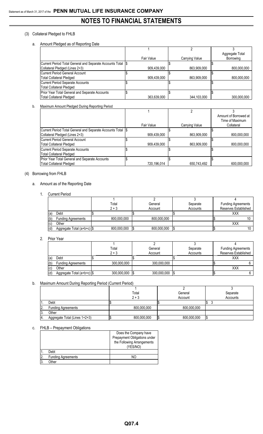## (3) Collateral Pledged to FHLB

a. Amount Pledged as of Reporting Date

|                                                              |             |                | Aggregate Total |
|--------------------------------------------------------------|-------------|----------------|-----------------|
|                                                              | Fair Value  | Carrying Value | Borrowing       |
| Current Period Total General and Separate Accounts Total \\$ |             |                |                 |
| Collateral Pledged (Lines 2+3)                               | 909.439.000 | 863,909,000    | 800.000.000     |
| Current Period General Account                               |             |                |                 |
| <b>Total Collateral Pledged</b>                              | 909,439,000 | 863,909,000    | 800,000,000     |
| Current Period Separate Accounts                             |             |                |                 |
| <b>Total Collateral Pledged</b>                              |             |                |                 |
| Prior Year Total General and Separate Accounts               |             |                |                 |
| <b>Total Collateral Pledged</b>                              | 363.639.000 | 344.103.000    | 300.000.000     |

### b. Maximum Amount Pledged During Reporting Period

|                                                              |             |                | Amount of Borrowed at |
|--------------------------------------------------------------|-------------|----------------|-----------------------|
|                                                              |             |                | Time of Maximum       |
|                                                              | Fair Value  | Carrying Value | Collateral            |
| Current Period Total General and Separate Accounts Total 1\$ |             |                |                       |
| Collateral Pledged (Lines 2+3)                               | 909,439,000 | 863,909,000    | 800.000.000           |
| Current Period General Account                               |             |                |                       |
| <b>Total Collateral Pledged</b>                              | 909.439.000 | 863.909.000    | 800.000.000           |
| Current Period Separate Accounts                             |             |                |                       |
| <b>Total Collateral Pledged</b>                              |             |                |                       |
| Prior Year Total General and Separate Accounts               |             |                |                       |
| <b>Total Collateral Pledged</b>                              | 720,196,014 | 650,743,492    | 600.000.000           |

### (4) Borrowing from FHLB

### a. Amount as of the Reporting Date

### 1. Current Period

|     |                            | Total       | General     | Separate | <b>Funding Agreements</b> |
|-----|----------------------------|-------------|-------------|----------|---------------------------|
|     |                            | $2 + 3$     | Account     | Accounts | Reserves Established      |
| (a) | Debt                       |             |             |          | XXX                       |
| (b) | <b>Funding Agreements</b>  | 800,000,000 | 800,000,000 |          |                           |
| (c) | Other                      |             |             |          | XXX                       |
| (d) | Aggregate Total (a+b+c) \$ | 800,000,000 | 800,000,000 |          |                           |

2. Prior Year

|     |                           | Total       | General     | Separate | <b>Funding Agreements</b> |
|-----|---------------------------|-------------|-------------|----------|---------------------------|
|     |                           | $2 + 3$     | Account     | Accounts | Reserves Established      |
| (a) | Debt                      |             |             |          | <b>XXX</b>                |
| (b) | <b>Funding Agreements</b> | 300,000,000 | 300,000,000 |          |                           |
| (c) | Other                     |             |             |          | <b>XXX</b>                |
| (d) | Aggregate Total $(a+b+c)$ | 300,000,000 | 300,000,000 |          |                           |

### b. Maximum Amount During Reporting Period (Current Period)

|          |                               | Total   |             | General     | Separate |
|----------|-------------------------------|---------|-------------|-------------|----------|
|          |                               | $2 + 3$ |             | Account     | Accounts |
|          | Debt                          |         |             |             |          |
| <u>.</u> | <b>Funding Agreements</b>     |         | 800,000,000 | 800,000,000 |          |
| .د ۱     | Other                         |         |             |             |          |
|          | Aggregate Total (Lines 1+2+3) |         | 800,000,000 | 800,000,000 |          |

## c. FHLB – Prepayment Obligations

|                |                           | Does the Company have<br>Prepayment Obligations under<br>the Following Arrangements<br>(YES/NO) |
|----------------|---------------------------|-------------------------------------------------------------------------------------------------|
|                | Debt                      |                                                                                                 |
| $\overline{2}$ | <b>Funding Agreements</b> | NΟ                                                                                              |
| 3.             | )ther                     |                                                                                                 |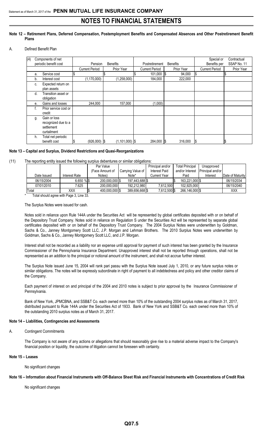#### **Note 12 – Retirement Plans, Deferred Compensation, Postemployment Benefits and Compensated Absences and Other Postretirement Benefit Plans**

A. Defined Benefit Plan

| (4) |    | Components of net     |                       |                |                    |  |                       |  |                 |              | Special or            |     | Contractual |
|-----|----|-----------------------|-----------------------|----------------|--------------------|--|-----------------------|--|-----------------|--------------|-----------------------|-----|-------------|
|     |    | periodic benefit cost |                       | Pension        | <b>Benefits</b>    |  | Postretirement        |  | <b>Benefits</b> | Benefits per |                       |     | SSAP No. 11 |
|     |    |                       | <b>Current Period</b> |                | Prior Year         |  | <b>Current Period</b> |  | Prior Year      |              | <b>Current Period</b> |     | Prior Year  |
|     | a. | Service cost          |                       |                |                    |  | $101,000$ \$          |  | 94,000          | \$           |                       |     |             |
|     | b. | Interest cost         |                       | (1, 170, 000)  | (1, 258, 000)      |  | 184,000               |  | 222,000         |              |                       |     |             |
|     | C. | Expected return on    |                       |                |                    |  |                       |  |                 |              |                       |     |             |
|     |    | plan assets           |                       |                |                    |  |                       |  |                 |              |                       |     |             |
|     | d. | Transition asset or   |                       |                |                    |  |                       |  |                 |              |                       |     |             |
|     |    | obligation            |                       |                |                    |  |                       |  |                 |              |                       |     |             |
|     | е. | Gains and losses      |                       | 244,000        | 157,000            |  | (1,000)               |  |                 |              |                       |     |             |
|     | t. | Prior service cost or |                       |                |                    |  |                       |  |                 |              |                       |     |             |
|     |    | credit                |                       |                |                    |  |                       |  |                 |              |                       |     |             |
|     | g. | Gain or loss          |                       |                |                    |  |                       |  |                 |              |                       |     |             |
|     |    | recognized due to a   |                       |                |                    |  |                       |  |                 |              |                       |     |             |
|     |    | settlement            |                       |                |                    |  |                       |  |                 |              |                       |     |             |
|     |    | curtailment           |                       |                |                    |  |                       |  |                 |              |                       |     |             |
|     | h. | Total net periodic    |                       |                |                    |  |                       |  |                 |              |                       |     |             |
|     |    | benefit cost          | Ψ                     | $(926,000)$ \$ | $(1, 101, 000)$ \$ |  | 284,000 \$            |  | 316,000         | l\$          |                       | ι\$ |             |

#### **Note 13 – Capital and Surplus, Dividend Restrictions and Quasi-Reorganizations**

(11) The reporting entity issued the following surplus debentures or similar obligations:

|             |               | Par Value       |                   | Principal and/or | <b>Total Principal</b> | Unapproved       |                  |
|-------------|---------------|-----------------|-------------------|------------------|------------------------|------------------|------------------|
|             |               | (Face Amount of | Carrying Value of | Interest Paid    | and/or Interest        | Principal and/or |                  |
| Date Issued | Interest Rate | Notes)          | Note*             | Current Year     | Paid                   | Interest         | Date of Maturity |
| 06/15/2004  | 6.650%        | 200.000.000 \$  | 197.443.688 \$    |                  | 163.221.000 \$         |                  | 06/15/2034       |
| 07/01/2010  | 7.625         | 200.000.000     | 192.212.980       | 7.612.500        | 102.925.000            |                  | 06/15/2040       |
| Total       | XXX           | 400.000.000 \$  | 389.656.668 \$    | 7,612,500 \$     | 266.146.000 \$         |                  | <b>XXX</b>       |

Total should agree with Page 3, Line 33.

#### The Surplus Notes were issued for cash.

Notes sold in reliance upon Rule 144A under the Securities Act will be represented by global certificates deposited with or on behalf of the Depository Trust Company. Notes sold in reliance on Regulation S under the Securities Act will be represented by separate global certificates deposited with or on behalf of the Depository Trust Company. The 2004 Surplus Notes were underwritten by Goldman, Sachs & Co., Janney Montgomery Scott LLC, J.P. Morgan and Lehman Brothers. The 2010 Surplus Notes were underwritten by Goldman, Sachs & Co., Janney Montgomery Scott LLC, and J.P. Morgan.

Interest shall not be recorded as a liability nor an expense until approval for payment of such interest has been granted by the Insurance Commissioner of the Pennsylvania Insurance Department. Unapproved interest shall not be reported through operations, shall not be represented as an addition to the principal or notional amount of the instrument, and shall not accrue further interest.

The Surplus Note issued June 15, 2004 will rank pari passu with the Surplus Note issued July 1, 2010, or any future surplus notes or similar obligations. The notes will be expressly subordinate in right of payment to all indebtedness and policy and other creditor claims of the Company.

Each payment of interest on and principal of the 2004 and 2010 notes is subject to prior approval by the Insurance Commissioner of Pennsylvania.

Bank of New York, JPMCBNA, and SSB&T Co. each owned more than 10% of the outstanding 2004 surplus notes as of March 31, 2017, distributed pursuant to Rule 144A under the Securities Act of 1933. Bank of New York and SSB&T Co. each owned more than 10% of the outstanding 2010 surplus notes as of March 31, 2017.

#### **Note 14 – Liabilities, Contingencies and Assessments**

#### A. Contingent Commitments

The Company is not aware of any actions or allegations that should reasonably give rise to a material adverse impact to the Company's financial position or liquidity, the outcome of litigation cannot be foreseen with certainty.

#### **Note 15 – Leases**

No significant changes

#### **Note 16 – Information about Financial Instruments with Off-Balance Sheet Risk and Financial Instruments with Concentrations of Credit Risk**

No significant changes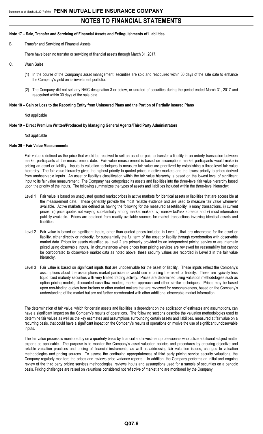### **Note 17 – Sale, Transfer and Servicing of Financial Assets and Extinguishments of Liabilities**

B. Transfer and Servicing of Financial Assets

There have been no transfer or servicing of financial assets through March 31, 2017.

- C. Wash Sales
	- (1) In the course of the Company's asset management, securities are sold and reacquired within 30 days of the sale date to enhance the Company's yield on its investment portfolio.
	- (2) The Company did not sell any NAIC designation 3 or below, or unrated of securities during the period ended March 31, 2017 and reacquired within 30 days of the sale date.

#### **Note 18 – Gain or Loss to the Reporting Entity from Uninsured Plans and the Portion of Partially Insured Plans**

Not applicable

#### **Note 19 – Direct Premium Written/Produced by Managing General Agents/Third Party Administrators**

#### Not applicable

#### **Note 20 – Fair Value Measurements**

Fair value is defined as the price that would be received to sell an asset or paid to transfer a liability in an orderly transaction between market participants at the measurement date. Fair value measurement is based on assumptions market participants would make in pricing an asset or liability. Inputs to valuation techniques to measure fair value are prioritized by establishing a three-level fair value hierarchy. The fair value hierarchy gives the highest priority to quoted prices in active markets and the lowest priority to prices derived from unobservable inputs. An asset or liability's classification within the fair value hierarchy is based on the lowest level of significant input to its fair value measurement. The Company has categorized its assets and liabilities into the three-level fair value hierarchy based upon the priority of the inputs. The following summarizes the types of assets and liabilities included within the three-level hierarchy:

- Level 1 Fair value is based on unadjusted quoted market prices in active markets for identical assets or liabilities that are accessible at the measurement date. These generally provide the most reliable evidence and are used to measure fair value whenever available. Active markets are defined as having the following for the measured asset/liability: i) many transactions, ii) current prices, iii) price quotes not varying substantially among market makers, iv) narrow bid/ask spreads and v) most information publicly available. Prices are obtained from readily available sources for market transactions involving identical assets and liabilities.
- Level 2 Fair value is based on significant inputs, other than quoted prices included in Level 1, that are observable for the asset or liability, either directly or indirectly, for substantially the full term of the asset or liability through corroboration with observable market data. Prices for assets classified as Level 2 are primarily provided by an independent pricing service or are internally priced using observable inputs. In circumstances where prices from pricing services are reviewed for reasonability but cannot be corroborated to observable market data as noted above, these security values are recorded in Level 3 in the fair value hierarchy.
- Level 3 Fair value is based on significant inputs that are unobservable for the asset or liability. These inputs reflect the Company's assumptions about the assumptions market participants would use in pricing the asset or liability. These are typically less liquid fixed maturity securities with very limited trading activity. Prices are determined using valuation methodologies such as option pricing models, discounted cash flow models, market approach and other similar techniques. Prices may be based upon non-binding quotes from brokers or other market makers that are reviewed for reasonableness, based on the Company's understanding of the market but are not further corroborated with other additional observable market information.

The determination of fair value, which for certain assets and liabilities is dependent on the application of estimates and assumptions, can have a significant impact on the Company's results of operations. The following sections describe the valuation methodologies used to determine fair values as well as the key estimates and assumptions surrounding certain assets and liabilities, measured at fair value on a recurring basis, that could have a significant impact on the Company's results of operations or involve the use of significant unobservable inputs.

The fair value process is monitored by on a quarterly basis by financial and investment professionals who utilize additional subject matter experts as applicable. The purpose is to monitor the Company's asset valuation policies and procedures by ensuring objective and reliable valuation practices and pricing of financial instruments, as well as addressing fair valuation issues, changes to valuation methodologies and pricing sources. To assess the continuing appropriateness of third party pricing service security valuations, the Company regularly monitors the prices and reviews price variance reports. In addition, the Company performs an initial and ongoing review of the third party pricing services methodologies, reviews inputs and assumptions used for a sample of securities on a periodic basis. Pricing challenges are raised on valuations considered not reflective of market and are monitored by the Company.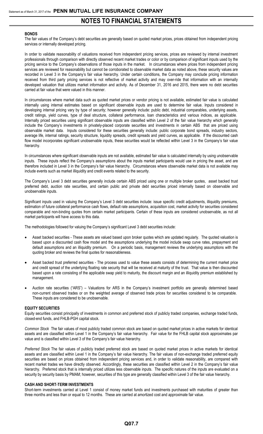#### **BONDS**

The fair values of the Company's debt securities are generally based on quoted market prices, prices obtained from independent pricing services or internally developed pricing.

In order to validate reasonability of valuations received from independent pricing services, prices are reviewed by internal investment professionals through comparison with directly observed recent market trades or color or by comparison of significant inputs used by the pricing service to the Company's observations of those inputs in the market. In circumstances where prices from independent pricing services are reviewed for reasonability but cannot be corroborated to observable market data as noted above, these security values are recorded in Level 3 in the Company's fair value hierarchy. Under certain conditions, the Company may conclude pricing information received from third party pricing services is not reflective of market activity and may over-ride that information with an internally developed valuation that utilizes market information and activity. As of December 31, 2016 and 2015, there were no debt securities carried at fair value that were valued in this manner.

In circumstances where market data such as quoted market prices or vendor pricing is not available, estimated fair value is calculated internally using internal estimates based on significant observable inputs are used to determine fair value. Inputs considered in developing internal pricing vary by type of security; however generally include: public debt, industrial comparables, underlying assets, credit ratings, yield curves, type of deal structure, collateral performance, loan characteristics and various indices, as applicable. Internally priced securities using significant observable inputs are classified within Level 2 of the fair value hierarchy which generally include the Company's investments in privately-placed corporate securities and investments in certain ABS that are priced using observable market data. Inputs considered for these securities generally include: public corporate bond spreads, industry sectors, average life, internal ratings, security structure, liquidity spreads, credit spreads and yield curves, as applicable. If the discounted cash flow model incorporates significant unobservable inputs, these securities would be reflected within Level 3 in the Company's fair value hierarchy.

In circumstances where significant observable inputs are not available, estimated fair value is calculated internally by using unobservable inputs. These inputs reflect the Company's assumptions about the inputs market participants would use in pricing the asset, and are therefore included in Level 3 in the Company's fair value hierarchy. Circumstances where observable market data is not available may include events such as market illiquidity and credit events related to the security.

The Company's Level 3 debt securities generally include certain ABS priced using one or multiple broker quotes, asset backed trust preferred debt, auction rate securities, and certain public and private debt securities priced internally based on observable and unobservable inputs.

Significant inputs used in valuing the Company's Level 3 debt securities include: issue specific credit adjustments, illiquidity premiums, estimation of future collateral performance cash flows, default rate assumptions, acquisition cost, market activity for securities considered comparable and non-binding quotes from certain market participants. Certain of these inputs are considered unobservable, as not all market participants will have access to this data.

The methodologies followed for valuing the Company's significant Level 3 debt securities include:

- Asset backed securities These assets are valued based upon broker quotes which are updated regularly. The quoted valuation is based upon a discounted cash flow model and the assumptions underlying the model include swap curve rates, prepayment and default assumptions and an illiquidity premium. On a periodic basis, management reviews the underlying assumptions with the quoting broker and reviews the final quotes for reasonableness.
- Asset backed trust preferred securities The process used to value these assets consists of determining the current market price and credit spread of the underlying floating rate security that will be received at maturity of the trust. That value is then discounted based upon a rate consisting of the applicable swap yield to maturity, the discount margin and an illiquidity premium established by management.
- Auction rate securities ("ARS") Valuations for ARS in the Company's investment portfolio are generally determined based non-current observed trades or on the weighted average of observed trade prices for securities considered to be comparable. These inputs are considered to be unobservable.

#### **EQUITY SECURITIES**

Equity securities consist principally of investments in common and preferred stock of publicly traded companies, exchange traded funds, closed-end funds, and FHLB-PGH capital stock.

*Common Stock* The fair values of most publicly traded common stock are based on quoted market prices in active markets for identical assets and are classified within Level 1 in the Company's fair value hierarchy. Fair value for the FHLB capital stock approximates par value and is classified within Level 3 of the Company's fair value hierarchy.

*Preferred Stock* The fair values of publicly traded preferred stock are based on quoted market prices in active markets for identical assets and are classified within Level 1 in the Company's fair value hierarchy. The fair values of non-exchange traded preferred equity securities are based on prices obtained from independent pricing services and, in order to validate reasonability, are compared with recent market trades we have directly observed. Accordingly, these securities are classified within Level 2 in the Company's fair value hierarchy. Preferred stock that is internally priced utilizes less observable inputs. The specific natures of the inputs are evaluated on a security by security basis by PMAM; however, securities of this type are generally classified within Level 3 of the fair value hierarchy.

#### **CASH AND SHORT-TERM INVESTMENTS**

Short-term investments carried at Level 1 consist of money market funds and investments purchased with maturities of greater than three months and less than or equal to 12 months. These are carried at amortized cost and approximate fair value.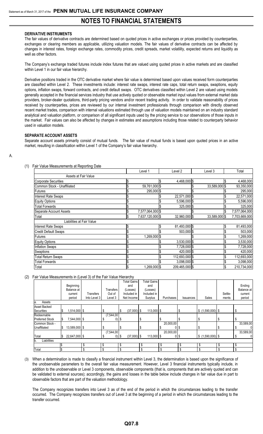### **DERIVATIVE INSTRUMENTS**

The fair values of derivative contracts are determined based on quoted prices in active exchanges or prices provided by counterparties, exchanges or clearing members as applicable, utilizing valuation models. The fair values of derivative contracts can be affected by changes in interest rates, foreign exchange rates, commodity prices, credit spreads, market volatility, expected returns and liquidity as well as other factors.

The Company's exchange traded futures include index futures that are valued using quoted prices in active markets and are classified within Level 1 in our fair value hierarchy.

Derivative positions traded in the OTC derivative market where fair value is determined based upon values received form counterparties are classified within Level 2. These investments include: interest rate swaps, interest rate caps, total return swaps, swaptions, equity options, inflation swaps, forward contracts, and credit default swaps. OTC derivatives classified within Level 2 are valued using models generally accepted in the financial services industry that use actively quoted or observable market input values from external market data providers, broker-dealer quotations, third-party pricing vendors and/or recent trading activity. In order to validate reasonability of prices received by counterparties, prices are reviewed by our internal investment professionals through comparison with directly observed recent market trades, comparison with internal valuations estimated through use of valuation models maintained on an industry standard analytical and valuation platform, or comparison of all significant inputs used by the pricing service to our observations of those inputs in the market. Fair values can also be affected by changes in estimates and assumptions including those related to counterparty behavior used in valuation models.

#### **SEPARATE ACCOUNT ASSETS**

Separate account assets primarily consist of mutual funds. The fair value of mutual funds is based upon quoted prices in an active market, resulting in classification within Level 1 of the Company's fair value hierarchy.

| ۰, |  |  |
|----|--|--|
| _  |  |  |

### (1) Fair Value Measurements at Reporting Date

|                             |   | Level 1          | Level <sub>2</sub> | Level 3       |    | Total         |
|-----------------------------|---|------------------|--------------------|---------------|----|---------------|
| Assets at Fair Value        |   |                  |                    |               |    |               |
| Corporate Securities        |   |                  | 4,468,000 \$       |               |    | 4,468,000     |
| Common Stock - Unaffiliated |   | 59,761,000 \$    |                    | 33,589,000 \$ |    | 93,350,000    |
| <b>Futures</b>              |   | 295,000 \$       |                    |               |    | 295,000       |
| <b>Interest Rate Swaps</b>  |   |                  | 22,571,000 \$      |               |    | 22,571,000    |
| Equity Options              |   |                  | 5,596,000 \$       |               |    | 5,596,000     |
| <b>Total Forwards</b>       |   |                  | 325,000 \$         |               |    | 325,000       |
| Separate Account Assets     |   | 7,577,064,000 \$ |                    |               |    | 7,577,064,000 |
| Total                       | ъ | 7,637,120,000 \$ | 32,960,000 \$      | 33,589,000 \$ |    | 7,703,669,000 |
| Liabilities at Fair Value   |   |                  |                    |               |    |               |
| <b>Interest Rate Swaps</b>  |   |                  | 81,493,000 \$      |               |    | 81,493,000    |
| <b>Credit Default Swaps</b> |   |                  | 503,000 \$         |               |    | 503,000       |
| <b>Futures</b>              |   | 1,269,000 \$     |                    |               |    | 1,269,000     |
| <b>Equity Options</b>       |   |                  | $3,530,000$ \$     |               |    | 3,530,000     |
| <b>Inflation Swaps</b>      |   |                  | 7,728,000 \$       |               |    | 7,728,000     |
| <b>Swaptions</b>            |   |                  | 420,000 \$         |               |    | 420,000       |
| <b>Total Return Swaps</b>   |   |                  | 112,693,000 \$     |               |    | 112,693,000   |
| <b>Total Forwards</b>       |   |                  | 3,098,000 \$       |               |    | 3,098,000     |
| Total                       |   | 1,269,000 \$     | 209,465,000 \$     |               | Ρ, | 210,734,000   |

#### (2) Fair Value Measurements in (Level 3) of the Fair Value Hierarchy

|                        |     |               |                  |                   |         | <b>Total Gains</b> | <b>Total Gains</b> |    |                        |             |                   |         |            |
|------------------------|-----|---------------|------------------|-------------------|---------|--------------------|--------------------|----|------------------------|-------------|-------------------|---------|------------|
|                        |     | Beginning     |                  |                   |         | and                | and                |    |                        |             |                   |         | Ending     |
|                        |     | Balance at    |                  | <b>Transfers</b>  |         | (Losses)           | (Losses)           |    |                        |             |                   |         | Balance at |
|                        |     | current       | <b>Transfers</b> | Out of            |         | Included in        | Included in        |    |                        |             |                   | Settle- | current    |
|                        |     | period        | Into Level 3     | Level 3           |         | Net Income         | Surplus            |    | Purchases              | Issuances   | Sales             | ments   | period     |
| Assets<br>la.          |     |               |                  |                   |         |                    |                    |    |                        |             |                   |         |            |
| <b>Asset Backed</b>    |     |               |                  |                   |         |                    |                    |    |                        |             |                   |         |            |
| Securities             | S   | 514,000 \$    |                  |                   | S       | $(37,000)$ \$      | $113,000$ \$       |    |                        | ა           | $$(1,590,000)$ \$ |         | \$         |
| Redeemable             |     |               |                  | (7,544,00)        |         |                    |                    |    |                        |             |                   |         |            |
| <b>Preferred Stock</b> | I\$ | 7,544,000 \$  |                  | $\left( 0\right)$ | 1\$     |                    | \$                 |    |                        |             | \$                |         |            |
| Common Stock -         |     |               |                  |                   |         |                    |                    |    | $\overline{20,000,00}$ |             |                   |         | 33,589,00  |
| Unaffiliated           | \$  | 13,589,000 \$ |                  |                   | \$.     |                    | \$                 | .S |                        | 05          | \$                |         | \$         |
|                        |     |               |                  | (7,544,00)        |         |                    |                    |    | 20,000,00              |             |                   |         | 33,589,00  |
| Total                  | I\$ | 22,647,000 \$ |                  |                   | $0)$ \$ | $(37,000)$ \$      | $113,000$ \$       |    |                        | $0\vert$ \$ | $$(1,590,000)$ \$ |         | \$         |
| Liabilities<br>Ib.     |     |               |                  |                   |         |                    |                    |    |                        |             |                   |         |            |
|                        |     |               | \$               |                   | \$      |                    |                    |    |                        | \$          | \$                |         | \$         |
| Total                  |     |               | \$               |                   | \$      |                    |                    |    |                        | \$          | \$                |         | \$         |

(3) When a determination is made to classify a financial instrument within Level 3, the determination is based upon the significance of the unobservable parameters to the overall fair value measurement. However, Level 3 financial instruments typically include, in addition to the unobservable or Level 3 components, observable components (that is, components that are actively quoted and can be validated to external sources); accordingly, the gains and losses in the table below include changes in fair value due in part to observable factors that are part of the valuation methodology.

The Company recognizes transfers into Level 3 as of the end of the period in which the circumstances leading to the transfer occurred. The Company recognizes transfers out of Level 3 at the beginning of a period in which the circumstances leading to the transfer occurred.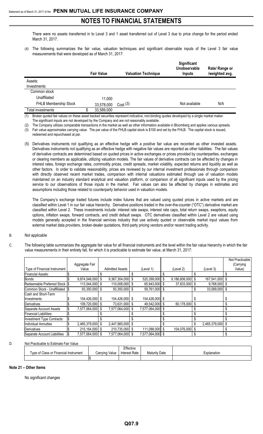There were no assets transferred in to Level 3 and 1 asset transferred out of Level 3 due to price change for the period ended March 31, 2017.

(4) The following summarizes the fair value, valuation techniques and significant observable inputs of the Level 3 fair value measurements that were developed as of March 31, 2017:

|                       | <b>Fair Value</b> | <b>Valuation Technique</b> | Significant<br>Unobservable<br><b>Inputs</b> | Rate/ Range or<br>/weighted avg. |
|-----------------------|-------------------|----------------------------|----------------------------------------------|----------------------------------|
| Assets:               |                   |                            |                                              |                                  |
| Investments           |                   |                            |                                              |                                  |
| Common stock          |                   |                            |                                              |                                  |
| Unaffiliated          | 11.000            |                            |                                              |                                  |
| FHLB Membership Stock | 33,578,000        | Cost(3)                    | Not available                                | N/A                              |
| Total investments     | 33,589,000        |                            |                                              |                                  |

(1) Broker quoted fair values on these asset backed securities represent indicative, non-binding quotes developed by a single market maker. The significant inputs are not developed by the Company and are not reasonably available.

The Company utilizes comparable transactions in the market as well as other information available in Bloomberg and applies various spreads.

(3) Fair value approximates carrying value. The par value of the FHLB capital stock is \$100 and set by the FHLB. The capital stock is issued,

redeemed and repurchased at par.

(5) Derivatives instruments not qualifying as an effective hedge with a positive fair value are recorded as other invested assets. Derivatives instruments not qualifying as an effective hedge with negative fair values are reported as other liabilities. The fair values of derivative contracts are determined based on quoted prices in active exchanges or prices provided by counterparties, exchanges or clearing members as applicable, utilizing valuation models. The fair values of derivative contracts can be affected by changes in interest rates, foreign exchange rates, commodity prices, credit spreads, market volatility, expected returns and liquidity as well as other factors. In order to validate reasonability, prices are reviewed by our internal investment professionals through comparison with directly observed recent market trades, comparison with internal valuations estimated through use of valuation models maintained on an industry standard analytical and valuation platform, or comparison of all significant inputs used by the pricing service to our observations of those inputs in the market. Fair values can also be affected by changes in estimates and assumptions including those related to counterparty behavior used in valuation models.

The Company's exchange traded futures include index futures that are valued using quoted prices in active markets and are classified within Level 1 in our fair value hierarchy. Derivative positions traded in the over-the-counter ("OTC") derivative market are classified within Level 2. These investments include: interest rate swaps, interest rate caps, total return swaps, swaptions, equity options, inflation swaps, forward contracts, and credit default swaps. OTC derivatives classified within Level 2 are valued using models generally accepted in the financial services industry that use actively quoted or observable market input values from external market data providers, broker-dealer quotations, third-party pricing vendors and/or recent trading activity.

## B. Not applicable

C. The following table summarizes the aggregate fair value for all financial instruments and the level within the fair value hierarchy in which the fair value measurements in their entirety fall, for which it is practicable to estimate fair value, at March 31, 2017:

|                                 |                           | Aggregate Fair |    |                        |      |                  |               |    |               | Not Practicable<br>(Carrying |
|---------------------------------|---------------------------|----------------|----|------------------------|------|------------------|---------------|----|---------------|------------------------------|
| Type of Financial Instrument    |                           | Value          |    | <b>Admitted Assets</b> |      | (Level 1)        | (Level 2)     |    | (Level 3)     | Value)                       |
| <b>Financial Assets:</b>        |                           |                |    |                        |      |                  |               |    |               |                              |
| <b>Bonds</b>                    | \$                        | 9,874,546,000  | S  | 9,367,304,000          |      | 520,399,000 \$   | 9,186,606,000 | \$ | 167,541,000   |                              |
| Redeemable Preferred Stock S    |                           | 113,544,000    | \$ | 110,008,000 \$         |      | 65,943,000 \$    | 37,833,000    | \$ | 9,768,000     | \$                           |
| Common Stock - Unaffiliated \\$ |                           | 93,350,000     | \$ | 93,350,000 \$          |      | 59,761,000 \$    |               | S  | 33,589,000    | \$                           |
| Cash and Short-Term             |                           |                |    |                        |      |                  |               |    |               |                              |
| Investments                     |                           | 154,426,000    | S  | 154,426,000 \$         |      | 154,426,000 \$   |               |    |               |                              |
| Derivatives                     | \$                        | 109,720,000    | S  | 73,631,000 \$          |      | 49,542,000 \$    | 60,178,000    | \$ |               | \$                           |
| Separate Account Assets         | $\boldsymbol{\mathsf{S}}$ | 7,577,064,000  | \$ | 7,577,064,000          | Ŝ.   | 7.577.064.000 \$ |               |    |               |                              |
| <b>Financial Liabilities:</b>   |                           |                |    |                        |      |                  |               |    |               |                              |
| Investment Type Contracts:      | Ŝ.                        |                |    |                        |      |                  |               |    |               | \$                           |
| <b>Individual Annuities</b>     |                           | 2,465,379,000  | \$ | 2,447,985,000          |      |                  |               | \$ | 2,465,379,000 | \$                           |
| Derivatives                     |                           | 215,164,000    | S  | 210,735,000            | - \$ | 111,088,000 \$   | 104.076.000   | S  |               |                              |
| Separate Account Liabilities    | I\$                       | 7,577,064,000  | S  | 7,577,064,000 \$       |      | 7,577,064,000 \$ |               | \$ |               | \$                           |

#### D. Not Practicable to Estimate Fair Value

|                                       |                | Effective     |                      |             |
|---------------------------------------|----------------|---------------|----------------------|-------------|
| Type of Class or Financial Instrument | Carrying Value | Interest Rate | <b>Maturity Date</b> | Explanation |
|                                       |                |               |                      |             |

#### **Note 21 – Other Items**

No significant changes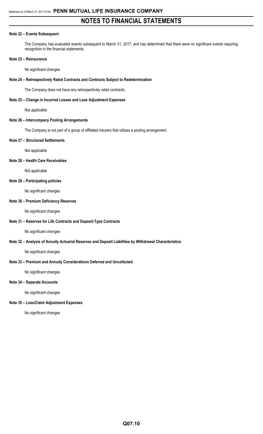### **Note 22 – Events Subsequent**

The Company has evaluated events subsequent to March 31, 2017, and has determined that there were no significant events requiring recognition in the financial statements.

#### **Note 23 – Reinsurance**

#### No significant changes

#### **Note 24 – Retrospectively Rated Contracts and Contracts Subject to Redetermination**

The Company does not have any retrospectively rated contracts.

#### **Note 25 – Change in Incurred Losses and Loss Adjustment Expenses**

Not applicable

#### **Note 26 – Intercompany Pooling Arrangements**

The Company is not part of a group of affiliated insurers that utilizes a pooling arrangement.

#### **Note 27 – Structured Settlements**

Not applicable

#### **Note 28 – Health Care Receivables**

Not applicable

#### **Note 29 – Participating policies**

No significant changes

### **Note 30 – Premium Deficiency Reserves**

No significant changes

#### **Note 31 – Reserves for Life Contracts and Deposit-Type Contracts**

No significant changes

#### **Note 32 – Analysis of Annuity Actuarial Reserves and Deposit Liabilities by Withdrawal Characteristics**

No significant changes

### **Note 33 – Premium and Annuity Considerations Deferred and Uncollected**

No significant changes

### **Note 34 – Separate Accounts**

No significant changes

### **Note 35 – Loss/Claim Adjustment Expenses**

No significant changes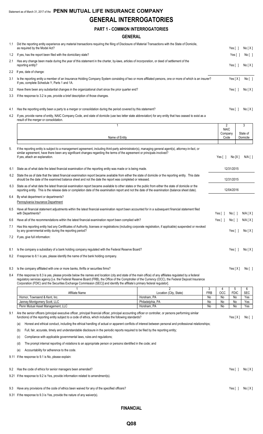## Statement as of March 31, 2017 of the **PENN MUTUAL LIFE INSURANCE COMPANY GENERAL INTERROGATORIES**

## **PART 1 - COMMON INTERROGATORIES**

### **GENERAL**

| 1.1  | Did the reporting entity experience any material transactions requiring the filing of Disclosure of Material Transactions with the State of Domicile,<br>as required by the Model Act?                                                                                                                     |                                          |                 |                        | Yes $\lceil \ \rceil$ | No[X]           |
|------|------------------------------------------------------------------------------------------------------------------------------------------------------------------------------------------------------------------------------------------------------------------------------------------------------------|------------------------------------------|-----------------|------------------------|-----------------------|-----------------|
| 1.2  | If yes, has the report been filed with the domiciliary state?                                                                                                                                                                                                                                              |                                          |                 |                        | Yes []                | No [ ]          |
| 2.1  | Has any change been made during the year of this statement in the charter, by-laws, articles of incorporation, or deed of settlement of the<br>reporting entity?                                                                                                                                           |                                          |                 |                        | Yes $\lceil \ \rceil$ | No[X]           |
| 2.2  | If yes, date of change:                                                                                                                                                                                                                                                                                    |                                          |                 |                        |                       |                 |
| 3.1  | Is the reporting entity a member of an Insurance Holding Company System consisting of two or more affiliated persons, one or more of which is an insurer?<br>If yes, complete Schedule Y, Parts 1 and 1A.                                                                                                  |                                          |                 |                        | Yes[X]                | No [ ]          |
| 3.2  | Have there been any substantial changes in the organizational chart since the prior quarter end?                                                                                                                                                                                                           |                                          |                 |                        | Yes $\lceil \ \rceil$ | No[X]           |
| 3.3  | If the response to 3.2 is yes, provide a brief description of those changes.                                                                                                                                                                                                                               |                                          |                 |                        |                       |                 |
|      |                                                                                                                                                                                                                                                                                                            |                                          |                 |                        |                       |                 |
| 4.1  | Has the reporting entity been a party to a merger or consolidation during the period covered by this statement?                                                                                                                                                                                            |                                          |                 |                        | Yes [ 1               | No[X]           |
| 4.2  | If yes, provide name of entity, NAIC Company Code, and state of domicile (use two letter state abbreviation) for any entity that has ceased to exist as a<br>result of the merger or consolidation.                                                                                                        |                                          |                 |                        |                       |                 |
|      | $\mathbf{1}$                                                                                                                                                                                                                                                                                               |                                          |                 | 2                      |                       | 3               |
|      |                                                                                                                                                                                                                                                                                                            |                                          |                 | <b>NAIC</b><br>Company |                       | State of        |
|      | Name of Entity                                                                                                                                                                                                                                                                                             |                                          |                 | Code                   |                       | Domicile        |
| 5.   | If the reporting entity is subject to a management agreement, including third-party administrator(s), managing general agent(s), attorney-in-fact, or                                                                                                                                                      |                                          |                 |                        |                       |                 |
|      | similar agreement, have there been any significant changes regarding the terms of the agreement or principals involved?                                                                                                                                                                                    |                                          |                 |                        |                       |                 |
|      | If yes, attach an explanation.                                                                                                                                                                                                                                                                             |                                          |                 | Yes $\lceil \ \rceil$  | No[X]                 | $N/A$ [ ]       |
|      |                                                                                                                                                                                                                                                                                                            |                                          |                 |                        |                       |                 |
| 6.1  | State as of what date the latest financial examination of the reporting entity was made or is being made.                                                                                                                                                                                                  |                                          |                 |                        | 12/31/2015            |                 |
|      | 6.2 State the as of date that the latest financial examination report became available from either the state of domicile or the reporting entity. This date<br>should be the date of the examined balance sheet and not the date the report was completed or released.                                     |                                          |                 |                        | 12/31/2015            |                 |
| 6.3  | State as of what date the latest financial examination report became available to other states or the public from either the state of domicile or the<br>reporting entity. This is the release date or completion date of the examination report and not the date of the examination (balance sheet date). |                                          |                 |                        | 12/04/2016            |                 |
| 6.4  | By what department or departments?<br>Pennsylvania Insurance Department                                                                                                                                                                                                                                    |                                          |                 |                        |                       |                 |
| 6.5  | Have all financial statement adjustments within the latest financial examination report been accounted for in a subsequent financial statement filed<br>with Departments?                                                                                                                                  |                                          |                 | Yes $\lceil \ \rceil$  | No [ ]                | N/A [X]         |
| 6.6  | Have all of the recommendations within the latest financial examination report been complied with?                                                                                                                                                                                                         |                                          |                 | Yes $[ \ ]$            | No [ ]                | N/A[X]          |
| 7.1  | Has this reporting entity had any Certificates of Authority, licenses or registrations (including corporate registration, if applicable) suspended or revoked<br>by any governmental entity during the reporting period?                                                                                   |                                          |                 |                        |                       | Yes[ ] No[X]    |
| 7.2  | If yes, give full information:                                                                                                                                                                                                                                                                             |                                          |                 |                        |                       |                 |
| 8.1  | Is the company a subsidiary of a bank holding company regulated with the Federal Reserve Board?                                                                                                                                                                                                            |                                          |                 |                        | Yes $[ \ ]$           | No[X]           |
| 8.2  | If response to 8.1 is yes, please identify the name of the bank holding company.                                                                                                                                                                                                                           |                                          |                 |                        |                       |                 |
| 8.3  | Is the company affiliated with one or more banks, thrifts or securities firms?                                                                                                                                                                                                                             |                                          |                 |                        | Yes $[X]$             | No[             |
| 8.4  | If the response to 8.3 is yes, please provide below the names and location (city and state of the main office) of any affiliates regulated by a federal                                                                                                                                                    |                                          |                 |                        |                       |                 |
|      | regulatory services agency [i.e. the Federal Reserve Board (FRB), the Office of the Comptroller of the Currency (OCC), the Federal Deposit Insurance<br>Corporation (FDIC) and the Securities Exchange Commission (SEC)] and identify the affiliate's primary federal regulator].                          |                                          |                 |                        |                       |                 |
|      | Affiliate Name                                                                                                                                                                                                                                                                                             | $\overline{2}$<br>Location (City, State) | 3<br><b>FRB</b> | 4<br><b>OCC</b>        | 5<br><b>FDIC</b>      | 6<br><b>SEC</b> |
|      | Hornor, Townsend & Kent, Inc.                                                                                                                                                                                                                                                                              | Horsham, PA                              | No              | No                     | No                    | Yes             |
|      | Janney Montgomery Scott, LLC<br>Penn Mutual Asset Management, LLC                                                                                                                                                                                                                                          | Philadelphia, PA<br>Horsham, PA          | No<br>No        | No<br>No               | No<br>No              | Yes<br>Yes      |
| 9.1  | Are the senior officers (principal executive officer, principal financial officer, principal accounting officer or controller, or persons performing similar<br>functions) of the reporting entity subject to a code of ethics, which includes the following standards?                                    |                                          |                 |                        | Yes[X]                | No [ ]          |
|      | Honest and ethical conduct, including the ethical handling of actual or apparent conflicts of interest between personal and professional relationships;<br>(a)                                                                                                                                             |                                          |                 |                        |                       |                 |
|      | Full, fair, accurate, timely and understandable disclosure in the periodic reports required to be filed by the reporting entity;<br>(b)                                                                                                                                                                    |                                          |                 |                        |                       |                 |
|      | Compliance with applicable governmental laws, rules and regulations;<br>(C)                                                                                                                                                                                                                                |                                          |                 |                        |                       |                 |
|      | The prompt internal reporting of violations to an appropriate person or persons identified in the code; and<br>(d)                                                                                                                                                                                         |                                          |                 |                        |                       |                 |
|      | Accountability for adherence to the code.                                                                                                                                                                                                                                                                  |                                          |                 |                        |                       |                 |
|      | (e)<br>9.11 If the response to 9.1 is No, please explain:                                                                                                                                                                                                                                                  |                                          |                 |                        |                       |                 |
|      |                                                                                                                                                                                                                                                                                                            |                                          |                 |                        |                       |                 |
| 9.2  | Has the code of ethics for senior managers been amended?                                                                                                                                                                                                                                                   |                                          |                 |                        | Yes[ ]                | No[X]           |
| 9.21 | If the response to 9.2 is Yes, provide information related to amendment(s).                                                                                                                                                                                                                                |                                          |                 |                        |                       |                 |
| 9.3  | Have any provisions of the code of ethics been waived for any of the specified officers?                                                                                                                                                                                                                   |                                          |                 |                        | Yes $\lceil \ \rceil$ | No[X]           |
|      | 9.31 If the response to 9.3 is Yes, provide the nature of any waiver(s).                                                                                                                                                                                                                                   |                                          |                 |                        |                       |                 |
|      |                                                                                                                                                                                                                                                                                                            |                                          |                 |                        |                       |                 |

**FINANCIAL**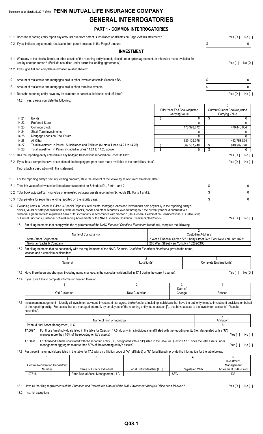## Statement as of March 31, 2017 of the **PENN MUTUAL LIFE INSURANCE COMPANY GENERAL INTERROGATORIES**

## **PART 1 - COMMON INTERROGATORIES**

|     |                | 10.1 Does the reporting entity report any amounts due from parent, subsidiaries or affiliates on Page 2 of this statement?                                                                                                                                                                                                                                                                                                                                                                                                                                            |                                                                  |                               |    |                                                                                                                      |                              | Yes[X]                                                            | No [ ]      |
|-----|----------------|-----------------------------------------------------------------------------------------------------------------------------------------------------------------------------------------------------------------------------------------------------------------------------------------------------------------------------------------------------------------------------------------------------------------------------------------------------------------------------------------------------------------------------------------------------------------------|------------------------------------------------------------------|-------------------------------|----|----------------------------------------------------------------------------------------------------------------------|------------------------------|-------------------------------------------------------------------|-------------|
|     |                | 10.2 If yes, indicate any amounts receivable from parent included in the Page 2 amount:                                                                                                                                                                                                                                                                                                                                                                                                                                                                               |                                                                  |                               |    |                                                                                                                      | \$                           |                                                                   | 0           |
|     |                |                                                                                                                                                                                                                                                                                                                                                                                                                                                                                                                                                                       |                                                                  | <b>INVESTMENT</b>             |    |                                                                                                                      |                              |                                                                   |             |
|     |                | 11.1 Were any of the stocks, bonds, or other assets of the reporting entity loaned, placed under option agreement, or otherwise made available for<br>use by another person? (Exclude securities under securities lending agreements.)                                                                                                                                                                                                                                                                                                                                |                                                                  |                               |    |                                                                                                                      |                              | Yes $\lceil$ $\rceil$                                             | No[X]       |
|     |                | 11.2 If yes, give full and complete information relating thereto:                                                                                                                                                                                                                                                                                                                                                                                                                                                                                                     |                                                                  |                               |    |                                                                                                                      |                              |                                                                   |             |
| 12. |                | Amount of real estate and mortgages held in other invested assets in Schedule BA:                                                                                                                                                                                                                                                                                                                                                                                                                                                                                     |                                                                  |                               |    |                                                                                                                      | \$                           |                                                                   | 0           |
| 13. |                | Amount of real estate and mortgages held in short-term investments:                                                                                                                                                                                                                                                                                                                                                                                                                                                                                                   |                                                                  |                               |    |                                                                                                                      | \$                           |                                                                   | $\mathbf 0$ |
|     |                | 14.1 Does the reporting entity have any investments in parent, subsidiaries and affiliates?                                                                                                                                                                                                                                                                                                                                                                                                                                                                           |                                                                  |                               |    |                                                                                                                      |                              | Yes[X]                                                            | No [ ]      |
|     |                | 14.2 If yes, please complete the following:                                                                                                                                                                                                                                                                                                                                                                                                                                                                                                                           |                                                                  |                               |    |                                                                                                                      |                              |                                                                   |             |
|     |                |                                                                                                                                                                                                                                                                                                                                                                                                                                                                                                                                                                       |                                                                  |                               |    | Prior Year End Book/Adjusted<br><b>Carrying Value</b>                                                                |                              | $\overline{2}$<br>Current Quarter Book/Adjusted<br>Carrying Value |             |
|     | 14.21          | <b>Bonds</b>                                                                                                                                                                                                                                                                                                                                                                                                                                                                                                                                                          |                                                                  |                               | \$ | 0                                                                                                                    | \$                           |                                                                   | 0           |
|     | 14.22<br>14.23 | <b>Preferred Stock</b><br>Common Stock                                                                                                                                                                                                                                                                                                                                                                                                                                                                                                                                |                                                                  |                               |    | $\mathbf{0}$<br>478,378,672                                                                                          |                              | 476,448,954                                                       | 0           |
|     | 14.24          | Short-Term Investments                                                                                                                                                                                                                                                                                                                                                                                                                                                                                                                                                |                                                                  |                               |    | 0                                                                                                                    |                              |                                                                   | 0           |
|     | 14.25<br>14.26 | Mortgage Loans on Real Estate<br>All Other                                                                                                                                                                                                                                                                                                                                                                                                                                                                                                                            |                                                                  |                               |    | 0<br>189,129,076                                                                                                     |                              | 463,753,824                                                       | 0           |
|     | 14.27<br>14.28 | Total Investment in Parent, Subsidiaries and Affiliates (Subtotal Lines 14.21 to 14.26)<br>Total Investment in Parent included in Lines 14.21 to 14.26 above                                                                                                                                                                                                                                                                                                                                                                                                          | \$<br>\$                                                         | 940,202,778                   | 0  |                                                                                                                      |                              |                                                                   |             |
|     |                | 15.1 Has the reporting entity entered into any hedging transactions reported on Schedule DB?                                                                                                                                                                                                                                                                                                                                                                                                                                                                          |                                                                  |                               | \$ |                                                                                                                      |                              | Yes[X]                                                            | No [ ]      |
|     |                | 15.2 If yes, has a comprehensive description of the hedging program been made available to the domiciliary state?                                                                                                                                                                                                                                                                                                                                                                                                                                                     |                                                                  |                               |    |                                                                                                                      |                              | Yes[X]                                                            | No [ ]      |
|     |                | If no, attach a description with this statement.                                                                                                                                                                                                                                                                                                                                                                                                                                                                                                                      |                                                                  |                               |    |                                                                                                                      |                              |                                                                   |             |
|     |                | 16. For the reporting entity's security lending program, state the amount of the following as of current statement date:                                                                                                                                                                                                                                                                                                                                                                                                                                              |                                                                  |                               |    |                                                                                                                      |                              |                                                                   |             |
|     |                | 16.1 Total fair value of reinvested collateral assets reported on Schedule DL, Parts 1 and 2:                                                                                                                                                                                                                                                                                                                                                                                                                                                                         |                                                                  |                               |    |                                                                                                                      | \$                           |                                                                   | 0           |
|     |                | 16.2 Total book adjusted/carrying value of reinvested collateral assets reported on Schedule DL, Parts 1 and 2:                                                                                                                                                                                                                                                                                                                                                                                                                                                       |                                                                  |                               |    |                                                                                                                      | \$                           |                                                                   | 0           |
|     |                | 16.3 Total payable for securities lending reported on the liability page:                                                                                                                                                                                                                                                                                                                                                                                                                                                                                             |                                                                  |                               |    |                                                                                                                      | \$                           |                                                                   | 0           |
|     |                | 17. Excluding items in Schedule E-Part 3-Special Deposits, real estate, mortgage loans and investments held physically in the reporting entity's<br>offices, vaults or safety deposit boxes, were all stocks, bonds and other securities, owned throughout the current year held pursuant to a<br>custodial agreement with a qualified bank or trust company in accordance with Section 1, III - General Examination Considerations, F. Outsourcing<br>of Critical Functions, Custodial or Safekeeping Agreements of the NAIC Financial Condition Examiners Handbook? |                                                                  |                               |    |                                                                                                                      |                              | Yes $[X]$                                                         | No [ ]      |
|     |                | 17.1 For all agreements that comply with the requirements of the NAIC Financial Condition Examiners Handbook, complete the following:                                                                                                                                                                                                                                                                                                                                                                                                                                 |                                                                  |                               |    | $\overline{2}$                                                                                                       |                              |                                                                   |             |
|     |                |                                                                                                                                                                                                                                                                                                                                                                                                                                                                                                                                                                       | Name of Custodian(s)                                             |                               |    | Custodian Address                                                                                                    |                              |                                                                   |             |
|     |                | State Street Corporation<br>Goldman Sachs & Company                                                                                                                                                                                                                                                                                                                                                                                                                                                                                                                   |                                                                  |                               |    | 2 World Financial Center 225 Liberty Street 24th Floor New York, NY 10281<br>200 West Street New York, NY 10282-2198 |                              |                                                                   |             |
|     |                | 17.2 For all agreements that do not comply with the requirements of the NAIC Financial Condition Examiners Handbook, provide the name,<br>location and a complete explanation:                                                                                                                                                                                                                                                                                                                                                                                        |                                                                  |                               |    |                                                                                                                      |                              |                                                                   |             |
|     |                | Name(s)                                                                                                                                                                                                                                                                                                                                                                                                                                                                                                                                                               |                                                                  | Location(s)                   | 2  |                                                                                                                      | 3<br>Complete Explanation(s) |                                                                   |             |
|     |                | 17.3 Have there been any changes, including name changes, in the custodian(s) identified in 17.1 during the current quarter?                                                                                                                                                                                                                                                                                                                                                                                                                                          |                                                                  |                               |    |                                                                                                                      |                              | Yes $\lceil \ \rceil$                                             | No[X]       |
|     |                | 17.4 If yes, give full and complete information relating thereto:                                                                                                                                                                                                                                                                                                                                                                                                                                                                                                     |                                                                  |                               |    |                                                                                                                      |                              |                                                                   |             |
|     |                |                                                                                                                                                                                                                                                                                                                                                                                                                                                                                                                                                                       |                                                                  | 2                             |    | 3<br>Date of                                                                                                         |                              | 4                                                                 |             |
|     |                | Old Custodian                                                                                                                                                                                                                                                                                                                                                                                                                                                                                                                                                         |                                                                  | New Custodian                 |    | Change                                                                                                               |                              | Reason                                                            |             |
|     |                | 17.5 Investment management - Identify all investment advisors, investment managers, broker/dealers, including individuals that have the authority to make investment decisions on behalf<br>of the reporting entity. For assets that are managed internally by employees of the reporting entity, note as such ["that have access to the investment accounts", "handle<br>securities"].                                                                                                                                                                               |                                                                  |                               |    |                                                                                                                      |                              |                                                                   |             |
|     |                |                                                                                                                                                                                                                                                                                                                                                                                                                                                                                                                                                                       | Name of Firm or Individual                                       |                               |    |                                                                                                                      |                              | $\overline{2}$<br>Affiliation                                     |             |
|     |                | Penn Mutual Asset Management, LLC.<br>For those firms/individuals listed in the table for Question 17.5, do any firms/individuals unaffiliated with the reporting entity (i.e., designated with a "U")<br>17.5097                                                                                                                                                                                                                                                                                                                                                     |                                                                  |                               |    |                                                                                                                      |                              | Α                                                                 |             |
|     |                | manage more than 10% of the reporting entity's assets?<br>17.5098<br>For firms/individuals unaffiliated with the reporting entity (i.e., designated with a "U") listed in the table for Question 17.5, does the total assets under                                                                                                                                                                                                                                                                                                                                    |                                                                  |                               |    |                                                                                                                      |                              | Yes $\lceil$ 1                                                    | No [ ]      |
|     |                | management aggregate to more than 50% of the reporting entity's assets?<br>17.6 For those firms or individuals listed in the table for 17.5 with an affiliation code of "A" (affiliated) or "U" (unaffiliated), provide the information for the table below.                                                                                                                                                                                                                                                                                                          |                                                                  |                               |    |                                                                                                                      |                              | Yes $\lceil$ 1                                                    | No [ ]      |
|     |                | 1<br><b>Central Registration Depository</b>                                                                                                                                                                                                                                                                                                                                                                                                                                                                                                                           | 2                                                                |                               | 3  | 4                                                                                                                    |                              | 5<br>Investment<br>Management                                     |             |
|     |                | Number<br>107518                                                                                                                                                                                                                                                                                                                                                                                                                                                                                                                                                      | Name of Firm or Individual<br>Penn Mutual Asset Management, LLC. | Legal Entity Identifier (LEI) |    | Registered With<br><b>SEC</b>                                                                                        |                              | Agreement (IMA) Filed<br>DS                                       |             |
|     |                |                                                                                                                                                                                                                                                                                                                                                                                                                                                                                                                                                                       |                                                                  |                               |    |                                                                                                                      |                              |                                                                   |             |

18.1 Have all the filing requirements of the Purposes and Procedures Manual of the NAIC Investment Analysis Office been followed? Yes [X] No [ ]

18.2 If no, list exceptions: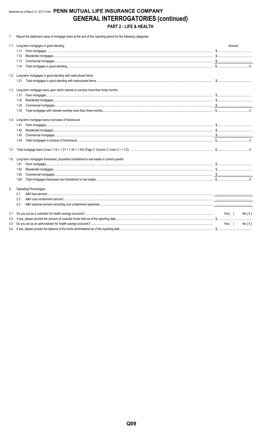## Statement as of March 31, 2017 of the PENN MUTUAL LIFE INSURANCE COMPANY **GENERAL INTERROGATORIES (continued)** PART 2 - LIFE & HEALTH

1. Report the statement value of mortgage loans at the end of this reporting period for the following categories:

| 1.1 | Long-term mortgages in good standing                                                     | Amount           |  |  |  |  |  |  |  |  |
|-----|------------------------------------------------------------------------------------------|------------------|--|--|--|--|--|--|--|--|
|     | 1.11                                                                                     |                  |  |  |  |  |  |  |  |  |
|     | 1.12                                                                                     |                  |  |  |  |  |  |  |  |  |
|     | 1.13                                                                                     |                  |  |  |  |  |  |  |  |  |
|     | 1.14                                                                                     |                  |  |  |  |  |  |  |  |  |
|     | 1.2 Long-term mortgages in good standing with restructured terms                         |                  |  |  |  |  |  |  |  |  |
|     | 1.21                                                                                     |                  |  |  |  |  |  |  |  |  |
| 1.3 | Long-term mortgage loans upon which interest is overdue more than three months           |                  |  |  |  |  |  |  |  |  |
|     | 1.31                                                                                     |                  |  |  |  |  |  |  |  |  |
|     | 1.32                                                                                     |                  |  |  |  |  |  |  |  |  |
|     | 1.33                                                                                     |                  |  |  |  |  |  |  |  |  |
|     | 1.34                                                                                     |                  |  |  |  |  |  |  |  |  |
|     | 1.4 Long-term mortgage loans in process of foreclosure                                   |                  |  |  |  |  |  |  |  |  |
|     | 1.41                                                                                     |                  |  |  |  |  |  |  |  |  |
|     | 1.42                                                                                     |                  |  |  |  |  |  |  |  |  |
|     | 1.43                                                                                     |                  |  |  |  |  |  |  |  |  |
|     | 1.44                                                                                     |                  |  |  |  |  |  |  |  |  |
| 1.5 |                                                                                          |                  |  |  |  |  |  |  |  |  |
| 1.6 | Long-term mortgages foreclosed, properties transferred to real estate in current quarter |                  |  |  |  |  |  |  |  |  |
|     | 1.61                                                                                     |                  |  |  |  |  |  |  |  |  |
|     | 1.62                                                                                     |                  |  |  |  |  |  |  |  |  |
|     | 1.63                                                                                     |                  |  |  |  |  |  |  |  |  |
|     | 1.64                                                                                     |                  |  |  |  |  |  |  |  |  |
| 2.  | Operating Percentages:                                                                   |                  |  |  |  |  |  |  |  |  |
|     | 2.1                                                                                      |                  |  |  |  |  |  |  |  |  |
|     | 2.2                                                                                      |                  |  |  |  |  |  |  |  |  |
|     | 2.3                                                                                      |                  |  |  |  |  |  |  |  |  |
| 3.1 |                                                                                          | Yes [ ]<br>No[X] |  |  |  |  |  |  |  |  |
| 3.2 |                                                                                          |                  |  |  |  |  |  |  |  |  |
| 3.3 |                                                                                          | Yes[ ]<br>No[X]  |  |  |  |  |  |  |  |  |
| 3.4 |                                                                                          |                  |  |  |  |  |  |  |  |  |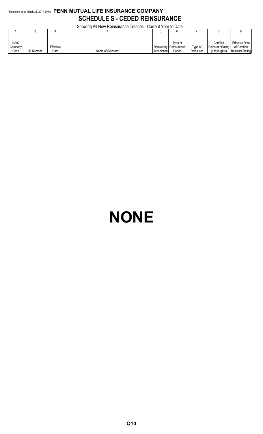## Statement as of March 31, 2017 of the **PENN MUTUAL LIFE INSURANCE COMPANY SCHEDULE S - CEDED REINSURANCE**

Showing All New Reinsurance Treaties - Current Year to Date

|             |                  |           | <u>UNUMING AILING MENTIONIQHUG TIGANGS - UUNGIN TGALIO DAIG</u> |              |                           |           |                  |                        |
|-------------|------------------|-----------|-----------------------------------------------------------------|--------------|---------------------------|-----------|------------------|------------------------|
|             |                  |           |                                                                 |              |                           |           |                  |                        |
|             |                  |           |                                                                 |              |                           |           |                  |                        |
| <b>NAIC</b> |                  |           |                                                                 |              | Tvpe of                   |           | Certified        | <b>Effective Date</b>  |
| Company     |                  | Effective |                                                                 |              | Domiciliary   Reinsurance | Type of   | Reinsurer Rating | of Certified           |
| Code        | <b>ID Number</b> | Date      | Name of Reinsurer                                               | Jurisdiction | Ceded                     | Reinsurer | 1 throuah 6)     | <b>Reinsuer Rating</b> |

# **NONE**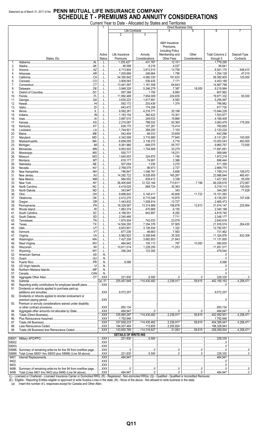## Statement as of March 31, 2017 of the PENN MUTUAL LIFE INSURANCE COMPANY **SCHEDULE T - PREMIUMS AND ANNUITY CONSIDERATIONS**

Current Year to Date - Allocated by States and Territories

|        |                                                                      |                |                             |                    | Direct Business Only    |                                                                                                                                                                                                                                                                                                                                                                                                                                                                 |                             |               |
|--------|----------------------------------------------------------------------|----------------|-----------------------------|--------------------|-------------------------|-----------------------------------------------------------------------------------------------------------------------------------------------------------------------------------------------------------------------------------------------------------------------------------------------------------------------------------------------------------------------------------------------------------------------------------------------------------------|-----------------------------|---------------|
|        |                                                                      |                | Life Contracts              |                    | 4                       | 5                                                                                                                                                                                                                                                                                                                                                                                                                                                               | 6                           |               |
|        |                                                                      |                | 2                           | 3                  |                         |                                                                                                                                                                                                                                                                                                                                                                                                                                                                 |                             |               |
|        |                                                                      |                |                             |                    |                         |                                                                                                                                                                                                                                                                                                                                                                                                                                                                 |                             |               |
|        |                                                                      |                |                             |                    | A&H Insurance           |                                                                                                                                                                                                                                                                                                                                                                                                                                                                 |                             |               |
|        |                                                                      |                |                             |                    | Premiums.               |                                                                                                                                                                                                                                                                                                                                                                                                                                                                 |                             |               |
|        |                                                                      |                |                             |                    |                         |                                                                                                                                                                                                                                                                                                                                                                                                                                                                 |                             |               |
|        |                                                                      |                |                             |                    | <b>Including Policy</b> |                                                                                                                                                                                                                                                                                                                                                                                                                                                                 |                             |               |
|        |                                                                      | Active         | Life Insurance              | Annuity            | Membership and          | Other                                                                                                                                                                                                                                                                                                                                                                                                                                                           | <b>Total Columns 2</b>      | Deposit-Type  |
|        | States, Etc.                                                         | <b>Status</b>  | Premiums                    | Considerations     | <b>Other Fees</b>       | Considerations                                                                                                                                                                                                                                                                                                                                                                                                                                                  | through 5                   | Contracts     |
| 1.     | AL                                                                   | .L.            | $\frac{1}{335,427}$         | .431.767<br>.      | .12.101<br>.            |                                                                                                                                                                                                                                                                                                                                                                                                                                                                 | 1,779,295                   |               |
| 2.     |                                                                      | . L            | 46,598                      | .6,216<br>.        | .4,027<br>.             |                                                                                                                                                                                                                                                                                                                                                                                                                                                                 | 56,841                      |               |
| 3.     |                                                                      |                | 4,713,904                   | $\dots$ 3,813,510  | 13,756                  |                                                                                                                                                                                                                                                                                                                                                                                                                                                                 | 3,541,170                   | .548,410      |
| 4.     |                                                                      |                | 1,005,669                   | 246,664            | 1,795                   |                                                                                                                                                                                                                                                                                                                                                                                                                                                                 | 1,254,128                   | 47,015        |
| 5.     | .CA                                                                  | .L             | .54,350,842<br>.            | 4.060.330          | 181,633<br>.            |                                                                                                                                                                                                                                                                                                                                                                                                                                                                 | .58,592,805<br>$\cdots$     | 125,000       |
| 6.     |                                                                      | . L            | 3,909,583                   | 536,435            | 7,171                   |                                                                                                                                                                                                                                                                                                                                                                                                                                                                 | 4,453,189                   |               |
| 7.     |                                                                      | L              | 13,441,597                  | 1,161,558          | .64,643<br>.            |                                                                                                                                                                                                                                                                                                                                                                                                                                                                 | 14,667,798                  |               |
| 8.     |                                                                      | . L            | 3,948,328                   | 3,246,279          | 7,387                   | 18.000                                                                                                                                                                                                                                                                                                                                                                                                                                                          | $$ 9,219,994                |               |
| 9.     |                                                                      | L              | $\ldots$ 597,389            | 1,700              | 8,893                   |                                                                                                                                                                                                                                                                                                                                                                                                                                                                 | 607,982                     |               |
| 10.    | Florida                                                              |                | 11,992,488                  |                    | .224,835                |                                                                                                                                                                                                                                                                                                                                                                                                                                                                 | 19,871,332                  | 50.000        |
|        |                                                                      | .L             | $\ldots$ 3,630,223          | 1,617,691          | .8,583                  |                                                                                                                                                                                                                                                                                                                                                                                                                                                                 | 5,256,497                   |               |
| 11.    |                                                                      |                |                             |                    | .                       |                                                                                                                                                                                                                                                                                                                                                                                                                                                                 |                             |               |
| 12.    |                                                                      |                | 592,172                     | 203,436<br>.       | 1.374                   |                                                                                                                                                                                                                                                                                                                                                                                                                                                                 | 1.1796,982                  |               |
| 13.    |                                                                      | .L             | 643,472<br>.                | 174,258            |                         |                                                                                                                                                                                                                                                                                                                                                                                                                                                                 | 817,730                     |               |
| 14.    |                                                                      |                | 9,592,261<br>.              | 4,216,771          | .35,196<br>.            |                                                                                                                                                                                                                                                                                                                                                                                                                                                                 | 13,844,228                  |               |
| 15.    |                                                                      | .L             | 1,183,154                   | 360.422<br>.       | 10,301                  |                                                                                                                                                                                                                                                                                                                                                                                                                                                                 | 1,553,877                   |               |
| 16.    |                                                                      |                | 3,897,010                   | .249,533<br>.      | 19,866<br>.             |                                                                                                                                                                                                                                                                                                                                                                                                                                                                 | 4.166.409                   |               |
| 17.    |                                                                      |                | .2,215,087<br>.             | 798,032<br>.       | .50,360<br>.            |                                                                                                                                                                                                                                                                                                                                                                                                                                                                 | 3,063,479                   | 175.000       |
| 18.    |                                                                      | L              | 638,175<br>.                | 107,261<br>.       | 15,414<br>.             |                                                                                                                                                                                                                                                                                                                                                                                                                                                                 | 760,850                     |               |
| 19.    |                                                                      | . L            | 1,744,921                   | 368,200            | 7,103                   |                                                                                                                                                                                                                                                                                                                                                                                                                                                                 | $\ldots$ 2,120,224          |               |
| 20.    |                                                                      | . L            | .542,404<br>.               | 66,033             | .33,659<br>.            |                                                                                                                                                                                                                                                                                                                                                                                                                                                                 | .642,096<br>.               |               |
| 21.    |                                                                      |                | 4,342,556                   | 3,710,880          | .77,845                 |                                                                                                                                                                                                                                                                                                                                                                                                                                                                 | 8.131.281                   | 100,000       |
| 22.    |                                                                      | . L            | $\ldots$ 6,858,055          | $\ldots$ 3,139,272 | 5,716                   |                                                                                                                                                                                                                                                                                                                                                                                                                                                                 | 10,003,043                  | 463,000       |
|        |                                                                      |                | 9,261,980                   | 648.070            | 55,707                  |                                                                                                                                                                                                                                                                                                                                                                                                                                                                 | 9.965.757                   | 73,500        |
| 23.    |                                                                      |                |                             |                    |                         |                                                                                                                                                                                                                                                                                                                                                                                                                                                                 |                             |               |
| 24.    |                                                                      | .L             | .9,953,503<br>.             | 1,704,909          | .33,279<br>.            |                                                                                                                                                                                                                                                                                                                                                                                                                                                                 | 11,691,691                  |               |
| 25.    |                                                                      |                | 550,717                     |                    | .19,231<br>.            |                                                                                                                                                                                                                                                                                                                                                                                                                                                                 | .569,948<br>$\frac{1}{2}$   |               |
| 26.    |                                                                      | . L            | 1,645,503                   | 324,975            | 1.740                   |                                                                                                                                                                                                                                                                                                                                                                                                                                                                 | 1,972,218                   |               |
| 27.    |                                                                      |                | $$ 618,177                  | 74,901             | .3,366                  |                                                                                                                                                                                                                                                                                                                                                                                                                                                                 | 696,444                     |               |
| 28.    |                                                                      |                | 507,054                     | 1,035              | .3,270                  |                                                                                                                                                                                                                                                                                                                                                                                                                                                                 | 511,359                     |               |
| 29.    |                                                                      | L              | .2,769,075<br>.             | .96,973<br>.       | .2,727                  |                                                                                                                                                                                                                                                                                                                                                                                                                                                                 | 2,868,775                   |               |
| 30.    |                                                                      |                | 746,847                     | 1,046,761          | .5,606                  |                                                                                                                                                                                                                                                                                                                                                                                                                                                                 | 1,799,214                   | 106.072       |
| 31.    |                                                                      | . L            | 14,292,722                  | 3,528,855          | 165,267                 |                                                                                                                                                                                                                                                                                                                                                                                                                                                                 | .23,986,844<br>$\ldots$     | .465.451      |
| 32.    |                                                                      |                | 584,552                     | 839,412            | 3,338                   |                                                                                                                                                                                                                                                                                                                                                                                                                                                                 | 1,427,302                   | 55,000        |
| 33.    | New York                                                             | L              | 356,405,645                 | 12,102,164         | 713,611                 | 7,196                                                                                                                                                                                                                                                                                                                                                                                                                                                           | .69,228,616                 | 272,067       |
|        |                                                                      |                |                             |                    |                         |                                                                                                                                                                                                                                                                                                                                                                                                                                                                 | .                           |               |
| 34.    |                                                                      |                | 4,419,025                   | 869,724            | .30,363                 |                                                                                                                                                                                                                                                                                                                                                                                                                                                                 | 5,319,112                   | 150,000       |
| 35.    |                                                                      | L              | 343,947                     |                    | 343                     |                                                                                                                                                                                                                                                                                                                                                                                                                                                                 | .344,290                    | 77,828        |
| 36.    | .OH                                                                  |                | 9,898,843                   | 5,145,411          | .45,606                 | 11,723                                                                                                                                                                                                                                                                                                                                                                                                                                                          | 15,101,583                  |               |
| 37.    | OK                                                                   | . L            | .2,412,270<br>.             | 6.715.046          | 10,975                  |                                                                                                                                                                                                                                                                                                                                                                                                                                                                 | 9,138,291                   | 107.436       |
| 38.    |                                                                      | .L             | 1,443,832                   | 1,008,914          | 12,727                  |                                                                                                                                                                                                                                                                                                                                                                                                                                                                 | $\ldots$ 2,465,473          |               |
| 39.    |                                                                      | .L<br>.        | 18,329,567                  | 13,314,889         | 156,878                 | 12.813                                                                                                                                                                                                                                                                                                                                                                                                                                                          | 31,814,147                  | 225.954       |
| 40.    |                                                                      | .L             | 1,863,374                   | 470.669            | 6,155<br>.              |                                                                                                                                                                                                                                                                                                                                                                                                                                                                 | 2,340,198                   |               |
| 41.    |                                                                      | L              | 4,166,551                   | $$ 643,897         | 8,292                   |                                                                                                                                                                                                                                                                                                                                                                                                                                                                 | 4,818,740                   |               |
| 42.    | .SD I<br>South Dakota                                                | .L             | .2,240,466<br>.             |                    | 7.711                   |                                                                                                                                                                                                                                                                                                                                                                                                                                                                 | .2,248,177                  |               |
|        |                                                                      | .              | 1,875,504                   |                    | .23,079                 |                                                                                                                                                                                                                                                                                                                                                                                                                                                                 | 2,640,616                   |               |
| 43.    |                                                                      |                |                             |                    |                         |                                                                                                                                                                                                                                                                                                                                                                                                                                                                 |                             |               |
| 44.    |                                                                      | L              | 14,504,293                  | 7,354,376          | .57,905<br>.            |                                                                                                                                                                                                                                                                                                                                                                                                                                                                 | .21,916,574<br>.            | 284,430       |
| 45.    |                                                                      | L              | 9,653,801                   | 3.126.934<br>.     | 1.322                   |                                                                                                                                                                                                                                                                                                                                                                                                                                                                 | 12,782,057                  |               |
| 46.    |                                                                      | L              | 677,236                     | 46,663             | 7,563                   |                                                                                                                                                                                                                                                                                                                                                                                                                                                                 | 731,462<br>.                |               |
| 47.    |                                                                      | L              | .5,982,923<br>$\cdots$      | 5,306,648          | .35,305                 |                                                                                                                                                                                                                                                                                                                                                                                                                                                                 | .11.324.876                 | 932,308       |
| 48.    |                                                                      | L              | 1.17,427,209                | $\ldots$ 3,682,803 | .21,843                 |                                                                                                                                                                                                                                                                                                                                                                                                                                                                 | 11,131,855                  |               |
| 49.    |                                                                      | L              | 464,842                     | 105,113            | 797                     | 10,083                                                                                                                                                                                                                                                                                                                                                                                                                                                          | 580,835<br>.                |               |
| 50.    |                                                                      | L              | $\ldots$ 10,611,014         | 1, 229, 250        | 11,253                  |                                                                                                                                                                                                                                                                                                                                                                                                                                                                 | 11,851,517                  |               |
| 51.    |                                                                      | L              | 356,244                     | 123,300            |                         |                                                                                                                                                                                                                                                                                                                                                                                                                                                                 | 1.179.544                   |               |
| 52.    |                                                                      |                |                             |                    |                         |                                                                                                                                                                                                                                                                                                                                                                                                                                                                 | 0                           |               |
| 53.    |                                                                      | N              |                             |                    |                         |                                                                                                                                                                                                                                                                                                                                                                                                                                                                 |                             |               |
| 54.    |                                                                      | $ N$           | $\ldots$ 8.088              |                    |                         |                                                                                                                                                                                                                                                                                                                                                                                                                                                                 |                             |               |
|        |                                                                      |                |                             |                    |                         |                                                                                                                                                                                                                                                                                                                                                                                                                                                                 |                             |               |
| 55.    |                                                                      | N              |                             |                    |                         |                                                                                                                                                                                                                                                                                                                                                                                                                                                                 |                             |               |
| 56.    |                                                                      | N              |                             |                    |                         |                                                                                                                                                                                                                                                                                                                                                                                                                                                                 |                             |               |
| 57.    | Canada                                                               | N              |                             |                    |                         |                                                                                                                                                                                                                                                                                                                                                                                                                                                                 |                             |               |
| 58.    |                                                                      | $$ XXX         | $\ldots$ 221,830            |                    | 00                      | 0                                                                                                                                                                                                                                                                                                                                                                                                                                                               | $\ldots$ 228.330            |               |
| 59.    |                                                                      | (a).51         | 325,457,949                 | 114,430,482        | 2,236,917               |                                                                                                                                                                                                                                                                                                                                                                                                                                                                 | 442,185,163                 | 4,258,471     |
| 90.    | Reporting entity contributions for employee benefit plans            | $$ XXX         |                             |                    |                         |                                                                                                                                                                                                                                                                                                                                                                                                                                                                 | 0                           |               |
| 91.    | Dividends or refunds applied to purchase paid-up                     |                |                             |                    |                         |                                                                                                                                                                                                                                                                                                                                                                                                                                                                 |                             |               |
|        |                                                                      | $$ $XXX$       | 9.072.257                   |                    |                         |                                                                                                                                                                                                                                                                                                                                                                                                                                                                 | 3,072,257                   |               |
| 92.    | Dividends or refunds applied to shorten endowment or                 |                |                             |                    |                         |                                                                                                                                                                                                                                                                                                                                                                                                                                                                 |                             |               |
|        |                                                                      | $$ $XXX$       |                             |                    |                         |                                                                                                                                                                                                                                                                                                                                                                                                                                                                 | 0                           |               |
| 93.    | Premium or annuity considerations waived under disability            |                |                             |                    |                         |                                                                                                                                                                                                                                                                                                                                                                                                                                                                 |                             |               |
|        |                                                                      | $$ XXX         | 850,134                     |                    |                         |                                                                                                                                                                                                                                                                                                                                                                                                                                                                 | .850,134                    |               |
|        |                                                                      |                |                             |                    |                         |                                                                                                                                                                                                                                                                                                                                                                                                                                                                 |                             |               |
| 94.    |                                                                      | $$ XXX         | 484,947                     |                    | 0                       | $\begin{array}{l} \rule{0.2cm}{0.15mm} \ldots \end{array} \qquad \begin{array}{ll} \rule{0.2cm}{0.15mm} \ldots \end{array} \qquad \begin{array}{ll} \rule{0.2cm}{0.15mm} \ldots \end{array} \qquad \begin{array}{ll} \rule{0.2cm}{0.15mm} \ldots \end{array} \qquad \begin{array}{ll} \rule{0.2cm}{0.15mm} \ldots \end{array} \qquad \begin{array}{ll} \rule{0.2cm}{0.15mm} \ldots \end{array} \qquad \begin{array}{ll} \rule{0.2cm}{0.15mm} \ldots \end{array$ | .484,947<br>.               |               |
| 95.    |                                                                      | $$ XXX         | .335,865,287<br>.           | 114,430,482        | 2,236,917               | $\overline{\ldots}$ .59,815                                                                                                                                                                                                                                                                                                                                                                                                                                     | 452,592,501                 | .4,258,471    |
| 96.    |                                                                      | $$ XXX         | 1,792,946                   |                    | .                       |                                                                                                                                                                                                                                                                                                                                                                                                                                                                 | 1,792,946                   |               |
| 97.    |                                                                      | $$ $XXX$       | 337,658,233<br>$\sim$       | 114,430,482        | 2,236,917               | $\overline{\ldots}$ 59,815                                                                                                                                                                                                                                                                                                                                                                                                                                      | 454,385,447                 | 1.114,258,471 |
| 98.    |                                                                      |                | 194,007,464                 | 113,655            | $\ldots$ 2,205,824      |                                                                                                                                                                                                                                                                                                                                                                                                                                                                 | 196,326,943                 |               |
| 99.    |                                                                      | $$ XXX         | 143,650,769                 | 114,316,827        |                         | $\overline{\ldots}$ 59.815                                                                                                                                                                                                                                                                                                                                                                                                                                      | 258,058,504                 | .4,258,471    |
|        |                                                                      |                | <b>DETAILS OF WRITE-INS</b> |                    |                         |                                                                                                                                                                                                                                                                                                                                                                                                                                                                 |                             |               |
|        |                                                                      | $\overline{X}$ | $\frac{1}{221,830}$         | .6.500<br>.        |                         |                                                                                                                                                                                                                                                                                                                                                                                                                                                                 | .228.330                    |               |
|        |                                                                      |                |                             |                    |                         |                                                                                                                                                                                                                                                                                                                                                                                                                                                                 | $\ldots \ldots \ldots$      |               |
| 58002. |                                                                      | $$ XXX         |                             |                    |                         |                                                                                                                                                                                                                                                                                                                                                                                                                                                                 |                             |               |
| 58003. |                                                                      | $$ XXX         |                             |                    |                         |                                                                                                                                                                                                                                                                                                                                                                                                                                                                 |                             |               |
|        | 58998. Summary of remaining write-ins for line 58 from overflow page | XXX            | 0                           | 0                  | 0                       |                                                                                                                                                                                                                                                                                                                                                                                                                                                                 |                             |               |
|        | 58999. Total (Lines 58001 thru 58003 plus 58998) (Line 58 above)     | $\ldots$ XXX   | .221,830<br>.               |                    | 0                       | 0                                                                                                                                                                                                                                                                                                                                                                                                                                                               | 228,330<br>.                | . 0           |
| 9401.  |                                                                      | $$ XXX         | 1.484,947                   |                    |                         |                                                                                                                                                                                                                                                                                                                                                                                                                                                                 | 1.484,947                   |               |
| 9402.  |                                                                      | $$ XXX         |                             |                    |                         |                                                                                                                                                                                                                                                                                                                                                                                                                                                                 |                             |               |
| 9403.  |                                                                      | $$ XXX         |                             |                    |                         |                                                                                                                                                                                                                                                                                                                                                                                                                                                                 | $\ldots\ldots\ldots 0$<br>. |               |
|        | 9498. Summary of remaining write-ins for line 94 from overflow page  | $$ XXX         |                             | 0                  |                         |                                                                                                                                                                                                                                                                                                                                                                                                                                                                 |                             |               |
|        | 9499 Total (Lines 9401 thru 9403 plus 9498) (Line 94 above)          | XXX            | 484 947                     | $\Omega$           | $\Omega$                | $\Omega$                                                                                                                                                                                                                                                                                                                                                                                                                                                        | 484 947                     |               |

Consider the number of Line Street Carrier or Domicilied RRG; (R) - Registered - Non-domiciled RRGs; (Q) - Qualified or Accredited Reinsurer;<br>(L) - Licensed or Chartered - Licensed Insurance Carrier or Domicilied RRG; (R)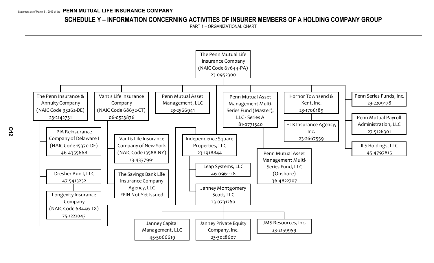## **SCHEDULE Y – INFORMATION CONCERNING ACTIVITIES OF INSURER MEMBERS OF A HOLDING COMPANY GROUP**

PART 1 – ORGANIZATIONAL CHART

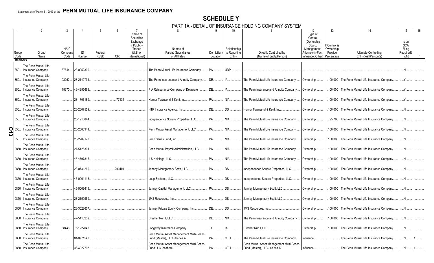## **SCHEDULE Y** PART 1A - DETAIL OF INSURANCE HOLDING COMPANY SYSTEM

|                         |                          |             |              |                        |            |                              | IA <sup>-</sup> PLIAIL VI                 |           |                          | <b>INUURNUL HULUINU UUINI ANTU JULINI</b>         |                              |               |                                                 |                     |  |
|-------------------------|--------------------------|-------------|--------------|------------------------|------------|------------------------------|-------------------------------------------|-----------|--------------------------|---------------------------------------------------|------------------------------|---------------|-------------------------------------------------|---------------------|--|
|                         |                          |             |              |                        |            | Name of<br><b>Securities</b> |                                           |           | 10 <sup>°</sup>          | 11                                                | 12<br>Type of<br>Control     | 13            | 14                                              | 15                  |  |
|                         |                          |             |              |                        |            | Exchange<br>if Publicly      |                                           |           |                          |                                                   | (Ownership<br>Board,         | If Control is |                                                 | Is an<br><b>SCA</b> |  |
|                         |                          | <b>NAIC</b> |              |                        |            | Traded                       | Names of                                  |           | Relationship             |                                                   | Management,                  | Ownership     |                                                 | Filing              |  |
| Group<br>Code           | Group                    | Compan      | ID<br>Number | Federal<br><b>RSSD</b> | <b>CIK</b> | (U.S. or<br>International)   | Parent, Subsidiaries<br>or Affiliates     |           | Domiciliary to Reporting | Directly Controlled by<br>(Name of Entity/Person) | Attorney-in-Fact,            | Provide       | <b>Ultimate Controlling</b>                     | Required?<br>(Y/N)  |  |
| <b>Members</b>          | Name                     | Code        |              |                        |            |                              |                                           | Location  | Entity                   |                                                   | Influence, Other) Percentage |               | Entity(ies)/Person(s)                           |                     |  |
|                         |                          |             |              |                        |            |                              |                                           |           |                          |                                                   |                              |               |                                                 |                     |  |
|                         | The Penn Mutual Life     |             |              |                        |            |                              |                                           |           |                          |                                                   |                              |               |                                                 |                     |  |
| 850.                    | Insurance Company        | 67644       | 23-0952300   |                        |            |                              | The Penn Mutual Life Insurance Company.   | PA.       | UDP.                     |                                                   |                              |               |                                                 | $N$ .               |  |
|                         | The Penn Mutual Life     |             |              |                        |            |                              |                                           |           |                          |                                                   |                              |               |                                                 |                     |  |
| 850.                    | Insurance Company        | 93262.      | 23-2142731   |                        |            |                              | The Penn Insurance and Annuity Company    | DE.       | $IA$                     | The Penn Mutual Life Insurance Company.           | Ownership.                   |               | 100.000 The Penn Mutual Life Insurance Company. | $Y_{\cdots}$        |  |
|                         | The Penn Mutual Life     |             |              |                        |            |                              |                                           |           |                          |                                                   |                              |               |                                                 |                     |  |
| 850.                    | <b>Insurance Company</b> | 15370       | 46-4355668   |                        |            |                              | PIA Reinsurance Company of Delaware I.    | <b>DE</b> | IA                       | The Penn Insurance and Annuity Company            | Ownership.                   | .100.000      | The Penn Mutual Life Insurance Company          | Y                   |  |
|                         | The Penn Mutual Life     |             |              |                        |            |                              |                                           |           |                          |                                                   |                              |               |                                                 |                     |  |
| 850.                    | Insurance Company        |             | 23-1706189   |                        | .77131     |                              | Hornor Townsend & Kent, Inc.              | <b>PA</b> | NIA.                     | The Penn Mutual Life Insurance Company.           | Ownership.                   | .100.000      | The Penn Mutual Life Insurance Company          | Y.                  |  |
|                         | The Penn Mutual Life     |             |              |                        |            |                              |                                           |           |                          |                                                   |                              |               |                                                 |                     |  |
| 850.                    | Insurance Company        |             | 23-2667559   |                        |            |                              | HTK Insurance Agency, Inc                 | <b>DE</b> | <b>DS</b>                | Hornor Townsend & Kent. Inc                       | Ownership.                   | .100.000      | The Penn Mutual Life Insurance Company.         | $N_{\cdots}$        |  |
|                         |                          |             |              |                        |            |                              |                                           |           |                          |                                                   |                              |               |                                                 |                     |  |
|                         | The Penn Mutual Life     |             |              |                        |            |                              |                                           |           |                          |                                                   |                              |               |                                                 |                     |  |
| 850.                    | <b>Insurance Company</b> |             | 23-1918844   |                        |            |                              | Independence Square Properties, LLC.      | <b>PA</b> | NIA                      | The Penn Mutual Life Insurance Company.           | Ownership.                   |               | .95.780 The Penn Mutual Life Insurance Company. | N                   |  |
|                         | The Penn Mutual Life     |             |              |                        |            |                              |                                           |           |                          |                                                   |                              |               |                                                 |                     |  |
|                         | <b>Insurance Company</b> |             | 23-2566941   |                        |            |                              | Penn Mutual Asset Management, LLC         | <b>PA</b> | NIA                      | The Penn Mutual Life Insurance Company.           | Ownership.                   | .100.000      | The Penn Mutual Life Insurance Company          | N <sub>1</sub>      |  |
| $\frac{2}{\omega}$ 850. | The Penn Mutual Life     |             |              |                        |            |                              |                                           |           |                          |                                                   |                              |               |                                                 |                     |  |
| 850.                    | Insurance Company        |             | 23-2209178.  |                        |            |                              | Penn Series Fund, Inc                     | <b>PA</b> | <b>NIA</b>               | The Penn Mutual Life Insurance Company.           | Ownership                    | .100.000      | The Penn Mutual Life Insurance Company          | $N_{\cdots}$        |  |
|                         | The Penn Mutual Life     |             |              |                        |            |                              |                                           |           |                          |                                                   |                              |               |                                                 |                     |  |
| 0850                    | Insurance Company        |             | 27-5126301   |                        |            |                              | Penn Mutual Payroll Administration, LLC   | <b>PA</b> | NIA                      | The Penn Mutual Life Insurance Company            | Ownership.                   | .100.000      | The Penn Mutual Life Insurance Company.         | $N$                 |  |
|                         |                          |             |              |                        |            |                              |                                           |           |                          |                                                   |                              |               |                                                 |                     |  |
|                         | The Penn Mutual Life     |             | 45-4797815.  |                        |            |                              |                                           | <b>PA</b> |                          |                                                   |                              |               |                                                 |                     |  |
|                         | 0850 Insurance Company   |             |              |                        |            |                              | ILS Holdings, LLC.                        |           | NIA                      | The Penn Mutual Life Insurance Company.           | Ownership.                   | .100.000      | The Penn Mutual Life Insurance Company          | $N_{\cdot}$         |  |
|                         | The Penn Mutual Life     |             |              |                        |            |                              |                                           |           |                          |                                                   |                              |               |                                                 |                     |  |
| 0850                    | Insurance Company        |             | 23-0731260   |                        | 200401     |                              | Janney Montgomery Scott, LLC              | <b>PA</b> | DS                       | Independence Square Properties, LLC               | Ownership.                   | .100.000      | The Penn Mutual Life Insurance Company          | .N                  |  |
|                         | The Penn Mutual Life     |             |              |                        |            |                              |                                           |           |                          |                                                   |                              |               |                                                 |                     |  |
| 0850                    | Insurance Company        |             | 46-0961118.  |                        |            |                              | Leap Systems, LLC                         | <b>PA</b> | DS.                      | Independence Square Properties, LLC.              | Ownership.                   | .100.000      | The Penn Mutual Life Insurance Company          | .N                  |  |
|                         | The Penn Mutual Life     |             |              |                        |            |                              |                                           |           |                          |                                                   |                              |               |                                                 |                     |  |
|                         | 0850 Insurance Company   |             | 45-5066619   |                        |            |                              | Janney Capital Management, LLC.           | <b>PA</b> | DS                       | Janney Montgomery Scott, LLC.                     | Ownership.                   | .100.000      | The Penn Mutual Life Insurance Company          | $N_{\cdot}$         |  |
|                         | The Penn Mutual Life     |             |              |                        |            |                              |                                           |           |                          |                                                   |                              |               |                                                 |                     |  |
| 0850                    | Insurance Company        |             | 23-2159959   |                        |            |                              | JMS Resources, Inc                        | <b>PA</b> | DS                       | Janney Montgomery Scott, LLC                      | Ownership.                   |               | .100.000 The Penn Mutual Life Insurance Company | $N_{\cdot}$         |  |
|                         |                          |             |              |                        |            |                              |                                           |           |                          |                                                   |                              |               |                                                 |                     |  |
|                         | The Penn Mutual Life     |             |              |                        |            |                              |                                           |           |                          |                                                   |                              |               |                                                 |                     |  |
| 0850                    | Insurance Company        |             | 23-3028607   |                        |            |                              | Janney Private Equity Company, Inc        | <b>DE</b> | DS.                      | <b>JMS Resources</b> . Inc                        | Ownership                    | .100.000      | The Penn Mutual Life Insurance Company          | .N                  |  |
|                         | The Penn Mutual Life     |             |              |                        |            |                              |                                           |           |                          |                                                   |                              |               |                                                 |                     |  |
|                         | 0850 Insurance Company   |             | 47-5413232.  |                        |            |                              | Dresher Run I. LLC                        | <b>DE</b> | NIA                      | The Penn Insurance and Annuity Company.           | Ownership.                   | .100.000      | The Penn Mutual Life Insurance Company          | .N                  |  |
|                         | The Penn Mutual Life     |             |              |                        |            |                              |                                           |           |                          |                                                   |                              |               |                                                 |                     |  |
|                         | 0850 Insurance Company   | 68446       | $75-1222043$ |                        |            |                              | Longevity Insurance Company               | <b>TX</b> | IA                       | Dresher Run I. LLC                                | Ownership.                   |               | .100.000 The Penn Mutual Life Insurance Company | $N_{\cdots}$        |  |
|                         | The Penn Mutual Life     |             |              |                        |            |                              | Penn Mutual Asset Management Multi-Series |           |                          |                                                   |                              |               |                                                 |                     |  |
| 0850                    | Insurance Company        |             | 81-0771540   |                        |            |                              | Fund (Master), LLC - Series A             | <b>PA</b> | OTH                      | The Penn Mutual Life Insurance Company.           | Influence.                   |               | The Penn Mutual Life Insurance Company.         | .N                  |  |
|                         |                          |             |              |                        |            |                              |                                           |           |                          |                                                   |                              |               |                                                 |                     |  |
|                         | The Penn Mutual Life     |             | 36-4822707   |                        |            |                              | Penn Mutual Asset Management Multi-Series |           |                          | Penn Mutual Asset Management Multi-Series         |                              |               |                                                 | N                   |  |
|                         | 0850 Insurance Company   |             |              |                        |            |                              | Fund LLC (onshore)                        | <b>PA</b> | <b>OTH</b>               | Fund (Master), LLC - Series A                     | Influence                    |               | The Penn Mutual Life Insurance Company          |                     |  |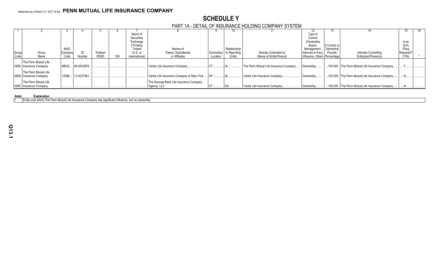## **SCHEDULE Y** PART 1A - DETAIL OF INSURANCE HOLDING COMPANY SYSTEM

|               |                        |             |                  |             |     |                | .                                         |             |              |                                        |                              |               |                                                 |            |  |
|---------------|------------------------|-------------|------------------|-------------|-----|----------------|-------------------------------------------|-------------|--------------|----------------------------------------|------------------------------|---------------|-------------------------------------------------|------------|--|
|               |                        |             |                  |             |     |                |                                           |             |              |                                        | 12                           | 15.           |                                                 |            |  |
|               |                        |             |                  |             |     | Name of        |                                           |             |              |                                        | Type of                      |               |                                                 |            |  |
|               |                        |             |                  |             |     | Securities     |                                           |             |              |                                        | Control                      |               |                                                 |            |  |
|               |                        |             |                  |             |     | Exchange       |                                           |             |              |                                        | (Ownership)                  |               |                                                 | Is an      |  |
|               |                        |             |                  |             |     | if Publicly    |                                           |             |              |                                        | Board.                       | If Control is |                                                 | <b>SCA</b> |  |
|               |                        | <b>NAIC</b> |                  |             |     | Traded         | Names of                                  |             | Relationship |                                        | Management                   | Ownership     |                                                 | Filing     |  |
| Group<br>Code | Group                  | Company     |                  | Federal     |     | (U.S. or       | Parent, Subsidiaries                      | Domiciliary | to Reporting | Directly Controlled by                 | Attorney-in-Fact             | Provide       | Ultimate Controlling                            | Required?  |  |
|               | Name                   | Code        | Number           | <b>RSSD</b> | CIK | International) | or Affiliates                             | Location    | Entity       | (Name of Entity/Person)                | Influence, Other) Percentage |               | Entity(ies)/Person(s)                           | (Y/N)      |  |
|               | The Penn Mutual Life   |             |                  |             |     |                |                                           |             |              |                                        |                              |               |                                                 |            |  |
|               | 0850 Insurance Company | 68632       | 06-0523876.      |             |     |                | Vantis Life Insurance Company             |             |              | The Penn Mutual Life Insurance Company | Ownership                    |               | 100.000 The Penn Mutual Life Insurance Company  |            |  |
|               |                        |             |                  |             |     |                |                                           |             |              |                                        |                              |               |                                                 |            |  |
|               | The Penn Mutual Life   |             |                  |             |     |                |                                           |             |              |                                        |                              |               |                                                 |            |  |
|               | 0850 Insurance Company |             | 13588 13-4337991 |             |     |                | Vantis Life Insurance Company of New York |             |              | Vantis Life Insurance Company.         | Ownership                    |               | 100.000 The Penn Mutual Life Insurance Company  |            |  |
|               | The Penn Mutual Life   |             |                  |             |     |                | The Savings Bank Life Insurance Company   |             |              |                                        |                              |               |                                                 |            |  |
|               | 0850 Insurance Company |             |                  |             |     |                | Agency, LLC                               |             |              | Vantis Life Insurance Company.         | Ownership                    |               | .100.000 The Penn Mutual Life Insurance Company |            |  |
|               |                        |             |                  |             |     |                |                                           |             |              |                                        |                              |               |                                                 |            |  |

#### **Aster Explanation**

1 Entity over which The Penn Mutual Life Insurance Company has significant influence, but no ownership.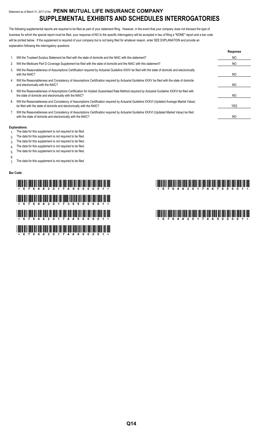## Statement as of March 31, 2017 of the **PENN MUTUAL LIFE INSURANCE COMPANY SUPPLEMENTAL EXHIBITS AND SCHEDULES INTERROGATORIES**

The following supplemental reports are required to be filed as part of your statement filing. However, in the event that your company does not transact the type of business for which the special report must be filed, your response of NO to the specific interrogatory will be accepted in lieu of filing a "NONE" report and a bar code will be printed below. If the supplement is required of your company but is not being filed for whatever reason, enter SEE EXPLANATION and provide an explanation following the interrogatory questions.

|    |                                                                                                                                                                                                                    | Response       |
|----|--------------------------------------------------------------------------------------------------------------------------------------------------------------------------------------------------------------------|----------------|
|    | Will the Trusteed Surplus Statement be filed with the state of domicile and the NAIC with this statement?                                                                                                          | NO             |
| 2. | Will the Medicare Part D Coverage Supplement be filed with the state of domicile and the NAIC with this statement?                                                                                                 | NO             |
| 3. | Will the Reasonableness of Assumptions Certification required by Actuarial Guideline XXXV be filed with the state of domicile and electronically<br>with the NAIC?                                                 | NO             |
| 4. | Will the Reasonableness and Consistency of Assumptions Certification required by Actuarial Guideline XXXV be filed with the state of domicile<br>and electronically with the NAIC?                                 | NO             |
| 5. | Will the Reasonableness of Assumptions Certification for Implied Guaranteed Rate Method required by Actuarial Guideline XXXVI be filed with<br>the state of domicile and electronically with the NAIC?             | NO.            |
| 6. | Will the Reasonableness and Consistency of Assumptions Certification required by Actuarial Guideline XXXVI (Updated Average Market Value)<br>be filed with the state of domicile and electronically with the NAIC? | YES            |
|    | Will the Reasonableness and Consistency of Assumptions Certification required by Actuarial Guideline XXXVI (Updated Market Value) be filed<br>with the state of domicile and electronically with the NAIC?         | N <sub>O</sub> |

#### **Explanations:**

- 1. The data for this supplement is not required to be filed.
- 2. The data for this supplement is not required to be filed.
- 3. The data for this supplement is not required to be filed.
- 4. The data for this supplement is not required to be filed.
- 5. The data for this supplement is not required to be filed.
- 6.

7. The data for this supplement is not required to be filed.

#### **Bar Code:**

# \*67644201749000001\* \*67644201744700001\* \*6764111 01111 01111 01111 01111 11111 01111 11111 11111 01111 01111 01111 00111 01111 00111 00111 1111 1101 \*67644201744500001\* \*67644201744900001\* \*67644201744600001\*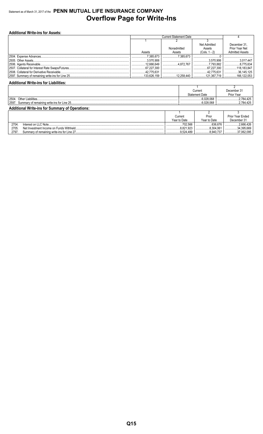## Statement as of March 31, 2017 of the **PENN MUTUAL LIFE INSURANCE COMPANY Overflow Page for Write-Ins**

| <b>Additional Write-ins for Assets:</b> |             |                               |                 |                        |  |  |  |  |  |  |
|-----------------------------------------|-------------|-------------------------------|-----------------|------------------------|--|--|--|--|--|--|
|                                         |             | <b>Current Statement Date</b> |                 |                        |  |  |  |  |  |  |
|                                         |             |                               |                 |                        |  |  |  |  |  |  |
|                                         |             |                               | Net Admitted    | December 31,           |  |  |  |  |  |  |
|                                         |             | Nonadmitted                   | Assets          | Prior Year Net         |  |  |  |  |  |  |
|                                         | Assets      | Assets                        | $(Cols. 1 - 2)$ | <b>Admitted Assets</b> |  |  |  |  |  |  |
|                                         | .7.385.673  | .7.385.673                    |                 |                        |  |  |  |  |  |  |
|                                         | .3.570.906  |                               | .3,570,906      | 3.017.447              |  |  |  |  |  |  |
|                                         | .12.666.649 | $\ldots$ 4.872.767            | 7.793.882       | 8.775.634              |  |  |  |  |  |  |
|                                         | .67.227.300 |                               | .67.227.300     | .118,183,847           |  |  |  |  |  |  |
|                                         | .42.775.631 |                               | .42.775.631     | 36.145.125             |  |  |  |  |  |  |
|                                         |             | 3.12.258.440                  | .121.367.719    | .166.122.053           |  |  |  |  |  |  |

### **Additional Write-ins for Liabilities:**

|                                                        |  | Current               | December 31 |  |  |  |
|--------------------------------------------------------|--|-----------------------|-------------|--|--|--|
|                                                        |  | <b>Statement Date</b> | Prior Year  |  |  |  |
| 12504. Other Liabilities                               |  | .6.028.068            | 2.784.425   |  |  |  |
|                                                        |  | 6.028.068             | 2.784.425   |  |  |  |
| <b>Additional Write-ins for Summary of Operations:</b> |  |                       |             |  |  |  |
|                                                        |  |                       |             |  |  |  |

|       |                                            | Current<br>Year to Date | Prior<br>Year to Date | Prior Year Ended<br>December 31 |
|-------|--------------------------------------------|-------------------------|-----------------------|---------------------------------|
| 2704. | Interest on LLC Note.                      | 702.566<br>             | .636.676              | 2.666.426<br>                   |
| 2705  |                                            | 8.821.923               | .304.061              | 34.395.669<br>                  |
| 2797  | Summary of remaining write-ins for Line 27 | .9.524.489              | 0.340.7 <i>01</i>     | .UbZ.UY5<br>                    |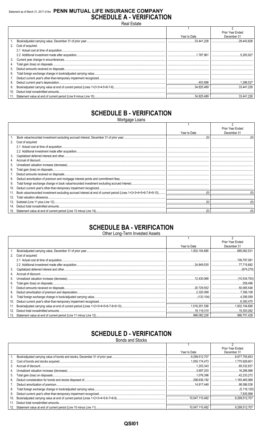## Statement as of March 31, 2017 of the PENN MUTUAL LIFE INSURANCE COMPANY **SCHEDULE A - VERIFICATION** Real Estate

|                   |              | Prior Year Ended |
|-------------------|--------------|------------------|
|                   | Year to Date | December 31      |
|                   | .33.441.226  | .29.443.826      |
| Cost of acquired: |              |                  |
|                   |              |                  |
|                   |              |                  |
|                   |              |                  |
|                   |              |                  |
|                   |              |                  |
|                   |              |                  |
|                   |              |                  |
|                   |              |                  |
|                   |              |                  |
|                   |              |                  |
|                   |              |                  |

## **SCHEDULE B - VERIFICATION**

Mortgage Loans

|     |                   |              | Prior Year Ended |
|-----|-------------------|--------------|------------------|
|     |                   | Year to Date | December 31      |
|     |                   |              |                  |
| 2.  | Cost of acquired: |              |                  |
|     |                   |              |                  |
|     |                   |              |                  |
| 3.  |                   |              |                  |
|     |                   |              |                  |
| 5.  |                   |              |                  |
| 6.  |                   |              |                  |
|     |                   |              |                  |
| 8.  |                   |              |                  |
| 9.  |                   |              |                  |
| 10. |                   |              |                  |
| 11. |                   |              |                  |
| 12. |                   |              |                  |
| 13. |                   |              |                  |
| 14. |                   |              |                  |
| 15. |                   |              |                  |

## **SCHEDULE BA - VERIFICATION**

| Other Long-Term Invested Assets |  |
|---------------------------------|--|
|                                 |  |

|     |                   |              | Prior Year Ended |
|-----|-------------------|--------------|------------------|
|     |                   | Year to Date | December 31      |
|     |                   |              | .885,062,531     |
| 2.  | Cost of acquired: |              |                  |
|     |                   |              |                  |
|     |                   |              |                  |
| 3.  |                   |              |                  |
| 4.  |                   |              |                  |
| 5.  |                   |              |                  |
| 6.  |                   |              |                  |
|     |                   |              |                  |
| 8.  |                   |              |                  |
| 9.  |                   |              |                  |
| 10. |                   |              | .6,393,470       |
| 11. |                   |              |                  |
| 12. |                   |              | 15.353.262       |
|     |                   |              |                  |

## **SCHEDULE D - VERIFICATION**

|     | <b>Bonds and Stocks</b> |                |                  |  |  |
|-----|-------------------------|----------------|------------------|--|--|
|     |                         |                |                  |  |  |
|     |                         |                | Prior Year Ended |  |  |
|     |                         | Year to Date   | December 31      |  |  |
|     |                         |                | 8.677.755.653    |  |  |
|     |                         |                |                  |  |  |
| 3.  |                         | 1.203.343      | 69,332,837       |  |  |
|     |                         |                |                  |  |  |
| 5.  |                         |                |                  |  |  |
| 6.  |                         |                |                  |  |  |
|     |                         |                |                  |  |  |
| 8.  |                         |                |                  |  |  |
| 9.  |                         |                | 7.835.998        |  |  |
| 10. |                         |                | 9,299,512.707    |  |  |
| 11. |                         |                |                  |  |  |
| 12. |                         | 10.047.110.482 | 9.299.512.707    |  |  |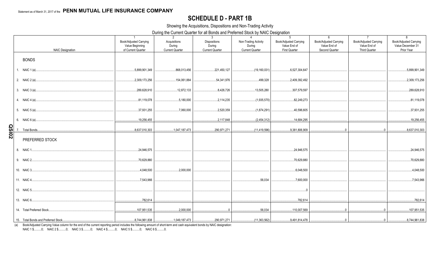## **SCHEDULE D - PART 1B**

Showing the Acquisitions, Dispositions and Non-Trading Activity

During the Current Quarter for all Bonds and Preferred Stock by NAIC Designation

|              | <b>NAIC Designation</b> | $\overline{1}$<br>Book/Adjusted Carrying<br>Value Beginning<br>of Current Quarter | 2<br>Acquisitions<br>During<br><b>Current Quarter</b> | 3 <sup>3</sup><br><b>Dispositions</b><br>During<br><b>Current Quarter</b> | $\overline{4}$<br>Non-Trading Activity<br>During<br><b>Current Quarter</b> | ັ<br>5 <sup>5</sup><br>Book/Adjusted Carrying<br>Value End of<br>First Quarter | 6<br><b>Book/Adjusted Carrying</b><br>Value End of<br>Second Quarter | $\overline{7}$<br><b>Book/Adjusted Carrying</b><br>Value End of<br>Third Quarter | 8<br><b>Book/Adjusted Carrying</b><br>Value December 31<br>Prior Year |
|--------------|-------------------------|-----------------------------------------------------------------------------------|-------------------------------------------------------|---------------------------------------------------------------------------|----------------------------------------------------------------------------|--------------------------------------------------------------------------------|----------------------------------------------------------------------|----------------------------------------------------------------------------------|-----------------------------------------------------------------------|
|              | <b>BONDS</b>            |                                                                                   |                                                       |                                                                           |                                                                            |                                                                                |                                                                      |                                                                                  |                                                                       |
|              | 1. NAIC 1 (a)           | .5,899,901,349                                                                    | 868,013,456                                           | 221,450,127                                                               | (19, 160, 031)                                                             | 6,527,304,647                                                                  |                                                                      |                                                                                  | 5,899,901,349                                                         |
|              |                         | 2,309,173,256                                                                     | 154,061,884                                           | 54,341,976                                                                | 499,328                                                                    | 2,409,392,492                                                                  |                                                                      |                                                                                  | 2,309,173,256                                                         |
|              |                         | 289,628,910                                                                       | 12,872,133                                            | 8,426,726                                                                 | 13,505,280                                                                 | 307,579,597                                                                    |                                                                      |                                                                                  | 289,628,910                                                           |
|              |                         | 81,119,078                                                                        | 5,180,000                                             | 2,114,235                                                                 | (1,935,570)                                                                | 82,249,273                                                                     |                                                                      |                                                                                  | 81,119,078                                                            |
|              |                         | 37,931,255                                                                        | ,7.060.000                                            | 0.2,520,359                                                               | (1,874,291)                                                                | 40,596,605                                                                     |                                                                      |                                                                                  | 37,931,255                                                            |
|              |                         | $\ldots$ .19,256,455                                                              |                                                       | 2,117,848                                                                 | (2,454,312)                                                                | 14,684,295                                                                     |                                                                      |                                                                                  | 19,256,455                                                            |
| <b>20ISO</b> |                         | 8,637,010,303                                                                     |                                                       | 290,971,271                                                               | (11,419,596)                                                               | 9,381,806,909                                                                  | $\overline{0}$                                                       | $\Omega$                                                                         | 8,637,010,303                                                         |
|              | PREFERRED STOCK         |                                                                                   |                                                       |                                                                           |                                                                            |                                                                                |                                                                      |                                                                                  |                                                                       |
|              | 8. NAIC 1.              | 24,946,575                                                                        |                                                       |                                                                           |                                                                            | 24,946,575                                                                     |                                                                      |                                                                                  | 24,946,575                                                            |
|              | 9. NAIC 2               | 70,629,880                                                                        |                                                       |                                                                           |                                                                            | 70,629,880                                                                     |                                                                      |                                                                                  | 70,629,880                                                            |
|              | 10. NAIC 3              | 4.048.500                                                                         | 0.2,000,000                                           |                                                                           |                                                                            | 6,048,500                                                                      |                                                                      |                                                                                  | 4,048,500                                                             |
|              |                         | 3,543,966                                                                         |                                                       |                                                                           | 56,034                                                                     | 0.7,600,000                                                                    |                                                                      |                                                                                  | 7,543,966                                                             |
|              | 12. NAIC 5              |                                                                                   |                                                       |                                                                           |                                                                            | $\overline{0}$                                                                 |                                                                      |                                                                                  |                                                                       |
|              |                         | 782,614                                                                           |                                                       |                                                                           |                                                                            | 782,614                                                                        |                                                                      |                                                                                  | 782,614                                                               |
|              |                         | 107,951,535<br>.                                                                  |                                                       |                                                                           |                                                                            | 110,007,569                                                                    |                                                                      |                                                                                  | 107,951,535                                                           |
|              |                         |                                                                                   |                                                       |                                                                           |                                                                            |                                                                                |                                                                      |                                                                                  |                                                                       |

(a) Book/Adjusted Carrying Value column for the end of the current reporting period includes the following amount of short-term and cash equivalent bonds by NAIC designation:

NAIC 1 \$..........0; NAIC 2 \$..........0; NAIC 3 \$..........0; NAIC 4 \$..........0; NAIC 5 \$..........0; NAIC 6 \$..........0.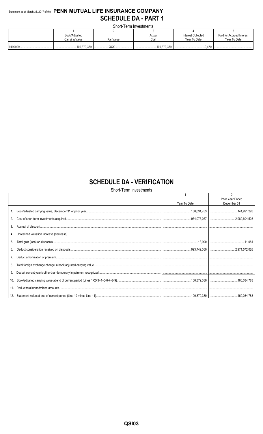## Statement as of March 31, 2017 of the PENN MUTUAL LIFE INSURANCE COMPANY **SCHEDULE DA - PART 1**

Short-Term Investments

| ________________________ |           |                 |                    |                           |  |  |  |
|--------------------------|-----------|-----------------|--------------------|---------------------------|--|--|--|
|                          |           |                 |                    |                           |  |  |  |
| Book/Adjusted            |           | Actual          | Interest Collected | Paid for Accrued Interest |  |  |  |
| Carrying Value           | Par Value | Cost            | Year To Date       | Year To Date              |  |  |  |
|                          |           |                 |                    |                           |  |  |  |
|                          | vvv       | 100.379.379<br> |                    |                           |  |  |  |

## **SCHEDULE DA - VERIFICATION**

Short-Term Investments

|     |              | Prior Year Ended |
|-----|--------------|------------------|
|     | Year To Date | December 31      |
|     |              |                  |
|     |              |                  |
| 3.  |              |                  |
|     |              |                  |
| 5.  |              |                  |
| 6.  |              |                  |
|     |              |                  |
| 8.  |              |                  |
| 9.  |              |                  |
| 10. |              |                  |
|     |              |                  |
|     |              |                  |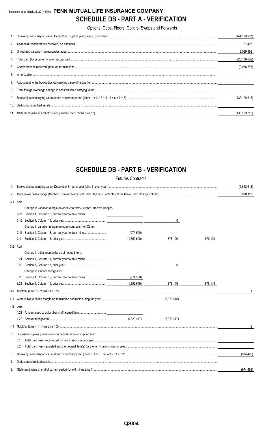## Statement as of March 31, 2017 of the **PENN MUTUAL LIFE INSURANCE COMPANY SCHEDULE DB - PART A - VERIFICATION**

Options, Caps, Floors, Collars, Swaps and Forwards

|     | (144,198,907)   |
|-----|-----------------|
|     | 87,495          |
|     | 19.029.992      |
|     | (20, 136, 602)  |
|     | (9,088,707)     |
| 6.  |                 |
|     |                 |
|     |                 |
|     | (136, 129, 315) |
| 10. |                 |
|     | (136, 129, 315) |

## **SCHEDULE DB - PART B - VERIFICATION**

|     |                                                                         | <b>Futures Contracts</b> |             |         |             |
|-----|-------------------------------------------------------------------------|--------------------------|-------------|---------|-------------|
| 1.  |                                                                         |                          |             |         | (1,852,615) |
| 2.  |                                                                         |                          |             |         | 878,118     |
|     | 3.1 Add:                                                                |                          |             |         |             |
|     | Change in variation margin on open contracts - Highly Effective Hedges: |                          |             |         |             |
|     |                                                                         |                          |             |         |             |
|     |                                                                         |                          | 0           |         |             |
|     | Change in variation margin on open contracts - All Other:               |                          |             |         |             |
|     | 3.13 Section 1, Column 18, current year to date minus                   | (974, 500)               |             |         |             |
|     |                                                                         | (1,852,620)              | 878,120     | 878,120 |             |
|     | 3.2 Add:                                                                |                          |             |         |             |
|     | Change in adjustment to basis of hedged item:                           |                          |             |         |             |
|     | 3.21 Section 1, Column 17, current year to date minus                   |                          |             |         |             |
|     |                                                                         |                          | 0           |         |             |
|     | Change in amount recognized:                                            |                          |             |         |             |
|     |                                                                         | (974, 500)               |             |         |             |
|     |                                                                         |                          |             | 878,119 |             |
| 3.3 |                                                                         |                          |             |         |             |
| 4.1 |                                                                         |                          | (6.029.475) |         |             |
|     | 4.2 Less:                                                               |                          |             |         |             |
|     | 4.21 Amount used to adjust basis of hedged item                         |                          |             |         |             |
|     |                                                                         | (6,029,477)              | (6,029,477) |         |             |
| 4.3 |                                                                         |                          |             |         | 2           |
| 5.  | Dispositions gains (losses) on contracts terminated in prior year:      |                          |             |         |             |
|     | 5.1                                                                     |                          |             |         |             |
|     | 5.2                                                                     |                          |             |         |             |
| 6.  |                                                                         |                          |             |         | (974, 499)  |
| 7.  |                                                                         |                          |             |         |             |
| 8.  |                                                                         |                          |             |         | (974, 499)  |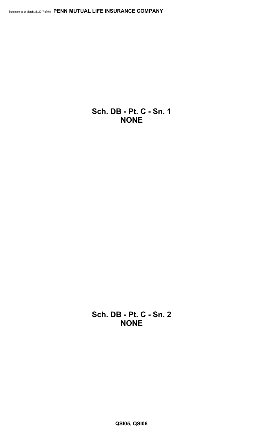**Sch. DB - Pt. C - Sn. 1 NONE**

**Sch. DB - Pt. C - Sn. 2 NONE**

**QSI05, QSI06**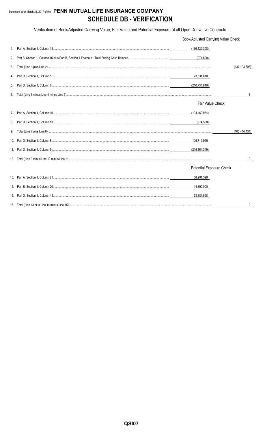## Statement as of March 31, 2017 of the PENN MUTUAL LIFE INSURANCE COMPANY **SCHEDULE DB - VERIFICATION**

Verification of Book/Adjusted Carrying Value, Fair Value and Potential Exposure of all Open Derivative Contracts

|    | Book/Adjusted Carrying Value Check |                 |
|----|------------------------------------|-----------------|
| 1. | (136, 129, 308)                    |                 |
| 2. | (974,500)                          |                 |
| 3. |                                    | (137, 103, 808) |
| 4. | 73,631,010                         |                 |
| 5. | (210, 734, 819)                    |                 |
| 6. |                                    |                 |
|    | <b>Fair Value Check</b>            |                 |
|    | (104,469,934)                      |                 |
| 8. | (974,500)                          |                 |
| 9. |                                    | (105, 444, 434) |
|    | 109,719,915                        |                 |
|    | (215, 164, 349)                    |                 |
|    |                                    | 0               |
|    | <b>Potential Exposure Check</b>    |                 |
|    | 58,991,598                         |                 |
|    | 14,390,000                         |                 |
|    | 73,381,598                         |                 |
|    |                                    |                 |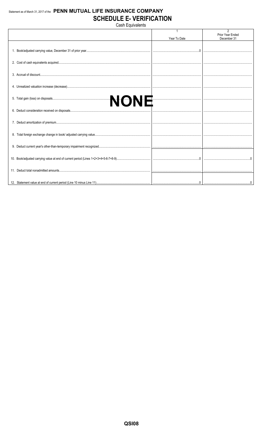## Statement as of March 31, 2017 of the PENN MUTUAL LIFE INSURANCE COMPANY **SCHEDULE E- VERIFICATION**

Cash Equivalents

|  | Year To Date | $\mathfrak{D}$<br>Prior Year Ended<br>December 31 |
|--|--------------|---------------------------------------------------|
|  |              |                                                   |
|  |              |                                                   |
|  |              |                                                   |
|  |              |                                                   |
|  |              |                                                   |
|  |              |                                                   |
|  |              |                                                   |
|  |              |                                                   |
|  |              |                                                   |
|  |              |                                                   |
|  |              |                                                   |
|  |              |                                                   |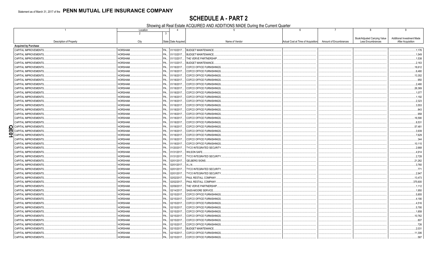## **SCHEDULE A - PART 2**

Showing all Real Estate ACQUIRED AND ADDITIONS MADE During the Current Quarter

|                             | Location               |              | $\overline{4}$      | $\overline{5}$                  | $6\phantom{1}$                     |                        | 8                                                 | 9                                                      |
|-----------------------------|------------------------|--------------|---------------------|---------------------------------|------------------------------------|------------------------|---------------------------------------------------|--------------------------------------------------------|
| Description of Property     | $\overline{2}$<br>City | $\mathbf{3}$ | State Date Acquired | Name of Vendor                  | Actual Cost at Time of Acquisition | Amount of Encumbrances | Book/Adjusted Carrying Value<br>Less Encumbrances | <b>Additional Investment Made</b><br>After Acquisition |
| <b>Acquired by Purchase</b> |                        |              |                     |                                 |                                    |                        |                                                   |                                                        |
| CAPITAL IMPROVEMENTS.       | HORSHAM.               | <b>PA</b>    | 01/10/2017          | BUDGET MAINTENANCE              |                                    |                        |                                                   | .1,176                                                 |
| CAPITAL IMPROVEMENTS.       | HORSHAM.               | PA.          | 01/13/2017          | <b>BUDGET MAINTENANCE</b>       |                                    |                        |                                                   | .1,549                                                 |
| CAPITAL IMPROVEMENTS.       | HORSHAM.               | PA.          | 01/13/2017          | THE VERVE PARTNERSHIP           |                                    |                        |                                                   | .1,538                                                 |
| CAPITAL IMPROVEMENTS.       | HORSHAM.               | PA.          | 01/13/2017.         | <b>BUDGET MAINTENANCE</b>       |                                    |                        |                                                   | .2,163                                                 |
| <b>CAPITAL IMPROVEMENTS</b> | HORSHAM.               | PA.          | 01/18/2017          | COFCO OFFICE FURNISHINGS        |                                    |                        |                                                   | .18,612                                                |
| CAPITAL IMPROVEMENTS.       | HORSHAM.               | PA.          | 01/18/2017          | COFCO OFFICE FURNISHINGS        |                                    |                        |                                                   | .6,480                                                 |
| CAPITAL IMPROVEMENTS.       | HORSHAM.               | PA.          | 01/18/2017          | COFCO OFFICE FURNISHINGS        |                                    |                        |                                                   | .13,352                                                |
| CAPITAL IMPROVEMENTS.       | HORSHAM.               | PA.          | 01/18/2017.         | COFCO OFFICE FURNISHINGS.       |                                    |                        |                                                   | .950                                                   |
| CAPITAL IMPROVEMENTS        | HORSHAM.               | PA.          | 01/18/2017.         | COFCO OFFICE FURNISHINGS        |                                    |                        |                                                   | .2,480                                                 |
| CAPITAL IMPROVEMENTS.       | HORSHAM.               | PA.          | 01/18/2017          | COFCO OFFICE FURNISHINGS        |                                    |                        |                                                   | .26,369                                                |
| CAPITAL IMPROVEMENTS        | HORSHAM.               | PA           | 01/18/2017          | COFCO OFFICE FURNISHINGS        |                                    |                        |                                                   | .1,077                                                 |
| CAPITAL IMPROVEMENTS.       | HORSHAM.               | PA.          | 01/18/2017.         | COFCO OFFICE FURNISHINGS        |                                    |                        |                                                   | .1,192                                                 |
| CAPITAL IMPROVEMENTS        | HORSHAM.               | PA.          | 01/18/2017.         | COFCO OFFICE FURNISHINGS        |                                    |                        |                                                   | .2,323                                                 |
| CAPITAL IMPROVEMENTS.       | HORSHAM.               | PA.          | 01/18/2017          | COFCO OFFICE FURNISHINGS        |                                    |                        |                                                   | .3,553                                                 |
| CAPITAL IMPROVEMENTS        | HORSHAM.               | PA           | 01/18/2017          | COFCO OFFICE FURNISHINGS        |                                    |                        |                                                   | 843                                                    |
| CAPITAL IMPROVEMENTS.       | HORSHAM.               | PA.          | 01/18/2017.         | COFCO OFFICE FURNISHINGS        |                                    |                        |                                                   | .958                                                   |
| CAPITAL IMPROVEMENTS        | HORSHAM.               | PA.          | 01/18/2017.         | COFCO OFFICE FURNISHINGS.       |                                    |                        |                                                   | .16,590                                                |
| CAPITAL IMPROVEMENTS.       | HORSHAM.               | PA.          | 01/18/2017          | COFCO OFFICE FURNISHINGS        |                                    |                        |                                                   | 8,531                                                  |
| CAPITAL IMPROVEMENTS.<br>ΩI | HORSHAM.               | PA.          | 01/18/2017          | COFCO OFFICE FURNISHINGS        |                                    |                        |                                                   | .57,481                                                |
| ml<br>CAPITAL IMPROVEMENTS. | HORSHAM.               | PA.          | 01/18/2017          | COFCO OFFICE FURNISHINGS.       |                                    |                        |                                                   | 3,939                                                  |
| 51<br>CAPITAL IMPROVEMENTS. | HORSHAM.               | PA.          | 01/18/2017.         | COFCO OFFICE FURNISHINGS        |                                    |                        |                                                   | .7,629                                                 |
| CAPITAL IMPROVEMENTS.       | HORSHAM.               | PA.          | 01/18/2017          | COFCO OFFICE FURNISHINGS        |                                    |                        |                                                   | 344                                                    |
| CAPITAL IMPROVEMENTS.       | HORSHAM.               | PA           | 01/18/2017          | COFCO OFFICE FURNISHINGS        |                                    |                        |                                                   | .10,115                                                |
| CAPITAL IMPROVEMENTS.       | HORSHAM.               | PA.          | 01/20/2017.         | <b>TYCO INTEGRATED SECURITY</b> |                                    |                        |                                                   | .2,668                                                 |
| CAPITAL IMPROVEMENTS.       | HORSHAM.               | PA.          | 01/31/2017          | WILSON SAFE.                    |                                    |                        |                                                   | .4,914                                                 |
| CAPITAL IMPROVEMENTS.       | HORSHAM.               | PA.          | 01/31/2017          | <b>TYCO INTEGRATED SECURITY</b> |                                    |                        |                                                   | 2,728                                                  |
| CAPITAL IMPROVEMENTS.       | HORSHAM.               | PA.          | 02/01/2017          | GELBERG SIGNS.                  |                                    |                        |                                                   | .21,262                                                |
| CAPITAL IMPROVEMENTS.       | HORSHAM.               | PA.          | 02/01/2017          | A.L.N.                          |                                    |                        |                                                   | .3,760                                                 |
| CAPITAL IMPROVEMENTS.       | HORSHAM.               | PA.          | 02/01/2017.         | TYCO INTEGRATED SECURITY        |                                    |                        |                                                   | .771                                                   |
| CAPITAL IMPROVEMENTS.       | HORSHAM.               | PA.          | 02/01/2017          | <b>TYCO INTEGRATED SECURITY</b> |                                    |                        |                                                   | .2,947                                                 |
| CAPITAL IMPROVEMENTS.       | HORSHAM.               | PA.          | 02/02/2017          | PAUL RESTALL COMPANY.           |                                    |                        |                                                   | .13,473                                                |
| CAPITAL IMPROVEMENTS.       | HORSHAM.               | PA.          | 02/02/2017.         | PAUL RESTALL COMPANY.           |                                    |                        |                                                   | 375,600                                                |
| CAPITAL IMPROVEMENTS.       | HORSHAM.               | PA.          | 02/09/2017          | THE VERVE PARTNERSHIP.          |                                    |                        |                                                   | .1,112                                                 |
| CAPITAL IMPROVEMENTS.       | HORSHAM.               | PA.          | 02/14/2017          | SASS-MOORE SERVICE.             |                                    |                        |                                                   | .1,950                                                 |
| CAPITAL IMPROVEMENTS.       | HORSHAM.               | PA.          | 02/15/2017          | COFCO OFFICE FURNISHINGS.       |                                    |                        |                                                   | .5,855                                                 |
| CAPITAL IMPROVEMENTS.       | HORSHAM.               | PA.          | 02/15/2017          | COFCO OFFICE FURNISHINGS.       |                                    |                        |                                                   | 4,190                                                  |
| CAPITAL IMPROVEMENTS.       | HORSHAM.               | PA.          | 02/15/2017.         | COFCO OFFICE FURNISHINGS        |                                    |                        |                                                   | .4,516                                                 |
| CAPITAL IMPROVEMENTS.       | HORSHAM.               | PA.          | 02/15/2017          | COFCO OFFICE FURNISHINGS        |                                    |                        |                                                   | .5,795                                                 |
| CAPITAL IMPROVEMENTS.       | HORSHAM.               | PA.          | 02/15/2017.         | COFCO OFFICE FURNISHINGS        |                                    |                        |                                                   | .1,858                                                 |
| CAPITAL IMPROVEMENTS.       | HORSHAM.               | PA.          | 02/15/2017.         | COFCO OFFICE FURNISHINGS.       |                                    |                        |                                                   | .10,762                                                |
| CAPITAL IMPROVEMENTS.       | HORSHAM.               | PA.          | 02/15/2017.         | COFCO OFFICE FURNISHINGS.       |                                    |                        |                                                   | .807                                                   |
| CAPITAL IMPROVEMENTS.       | HORSHAM.               | PA.          | 02/15/2017          | COFCO OFFICE FURNISHINGS.       |                                    |                        |                                                   | .726                                                   |
| CAPITAL IMPROVEMENTS.       | HORSHAM.               | PA.          | 02/15/2017.         | <b>BUDGET MAINTENANCE</b>       |                                    |                        |                                                   | .2,031                                                 |
| CAPITAL IMPROVEMENTS.       | HORSHAM.               | PA           | 02/15/2017          | COFCO OFFICE FURNISHINGS.       |                                    |                        |                                                   | .11,306                                                |
| CAPITAL IMPROVEMENTS.       | HORSHAM.               | PA.          | 02/15/2017          | COFCO OFFICE FURNISHINGS.       |                                    |                        |                                                   | .587                                                   |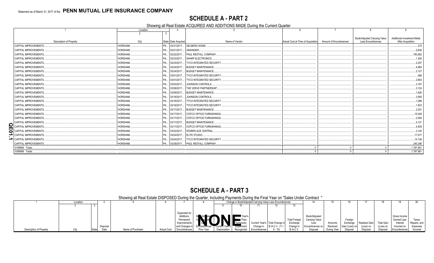## **SCHEDULE A - PART 2**

Showing all Real Estate ACQUIRED AND ADDITIONS MADE During the Current Quarter

|                                | Location |                             |                                          |                                    |                        |                                                   |                                                        |
|--------------------------------|----------|-----------------------------|------------------------------------------|------------------------------------|------------------------|---------------------------------------------------|--------------------------------------------------------|
| <b>Description of Property</b> | City     | State   Date Acquired       | Name of Vendor                           | Actual Cost at Time of Acquisition | Amount of Encumbrances | Book/Adjusted Carrying Value<br>Less Encumbrances | <b>Additional Investment Made</b><br>After Acquisition |
| CAPITAL IMPROVEMENTS.          | HORSHAM. | PA 02/21/2017 GELBERG SIGNS |                                          |                                    |                        |                                                   | .215                                                   |
| <b>CAPITAL IMPROVEMENTS.</b>   | HORSHAM. | PA 02/21/2017 GRAINGER.     |                                          |                                    |                        |                                                   | .2,636                                                 |
| CAPITAL IMPROVEMENTS.          | HORSHAM. |                             | PA   02/22/2017   PAUL RESTALL COMPANY.  |                                    |                        |                                                   | 783,562                                                |
| <b>CAPITAL IMPROVEMENTS.</b>   | HORSHAM. |                             | PA., 02/23/2017, SHARP ELECTRONICS.      |                                    |                        |                                                   | .1,300                                                 |
| CAPITAL IMPROVEMENTS.          | HORSHAM. | PA 02/23/2017               | <b>TYCO INTEGRATED SECURITY.</b>         |                                    |                        |                                                   | .2.257                                                 |
| <b>CAPITAL IMPROVEMENTS.</b>   | HORSHAM. |                             | PA 02/24/2017 BUDGET MAINTENANCE.        |                                    |                        |                                                   | .4.965                                                 |
| CAPITAL IMPROVEMENTS.          | HORSHAM. |                             | PA., 02/24/2017, BUDGET MAINTENANCE.     |                                    |                        |                                                   | .2,127                                                 |
| CAPITAL IMPROVEMENTS.          | HORSHAM. | PA 03/01/2017               | <b>I TYCO INTEGRATED SECURITY</b>        |                                    |                        |                                                   | .588                                                   |
| <b>CAPITAL IMPROVEMENTS.</b>   | HORSHAM. | PA 03/01/2017               | TYCO INTEGRATED SECURITY.                |                                    |                        |                                                   | 2,893                                                  |
| CAPITAL IMPROVEMENTS.          | HORSHAM. |                             | PA 03/03/2017 JOHNSON CONTROLS.          |                                    |                        |                                                   | .3,167                                                 |
| <b>CAPITAL IMPROVEMENTS.</b>   | HORSHAM. |                             | PA   03/09/2017   THE VERVE PARTNERSHIP. |                                    |                        |                                                   | .3,124                                                 |
| CAPITAL IMPROVEMENTS.          | HORSHAM. |                             | PA 03/09/2017 BUDGET MAINTENANCE.        |                                    |                        |                                                   | .1,626                                                 |
| <b>CAPITAL IMPROVEMENTS.</b>   | HORSHAM. |                             | PA 03/16/2017 JOHNSON CONTROLS.          |                                    |                        |                                                   | .3,585                                                 |
| <b>CAPITAL IMPROVEMENTS.</b>   | HORSHAM. | PA 03/16/2017               | TYCO INTEGRATED SECURITY                 |                                    |                        |                                                   | .1,288                                                 |
| <b>CAPITAL IMPROVEMENTS.</b>   | HORSHAM. |                             | PA 03/16/2017 TYCO INTEGRATED SECURITY.  |                                    |                        |                                                   | .1,833                                                 |
| <b>CAPITAL IMPROVEMENTS.</b>   | HORSHAM. |                             | PA., 03/17/2017, BUDGET MAINTENANCE.     |                                    |                        |                                                   | .2,291                                                 |
| <b>CAPITAL IMPROVEMENTS.</b>   | HORSHAM. |                             | PA 03/17/2017 COFCO OFFICE FURNISHINGS.  |                                    |                        |                                                   | .15,049                                                |
| <b>CAPITAL IMPROVEMENTS.</b>   | HORSHAM. |                             | PA 03/17/2017 COFCO OFFICE FURNISHINGS.  |                                    |                        |                                                   | .2,482                                                 |
| <b>CAPITAL IMPROVEMENTS.</b>   | HORSHAM. | PA 03/17/2017               | . BUDGET MAINTENANCE.                    |                                    |                        |                                                   | .4,121                                                 |
| <b>CAPITAL IMPROVEMENTS.</b>   | HORSHAM. |                             | PA 03/17/2017 COFCO OFFICE FURNISHINGS.  |                                    |                        |                                                   | .4,839                                                 |
| CAPITAL IMPROVEMENTS.          | HORSHAM. |                             | PA 03/22/2017 WORKPLACE CENTRAL          |                                    |                        |                                                   | .3,140                                                 |
| CAPITAL IMPROVEMENTS.          | HORSHAM. | PA 03/24/2017               | <b>ELITE STUDIO</b>                      |                                    |                        |                                                   | .17,577                                                |
| <b>CAPITAL IMPROVEMENTS.</b>   | HORSHAM. | PA 03/24/2017               | <b>TYCO INTEGRATED SECURITY.</b>         |                                    |                        |                                                   | 14,136                                                 |
| <b>CAPITAL IMPROVEMENTS.</b>   | HORSHAM. |                             | PA   03/29/2017   PAUL RESTALL COMPANY.  |                                    |                        |                                                   | 240.298                                                |
| 0199999. Totals                |          |                             |                                          |                                    |                        |                                                   | 1,787,961                                              |
| 0399999. Totals                |          |                             |                                          |                                    |                        |                                                   | 1,787,961                                              |

## **SCHEDULE A - PART 3**

|                         | Showing all Real Estate Dispussible During the Quarter, including Payments During the Final Teal on Sales Onder Contract |          |                   |             |              |                                                            |              |            |                                                          |                 |                      |                        |             |                |               |                   |              |              |
|-------------------------|--------------------------------------------------------------------------------------------------------------------------|----------|-------------------|-------------|--------------|------------------------------------------------------------|--------------|------------|----------------------------------------------------------|-----------------|----------------------|------------------------|-------------|----------------|---------------|-------------------|--------------|--------------|
|                         | Locatio                                                                                                                  |          |                   |             |              |                                                            |              |            | Change in Book/Adjusted Carrying Value Less Encumbrances |                 |                      |                        |             |                |               |                   |              |              |
|                         |                                                                                                                          |          |                   |             |              |                                                            |              |            |                                                          |                 |                      |                        |             |                |               |                   |              |              |
|                         |                                                                                                                          |          |                   |             |              |                                                            |              |            |                                                          |                 |                      |                        |             |                |               |                   |              |              |
|                         |                                                                                                                          |          |                   |             | Expended for |                                                            |              |            |                                                          |                 |                      |                        |             |                |               |                   |              |              |
|                         |                                                                                                                          |          |                   |             | Additions    |                                                            |              |            |                                                          |                 |                      | Book/Adjusted          |             |                |               |                   | Gross Income |              |
|                         |                                                                                                                          |          |                   |             | Permanent    | Be VAd ster <b>Manufacturer</b> Year's<br><b>Expediate</b> |              |            |                                                          |                 | <b>Total Foreign</b> | Carrying Value         |             | Foreign        |               |                   | Earned Less  |              |
|                         |                                                                                                                          |          |                   |             | Improvements |                                                            |              |            | Current Year's   Total Change in                         |                 | Exchange             | Less                   | Amounts     | Exchange       | Realized Gain | <b>Total Gain</b> | Interest     | Repairs, and |
|                         |                                                                                                                          | Disposal |                   |             | and Changes  | Fricumbrances                                              |              |            | Change in                                                | B./A.C.V. (11 - | Change i             | <b>Encumbrances or</b> | Received    | Gain (Loss) on | Loss) on      | (Loss) on         | Incurred on  | Expenses     |
| Description of Property |                                                                                                                          | Nata     | Name of Purchaser | Actual Cost | Encumbrances | Prior Year                                                 | Depreciation | Recognized | ∣ Encumbrances I                                         | $-10$           | B./A.C.V.            | Disposa                | During Year | Disposal       | Disposal      | Disposal          | Encumbrances | Incurred     |

Showing all Real Estate DISPOSED During the Quarter Including Payments During the Final Year on "Sales Under Contract"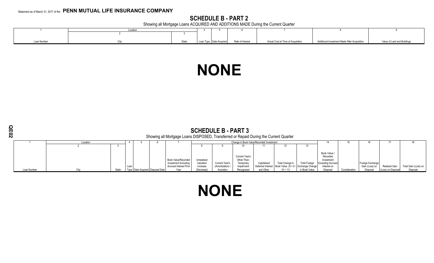## **SCHEDULE B - PART 2**

Showing all Mortgage Loans ACQUIRED AND ADDITIONS MADE During the Current Quarter

|                 | <b>LOCATIC</b> |                           |                  |                                    |                                              |                            |
|-----------------|----------------|---------------------------|------------------|------------------------------------|----------------------------------------------|----------------------------|
|                 |                |                           |                  |                                    |                                              |                            |
|                 |                |                           |                  |                                    |                                              |                            |
| ما ممتنا ۱۸ سام |                |                           |                  |                                    |                                              |                            |
| αιι ινωιιων     |                | Loan Type   Date Acquired | Rate of Interest | Actual Cost at Time of Acquisition | Additional Investment Made After Acquisition | alue of Land and Buildings |

# **NONE**

| m<br>N |             | <b>SCHEDULE B - PART 3</b><br>Showing all Mortgage Loans DISPOSED, Transferred or Repaid During the Current Quarter<br>Change in Book Value/Recorded Investment<br>Location |       |      |                                    |  |                                                                                     |                                     |                                  |                                                          |             |                                                                                 |                      |                                                                                   |               |                                    |                      |                      |
|--------|-------------|-----------------------------------------------------------------------------------------------------------------------------------------------------------------------------|-------|------|------------------------------------|--|-------------------------------------------------------------------------------------|-------------------------------------|----------------------------------|----------------------------------------------------------|-------------|---------------------------------------------------------------------------------|----------------------|-----------------------------------------------------------------------------------|---------------|------------------------------------|----------------------|----------------------|
|        |             |                                                                                                                                                                             |       |      |                                    |  |                                                                                     |                                     |                                  |                                                          |             |                                                                                 |                      |                                                                                   |               |                                    |                      |                      |
|        |             |                                                                                                                                                                             |       |      |                                    |  |                                                                                     |                                     |                                  |                                                          |             | 12                                                                              | 13                   |                                                                                   |               |                                    |                      |                      |
|        |             |                                                                                                                                                                             |       | Loan |                                    |  | <b>Book Value/Recorded</b><br>Investment Excluding<br><b>Accrued Interest Prior</b> | Unrealized<br>Valuation<br>Increase | Current Year's<br>(Amortization) | Current Year's<br>Other-Than-<br>Temporary<br>Impairment | Capitalized | Total Change in<br>Deferred Interest   Book Value $(8 + 9 - 1)$ Exchange Change | <b>Total Foreign</b> | Book Value /<br>Recorded<br>Investment<br><b>Excluding Accrued</b><br>Interest on |               | Foreign Exchange<br>Gain (Loss) on | <b>Realized Gain</b> | Total Gain (Loss) on |
|        | Loan Number | City                                                                                                                                                                        | State |      | Type Date Acquired   Disposal Date |  | Year                                                                                | (Decrease)                          | Accretion                        | Recognized                                               | and Other   | $10 + 11$                                                                       | in Book Value        | Disposal                                                                          | Consideration | Disposal                           | (Loss) on Disposal   | Disposal             |

# **NONE**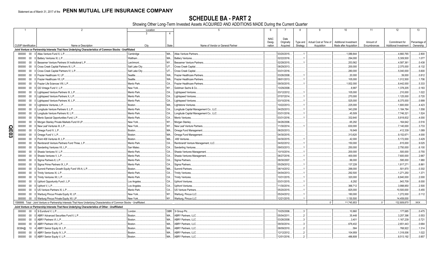## **SCHEDULE BA - PART 2**

Showing Other Long-Term Invested Assets ACQUIRED AND ADDITIONS MADE During the Current Quarter

|   |                             |        | $\overline{2}$                                                                                                               | Location        |              | -5                                     | 6                |                        | 8                    | -9                                    | 10 <sup>°</sup>                                        | 11                        | 12 <sup>°</sup>                                | 13                        |
|---|-----------------------------|--------|------------------------------------------------------------------------------------------------------------------------------|-----------------|--------------|----------------------------------------|------------------|------------------------|----------------------|---------------------------------------|--------------------------------------------------------|---------------------------|------------------------------------------------|---------------------------|
|   |                             |        |                                                                                                                              |                 | 4            |                                        |                  |                        |                      |                                       |                                                        |                           |                                                |                           |
|   |                             |        |                                                                                                                              |                 |              |                                        |                  |                        |                      |                                       |                                                        |                           |                                                |                           |
|   |                             |        |                                                                                                                              |                 |              |                                        | <b>NAIC</b>      | Date                   |                      |                                       |                                                        |                           |                                                |                           |
|   | <b>CUSIP</b> Identification |        | Name or Description                                                                                                          | City            | <b>State</b> | Name of Vendor or General Partner      | Desig-<br>nation | Originally<br>Acquired | Type and<br>Strategy | Actual Cost at Time of<br>Acquisition | <b>Additional Investment</b><br>Made after Acquisition | Amount of<br>Encumbrances | Commitment for<br><b>Additional Investment</b> | Percentage o<br>Ownership |
|   |                             |        | Joint Venture or Partnership Interests That Have Underlying Characteristics of Common Stocks - Unaffiliated                  |                 |              |                                        |                  |                        |                      |                                       |                                                        |                           |                                                |                           |
|   |                             |        |                                                                                                                              |                 |              |                                        |                  |                        |                      |                                       |                                                        |                           |                                                |                           |
|   | 000000                      | $00\,$ | 0 Atlas Venture Fund X, L.P.                                                                                                 | Cambridge       | <b>MA</b>    | Atlas Venture Partners                 |                  | 03/20/2015.            |                      |                                       | 1,089,844                                              |                           | .4,660,765                                     | .2.800                    |
|   |                             |        | 000000 00 0 Battery Ventures XI, L.P.                                                                                        | Waltham.        | <b>MA</b>    | <b>Battery Ventures.</b>               |                  | 02/22/2016.            |                      |                                       | .294,000                                               |                           | .5,309,500                                     | .1.077                    |
|   | 000000                      | $00\,$ | 0 Bessemer Venture Partners IX Institutional L.P.                                                                            | Larchmont.      | NY           | <b>Bessemer Venture Partners</b>       |                  | 02/28/2015.            |                      |                                       | 253,562                                                |                           | 4,587,361                                      | .0.438                    |
|   | 000000                      | $00\,$ | Cross Creek Capital Partners III, L.P                                                                                        | Salt Lake City  | UT           | Cross Creek Capital.                   |                  | 08/29/2013.            |                      |                                       | .200,000                                               |                           | .2,375,000                                     | .6.132                    |
|   | 000000                      | $00\,$ | 0 Cross Creek Capital Partners IV, L.P                                                                                       | Salt Lake City. | <b>UT</b>    | Cross Creek Capital.                   |                  | 03/31/2016.            |                      |                                       | 280,000                                                |                           | .5,040,000                                     | .5.600                    |
|   | 000000                      | $00\,$ | Frazier Healthcare VI, LP.                                                                                                   | Seattle.        | <b>WA</b>    | Frazier Healthcare Partners            |                  | 03/26/2008.            |                      |                                       | .20,000                                                |                           | 39,000                                         | .0.812                    |
|   | 000000                      | $00\,$ | Frazier Healthcare VII. LP.                                                                                                  | Seattle.        | WA.          | <b>Frazier Healthcare Partners</b>     |                  | 08/01/2013.            |                      |                                       | 105,000                                                |                           | 1,012,500                                      | .1.706                    |
|   | 000000                      | $00\,$ | Frazier Life Sciences VIII, L.P.                                                                                             | Menlo Park.     | CA.          | <b>Frazier Healthcare Partner</b>      |                  | 09/30/2015             |                      |                                       | .1,932,000                                             |                           | .8,442,000                                     | .5.333                    |
|   | 000000                      | $00\,$ | GS Vintage Fund V, L.P.                                                                                                      | New York.       | NY.          | Goldman Sachs & Co.                    |                  | 10/29/2008.            |                      |                                       | 8,997                                                  |                           | 1,378,205                                      | .0.183                    |
|   | 000000                      | $00\,$ | 0 Lightspeed Venture Partners IX, L.P.                                                                                       | Menlo Park      | CA           | <b>Lightspeed Ventures</b>             |                  | 03/12/2012             |                      |                                       | 105,000                                                |                           | 210,000                                        | .1.022                    |
|   |                             |        |                                                                                                                              | Menlo Park      | CA.          |                                        |                  |                        |                      |                                       |                                                        |                           |                                                |                           |
|   | 000000                      | $00\,$ | 0 Lightspeed Venture Partners X, L.P                                                                                         |                 |              | <b>Lightspeed Ventures</b>             |                  | 07/07/2014             |                      |                                       | .270,000                                               |                           | 1,125,000                                      | .0.720                    |
|   | 000000                      | $00\,$ | 0 Lightspeed Venture Partners XI, L.P.                                                                                       | Menlo Park.     | CA.          | <b>Lightspeed Ventures</b>             |                  | 03/10/2016             |                      |                                       | 525,000                                                |                           | .6,375,000                                     | .0.999                    |
|   | 000000                      | $00\,$ | 0 Lightstone Ventures, L.P.                                                                                                  | Boston.         | MA.          | Lightstone Ventures.                   |                  | 10/22/2013.            |                      |                                       | .225,000                                               |                           | 1,800,000                                      | .4.423                    |
|   | 000000                      | $00\,$ | 0 Longitude Venture Partners II, L.P.                                                                                        | Menlo Park      | CA.          | Longitude Capital Management Co., LLC  |                  | 04/25/2013             |                      |                                       | 343,208                                                |                           | 1,184,784                                      | .1.558                    |
|   | 000000                      | $00\,$ | 0 Longitude Venture Partners III, L.P                                                                                        | Menlo Park      | CA.          | Longitude Capital Management Co., LLC. |                  | 03/31/2016             |                      |                                       | .45,509                                                |                           | 7,746,321                                      | .1.524                    |
|   | 000000                      | $00\,$ | Menlo Special Opportunities Fund, L.P.                                                                                       | Menlo Park      | CA.          | Menlo Ventures                         |                  | 03/31/2016             |                      |                                       | 332,640                                                |                           | .5,818,832                                     | .4.000                    |
|   | 000000                      | $00\,$ | 0 Morgan Stanley Private Markets Fund III LP                                                                                 | New York.       | NY           | Morgan Stanley                         |                  | 04/26/2006.            |                      |                                       | 65,292                                                 |                           | .164,642                                       | .0.516                    |
| Q | 000000                      | $00\,$ | 0 New Leaf Ventures III. L.P.                                                                                                | New York.       | NY           | New Leaf Venture Partners              |                  | 1/30/2014              |                      |                                       | 630,000                                                |                           | .7,140,000                                     | .3.733                    |
| m | 000000                      | $00\,$ | 0 Omega Fund IV, L.P.                                                                                                        | Boston.         | MA.          | Omega Fund Management                  |                  | 06/20/2013.            |                      |                                       | .19,949                                                |                           | 412,339                                        | .1.089                    |
| ဥ | 000000                      | $00\,$ | 0 Omega Fund V, L.P.                                                                                                         | Boston.         | MA.          | Omega Fund Management.                 |                  | 04/30/2015             |                      |                                       | .313,620                                               |                           | 9,152,671                                      | .4.000                    |
|   | 000000                      | $00\,$ | 0 Point 406 Ventures III, L.P.                                                                                               | Boston.         | MA.          | .406 Ventures                          |                  | 04/30/2015             |                      |                                       | .42,000                                                |                           | .5,172,000                                     | .3.429                    |
|   | 000000                      | $00\,$ | Rembrandt Venture Partners Fund Three, L.P.                                                                                  | Menlo Park      | CA.          | Rembrandt Venture Management, LLC.     |                  | 04/02/2012             |                      |                                       | 150,000                                                |                           | 615,000                                        | .9.025                    |
|   | 000000                      | $00\,$ | 0 Sanderling Ventures VII, L.P                                                                                               | San Mateo       | CA.          | Sanderling Ventures                    |                  | 09/03/2013.            |                      |                                       | 250,000                                                |                           | .2,750,000                                     | .6.100                    |
|   | 000000                      | $00\,$ | Shasta Ventures IV, L.P.                                                                                                     | Menlo Park      | CA           | Shasta Ventures Management             |                  | 10/10/2014             |                      |                                       | .200,000                                               |                           | 500,000                                        | .0.755                    |
|   | 000000                      | $00\,$ | 0 Shasta Ventures V. L.P.                                                                                                    | Menlo Park      | CA.          | Shasta Ventures Management             |                  | 06/27/2016             |                      |                                       | 400,000                                                |                           | .7,600,000                                     | .2.667                    |
|   |                             |        |                                                                                                                              |                 |              |                                        |                  |                        |                      |                                       |                                                        |                           |                                                |                           |
|   | 000000                      | $00\,$ | 0 Sigma Partners 8, L.P.                                                                                                     | Menlo Park      | CA           | Sigma Partners.                        |                  | 08/30/2007.            |                      |                                       | .99,000                                                |                           | .595,000                                       | 1.980                     |
|   | 000000                      | $00\,$ | 0 Sigma Prime Partners IX, L.P.                                                                                              | Menlo Park      | CA.          | Sigma Partners                         |                  | 05/29/2012             |                      |                                       | 137,228                                                |                           | 1,817,271                                      | .6.861                    |
|   | 000000                      | $00\,$ | 0 Summit Partners Growth Equity Fund VIII-A, L.P.                                                                            | Boston.         | MA.          | <b>Summit Partners</b>                 |                  | 06/14/2012             |                      |                                       | 288,000                                                |                           | 501,870                                        | .0.302                    |
|   | 000000                      | $00\,$ | 0 Trinity Ventures XI, L.P.                                                                                                  | Menlo Park.     | CA.          | Trinity Ventures.                      |                  | 04/04/2013             |                      |                                       | 292,500                                                |                           | .1,271,250                                     | .1.371                    |
|   | 000000                      | $00\,$ | 0 Trinity Ventures XII, L.P.                                                                                                 | Menlo Park.     | CA.          | <b>Trinity Ventures</b>                |                  | 10/31/2015             |                      |                                       | 320,000                                                |                           | .6,840,000                                     | .2.000                    |
|   | 000000                      | $00\,$ | 0 Upfront Opportunity Fund I, L.P.                                                                                           | Los Angeles     | CA.          | <b>Upfront Ventures</b>                |                  | 03/31/2015             |                      |                                       | .6,292                                                 |                           | 943,709                                        | .6.000                    |
|   | 000000                      | $00\,$ | 0 Upfront V, L.P.                                                                                                            | Los Angeles     | CA.          | <b>Upfront Ventures</b>                |                  | 1/30/2014.             |                      |                                       | 366,712                                                |                           | .3,998,850                                     | .2.500                    |
|   | 000000                      | $00\,$ | 0 US Venture Partners XI, L.P.                                                                                               | Menlo Park.     | CA.          | <b>US Venture Partners</b>             |                  | 05/20/2015             |                      |                                       | 825,000                                                |                           | 10,500,000                                     | .5.455                    |
|   | 000000                      |        | 00 0 Warburg Pincus Private Equity XI, LP                                                                                    | New York.       | NY           | Warburg, Pincus LLC.                   |                  | 05/24/2012             |                      |                                       | 180,000                                                |                           | .1,272,000                                     | .0.112                    |
|   |                             |        | 000000 00 0 Warburg Pincus Private Equity XII, LP.                                                                           | New York.       |              | NY Warburg, Pincus LLC.                |                  | 12/21/2015.            |                      |                                       | .1,130,500                                             |                           | .14,459,000                                    |                           |
|   |                             |        | 1599999. Total - Joint Venture or Partnership Interests That Have Underlying Characteristics of Common Stocks - Unaffiliated |                 |              |                                        |                  |                        |                      |                                       | .11,745,853                                            |                           | 132,809,870                                    | .XXX.                     |
|   |                             |        | Joint Venture or Partnership Interests That Have Underlying Characteristics of Other - Unaffiliated                          |                 |              |                                        |                  |                        |                      |                                       |                                                        |                           |                                                |                           |
|   | 000000                      |        | 00 0 3i Eurofund V. L.P.                                                                                                     | London          |              | GBR. 3i Group Plc.                     |                  | 10/25/2006.            |                      |                                       | 10.860                                                 |                           | 177,685                                        | .0.475                    |
|   | 000000                      | $00\,$ | 0 ABRY Advanced Securities Fund II, L.P.                                                                                     | Boston.         | MA.          | <b>ABRY Partners, LLC</b>              |                  | 05/04/2011.            |                      |                                       | .35,448                                                |                           | .3,257,396                                     | .0.553                    |
|   | 000000                      | $00\,$ | ABRY Partners VI. L.P.                                                                                                       | Boston.         | MA.          | <b>ABRY Partners, LLC</b>              |                  | 03/26/2008.            |                      |                                       | .3,401                                                 |                           | 1,167,239                                      | .0.721                    |
|   |                             |        |                                                                                                                              |                 | MA.          |                                        |                  |                        |                      |                                       |                                                        |                           |                                                |                           |
|   | 000000                      | $00\,$ | ABRY Partners VIII, L.P.                                                                                                     | Boston.         |              | ABRY Partners, LLC                     |                  | 09/30/2014             |                      |                                       | 676,402                                                |                           | .2,651,443                                     | .0.684                    |
|   | 00384@                      | 10     | ABRY Senior Equity III, L.P                                                                                                  | Boston.         | MA.          | <b>ABRY Partners, LLC</b>              |                  | 08/09/2010.            |                      |                                       | .584                                                   |                           | 768,922                                        | .1.314                    |
|   | 000000                      | $00\,$ | 0 ABRY Senior Equity IV, L.P.                                                                                                | Boston.         | MA.          | <b>ABRY Partners, LLC</b>              |                  | 12/12/2012.            |                      |                                       | 104,959                                                |                           | 1,318,006                                      | .1.022                    |
|   | 000000                      |        | 00 0 ABRY Senior Equity V, L.P                                                                                               | Boston.         |              | MA ABRY Partners, LLC                  |                  | 12/01/2016             |                      |                                       | 486,808                                                |                           | .8,513,192                                     | .0.857                    |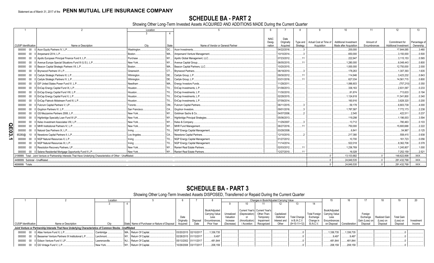## **SCHEDULE BA - PART 2**

Showing Other Long-Term Invested Assets ACQUIRED AND ADDITIONS MADE During the Current Quarter

|    |                                  |                                                                                                                      | Location          |           |                                   |             |             | 8        | -9                                | 10                           |              | 12                    | 13 <sup>13</sup> |
|----|----------------------------------|----------------------------------------------------------------------------------------------------------------------|-------------------|-----------|-----------------------------------|-------------|-------------|----------|-----------------------------------|------------------------------|--------------|-----------------------|------------------|
|    |                                  |                                                                                                                      |                   |           |                                   |             |             |          |                                   |                              |              |                       |                  |
|    |                                  |                                                                                                                      |                   |           |                                   | <b>NAIC</b> | Date        |          |                                   |                              |              |                       |                  |
|    |                                  |                                                                                                                      |                   |           |                                   | Desig-      | Originally  |          | Type and   Actual Cost at Time of | <b>Additional Investment</b> | Amount of    | Commitment for        | Percentage o     |
|    | <b>CUSIP</b> Identification      | Name or Description                                                                                                  | City              | State     | Name of Vendor or General Partner | nation      | Acquired    | Strategy | Acquisition                       | Made after Acquisition       | Encumbrances | Additional Investment | Ownership        |
|    | 000000                           | 00 0 Acon Equity Partners IV, L.P.                                                                                   | <b>Washington</b> | DC.       | Acon Investments                  |             | 04/22/2016  |          |                                   | .200.000                     |              | .17,844,085           | 3.460            |
|    | 000000                           | 00 0 Ampersand 2014, L.P.                                                                                            | Boston            | <b>MA</b> | Ampersand Venture Management.     |             | 10/10/2014  |          |                                   | .650,000                     |              | 3,150,000             | .0.500           |
|    | 000000                           | 00 0 Apollo European Principal Finance Fund II, L.P.                                                                 | Purchase          | NY        | Apollo Global Management, LLC     |             | 07/23/2012  |          |                                   | .222,947                     |              | .3,115,153            | .0.565           |
|    | 000000                           | 00 0 Avenue Europe Special Situations Fund III (U.S.), L.P.                                                          | New York.         | <b>NY</b> | Avenue Capital Group.             |             | 06/05/2015  |          |                                   | .1,280,000                   |              | 6,048,443             | .0.800           |
|    | 000000                           | 00 0 Beacon Capital Strategic Partners VII, L.P.                                                                     | Boston.           |           | MA Beacon Capital Partners, LLC.  |             | 10/20/2015  |          |                                   | .1,000,000                   |              | .12,750,000           | 2.000            |
|    | 000000                           | 00 0 Brynwood Partners VI L.P.                                                                                       | Greenwich.        | CT        | Brynwood Partners.                |             | 06/18/2010. |          |                                   | .178.263                     |              | 1,307,393             | .1.635           |
|    | 000000                           | 00 0 Carlyle Strategic Partners III, L.P.                                                                            | Wilminaton.       |           | DE Carlyle Group, L.P             |             | 09/30/2012  |          |                                   | .114.946                     |              | 3,423,232             | .0.843           |
|    | 000000                           | 00 0 Carlyle Strategic Partners IV, L.P.                                                                             | Wilminaton.       |           | DE Carlyle Group, L.P.,           |             | 03/31/2016  |          |                                   | .627.034                     |              | 14,561,715            | .0.800           |
|    | 000000                           | 00 0 EIF United States Power Fund IV, L.P.                                                                           | Needham           |           | MA Energy Investors Funds.        |             | 11/28/2011  |          |                                   | 1.066.603                    |              | (757, 210)            | .0.350           |
|    | 000000                           | 00 0 EnCap Energy Capital Fund IX, L.P.                                                                              | Houston.          |           | TX EnCap Investments, L.P.        |             | 01/08/2013. |          |                                   | .336.163                     |              | .2,831,097            | .0.233           |
|    | 000000                           | 00 0 EnCap Energy Capital Fund VIII, L.P.                                                                            | Houston.          | TX        | EnCap Investments, L.P.           |             | 11/30/2010  |          |                                   | 81,674                       |              | 713,633               | .0.194           |
|    | 000000                           | 00 0 EnCap Energy Capital Fund X, L.P.                                                                               | Houston.          | <b>TX</b> | EnCap Investments, L.P.           |             | 02/28/2015  |          |                                   | .1,124,618                   |              | 11,541,800            | .0.340           |
|    | 000000                           | 00 0 EnCap Flatrock Midstream Fund III, L.P.                                                                         | Houston.          |           | TX EnCap Investments, L.P.        |             | 07/09/2014. |          |                                   | .160.916                     |              | 3,828,320             | .0.200           |
|    | 000000                           | 00 0 Fulcrum Capital Partners V, LP.                                                                                 | Toronto.          |           | ON Fulcrum Capital Partners.      |             | 06/11/2015  |          |                                   | .59.178                      |              | 6,803,739             | .4.000           |
|    | 000000                           | 00 0 Gryphon Partners IV, L.P.                                                                                       | San Francisco.    | <b>CA</b> | Gryphon Investors.                |             | 09/01/2016  |          |                                   | .1.787.587                   |              | 7,772,173             | 2.238            |
|    | 000000                           | 00 0 GS Mezzanine Partners 2006, L.P.                                                                                | New York          | <b>NY</b> | Goldman Sachs & Co.               |             | 04/07/2006. |          |                                   | .2.545                       |              | .422.511              | .0.237           |
|    | 000000                           | 00 0 Highbridge Specialty Loan Fund III LP.                                                                          | New York.         | NY.       | Highbridge Principal Strategies   |             | 05/06/2013. |          |                                   | .119.298                     |              | .1,196,003            | .3.594           |
|    | 000000                           | 00 0 Kelso Investment Associates VIII, L.P.                                                                          | New York.         | NY        | Kelso & Company                   |             | 11/29/2007  |          |                                   | .13.712                      |              | 780.463               | .0.103           |
| ရွ | 000000                           | 00 0 MHR Institutional Partners IV, L.P.                                                                             | New York.         | NY        | MHR Fund Management.              |             | 06/27/2016  |          |                                   | 750,000                      |              | 15,800,688            | .2.222           |
| 0  | 000000                           | 00 0 Natural Gas Partners IX, L.P.                                                                                   | Irvina.           | TX.       | NGP Energy Capital Management     |             | 03/28/2008. |          |                                   | .6.841                       |              | 54.967                | .0.125           |
| ω  |                                  | 65280@ 10 8 Newstone Capital Partners II, L.P.                                                                       | Los Angeles.      | CA        | Newstone Capital Partners.        |             | 12/10/2010  |          |                                   | .217,380                     |              | .558,415              | .0.938           |
| ∸  | 000000                           | 00 0 NGP Natural Resources X, L.P.                                                                                   | Irvina            | TX.       | NGP Energy Capital Management     |             | 01/27/2012  |          |                                   | .10.700                      |              | .161.723              | .0.056           |
|    | 000000                           | 00 0 NGP Natural Resources XI. L.P.                                                                                  | Irving.           | TX.       | NGP Energy Capital Management     |             | 11/14/2014  |          |                                   | .522.018                     |              | .8,362,706            | .0.378           |
|    | 000000                           | 00 0 Resolution Recovery Partners, LP.                                                                               | New York.         | NY.       | Ranieri Real Estate Partners      |             | 02/03/2012. |          |                                   | 1,236,769                    |              | 1,245,807             | .1.000           |
|    |                                  | 000000 00 0 Selene Residential Mortgage Opportunity Fund II L.P.                                                     | New York.         | NY 1      | Ranieri Real Estate Partners      |             | 12/27/2010  |          |                                   | 16.028                       |              | 7.252.159             | .2.521           |
|    |                                  | 2199999. Total - Joint Venture or Partnership Interests That Have Underlying Characteristics of Other - Unaffiliated |                   |           |                                   |             |             |          |                                   | 13.103.682                   |              | 148.622.898           | $\mathsf{XXX}$ . |
|    | 4499999. Subtotal - Unaffiliated |                                                                                                                      |                   |           |                                   |             |             |          |                                   | 24.849.535                   |              | 281.432.768           | $\mathsf{XXX}$ . |
|    | 4699999. Totals.                 |                                                                                                                      |                   |           |                                   |             |             |          |                                   | 24.849.535                   |              | .281,432,768          | XXX.             |
|    |                                  |                                                                                                                      |                   |           |                                   |             |             |          |                                   |                              |              |                       |                  |

## **SCHEDULE BA - PART 3**

## Showing Other Long-Term Invested Assets DISPOSED, Transferred or Repaid During the Current Quarter

|                             |                                                                                                             | Location       |                                               |                        |                |            |                               | Changes in Book/Adjusted Carrying Value |              |                     |                  |                                |                           |                |               |                   |            |
|-----------------------------|-------------------------------------------------------------------------------------------------------------|----------------|-----------------------------------------------|------------------------|----------------|------------|-------------------------------|-----------------------------------------|--------------|---------------------|------------------|--------------------------------|---------------------------|----------------|---------------|-------------------|------------|
|                             |                                                                                                             |                |                                               |                        |                |            |                               |                                         |              |                     |                  |                                |                           |                |               |                   |            |
|                             |                                                                                                             |                |                                               |                        |                |            |                               |                                         |              |                     |                  |                                |                           |                |               |                   |            |
|                             |                                                                                                             |                |                                               |                        | Book/Adjusted  |            | Current Year's Current Year's |                                         |              |                     |                  | Book/Adjusted                  |                           |                |               |                   |            |
|                             |                                                                                                             |                |                                               |                        | Carrying Value |            | Unrealized (Depreciation)     | Other-Than-                             | Capitalized  |                     |                  | Total Foreign   Carrying Value |                           | Foreian        |               |                   |            |
|                             |                                                                                                             |                |                                               |                        | Less           | Valuation  |                               | Temporary                               | Deferred     | <b>Total Change</b> | Exchange         | Less                           |                           | Exchange       | Realized Gain | <b>Total Gain</b> |            |
|                             |                                                                                                             |                |                                               | Originally<br>Disposal | Encumbrances.  | Increase   | (Amortization)                | Impairment                              | Interest and | in B./A.C.V.        | Change in        | Encumbrances                   |                           | Gain (Loss) on | (Loss) or     | (Loss) on         | Investment |
| <b>CUSIP</b> Identification | Name or Description                                                                                         |                | State Name of Purchaser or Nature of Disposal | Date<br>Acquired       | Prior Year     | (Decrease) | Accretion                     | Recognized                              | Other        | $(9+10-11+12)$      | <b>B./A.C.V.</b> |                                | on Disposal Consideration | Disposal       | Disposal      | Disposal          | Income     |
|                             | Joint Venture or Partnership Interests That Have Underlying Characteristics of Common Stocks - Unaffiliated |                |                                               |                        |                |            |                               |                                         |              |                     |                  |                                |                           |                |               |                   |            |
|                             | 000000 00 0 Atlas Venture Fund X, L.P                                                                       | Cambridge.     | Return Of Capital<br>MA.                      | 03/20/2015 02/10/2017  | 1,336,735      |            |                               |                                         |              |                     |                  | ,336,735                       | 1,336,735                 |                |               |                   |            |
|                             | 000000 00 0 Bessemer Venture Partners IX Institutional L.P                                                  | Larchmont.     | NY. Return Of Capital                         | 02/28/2015 01/13/2017  | .9.497         |            |                               |                                         |              |                     |                  | .9.497                         | 9.497                     |                |               |                   |            |
|                             | 000000 00 0 Edison Venture Fund V, LP                                                                       | Lawrenceville. | Return Of Capital<br>INJ.                     | 05/13/2002 01/11/2017  | .481.844       |            |                               |                                         |              |                     |                  | 481,844                        | .481,844                  |                |               |                   |            |
|                             | 000000 00 0 GS Vintage Fund V, L.P                                                                          | New York       | Return Of Capital                             | 10/29/2008 03/17/2017  | .208,159       |            |                               |                                         |              |                     |                  | 208,159                        | 208.159                   |                |               |                   |            |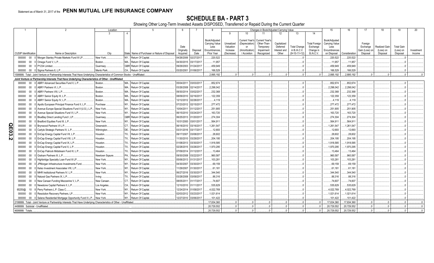**SCHEDULE BA - PART 3**<br>Showing Other Long-Term Invested Assets DISPOSED, Transferred or Repaid During the Current Quarter

|              |                             | 2                                                                                                                            | Location        |                | 5                                             |                       |            |                                 |            |                                  |                                      | Changes in Book/Adjusted Carrying Value |                     |                      | 15                              | 16            | 17             | 18            | 19                | 20         |
|--------------|-----------------------------|------------------------------------------------------------------------------------------------------------------------------|-----------------|----------------|-----------------------------------------------|-----------------------|------------|---------------------------------|------------|----------------------------------|--------------------------------------|-----------------------------------------|---------------------|----------------------|---------------------------------|---------------|----------------|---------------|-------------------|------------|
|              |                             |                                                                                                                              | $\mathcal{S}$   | $\overline{4}$ |                                               |                       |            |                                 | 9          | 10                               |                                      | 12                                      | 13                  | 14                   |                                 |               |                |               |                   |            |
|              |                             |                                                                                                                              |                 |                |                                               |                       |            |                                 |            |                                  |                                      |                                         |                     |                      |                                 |               |                |               |                   |            |
|              |                             |                                                                                                                              |                 |                |                                               |                       |            | Book/Adjusted<br>Carrying Value | Unrealized | Current Year's<br>(Depreciation) | <b>Current Year's</b><br>Other-Than- | Capitalized                             |                     | <b>Total Foreign</b> | Book/Adiusted<br>Carrying Value |               | Foreign        |               |                   |            |
|              |                             |                                                                                                                              |                 |                |                                               | Date                  |            | Less                            | Valuation  | or                               | Temporary                            | Deferred                                | <b>Total Change</b> | Exchange             | Less                            |               | Exchange       | Realized Gain | <b>Total Gain</b> |            |
|              |                             |                                                                                                                              |                 |                |                                               | Originally            | Disposal   | Encumbrances                    | Increase   | Amortization                     | Impairment                           | Interest and                            | in B./A.C.V.        | Change in            | Encumbrances                    |               | Gain (Loss) on | (Loss) on     | (Loss) on         | Investment |
|              | <b>CUSIP</b> Identification | Name or Description                                                                                                          | City            |                | State Name of Purchaser or Nature of Disposal | Acquired              | Date       | Prior Year                      | (Decrease) | / Accretion                      | Recognized                           | Other                                   | $(9+10-11+12)$      | <b>B./A.C.V.</b>     | on Disposal                     | Consideration | Disposal       | Disposal      | Disposal          | Income     |
|              | 000000<br>00                | Morgan Stanley Private Markets Fund III LP.                                                                                  | New York        | NY             | Return Of Capital.                            | 04/26/2006            | 02/27/2017 | .220,522                        |            |                                  |                                      |                                         |                     |                      | .220,522                        | .220,522      |                |               |                   |            |
|              | $00\,$<br>000000            | 0 Omega Fund V, L.P.                                                                                                         | Boston.         |                | MA., Return Of Capital.                       | 04/30/2015            | 03/17/2017 | .11.957                         |            |                                  |                                      |                                         |                     |                      | .11,957                         | .11,957       |                |               |                   |            |
|              | $00\,$<br>000000            | 0 P1234 Limited                                                                                                              | Guernsey        |                | GBR Return Of Capital.                        | 09/29/2003            | 01/24/2017 | .459.949                        |            |                                  |                                      |                                         |                     |                      | .459.949                        | 459.949       |                |               |                   |            |
|              |                             | 000000 00 0 Sigma Partners 6, L.P.                                                                                           | Menlo Park      |                | CA., Return Of Capital.                       | 03/20/2001 01/06/2017 |            | .166,529                        |            |                                  |                                      |                                         |                     |                      | .166.529                        | .166.529      |                |               |                   |            |
|              |                             | 599999. Total - Joint Venture or Partnership Interests That Have Underlying Characteristics of Common Stocks - Unaffiliated. |                 |                |                                               |                       |            | 2.895.192                       |            |                                  |                                      |                                         |                     |                      | .2.895.192                      | .2.895.192    |                |               |                   |            |
|              |                             | Joint Venture or Partnership Interests That Have Underlying Characteristics of Other - Unaffiliated                          |                 |                |                                               |                       |            |                                 |            |                                  |                                      |                                         |                     |                      |                                 |               |                |               |                   |            |
|              | 00<br>000000                | ABRY Advanced Securities Fund II, L.P.                                                                                       | Boston.         |                | MA Return Of Capital.                         | 05/04/2011            | 03/03/2017 | .852,674                        |            |                                  |                                      |                                         |                     |                      | .852,674                        | .852,674      |                |               |                   |            |
|              | $00\,$<br>000000            | ABRY Partners VI. L.P.                                                                                                       | Boston.         | MA.            | Return Of Capital.                            | 03/26/2008            | 02/14/2017 | 2,298,042                       |            |                                  |                                      |                                         |                     |                      | .2,298,042                      | .2,298,042    |                |               |                   |            |
|              | 00<br>000000                | ABRY Partners VIII, L.P.                                                                                                     | Boston.         |                | MA Return Of Capital.                         | 09/30/2014            | 03/02/2017 | .232,368                        |            |                                  |                                      |                                         |                     |                      | 232,368                         | 232,368       |                |               |                   |            |
|              | 000000<br>$00\,$            | ABRY Senior Equity III, L.P.                                                                                                 | Boston.         |                | MA Return Of Capital.                         | 08/09/2010            | 02/16/2017 | 122,359                         |            |                                  |                                      |                                         |                     |                      | 122,359                         | .122,359      |                |               |                   |            |
|              | 000000<br>$00\,$            | ABRY Senior Equity IV, L.P.                                                                                                  | Boston.         | MA.            | Return Of Capital.                            | 12/12/2012            | 02/28/2017 | 4,119                           |            |                                  |                                      |                                         |                     |                      | .4,119                          | .4,119        |                |               |                   |            |
|              | 000000<br>00                | Apollo European Principal Finance Fund II, L.P.                                                                              | Purchase        |                | NY Return Of Capital.                         | 07/23/2012            | 02/15/2017 | .277,472                        |            |                                  |                                      |                                         |                     |                      | .277,472                        | .277,472      |                |               |                   |            |
|              | 000000<br>00                | Avenue Europe Special Situations Fund II (U.S.), L.P.                                                                        | New York.       |                | NY Return Of Capital.                         | 10/04/2011            | 01/12/2017 | .251,905                        |            |                                  |                                      |                                         |                     |                      | 251,905                         | .251,905      |                |               |                   |            |
|              | 000000<br>00                | Avenue Special Situations Fund VI, L.P.                                                                                      | New York.       |                | NY Return Of Capital.                         | 06/15/2010            | 03/24/2017 | 163,720                         |            |                                  |                                      |                                         |                     |                      | .163,720                        | .163,720      |                |               |                   |            |
|              | 000000<br>$00\,$            | BlueBay Direct Lending Fund I, LP.                                                                                           | Guernsey        |                | GBR Return Of Capital.                        | 06/25/2013            | 01/20/2017 | .274,304                        |            |                                  |                                      |                                         |                     |                      | .274,304                        | .274,304      |                |               |                   |            |
|              | 000000<br>00                | Bradford Equities Fund III, L.P.                                                                                             | New York.       |                | NY., Return Of Capital.                       | 10/31/2000            | 03/01/2017 | .564,911                        |            |                                  |                                      |                                         |                     |                      | 564,911                         | .564,911      |                |               |                   |            |
| <b>QE03</b>  | 00<br>000000                | Brynwood Partners VI L.P.                                                                                                    | Greenwich.      | CT             | Return Of Capital.                            | 06/18/2010            | 03/16/2017 | 1,261,547                       |            |                                  |                                      |                                         |                     |                      | .1,261,547                      | 1,261,547     |                |               |                   |            |
|              | 000000<br>00                | Carlyle Strategic Partners IV, L.P.                                                                                          | Wilmington      | DE.            | Return Of Capital.                            | 03/31/2016            | 03/17/2017 | .12,693                         |            |                                  |                                      |                                         |                     |                      | 12,693                          | .12,693       |                |               |                   |            |
|              | 000000<br>00                | EnCap Energy Capital Fund VII, L.P.                                                                                          | Houston.        | TX             | Return Of Capital.                            | 09/17/2007            | 03/08/2017 | 28,602                          |            |                                  |                                      |                                         |                     |                      | 28,602                          | .28,602       |                |               |                   |            |
| $\mathbf{v}$ | 000000<br>00                | EnCap Energy Capital Fund VIII, L.P.                                                                                         | Houston.        | TX             | Return Of Capital.                            | 11/30/2010            | 03/29/2017 | .204,195                        |            |                                  |                                      |                                         |                     |                      | .204,195                        | .204,195      |                |               |                   |            |
|              | 000000<br>00                | EnCap Energy Capital Fund IX, L.P.                                                                                           | Houston.        | TX             | Return Of Capital.                            | 01/08/2013            | 03/30/2017 | 1,918,585                       |            |                                  |                                      |                                         |                     |                      | 1,918,585                       | 1,918,585     |                |               |                   |            |
|              | 000000<br>00                | EnCap Energy Capital Fund X, L.P.                                                                                            | Houston.        | TX             | Return Of Capital.                            | 02/28/2015            | 03/28/2017 | .1,970,295                      |            |                                  |                                      |                                         |                     |                      | 1,970,295                       | .1,970,295    |                |               |                   |            |
|              | 000000<br>00                | EnCap Flatrock Midstream Fund III, L.P.                                                                                      | Houston.        | TX.            | Return Of Capital.                            | 07/09/2014            | 01/12/2017 | .13,464                         |            |                                  |                                      |                                         |                     |                      | 13,464                          | 13,464        |                |               |                   |            |
|              | 000000<br>$00\,$            | Graham Partners III, L.P.                                                                                                    | Newtown Sgaure. | PA.            | Return Of Capital.                            | 09/30/2008            | 03/22/2017 | .960.587                        |            |                                  |                                      |                                         |                     |                      | .960.587                        | .960.587      |                |               |                   |            |
|              | 000000<br>00                | Highbridge Specialty Loan Fund III LP.                                                                                       | New York.       | NY             | Return Of Capital.                            | 05/06/2013            | 01/31/2017 | 103,281                         |            |                                  |                                      |                                         |                     |                      | 103,281                         | 103,281       |                |               |                   |            |
|              | 000000<br>00                | JPMorgan Infrastructure Investments Fund.                                                                                    | New York.       |                | NY Return Of Capital.                         | 04/30/2007            | 03/30/2017 | .69.159                         |            |                                  |                                      |                                         |                     |                      | 69,159                          | .69,159       |                |               |                   |            |
|              | 00<br>000000                | Kelso Investment Associates VIII, L.P.                                                                                       | New York        | NY.            | Return Of Capital.                            | 11/29/2007            | 01/30/2017 | .61,181                         |            |                                  |                                      |                                         |                     |                      | .61,181                         | .61,181       |                |               |                   |            |
|              | 00<br>000000                | MHR Institutional Partners IV, L.P.                                                                                          | New York.       | NY.            | Return Of Capital.                            | 06/27/2016            | 03/30/2017 | .344,540                        |            |                                  |                                      |                                         |                     |                      | .344.540                        | 344.540       |                |               |                   |            |
|              | $00\,$<br>000000            | Natural Gas Partners IX, L.P.                                                                                                | Irving.         | TX             | Return Of Capital.                            | 03/28/2008            | 03/09/2017 | .88,316                         |            |                                  |                                      |                                         |                     |                      | .88,316                         | .88,316       |                |               |                   |            |
|              | 000000<br>00                | New Canaan Funding Mezzanine V, L.P.                                                                                         | New Canaan.     | CT.            | Return Of Capital.                            | 08/05/2011            | 01/17/2017 | .74,607                         |            |                                  |                                      |                                         |                     |                      | .74,607                         | 74,607        |                |               |                   |            |
|              | 000000<br>00                | Newstone Capital Partners II, L.P.                                                                                           | Los Angeles     |                | CA Return Of Capital.                         | 12/10/2010            | 01/11/2017 | .535,629                        |            |                                  |                                      |                                         |                     |                      | 535,629                         | 535,629       |                |               |                   |            |
|              | 10<br>65250@                | Perry Partners L.P. Class C.                                                                                                 | New York.       | NY             | Return Of Capital.                            | 12/24/2014            | 01/09/2017 | 4,022,769                       |            |                                  |                                      |                                         |                     |                      | 4,022,769                       | .4,022,769    |                |               |                   |            |
|              | 000000<br>$00\,$            | Resolution Recovery Partners, LP.                                                                                            | New York.       |                | NY Return Of Capital.                         | 02/03/2012            | 03/23/2017 | .1,021,614                      |            |                                  |                                      |                                         |                     |                      | .1,021,614                      | 1,021,614     |                |               |                   |            |
|              | 000000                      | 00 0 Selene Residential Mortgage Opportunity Fund II L.P                                                                     | New York.       |                | NY Return Of Capital                          | 12/27/2010 03/06/2017 |            | .101.422                        |            |                                  |                                      |                                         |                     |                      | 101.422                         | 101.422       |                |               |                   |            |
|              |                             | 199999. Total - Joint Venture or Partnership Interests That Have Underlying Characteristics of Other - Unaffiliated          |                 |                |                                               |                       |            | 17,834,360                      | $\Omega$   |                                  | $\Omega$                             | $\Omega$                                | $\Omega$            |                      | 17,834,360                      | 17,834,360    | $0-1$          | $\Omega$      |                   |            |
|              |                             | 4499999. Subtotal - Unaffiliated                                                                                             |                 |                |                                               |                       |            | .20,729,552                     |            |                                  |                                      |                                         |                     |                      | .20,729,552                     | .20,729,552   | $\Omega$       | $\cap$        |                   |            |
|              | 4699999. Totals             |                                                                                                                              |                 |                |                                               |                       |            | 20,729,552                      | $\Omega$   |                                  |                                      |                                         | $\Omega$            |                      | .20,729,552                     | 20,729,552    | $\Omega$       | $\Omega$      |                   |            |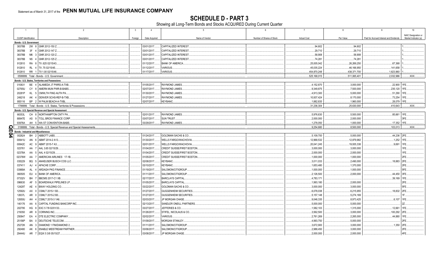**SCHEDULE D - PART 3**<br>Showing all Long-Term Bonds and Stocks ACQUIRED During Current Quarter

|   | $\overline{1}$                                  |                    | $\overline{2}$                                                        | $\overline{\mathbf{3}}$ | $\overline{4}$ | 5                                 | 6                         | $\overline{7}$     | 8            | -9                                      | 10                   |
|---|-------------------------------------------------|--------------------|-----------------------------------------------------------------------|-------------------------|----------------|-----------------------------------|---------------------------|--------------------|--------------|-----------------------------------------|----------------------|
|   |                                                 |                    |                                                                       |                         |                |                                   |                           |                    |              |                                         | NAIC Designation or  |
|   | CUSIP Identification                            |                    | Description                                                           | Foreign                 | Date Acquired  | Name of Vendor                    | Number of Shares of Stock | <b>Actual Cost</b> | Par Value    | Paid for Accrued Interest and Dividends | Market Indicator (a) |
|   | Bonds - U.S. Government                         |                    |                                                                       |                         |                |                                   |                           |                    |              |                                         |                      |
|   | 38378B                                          | 2W 8               | GNR 2012-150 Z                                                        |                         | 03/01/2017.    | <b>CAPITALIZED INTEREST</b>       |                           | .94,602            | .94,602      |                                         |                      |
|   | 38378B                                          | 3F                 | GNR 2012-147 Z.                                                       |                         | 03/01/2017.    |                                   | .29,710                   | 29,710             |              |                                         |                      |
|   | 38378B                                          |                    | M6 3 GNR 2012-120 Z.                                                  |                         | 03/01/2017.    | <b>CAPITALIZED INTEREST</b>       |                           | .58,908            | 58,908       |                                         |                      |
|   | 38378B                                          | N <sub>5</sub> 4   | GNR 2012-125 Z.                                                       |                         | 03/01/2017.    | <b>CAPITALIZED INTEREST</b>       |                           | 74,281             | .74,281      |                                         |                      |
|   | 912810                                          |                    | RA 8 TII .625 02/15/43.                                               |                         | 01/12/2017.    | <b>BANK OF AMERICA</b>            |                           | .25,005,042        | 26,269,250   | 67,368                                  |                      |
|   | 912810                                          | <b>RL</b>          | 4 TIL.75 02/15/45.                                                    |                         | 01/12/2017.    | VARIOUS.                          |                           | .45,035,224        | .46,166,950  | 141,658                                 |                      |
|   | 912810                                          |                    | RR 1 TII 1.00 02/15/46.                                               |                         | 01/17/2017.    | VARIOUS.                          |                           | .454,870,248       | .438,371,700 | .1.823.960                              |                      |
|   |                                                 |                    | 0599999. Total - Bonds - U.S. Government                              |                         |                |                                   |                           | .525,168,015       | 511,065,401  | .2,032,986                              | XXX.                 |
|   |                                                 |                    | Bonds - U.S. States, Territories and Possessions                      |                         |                |                                   |                           |                    |              |                                         |                      |
|   | 010831                                          |                    | BE 4 ALAMEDA JT PWRS-A-TXB                                            |                         | 01/05/2017.    | RAYMOND JAMES.                    |                           | 4,152,870          | .3,000,000   | 22,900 1FE.                             |                      |
|   | 02765U                                          | CY 8               | AMERN MUN PWR-B-BABS                                                  |                         | 02/07/2017.    | RAYMOND JAMES.                    |                           | 9,349,875          | .7,500,000   | .235,120                                | 1FE.                 |
|   | 20281P                                          | KL                 | CMWLTH FING AUTH PA.                                                  |                         | 01/30/2017.    | RAYMOND JAMES.                    |                           | .4,913,300         | .5,000,000   | .51,290                                 | 1FE.                 |
|   |                                                 | -5                 |                                                                       |                         |                |                                   |                           |                    |              |                                         |                      |
|   | 249218                                          |                    | AK 4 DENVER SCHS-REF-B-TXB                                            |                         | 01/27/2017.    | RAYMOND JAMES.                    |                           | 10,937,424         | .8,170,000   | 73,254                                  | 1FE.                 |
|   | 955116                                          |                    | BP 2 W PALM BEACH-A-TXBL                                              |                         | 02/07/2017.    | KEYBANC.                          |                           | 1,882,835          | .1,960,000   | 28,079                                  | 1FE.                 |
|   |                                                 |                    | 1799999. Total - Bonds - U.S. States, Territories & Possessions.      |                         |                |                                   |                           | .31,236,304        | 25,630,000   | .410,643                                | $\ldots$ XXX         |
|   |                                                 |                    | Bonds - U.S. Special Revenue and Special Assessment                   |                         |                |                                   |                           |                    |              |                                         |                      |
|   | 66353L                                          |                    | CH 8 NORTHAMPTON CNTY PA.                                             |                         | 02/01/2017.    | RAYMOND JAMES.                    |                           | 5,976,630          | .5,500,000   | .85,661                                 | 1FE.                 |
|   | 88947E                                          |                    | AS 9   TOLL BROS FINANCE CORP.                                        |                         | 03/07/2017.    | <b>SUN TRUST</b>                  |                           | .2,000,000         | .2,000,000   |                                         | 3FE.                 |
|   | 93976A                                          |                    | AH 5 WA ST CONVENTION-BABS                                            |                         | 03/29/2017.    | RAYMOND JAMES.                    |                           | .1,278,050         | 1,000,000    | .17,352                                 | 1FE.                 |
| O |                                                 |                    | 3199999. Total - Bonds - U.S. Special Revenue and Special Assessments |                         |                |                                   |                           | 9,254,680          | .8,500,000   | 103,013                                 | XXX.                 |
|   | <b>TTI</b> Bonds - Industrial and Miscellaneous |                    |                                                                       |                         |                |                                   |                           |                    |              |                                         |                      |
| 5 | 002824                                          |                    | BH 2 ABBOTT LABS.                                                     |                         | 01/24/2017.    | <b>GOLDMAN SACHS &amp; CO.</b>    |                           | 5,109,700          | .5,000,000   | .44,236 2FE.                            |                      |
|   | 00841U                                          | AN<br>6            | ABMT 2014-2 A13.                                                      |                         | 01/30/2017.    | WELLS FARGO/WACHOVIA              |                           | 12,968,532         | .12,879,982  | .1,252                                  | 1FE.                 |
|   | 00842C                                          | AC                 | ABMT 2015-7 A3.                                                       |                         | 02/01/2017.    | WELLS FARGO/WACHOVIA.             |                           | .20,041,245        | 19,935,338   | 9,691                                   | 1FE.                 |
|   | 023761                                          |                    | AA 7 AAL 3.65 02/15/29.                                               |                         | 01/04/2017.    | <b>CREDIT SUISSE/FIRST BOSTON</b> |                           | .3,000,000         | .3,000,000   |                                         | 1FE.                 |
|   | 02378A                                          |                    | AA 5 AAL 4 02/15/29.                                                  |                         | 01/04/2017.    | CREDIT SUISSE/FIRST BOSTON        |                           | .2,000,000         | .2,000,000   |                                         | IFE.                 |
|   | 02378W                                          |                    | AA 7 AMERICAN AIRLINES 17-1B.                                         |                         | 01/05/2017.    | <b>CREDIT SUISSE/FIRST BOSTON</b> |                           | .1,000,000         | 1,000,000    |                                         | 2FE.                 |
|   | 035229                                          |                    | BQ 5 ANHEUSER BUSCH COS LLC.                                          |                         | 02/08/2017.    | <b>KEYBANC.</b>                   |                           | 3,011,033          | .2,490,000   | .18,883                                 | 2FE                  |
|   | 037411                                          | AJ                 | APACHE CORP                                                           |                         | 03/10/2017.    | KEYBANC.                          |                           | 1,653,480          | .1,370,000   |                                         | 2FE.                 |
|   | 03969A                                          | AL                 | ARDAGH PKG FINANCE.                                                   |                         | 01/19/2017.    | SALOMON/CITIGROUP                 |                           | 1,000,000          | 1,000,000    |                                         | 5FE.                 |
|   | 060505                                          |                    | EU 4 BANK OF AMERICA.                                                 |                         | 01/11/2017.    | SALOMON/CITIGROUP                 |                           | .2,126,500         | .2,000,000   | .44,450                                 | 3FE                  |
|   | 07332V                                          | BH                 | BBCMS 2017-C1 XB.                                                     |                         | 02/17/2017.    | <b>BARCLAYS CAPITAL</b>           |                           | .4,783,17'         |              | .39,169                                 | 1FE                  |
|   | 096630                                          | AF                 | 5 BOARDWALK PIPELINES LP.                                             |                         | 01/05/2017.    | <b>BARCLAYS CAPITAL</b>           |                           | 1,993,180          | .2,000,000   |                                         | 2FE.                 |
|   | 12429T                                          | AE                 | <b>BWAY HOLDING CO.</b>                                               |                         | 03/22/2017.    | GOLDMAN SACHS & CO.               |                           | .3,000,000         | .3,000,000   |                                         | 5FE                  |
|   |                                                 | AX 0               |                                                                       |                         | 01/27/2017.    | <b>GUGGENHEIM SECURITIES</b>      |                           |                    |              |                                         | 2FE                  |
|   | 12592U                                          |                    | CSMLT 2015-1 B3.                                                      |                         |                |                                   |                           | 6,078,038          | .6,215,955   | .18,832                                 |                      |
|   | 12637L                                          | AR 0               | CSMLT 2015-2 B3.                                                      |                         | 01/27/2017.    | <b>GUGGENHEIM SECURITIES</b>      |                           | .5, 157, 148       | .5,274,169   |                                         |                      |
|   | 12650U                                          | AH<br>$\mathbf{A}$ | CSMLT 2015-3 1A6.                                                     |                         | 02/03/2017.    | JP MORGAN CHASE.                  |                           | 9,046,335          | .8,973,425   | .6,107                                  | 1FE                  |
|   | 140176                                          | AA                 | 6 CAPITAL FUNDING BANCORP INC                                         |                         | 02/13/2017.    | SANDLER ONEILL PARTNERS           |                           | .5,000,000         | .5,000,000   |                                         |                      |
|   | 202795                                          | HG 8               | EXC 5 7/8 02/01/33.                                                   |                         | 03/27/2017.    | JEFFERIES & CO.,                  |                           | .1,582,103         | 1,315,000    | .12,661                                 | 1FE.                 |
|   | 219350                                          | AR 6               | <b>CORNING INC</b>                                                    |                         | 01/26/2017.    | STIFEL, NICOLAUS & CO.            |                           | .3,562,500         | .3,000,000   | 100,292                                 | 2FE                  |
|   | 250847                                          | EA                 | DTE ELECTRIC COMPANY.                                                 |                         | 02/02/2017.    | VARIOUS.                          |                           | 2,761,269          | .2,265,000   | .44,880                                 | 1FE.                 |
|   | 25156P                                          | BA                 | 0 DEUTSCHE TELECOM.                                                   |                         | 01/09/2017.    | MORGAN STANLEY.                   |                           | .4,993,750         | .5,000,000   |                                         | 2FE.                 |
|   | 25272K                                          | AN                 | DIAMOND 1 FIN/DIAMOND 2.                                              |                         | 01/11/2017.    | SALOMON/CITIGROUP.                |                           | 3,672,900          | .3,000,000   | .1,350                                  | 2FE                  |
|   | 292480                                          |                    | AK 6 ENABLE MIDSTREAM PARTNER.                                        |                         | 03/06/2017.    | SALOMON/CITIGROUP                 |                           | 2,988,450          | .3,000,000   |                                         | 2FE.                 |
|   | 29444U                                          |                    | AR 7 EQIX 5 3/8 05/15/27.                                             |                         | 03/08/2017.    | JP MORGAN CHASE.                  |                           | .2.000.000         | .2.000.000   |                                         | 4FF                  |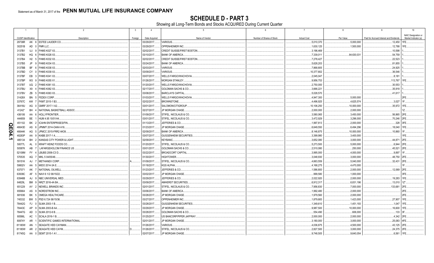**SCHEDULE D - PART 3**<br>Showing all Long-Term Bonds and Stocks ACQUIRED During Current Quarter

|                  | $\overline{1}$       |           | $\overline{2}$                                  | $\overline{\mathbf{3}}$ | $\overline{4}$ | $5\overline{5}$                   | 6                         | $\overline{7}$     | 8           | -9                                      | 10                   |
|------------------|----------------------|-----------|-------------------------------------------------|-------------------------|----------------|-----------------------------------|---------------------------|--------------------|-------------|-----------------------------------------|----------------------|
|                  |                      |           |                                                 |                         |                |                                   |                           |                    |             |                                         | NAIC Designation or  |
|                  | CUSIP Identification |           | Description                                     | Foreign                 | Date Acquired  | Name of Vendor                    | Number of Shares of Stock | <b>Actual Cost</b> | Par Value   | Paid for Accrued Interest and Dividends | Market Indicator (a) |
|                  | 29736R               |           | <b>ESTEE LAUDER CO.</b><br>AK 6                 |                         | 03/29/2017.    | <b>VARIOUS.</b>                   |                           | .5,010,370         | .5,000,000  | .12,450                                 | 1FE                  |
|                  | 30251B               | AD        | FMR LLC<br>$\overline{0}$                       |                         | 03/29/2017.    | OPPENHEIMER INC.                  |                           | .1,630,125         | .1,500,000  | .12,788                                 | 1FE                  |
|                  | 3137B1               | UJ        | <b>FHMS K027 X3.</b><br>-9                      |                         | 02/02/2017.    | <b>CREDIT SUISSE/FIRST BOSTON</b> |                           | .3,196,469         |             | .10,598                                 |                      |
|                  | 3137B2               |           | FHMS K028 X3.<br>HQ 6                           |                         | 03/10/2017.    | <b>BANK OF AMERICA.</b>           |                           | 7,339,011          | 84,630,031  | 54,759                                  |                      |
|                  | 3137B4               |           | H <sub>2</sub> 5<br>FHMS K032 X3.               |                         | 02/02/2017.    | CREDIT SUISSE/FIRST BOSTON.       |                           | 7,278,427          |             | .22,523                                 |                      |
|                  | 3137B5               | JP        | FHMS K034 X3.<br><b>q</b>                       |                         | 03/24/2017.    | <b>BANK OF AMERICA.</b>           |                           | .5,628,203         |             | 81,855                                  |                      |
|                  | 3137BB               | BF        | <b>FHMS K038 X3.</b><br>- 6                     |                         | 02/03/2017.    | <b>VARIOUS.</b>                   |                           | .7,868,805         |             | 24,925                                  |                      |
|                  | 3137BD               | CY        | FHMS K039 X3.<br>$\overline{0}$                 |                         | 03/09/2017.    | VARIOUS.                          |                           | 10,377,802         |             | .36,546                                 |                      |
|                  | 3137BF               |           | EB 3<br>FHMS K041 X3.                           |                         | 03/07/2017.    | <b>WELLS FARGO/WACHOVIA</b>       |                           | .2,045,047         |             | .8,181                                  |                      |
|                  | 3137BP               |           | W3 9<br>FHMS K055 X1                            |                         | 01/26/2017.    | <b>MORGAN STANLEY</b>             |                           | 9,956,753          |             | 113,767                                 |                      |
|                  | 3137BT               |           | UQ 2<br>FHMS K061 X3.                           |                         | 01/20/2017.    | WELLS FARGO/WACHOVIA              |                           | .2,750,000         |             | 30,553                                  |                      |
|                  | 3137BU               | X9        | FHMS K062 X3.<br>$\mathbf{A}$                   |                         | 02/17/2017.    | <b>GOLDMAN SACHS &amp; CO</b>     |                           | .3,666,221         |             | .35,918                                 |                      |
|                  | 3137BV               | ZB        | <b>FHMS K063 X3.</b><br>- 5                     |                         | 03/08/2017.    | <b>BARCLAYS CAPITAL</b>           |                           | .5,028,570         |             | .41,617                                 |                      |
|                  | 31428X               | <b>BN</b> | <b>FEDEX CORP.</b><br>- 5                       |                         | 01/03/2017.    | WELLS FARGO/WACHOVIA              |                           | .4,947,300         | .5,000,000  |                                         | 2FE                  |
|                  |                      |           |                                                 |                         |                |                                   |                           |                    |             |                                         |                      |
|                  | 33767C               | AW        | FKMT 2015-1 B3.                                 |                         | 02/02/2017.    | BROWNSTONE                        |                           | .4,496,925         | .4,625,574  | .3,027                                  |                      |
|                  | 36416U               | AG        | GMRF 2017-1 A2.<br>$\Omega$                     |                         | 03/01/2017.    | SALOMON/CITIGROUP.                |                           | 10,106,250         | .10,000,000 | .35,972                                 | 1FE                  |
|                  | 41242*               | <b>BH</b> | NATIONAL BASKETBALL ASSOC                       |                         | 02/27/2017.    | JP MORGAN CHASE.                  |                           | .2,000,000         | .2,000,000  |                                         |                      |
|                  | 436106               | AA        | HOLLYFRONTIER.<br>- 6                           |                         | 01/09/2017.    | STIFEL, NICOLAUS & CO.            |                           | .3,580,065         | .3,450,000  | .56,865 2FE.                            |                      |
|                  | 444859               | BE        | HUM 4.95 10/01/44.                              |                         | 03/01/2017.    | STIFEL, NICOLAUS & CO.            |                           | .3,472,929         | .3,296,000  | .70,246 2FE.                            |                      |
| O                | 451102               | BK.       | <b>ICAHN ENTERPRISES/FIN.</b><br>$\overline{2}$ |                         | 01/13/2017.    | JEFFERIES & CO.                   |                           | .1,997,813         | .2,000,000  | .328                                    | 3FE                  |
| m                | 46643D               | AS        | 6 JPMMT 2014-OAK4 A16.                          |                         | 01/23/2017.    | JP MORGAN CHASE.                  |                           | .6,649,550         | .6,494,296  | 18,040                                  | 1FE.                 |
| $\ddot{\bullet}$ | 46644K               | AG        | 5 JPMCC 2015-FRR2 AK39.                         |                         | 02/09/2017.    | <b>BANK OF AMERICA.</b>           |                           | 8,146,875          | .10,000,000 | .10,860                                 | 1F                   |
| Ā.               | 48283P               | AA        | KABB 2017-1 A.<br>-9                            |                         | 03/07/2017.    | <b>GUGGENHEIM SECURITIES</b>      |                           | .3,399,980         | .3,400,000  |                                         | 1FE.                 |
| د                | 485134               | <b>BH</b> | KANSAS CITY POWER & LIGHT.<br>2                 |                         | 02/09/2017.    | KEYBANC                           |                           | .3,652,080         | .3,000,000  | .44,871                                 | 2FE.                 |
|                  | 50077L               | AL        | KRAFT HEINZ FOODS CO.                           |                         | 01/20/2017.    | STIFEL, NICOLAUS & CO.            |                           | .5,273,500         | .5,000,000  | .6,944                                  | 2FE                  |
|                  | 50587K               | AB        | LAFARGEHOLCIM FINANCE US                        |                         | 03/01/2017.    | GOLDMAN SACHS & CO.               |                           | .2,510,080         | 250,000     | .45,521                                 | 2FE                  |
|                  | 52108M               | <b>FY</b> | LBUBS 2006-C3 D.                                |                         | 03/22/2017.    | <b>BROADCORT CAPITAL</b>          |                           | .3,995,000         | .4,000,000  | .9,897                                  |                      |
|                  | 570535               | AQ        | MKL 5 04/05/46.<br>$\overline{7}$               |                         | 01/30/2017.    | HIGHTOWER                         |                           | .3,048,930         | .3,000,000  | .48,750                                 | 2FE                  |
|                  | 59151K               | AJ        | METHANEX CORP.                                  |                         | 01/09/2017.    | STIFEL, NICOLAUS & CO.            |                           | .4,663,559         | .5,040,000  | .32,431                                 | 2FE                  |
|                  | 59802V               | AA        | MIDO 2014-3A E                                  |                         | 01/18/2017.    | KGS ALPHA                         |                           | .4,168,275         | .4,470,000  |                                         |                      |
|                  | 637071               | AK        | 7 NATIONAL OILWELL                              |                         | 01/23/2017.    | JEFFERIES & CO.                   |                           | 1,586,800          | .2,000,000  | 12,069                                  | 2FE                  |
|                  | 63938C               | AF        | 5 NAVI 6 1/2 06/15/22.                          |                         | 03/02/2017.    | JP MORGAN CHASE.                  |                           | .999,580           | .1,000,000  |                                         | 3FE.                 |
|                  | 63946B               | AJ        | NBC UNIVERSAL MED<br>- 9                        |                         | 03/29/2017.    | JEFFERIES & CO.                   |                           | .2,022,920         | .2,000,000  | .19,283                                 | 1FE.                 |
|                  | 64829L               | BM        | 9 NRZT 2016-4A B4.                              |                         | 03/09/2017.    | <b>AMHERST SECURITIES</b>         |                           | .6,912,317         | .6,831,196  | .13,010                                 | $1Z^*$               |
|                  |                      | AY        |                                                 |                         |                |                                   |                           |                    |             |                                         | 2FE                  |
|                  | 651229               |           | 2 NEWELL BRANDS INC.                            |                         | 02/01/2017.    | STIFEL, NICOLAUS & CO.            |                           | .7,956,830         | .7,000,000  | 133,681                                 |                      |
|                  | 655664               | AS        | NORDSTROM INC.<br>q                             |                         | 03/06/2017.    | <b>BANK OF AMERICA</b>            |                           | 1,992,480          | .2,000,000  |                                         | 2FE.                 |
|                  | 681936               | BK        | OMEGA HEALTHCARE                                |                         | 03/28/2017.    | JP MORGAN CHASE.                  |                           | .1,979,560         | .2,000,000  |                                         | 2FE.                 |
|                  | 745332               | <b>BW</b> | PSD 6.724 06/15/36<br>- 5                       |                         | 03/27/2017.    | OPPENHEIMER INC.                  |                           | 1,879,683          | 1,423,000   | 27,907                                  | 1FE.                 |
|                  | 78442G               | FJ.       | SLMA 2003-1 B.<br>$\overline{0}$                |                         | 03/28/2017.    | <b>GUGGENHEIM SECURITIES</b>      |                           | .1,349,610         | 1,451,193   | .1,047                                  | 1FE.                 |
|                  | 78443C               | AP        | <b>SLMA 2003-B A4</b><br>q                      |                         | 03/29/2017.    | JP MORGAN CHASE                   |                           | .9,987,500         | .10,000,000 | 16,600                                  | 1FE                  |
|                  | 78447G               | AD        | SLMA 2012-6 B.<br>3                             |                         | 03/28/2017.    | GOLDMAN SACHS & CO.               |                           | .554,490           | 606,000     | .133                                    | 3F                   |
|                  | 80586L               | AC        | SCALA 2016-1 B.                                 |                         | 01/25/2017.    | US BANCORP/PIPER JAFFRAY.         |                           | .2,000,000         | .2,000,000  | .4,342 2FE                              |                      |
|                  | 80874Y               | AR        | SCIENTIFIC GAMES INTERNATIONAL                  |                         | 02/01/2017.    | <b>JP MORGAN CHASE</b>            |                           | .3,180,000         | .3,000,000  | .25,083                                 | 4FE.                 |
|                  | 81180W               | AN        | SEAGATE HDD CAYMAN.                             |                         | 01/26/2017.    | VARIOUS.                          |                           | .4,036,875         | .4,500,000  | .43,125                                 | 2FE                  |
|                  | 81180W               |           | AR 2<br><b>SEAGATE HDD CAYM.</b>                |                         | 01/26/2017.    | STIFEL, NICOLAUS & CO.            |                           | .2,827,500         | .3,000,000  | .24,375                                 | 2FE                  |
|                  | 81745Q               |           | AA 0<br>SEMT 2015-1 A1.                         |                         | 02/07/2017.    | JP MORGAN CHASE.                  |                           | .9,748,505         | .9,640,054  | .6,561                                  | 1FE.                 |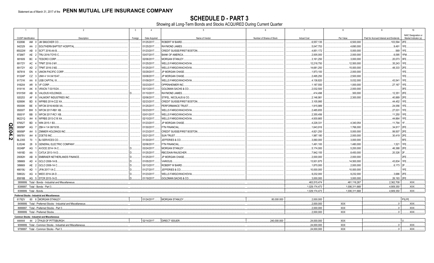**SCHEDULE D - PART 3**<br>Showing all Long-Term Bonds and Stocks ACQUIRED During Current Quarter

|      | $\overline{1}$       | $\overline{2}$                                                    | $\overline{\mathbf{3}}$ | $\overline{4}$ | 5                                  | ჩ.                        | $\overline{7}$     | 8              | $\mathbf{q}$                            | 10 <sup>1</sup>      |
|------|----------------------|-------------------------------------------------------------------|-------------------------|----------------|------------------------------------|---------------------------|--------------------|----------------|-----------------------------------------|----------------------|
|      |                      |                                                                   |                         |                |                                    |                           |                    |                |                                         | NAIC Designation or  |
|      | CUSIP Identification | Description                                                       | Foreign                 | Date Acquired  | Name of Vendor                     | Number of Shares of Stock | <b>Actual Cost</b> | Par Value      | Paid for Accrued Interest and Dividends | Market Indicator (a) |
|      | 832696               | <b>JM SMUCKER CO.</b><br>AM 0                                     |                         | 01/25/2017     | ROBERT W BAIRD.                    |                           | .6,557,135         | .6,500,000     | 103,594                                 | 2FE                  |
|      | 842329               | 2 SOUTHERN BAPTIST HOSPITAL<br>AA                                 |                         | 01/25/2017     | RAYMOND JAMES.                     |                           | 5,047,753          | .4,690,000     | .9,491                                  | 1FE                  |
|      | 85022W               | AB<br><b>SCFT 2016-AA B.</b><br>$\overline{0}$                    |                         | 01/23/2017     | CREDIT SUISSE/FIRST BOSTON         |                           | .4,851,172         | .5,000,000     | .569                                    | 1FE                  |
|      | 87266T               | AE 2 TRU 2016-TOYS C.                                             |                         | 03/07/2017     | <b>BANK OF AMERICA</b>             |                           | .2,005,000         | .2,000,000     | .6,095                                  | 1FM                  |
|      | 881609               | <b>BC</b><br>TESORO CORP.                                         |                         | 02/06/2017     | MORGAN STANLEY.                    |                           | .3,161,250         | .3,000,000     | .20,073 3FE.                            |                      |
|      | 89172Y               | AC<br>TPMT 2016-3 M1<br>$\mathbf{A}$                              |                         | 01/25/2017     | <b>NELLS FARGO/WACHOVIA</b>        |                           | 12,218,750         | .12,500,000    | .35,243 1FE.                            |                      |
|      | 89172Y               | AD<br>2 TPMT 2016-3 M2.                                           |                         | 01/25/2017     | <b>WELLS FARGO/WACHOVIA</b>        |                           | 14,681,250         | 15,000,000     | 48,333                                  | 2FE                  |
|      | 907818               | EN<br><b>UNION PACIFIC CORP</b>                                   |                         | 03/29/2017     | JP MORGAN CHASE.                   |                           | .1,973,100         | .2,000,000     |                                         | 1FE.                 |
|      | 91324P               | CZ<br>3 UNH 4 1/4 04/15/47                                        |                         | 03/08/2017     | JP MORGAN CHASE.                   |                           | 2,495,250          | 2,500,000      |                                         | 1FE.                 |
|      | 91731K               | AA 8 USB CAPITAL IX.                                              |                         | 01/09/2017     | <b>WELLS FARGO/WACHOVIA</b>        |                           | .4,138,820         | 5,032,000      | .43,541                                 | 1FE.                 |
|      | 918204               | AR 9 VF CORP.                                                     |                         | 03/23/2017     | OPPENHEIMER INC.                   |                           | .1,187,550         | .1,000,000     | .27,167                                 | 1FE                  |
|      | 91911K               | AK<br>VRXCN 7 03/15/24.<br>- 8                                    |                         | 03/13/2017     | <b>GOLDMAN SACHS &amp; CO.</b>     |                           | .2,032,500         | .2,000,000     |                                         | 3FE                  |
|      | 91915W               | AB<br>8 VALIDUS HOLDINGS.                                         |                         | 01/10/2017     | RAYMOND JAMES.                     |                           | 414,498            | 300,000        | .12,351                                 | 2FE                  |
|      | 920253               | 8 VALMONT INDUSTRIES INC<br>AF                                    |                         | 02/06/2017     | STIFEL. NICOLAUS & CO.             |                           | .2,146,981         | .2,300,000     | 40,889                                  | 2FE                  |
|      | 92890K               | <b>BD</b><br>WFRBS 2014-C22 XA.<br>- 6                            |                         | 02/23/2017     | CREDIT SUISSE/FIRST BOSTON         |                           | 3,105,995          |                | .44,452                                 | 1FE.                 |
|      | 95000K               | <b>BE</b><br>4 WFCM 2016-NXS6 XA                                  |                         | 01/25/2017     | PERFORMANCE TRUST                  |                           | .1,915,989         |                | .24,056                                 | 1FE                  |
|      | 95000T               | 5 WFCM 2017-RB1 XB.<br><b>BW</b>                                  |                         | 03/23/2017     | <b><i>NELLS FARGO/WACHOVIA</i></b> |                           | .2,485,655         |                | .27,031                                 | 1FE.                 |
|      | 95001F               | 0 WFCM 2017-RC1 XB<br>BB                                          |                         | 03/01/2017     | <b>WELLS FARGO/WACHOVIA</b>        |                           | .2,355,456         |                | .11,250                                 | 1FE                  |
|      | 96221Q               | WFRBS 2013-C18 XA<br>AH<br>- 6                                    |                         | 02/10/2017     | WELLS FARGO/WACHOVIA               |                           | .4,930,665         |                | .44,664                                 | 1FE                  |
|      | 97652T               | <b>BD</b><br>WIN 2015-1 B3.<br>$\mathbf{A}$                       |                         | 01/23/2017     | JP MORGAN CHASE.                   |                           | 4,228,331          | .4,340,054     | .11,794                                 | 1F.                  |
| Q    | 98956P               | 7 ZBH 4 1/4 08/15/35.<br>AG                                       |                         | 01/30/2017     | <b>FTN FINANCIAL</b>               |                           | .1,643,916         | .1,766,000     | .34,817                                 | 2FE                  |
| m    |                      |                                                                   |                         |                |                                    |                           |                    |                |                                         |                      |
| 24.2 | 98956P               | AH<br>5 ZIMMER HOLDINGS INC.                                      |                         | 01/23/2017     | CREDIT SUISSE/FIRST BOSTON         |                           | 4,821,250          | .5,000,000     | .99,507                                 | 2FE                  |
|      | 98978V               | AH 6<br>ZOETIS INC.                                               |                         | 03/21/2017     | SUN TRUST.                         |                           | .1,987,180         | .2,000,000     | .30,419                                 | 2FE                  |
|      | <b>BL2355</b>        | <b>BJ SERVICES CO</b><br>70                                       |                         | 01/30/2017     | JEFFERIES & CO.                    |                           | .3,060,000         | .3,000,000     |                                         | 5FE                  |
|      | EJ5246               | 9 GENERAL ELECTRIC COMPANY<br>28                                  |                         | 02/06/2017     | <b>FTN FINANCIAL</b>               |                           | .1,491,100         | .1,480,000     | .1,521                                  | 1FE                  |
|      | 00248P               | AVOCE 2014-1A C.<br>AG                                            |                         | 03/24/2017     | <b>MORGAN STANLEY.</b>             |                           | .5,174,000         | .5,200,000     | .46,388                                 | 2FE                  |
|      | 14918D               | AA<br>CATLK 2013-1A D.,                                           |                         | 01/25/2017     | <b>RBC/DAIN RAUSCHER</b>           |                           | 7,942,155          | .8,450,000     | .20,326                                 | 2F                   |
|      | 29082H               | AB<br><b>EMBRAER NETHERLANDS FINANCE</b><br>-8                    |                         | 01/25/2017     | <b>JP MORGAN CHASE</b>             |                           | .2,000,000         | .2,000,000     |                                         | 2FE                  |
|      | 389669               | AD<br>GCLO 2006-1A B.<br>$\mathbf{A}$                             |                         | 01/05/2017     | VARIOUS.                           |                           | 13,931,875         | .14,500,000    | .43,834                                 | 1FE                  |
|      | 389669               | AE 2 GCLO 2006-1A C.                                              |                         | 03/13/2017     | ROBERT W BAIRD.                    |                           | 1,870,000          | .2,000,000     | .6,173                                  | 12F.                 |
|      | 46619U               | AD<br>1 JFIN 2017-1A C.                                           |                         | 01/27/2017     | JEFFERIES & CO.                    |                           | 10,000,000         | .10,000,000    |                                         | 1FE.                 |
|      | 59802U               | AG 4 MIDO 2014-3A D                                               |                         | 01/23/2017     | <b>WELLS FARGO/WACHOVIA</b>        |                           | 9,232,000          | 9,232,000      | 3,686 2FE.                              |                      |
|      |                      | 85816B AG 5 STCR 2015-1A D.                                       |                         | 01/19/2017     | <b>GOLDMAN SACHS &amp; CO.</b>     |                           | .3,000,000         | .3,000,000     | 26,193 2FE                              |                      |
|      |                      | 3899999. Total - Bonds - Industrial and Miscellaneous             |                         |                |                                    |                           | 463,515,474        | 461,116,267    | 2,362,708                               | XXX.                 |
|      |                      | 8399997. Total - Bonds - Part 3                                   |                         |                |                                    |                           | 1.029.174.473      | .1.006.311.668 | 4.909.350                               | .XXX.                |
|      |                      | 8399999. Total - Bonds.                                           |                         |                |                                    |                           | .1,029,174,473     | 1,006,311,668  | .4,909,350                              | .XXX.                |
|      |                      | Preferred Stocks - Industrial and Miscellaneous                   |                         |                |                                    |                           |                    |                |                                         |                      |
|      |                      | 61762V 60 6 MORGAN STANLEY.                                       |                         | 01/24/2017.    | <b>MORGAN STANLEY</b>              | 80,000.000                | .2,000,000         |                |                                         | P3LFE.               |
|      |                      | 8499999. Total - Preferred Stocks - Industrial and Miscellaneous. |                         |                |                                    |                           | 0.2,000,000        | XXX            | $\mathbf{0}$                            | XXX.                 |
|      |                      | 8999997. Total - Preferred Stocks - Part 3.                       |                         |                |                                    |                           | 2,000,000          | XXX            | 0                                       | XXX.                 |
|      |                      | 8999999. Total - Preferred Stocks                                 |                         |                |                                    |                           | .2,000,000         | <b>XXX</b>     | .0 <sub>1</sub>                         | .XXX.                |
|      |                      | <b>Common Stocks - Industrial and Miscellaneous</b>               |                         |                |                                    |                           |                    |                |                                         |                      |
|      |                      | 444444 44 2 FHLB OF PITTSBURGH.                                   |                         | 02/14/2017     | <b>DIRECT ISSUER</b>               | .240,000.000              | .24.000.000        | <b>XXX</b>     |                                         |                      |
|      |                      | 9099999. Total - Common Stocks - Industrial and Miscellaneous.    |                         |                |                                    |                           | 24.000.000         | <b>XXX</b>     | $0 \ldots$                              | .XXX.                |
|      |                      | 9799997. Total - Common Stocks - Part 3.                          |                         |                |                                    |                           | .24.000.000        | <b>XXX</b>     | $0$ .                                   | XXX.                 |
|      |                      |                                                                   |                         |                |                                    |                           |                    |                |                                         |                      |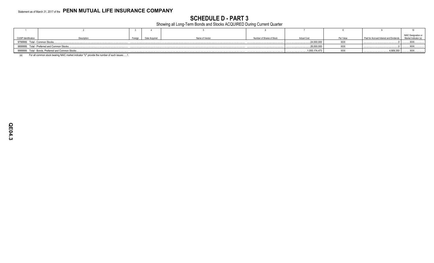**SCHEDULE D - PART 3**<br>Showing all Long-Term Bonds and Stocks ACQUIRED During Current Quarter

|                                |                                                     |         |               |                |                           |                    |           |                                         | NAIC Designation or  |
|--------------------------------|-----------------------------------------------------|---------|---------------|----------------|---------------------------|--------------------|-----------|-----------------------------------------|----------------------|
| CUSIP Identification           | Description                                         | Foreign | Date Acquired | Name of Vendor | Number of Shares of Stock | <b>Actual Cost</b> | Par Value | Paid for Accrued Interest and Dividends | Market Indicator (a) |
| 9799999. Total - Common Stocks |                                                     |         |               |                |                           | 24,000,000         |           |                                         | $\ldots$ XXX         |
|                                | 9899999. Total - Preferred and Common Stocks        |         |               |                |                           | 26,000,000         | ᄉᄉ        |                                         | XXX                  |
|                                | 9999999. Total - Bonds, Preferred and Common Stocks |         |               |                |                           | .1,055,174,473     |           | 4,909,350                               | XXX.                 |

For all common stock bearing NAIC market indicator "U" provide the number of such issues:.....1.  $(a)$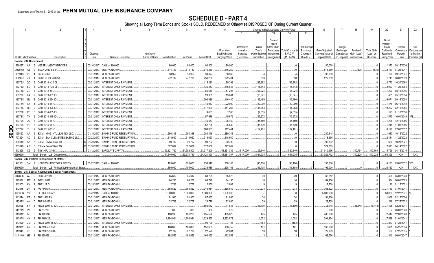|                      |                             |                |     |                                                        | 4          | -5                            |                 |               |             |                    | 10             |                         |                   |                         | Change in Book/Adjusted Carrying Value |                           | 16                | 17                  | 18          | 19                | 20                 | 21                      | 22                         |
|----------------------|-----------------------------|----------------|-----|--------------------------------------------------------|------------|-------------------------------|-----------------|---------------|-------------|--------------------|----------------|-------------------------|-------------------|-------------------------|----------------------------------------|---------------------------|-------------------|---------------------|-------------|-------------------|--------------------|-------------------------|----------------------------|
|                      |                             |                |     |                                                        |            |                               |                 |               |             |                    |                | 11                      | 12                | 13                      | 14                                     | 15                        |                   |                     |             |                   |                    |                         |                            |
|                      |                             |                |     |                                                        |            |                               |                 |               |             |                    |                |                         |                   | Current<br>Year's       |                                        |                           |                   |                     |             |                   | Bond<br>Interest   |                         |                            |
|                      |                             |                |     |                                                        |            |                               |                 |               |             |                    | Prior Year     | Unrealized<br>Valuation | Current<br>Year's | Other-Than<br>Temporary | Total Change i                         | Total Foreign<br>Exchange | Book/Adjusted     | Foreign<br>Exchange | Realized    | <b>Total Gain</b> | Stock<br>Dividends | Stated<br>Contractua    | <b>NAIC</b><br>Designation |
|                      |                             |                |     |                                                        | Disposal   |                               | Number of       |               |             |                    | Book/Adjusted  | Increase                | Amortization      | Impairment              | <b>B./A.C.V.</b>                       | Change in                 | Carrying Value at | Gain (Loss)         | Gain (Loss) | (Loss) on         | Received           | Maturity                | or Market                  |
|                      | <b>CUSIP</b> Identification |                |     | Description                                            | Date       | Name of Purchaser             | Shares of Stock | Consideration | Par Value   | <b>Actual Cost</b> | Carrying Value | (Decrease               | / Accretion       | Recognized              | $(11+12-13)$                           | <b>B./A.C.V.</b>          | Disposal Date     | on Disposal         | on Disposal | Disposal          | During Year        | Date                    | Indicator (a)              |
|                      | Bonds - U.S. Government     |                |     |                                                        |            |                               |                 |               |             |                    |                |                         |                   |                         |                                        |                           |                   |                     |             |                   |                    |                         |                            |
|                      | 228027                      | AA             | - 6 | <b>VESSEL MGMT SERVICES.</b>                           | 02/16/2017 | CALL at 100.000.              |                 | .80,000       | .80,000     | .80,000            | 80,000         |                         |                   |                         |                                        |                           | .80,000           |                     |             | $\overline{0}$    | .1,373             | 08/15/2036              |                            |
|                      | 30250W                      | AB             |     | SSGN 2010-S2 2A.                                       | 03/31/20   | <b>MBS PAYDOWN.</b>           |                 | 614,733       | 614,733     | 615,269            | .615,269       |                         |                   |                         |                                        |                           | 615,269           |                     | (536)       | (536)             | .3.187             | 17/29/2041              |                            |
|                      | 36194S                      | <b>PD</b>      |     | GN AU4920.                                             | 03/01/20   | <b>MBS PAYDOWN.</b>           |                 | .38,959       | .38,959     | .39,677            | .38,963        |                         | (4)               |                         | (4)                                    |                           | .38,959           |                     |             |                   | 196                | 09/16/204               |                            |
|                      | 36296U                      | ZX             |     | <b>GNSF POOL 701958</b>                                | 03/01/20   | <b>MBS PAYDOWN.</b>           |                 | 272,739       | .272,739    | .256,289           | .272,401       |                         | .338              |                         | .338                                   |                           | .272.739          |                     |             |                   | .1.743             | 06/01/2039              |                            |
|                      | 38375U                      | QQ             |     | <b>GNR 2014-H20 CI</b>                                 | 03/31/20   | <b>INTEREST ONLY PAYMENT</b>  |                 |               |             | 115,220            | 99,392         |                         | (99, 392)         |                         | .(99,392                               |                           |                   |                     |             |                   | .2,770             | 10/20/2064              |                            |
|                      | 38375U                      | SC             |     | GNR 2014-H22 CI.                                       | 03/31/20   | INTEREST ONLY PAYMENT.        |                 |               |             | 136,353            | .115,843       |                         | (115, 843)        |                         | (115, 843)                             |                           |                   |                     |             |                   | .2,923             | 1/20/2064               |                            |
|                      | 38378B                      | ZR             |     | GNR 2012-88 DI.                                        | 03/31/20   | INTEREST ONLY PAYMENT.        |                 |               |             | .66,610            | .57,224        |                         | (57, 224)         |                         | (57, 224)                              |                           |                   |                     |             |                   | 1,200              | 08/16/2046              |                            |
|                      | 38378K                      | 6A             |     | GNR 2013-161 IO.                                       | 03/31/20   | <b>INTEREST ONLY PAYMENT</b>  |                 |               |             | .23,351            | .13,041        |                         | (13,041)          |                         | (13,041)                               |                           |                   |                     |             |                   | .461               | 05/16/2054              |                            |
|                      | 38378N                      | NJ             |     | GNR 2013-194 IO.                                       | 03/31/20   | INTEREST ONLY PAYMENT.        |                 |               |             | .200,936           | 146,480        |                         | (146, 480)        |                         | (146, 480)                             |                           |                   |                     |             |                   | .9.671             | 09/16/2054              |                            |
|                      | 38378N                      | XK             |     | GNR 2014-17 IO.                                        | 03/31/20   | <b>INTEREST ONLY PAYMENT.</b> |                 |               |             | .45,913            | 22,000         |                         | (22,000)          |                         | (22,000)                               |                           |                   |                     |             |                   | .1.478             | 06/16/2048              |                            |
|                      | 38378X                      | MU             |     | GNR 2014-126 IO.                                       | 03/31/20   | <b>INTEREST ONLY PAYMENT.</b> |                 |               |             | 177,909            | 141,283        |                         | .(141,283         |                         | (141,283                               |                           |                   |                     |             |                   | 10.202             | 02/16/2055              |                            |
|                      | 38378X                      | PE             |     | GNR 2014-135 IO.                                       | 03/31/20   | INTEREST ONLY PAYMENT.        |                 |               |             | .9,685             | .7,535         |                         | (7, 535)          |                         | (7, 535)                               |                           |                   |                     |             |                   | 173                | 01/16/2056              |                            |
|                      | 38378X                      | TX             |     | GNR 2014-148 IO.                                       | 03/31/20   | INTEREST ONLY PAYMENT.        |                 |               |             | .57,976            | 45,672         |                         | (45, 672)         |                         | . (45, 672)                            |                           |                   |                     |             |                   | .1,573             | 10/01/2049.             |                            |
|                      | 38379K                      | JC             |     | GNR 2015-51 IO.                                        | 03/31/201  | INTEREST ONLY PAYMENT.        |                 |               |             | .45,557            | 35,459         |                         | (35, 459)         |                         | (35, 459)                              |                           |                   |                     |             | . . 0             | .1,296             | 12/16/2056              |                            |
|                      | 38379K                      | PR             |     | GNR 2015-67 IO.                                        | 03/31/20   | INTEREST ONLY PAYMENT.        |                 |               |             | .52,726            | .35,539        |                         | (35, 539)         |                         | (35, 539)                              |                           |                   |                     |             |                   | .1,218             | 1/01/2056               |                            |
| $\frac{\Omega}{\Pi}$ | 38379K                      | TL             |     | GNR 2015-85 IO                                         | 03/31/20   | INTEREST ONLY PAYMENT.        |                 |               |             | 168,901            | .112,461       |                         | (112, 461)        |                         | .(112,461                              |                           |                   |                     |             |                   | 6,128              | 07/01/2057              |                            |
| $\overline{5}$       | 49549C                      | AA             |     | EXIM - KING INTL LEASING LLC                           | 01/15/20   | SINKING FUND REDEMPTION.      |                 | 280,348       | .280,348    | .280,348           | .280,348       |                         |                   |                         |                                        |                           | .280.348          |                     |             |                   | 1.930              | 10/15/2022              |                            |
|                      | 797224                      | AC             |     | EXIM - SAN CLEMENTE LEASING LLC.                       | 02/22/20   | SINKING FUND REDEMPTION       |                 | 318,660       | .318,660    | .318,660           | .318,660       |                         |                   |                         |                                        |                           | 318,660           |                     |             |                   | .2,414             | 1/22/2022               |                            |
|                      | 805649                      | AA             |     | EXIM - SAYARRA LTD.                                    | 01/29/20   | SINKING FUND REDEMPTION.      |                 | .90,792       | .90,792     | .90,792            | 90,792         |                         |                   |                         |                                        |                           | .90,792           |                     |             |                   | 630                | 10/29/2021              |                            |
|                      | 805649                      | AB             | - 6 | <b>EXIM - SAYARRA LTD</b>                              | 01/30/20   | SINKING FUND REDEMPTION       |                 | 322,009       | .322,009    | .322,009           | .322,009       |                         |                   |                         |                                        |                           | 322,009           |                     |             |                   | 2.073              | 04/14/2022              |                            |
|                      | 912828                      | C <sub>9</sub> |     | 9 TSY INFL IX NB.                                      | 01/12/2017 | <b>BARCLAYS CAPITAL</b>       |                 | .52,321,760   | .51.552.500 | .51,317,209        | .51,831,336    | (817,000)               | (3,340)           |                         | (820,340                               |                           | .51.010.996       |                     | 1,310,764   | 1,310,764         | .15,756            | 04/15/2019.             |                            |
|                      | 0599999                     |                |     | Total - Bonds - U.S. Government                        |            |                               |                 | .54.340.000   | .53,570,740 | .54,421,390        | .54,681,707    | (817,000)               | (834, 935)        |                         | (1,651,935)                            |                           | .53,029,772       |                     | .1,310,228  | 1,310,228         | .68,395            | XXX                     | XXX                        |
|                      |                             |                |     | Bonds - U.S. Political Subdivisions of States          |            |                               |                 |               |             |                    |                |                         |                   |                         |                                        |                           |                   |                     |             |                   |                    |                         |                            |
|                      | 442331                      |                |     | QM 9 HOUSTON REF TXB A PEN TX.                         |            | 03/02/2017. CALL at 100.000.  |                 | .195.000      | 195.000     | .238.916           | 238,108        |                         | (43.108)          |                         | (43.108)                               |                           | 195.000           |                     |             | $\sqrt{ }$        |                    | .6.133 03/01/2032. 1FE. |                            |
|                      | 2499999                     |                |     | Total - Bonds - U.S. Political Subdivisions of States. |            |                               |                 | .195,000      | 195,000     | .238,916           | .238,108       |                         | (43, 108)         | $\Omega$                | (43, 108)                              | $\cap$                    | 195,000           | $\cap$              |             |                   | 6,133              | XXX                     | XXX                        |
|                      |                             |                |     | Bonds - U.S. Special Revenue and Special Assessment    |            |                               |                 |               |             |                    |                |                         |                   |                         |                                        |                           |                   |                     |             |                   |                    |                         |                            |
|                      | 3128PK                      | WJ             | -9  | FGCI J07849.                                           | 03/01/2017 | MBS PAYDOWN.                  |                 | .65,612       | .65,612     | 63,725             | 65,573         |                         | .39               |                         | .39                                    |                           | .65,612           |                     |             | . . 0             |                    | .428 05/01/2023.        |                            |
|                      | 3128PL                      | AW             |     | <b>FGCI J08121</b>                                     | 03/01/201  | MBS PAYDOWN.                  |                 | .64,206       | .64,206     | .63,749            | 64,190         |                         | .16               |                         | 16                                     |                           | .64,206           |                     |             | . . 0             | 534                | 06/01/2023              |                            |
|                      | 312903                      | KY             |     | FHR 117 G.                                             | 03/15/201  | MBS PAYDOWN.                  |                 | .2,708        | .2,708      | .2,550             | .2,699         |                         | 9                 |                         |                                        |                           | 2,708             |                     |             | $\ldots 0$        | .90                | 01/15/202 <sup>-</sup>  |                            |
|                      | 312945                      | DN             |     | FG A96409.                                             | 03/01/201  | MBS PAYDOWN.                  |                 | .368,822      | .368,822    | .345,914           | .368,549       |                         | .273              |                         | 273                                    |                           | .368,822          |                     |             | . 0               | 1,789              | 01/01/204               |                            |
|                      | 3133EG                      | Y9             |     | FFCB 4 12/22/31                                        | 03/22/20   | CALL at 100.000.              |                 | .5,000,000    | .5,000,000  | 5,000,000          | .5,000,000     |                         |                   |                         |                                        |                           | .5,000,000        |                     |             | $\overline{0}$    | 50,000             | 12/22/2031              |                            |
|                      | 3133T4                      | <b>FT</b>      |     | <b>HR 1680 PK</b>                                      | 03/01/20   | MBS PAYDOWN.                  |                 | .91,900       | .91,900     | .87,865            | .91,866        |                         | .34               |                         | .34                                    |                           | 91,900            |                     |             | - 0               | 1,068              | 2/15/2024               |                            |
|                      | 31358N                      | W4             |     | FNR 92-129 I                                           | 03/01/20   | MBS PAYDOWN.                  |                 | .22,709       | .22,709     | 20,779             | 22,680         |                         | 29                |                         | 29                                     |                           | .22,709           |                     |             |                   | .216               | 7/25/2022               |                            |
|                      | 31359S                      | 6Y             |     | FNGT 2001-T7 IO.                                       | 03/31/20   | INTEREST ONLY PAYMENT.        |                 |               |             | 565,642            | .11,548        |                         | (6, 100)          |                         | (6, 100)                               |                           | .5,448            |                     | (5,448)     | (5,448)           | .1,495             | 02/25/204               |                            |
|                      | 31371N                      | V <sub>2</sub> |     | FN 257233.                                             | 03/01/20   | MBS PAYDOWN.                  |                 | 880           | .880        | 856                | 879            |                         |                   |                         |                                        |                           | 880               |                     |             | $\ldots 0$        |                    | 06/01/2023              |                            |
|                      | 3138A2                      | <b>BE</b>      |     | N AH0936                                               | 03/01/20   | <b>MBS PAYDOWN</b>            |                 | .486,266      | 486,266     | 455,592            | 485,820        |                         | .445              |                         | 445                                    |                           | .486,266          |                     |             |                   | .2.446             | 12/01/2040              |                            |
|                      | 3138A5                      | 4N             |     | N AH4428.                                              | 03/01/20   | <b>MBS PAYDOWN.</b>           |                 | 1,294,924     | 1,294,924   | 1,229,555          | 1,293,872      |                         | .1,052            |                         | .1,052                                 |                           | 1,294,924         |                     |             |                   | 7,528              | 01/01/204               |                            |
|                      | 313920                      | <b>UM</b>      |     | NGT 2001-T8 IO.                                        | 03/31/20   | <b>INTEREST ONLY PAYMENT</b>  |                 |               |             | .95,709            | 183            |                         | (183)             |                         | (183)                                  |                           |                   |                     |             |                   | .247               | 07/25/204               |                            |
|                      | 31393Y                      | AV             |     | FNR 2004-31 ME                                         | 03/01/20   | <b>MBS PAYDOWN</b>            |                 | 168,860       | 168,860     | 151,605            | 168,759        |                         | .101              |                         | .101                                   |                           | .168.860          |                     |             |                   | 1,091              | 05/25/2034              |                            |
|                      | 31394E                      | UD             |     | FNR 2005-59 KA                                         | 03/01/20   | <b>MBS PAYDOWN</b>            |                 | .22,709       | .22,709     | .22,529            | 22,691         |                         | 18                |                         | 18                                     |                           | .22,709           |                     |             |                   | 168                | 07/25/2035              |                            |
|                      | 31410W                      | H <sub>9</sub> | -2  | FN 899456.                                             | 03/01/201  | <b>MBS PAYDOWN</b>            |                 | 162,556       | 162,556     | 160,855            | 162,553        |                         |                   |                         |                                        |                           | 162,556           |                     |             |                   | 840                | 06/01/2047              |                            |
|                      |                             |                |     |                                                        |            |                               |                 |               |             |                    |                |                         |                   |                         |                                        |                           |                   |                     |             |                   |                    |                         |                            |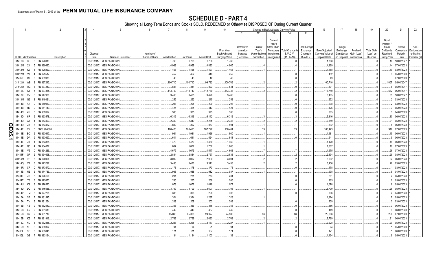|    |                             |                |                 |                  |                   | 6                            |               |           | 9                  | 10                                                   |                                                   |                                | Change in Book/Adjusted Carrying Value                                     |                                                                |                                                                   | 16                                                  | 17                                                | 18                                     | 19                                         | 20                                                                 | 21                                        | 22                                                       |
|----|-----------------------------|----------------|-----------------|------------------|-------------------|------------------------------|---------------|-----------|--------------------|------------------------------------------------------|---------------------------------------------------|--------------------------------|----------------------------------------------------------------------------|----------------------------------------------------------------|-------------------------------------------------------------------|-----------------------------------------------------|---------------------------------------------------|----------------------------------------|--------------------------------------------|--------------------------------------------------------------------|-------------------------------------------|----------------------------------------------------------|
|    |                             |                |                 |                  |                   |                              |               |           |                    |                                                      | 11                                                | 12                             | 13                                                                         | 14                                                             | 15                                                                |                                                     |                                                   |                                        |                                            |                                                                    |                                           |                                                          |
|    | <b>CUSIP</b> Identification |                | Description     | Disposal<br>Date | Name of Purchaser | Number of<br>Shares of Stock | Consideration | Par Value | <b>Actual Cost</b> | <b>Prior Year</b><br>Book/Adjusted<br>Carrying Value | Unrealized<br>Valuation<br>Increase<br>(Decrease) | Current<br>Year's<br>Accretion | Current<br>Year's<br>Other-Than-<br>Amortization) Impairment<br>Recognized | Temporary   Total Change i<br><b>B./A.C.V.</b><br>$(11+12-13)$ | <b>Total Foreign</b><br>Exchange<br>Change in<br><b>B./A.C.V.</b> | Book/Adjusted<br>Carrying Value at<br>Disposal Date | Foreign<br>Exchange<br>Gain (Loss)<br>on Disposal | Realized<br>Gain (Loss)<br>on Disposal | <b>Total Gain</b><br>(Loss) on<br>Disposal | Bond<br>Interest/<br>Stock<br>Dividends<br>Received<br>During Year | Stated<br>Contractual<br>Maturity<br>Date | <b>NAIC</b><br>Designation<br>or Market<br>Indicator (a) |
|    | 31412B DS                   | -8             | FN 920013       | 03/01/2017.      | MBS PAYDOWN.      |                              | .1,768        | .1,768    | .1,758             | .1,768                                               |                                                   |                                |                                                                            |                                                                |                                                                   | .1,768                                              |                                                   |                                        | 0                                          | .18                                                                | 10/01/2047                                |                                                          |
|    | 31412M 2X                   |                | N 929690        | 03/01/2017       | MBS PAYDOWN.      |                              | .4,969        | .4,969    | .4,832             | .4,965                                               |                                                   |                                |                                                                            |                                                                |                                                                   | .4,969                                              |                                                   |                                        | 0                                          | 44                                                                 | 07/01/2023                                |                                                          |
|    | 31412M                      | K9             | N 929220        | 03/01/201        | MBS PAYDOWN.      |                              | .1,468        | .1,468    | .1,427             | .1,466                                               |                                                   |                                |                                                                            |                                                                |                                                                   | .1,468                                              |                                                   |                                        | 0                                          |                                                                    | 03/01/2023                                |                                                          |
|    | 31412M                      | VJ             | N 929517        | 03/01/201        | MBS PAYDOWN.      |                              | .452          | .452      | 440                | .452                                                 |                                                   |                                |                                                                            |                                                                |                                                                   | 452                                                 |                                                   |                                        | . (                                        |                                                                    | 05/01/2023                                |                                                          |
|    | 31412T                      | CJ             | FN 933973       | 03/01/201        | MBS PAYDOWN.      |                              | 43            | .43       | 42                 | 43                                                   |                                                   |                                |                                                                            |                                                                |                                                                   | 43                                                  |                                                   |                                        | $\ldots 0$                                 |                                                                    | 07/01/2023                                |                                                          |
|    | 31412W WB                   |                | N 937242        | 03/01/20         | MBS PAYDOWN.      |                              | 100,710       | 100,710   | .99,782            | 100,709                                              |                                                   |                                |                                                                            |                                                                |                                                                   | 100,710                                             |                                                   |                                        |                                            | 1.007                                                              | 05/01/2047                                |                                                          |
|    | 31412W WC                   |                | N 937243        | 03/01/201        | MBS PAYDOWN.      |                              | 831           | 831       | 823                | 831                                                  |                                                   |                                |                                                                            |                                                                |                                                                   | .831                                                |                                                   |                                        | $\cdot$ . C                                |                                                                    | 05/01/2047                                |                                                          |
|    | 31412X K4                   |                | N 937815        | 03/01/20         | MBS PAYDOWN.      |                              | .113,740      | 113,740   | 112,780            | 113,738                                              |                                                   |                                |                                                                            |                                                                |                                                                   | 113,740                                             |                                                   |                                        |                                            | 582                                                                | 06/01/2047                                |                                                          |
|    | 31413K RV                   |                | N 947900        | 03/01/201        | MBS PAYDOWN.      |                              | .3,465        | .3,465    | .3,428             | .3,465                                               |                                                   |                                |                                                                            |                                                                |                                                                   | .3,465                                              |                                                   |                                        |                                            | .35                                                                | 10/01/2047                                |                                                          |
|    | 31413M G6                   |                | N 949421        | 03/01/201        | MBS PAYDOWN.      |                              | .252          | .252      | 245                | .252                                                 |                                                   |                                |                                                                            |                                                                |                                                                   | .252                                                |                                                   |                                        |                                            |                                                                    | 03/01/2023                                |                                                          |
|    | 31414B                      | AN             | N 960913        | 03/01/201        | MBS PAYDOWN.      |                              | .298          | .298      | 290                | 298                                                  |                                                   |                                |                                                                            |                                                                |                                                                   | 298                                                 |                                                   |                                        | . (                                        |                                                                    | 03/01/2023                                |                                                          |
|    | 31414B                      | H2             | FN 961149       | 03/01/201        | MBS PAYDOWN.      |                              | .425          | .425      | .413               | .424                                                 |                                                   |                                |                                                                            |                                                                |                                                                   | .425                                                |                                                   |                                        |                                            |                                                                    | 05/01/2023                                |                                                          |
|    | 31414C                      | 4H             | N 962624        | 03/01/201        | MBS PAYDOWN.      |                              | .385          | .385      | 375                | 385                                                  |                                                   |                                |                                                                            |                                                                |                                                                   | 385                                                 |                                                   |                                        | . (                                        |                                                                    | 04/01/2023                                |                                                          |
|    | 31414D                      | 6P             | FN 963578       | 03/01/201        | MBS PAYDOWN.      |                              | .6,316        | .6,316    | .6,142             | .6,312                                               |                                                   |                                |                                                                            |                                                                |                                                                   | .6,316                                              |                                                   |                                        | . (                                        | 30                                                                 | 06/01/2023.                               |                                                          |
|    | 31414D                      | X8             | N 963403        | 03/01/201        | MBS PAYDOWN.      |                              | .2,349        | 2,349     | .2,285             | .2,348                                               |                                                   |                                |                                                                            |                                                                |                                                                   | .2,349                                              |                                                   |                                        | . 0                                        | .21                                                                | 05/01/2023.                               |                                                          |
| Q  | 31414D                      | Z <sub>3</sub> | FN 963462       | 03/01/201        | MBS PAYDOWN.      |                              | .892          | 892       | 867                | 891                                                  |                                                   |                                |                                                                            |                                                                |                                                                   | .892                                                |                                                   |                                        | . (                                        |                                                                    | 06/01/2023.                               |                                                          |
| ШI | 31414E                      | 2V             | NCI 964388      | 03/01/201        | MBS PAYDOWN.      |                              | 108,423       | 108,423   | 107,792            | 108,404                                              |                                                   | .19                            |                                                                            | .19                                                            |                                                                   | 108,423                                             |                                                   |                                        | . (                                        |                                                                    | 912 07/01/2023.                           |                                                          |
| ဌ  | 31414E                      | <b>BQ</b>      | FN 963647       | 03/01/201        | MBS PAYDOWN.      |                              | .1,981        | 1,981     | 1,926              | .1,980                                               |                                                   |                                |                                                                            |                                                                |                                                                   | .1,981                                              |                                                   |                                        |                                            | .15                                                                | 06/01/2023.                               |                                                          |
| ≤  | 31414E                      | DA             | N 963697        | 03/01/201        | MBS PAYDOWN.      |                              | .641          | 641       | .624               | 641                                                  |                                                   |                                |                                                                            |                                                                |                                                                   | 641                                                 |                                                   |                                        | . . 0                                      |                                                                    | 06/01/2023.                               |                                                          |
|    | 31414E                      | JB             | FN 963858       | 03/01/201        | MBS PAYDOWN.      |                              | .1,470        | 1,470     | 1,430              | .1,469                                               |                                                   |                                |                                                                            |                                                                |                                                                   | .1,470                                              |                                                   |                                        | . . 0                                      |                                                                    | 06/01/2023.                               |                                                          |
|    | 31414E                      | Q6             | N 964077        | 03/01/201        | MBS PAYDOWN.      |                              | .1,807        | .1,807    | .1,757             | .1,806                                               |                                                   |                                |                                                                            |                                                                |                                                                   | .1,807                                              |                                                   |                                        | . (                                        |                                                                    | 07/01/2023                                |                                                          |
|    | 31414E                      | $V_5$          | FN 964236       | 03/01/201        | MBS PAYDOWN.      |                              | .4,675        | .4,675    | .4,547             | .4,668                                               |                                                   |                                |                                                                            |                                                                |                                                                   | .4,675                                              |                                                   |                                        | . 0                                        | .26                                                                | 07/01/2023                                |                                                          |
|    | 31414F GF                   |                | N 964698        | 03/01/201        | MBS PAYDOWN.      |                              | .2,834        | .2,834    | .2,757             | .2,833                                               |                                                   |                                |                                                                            |                                                                |                                                                   | .2,834                                              |                                                   |                                        | . (                                        | .25                                                                | 08/01/2023                                |                                                          |
|    | 31414M                      | DH             | FN 970004       | 03/01/201        | MBS PAYDOWN.      |                              | .3,002        | .3,002    | 2,920              | .3,001                                               |                                                   |                                |                                                                            |                                                                |                                                                   | .3,002                                              |                                                   |                                        | 0                                          | .22                                                                | 06/01/2023                                |                                                          |
|    | 31414Q                      | X <sub>2</sub> | N 973297        | 03/01/201        | MBS PAYDOWN.      |                              | .3,436        | .3,436    | .3,341             | .3,433                                               |                                                   |                                |                                                                            |                                                                |                                                                   | .3,436                                              |                                                   |                                        | . 0                                        | .26                                                                | 03/01/2023                                |                                                          |
|    | 31414R                      | CF             | FN 973570       | 03/01/201        | MBS PAYDOWN.      |                              | 178           | 178       | 173                | .178                                                 |                                                   |                                |                                                                            |                                                                |                                                                   | 178                                                 |                                                   |                                        | - 0                                        |                                                                    | 03/01/2023.                               |                                                          |
|    | 31414S NB                   |                | N 974786        | 03/01/201        | MBS PAYDOWN.      |                              | .938          | .938      | 912                | 937                                                  |                                                   |                                |                                                                            |                                                                |                                                                   | .938                                                |                                                   |                                        | - 0                                        |                                                                    | 04/01/2023                                |                                                          |
|    | 31414T                      | 7H             | FN 976196       | 03/01/201        | MBS PAYDOWN.      |                              | .281          | 281       | 273                | .281                                                 |                                                   |                                |                                                                            |                                                                |                                                                   | .281                                                |                                                   |                                        | C                                          |                                                                    | 05/01/2023                                |                                                          |
|    | 31414T                      | T6             | N 975873        | 03/01/20         | MBS PAYDOWN.      |                              | .265          | .265      | 258                | .265                                                 |                                                   |                                |                                                                            |                                                                |                                                                   | 265                                                 |                                                   |                                        |                                            |                                                                    | 05/01/2023                                |                                                          |
|    | 31414U                      | K9             | N 976520        | 03/01/20         | MBS PAYDOWN.      |                              | .1,078        | 1,078     | .1,048             | .1,077                                               |                                                   |                                |                                                                            |                                                                |                                                                   | .1,078                                              |                                                   |                                        | C                                          |                                                                    | 05/01/2023                                |                                                          |
|    | 31414U LQ                   |                | N 976535        | 03/01/20         | MBS PAYDOWN.      |                              | .3,709        | .3,709    | .3,607             | .3,708                                               |                                                   |                                |                                                                            |                                                                |                                                                   | .3,709                                              |                                                   |                                        | . . 0                                      | 28                                                                 | 05/01/2023                                |                                                          |
|    | 31414V                      | DM             | N 977208        | 03/01/201        | MBS PAYDOWN.      |                              | .306          | .306      | 298                | .306                                                 |                                                   |                                |                                                                            |                                                                |                                                                   | .306                                                |                                                   |                                        | . . 0                                      |                                                                    | 04/01/2023                                |                                                          |
|    | 31415A 5E                   |                | FN 981545       | 03/01/201        | MBS PAYDOWN.      |                              | 1,324         | 1,324     | .1,287             | 1,323                                                |                                                   |                                |                                                                            |                                                                |                                                                   | .1,324                                              |                                                   |                                        | $\cdot$ C                                  |                                                                    | 05/01/2023                                |                                                          |
|    | 31415A TV                   |                | FN 981264       | 03/01/201        | MBS PAYDOWN.      |                              | .209          | 209       | 203                | 209                                                  |                                                   |                                |                                                                            |                                                                |                                                                   | 209                                                 |                                                   |                                        | . 0                                        |                                                                    | 03/01/2023                                |                                                          |
|    | 31415B                      | 4Z             | FN 982440       | 03/01/201        | MBS PAYDOWN.      |                              | .356          | .356      | .346               | .356                                                 |                                                   |                                |                                                                            |                                                                |                                                                   | .356                                                |                                                   |                                        | . (                                        |                                                                    | 06/01/2023.                               |                                                          |
|    | 31415B                      | AN             | FN 981613<br>-9 | 03/01/201        | MBS PAYDOWN.      |                              | .449          | 449       | 437                | 449                                                  |                                                   |                                |                                                                            |                                                                |                                                                   | 449                                                 |                                                   |                                        | . (                                        |                                                                    | 06/01/2023.                               |                                                          |
|    | 31415B DY                   |                | FN 981719       | 03/01/201        | MBS PAYDOWN.      |                              | .25,066       | .25,066   | .24,377            | .24,980                                              |                                                   | .86                            |                                                                            | .86                                                            |                                                                   | .25,066                                             |                                                   |                                        | . (                                        | 256                                                                | 07/01/2023.                               |                                                          |
|    | 31415B                      | K5             | FN 981916       | 03/01/201        | MBS PAYDOWN.      |                              | .2,769        | .2,769    | 2,693              | .2,768                                               |                                                   |                                |                                                                            |                                                                |                                                                   | .2,769                                              |                                                   |                                        |                                            | .21                                                                | 06/01/2023.                               |                                                          |
|    | 31415C                      | <b>ND</b>      | FN 982888       | 03/01/201        | MBS PAYDOWN.      |                              | .2,228        | .2,228    | .2,167             | .2,227                                               |                                                   |                                |                                                                            |                                                                |                                                                   | .2,228                                              |                                                   |                                        | . . 0                                      | .20                                                                | 05/01/2023.                               |                                                          |
|    | 31415C NH                   |                | N 982892        | 03/01/201        | MBS PAYDOWN.      |                              | .94           | .94       | 91                 | .94                                                  |                                                   |                                |                                                                            |                                                                |                                                                   | .94                                                 |                                                   |                                        |                                            |                                                                    | 05/01/2023                                |                                                          |
|    | 31415L                      | 5E             | FN 983845       | 03/01/201        | MBS PAYDOWN.      |                              | .171          | .171      | .167               | .171                                                 |                                                   |                                |                                                                            | $\Omega$ .                                                     |                                                                   | .171                                                |                                                   |                                        |                                            |                                                                    | 06/01/2023.                               |                                                          |
|    | 31415L GB                   |                | FN 983194       | 03/01/2017       | MBS PAYDOWN.      |                              | .1,134        | 1,134     | .1,103             | 1,133                                                |                                                   |                                |                                                                            |                                                                |                                                                   | .1,134                                              |                                                   |                                        |                                            |                                                                    | 05/01/2023.                               |                                                          |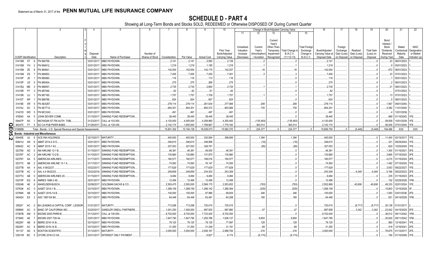|                            |                             |           |                                                               |                          |                               | 6                            |                   |                  | 9                  | 10                                            |                                                   |                                                  |                                                                           | Change in Book/Adjusted Carrying Value           |                                                                   | 16                                                  | 17                                 | 18                                                 | 19                                         | 20                                                                | 21<br>22                                                                                             |
|----------------------------|-----------------------------|-----------|---------------------------------------------------------------|--------------------------|-------------------------------|------------------------------|-------------------|------------------|--------------------|-----------------------------------------------|---------------------------------------------------|--------------------------------------------------|---------------------------------------------------------------------------|--------------------------------------------------|-------------------------------------------------------------------|-----------------------------------------------------|------------------------------------|----------------------------------------------------|--------------------------------------------|-------------------------------------------------------------------|------------------------------------------------------------------------------------------------------|
|                            |                             |           |                                                               |                          |                               |                              |                   |                  |                    |                                               | 11                                                | 12                                               | 13                                                                        | 14                                               | 15                                                                |                                                     |                                    |                                                    |                                            |                                                                   |                                                                                                      |
|                            | <b>CUSIP Identification</b> |           | Description                                                   | Disposal<br>Date         | Name of Purchaser             | Number of<br>Shares of Stock | Consideration     | Par Value        | <b>Actual Cost</b> | Prior Year<br>Book/Adjusted<br>Carrying Value | Unrealized<br>Valuation<br>Increase<br>(Decrease) | Current<br>Year's<br>Amortization<br>/ Accretion | Current<br>Year's<br>Other-Than-<br>Temporary<br>Impairment<br>Recognized | Total Change<br><b>B./A.C.V.</b><br>$(11+12-13)$ | <b>Total Foreign</b><br>Exchange<br>Change in<br><b>B./A.C.V.</b> | Book/Adjusted<br>Carrying Value at<br>Disposal Date | Foreign<br>Exchange<br>Gain (Loss) | Realized<br>Gain (Loss)<br>on Disposal on Disposal | <b>Total Gain</b><br>(Loss) on<br>Disposal | Bond<br>Interest<br>Stock<br>Dividends<br>Received<br>During Year | <b>NAIC</b><br>Stated<br>Designation<br>Contractual<br>Maturity<br>or Market<br>Date<br>Indicator (a |
|                            | 31415M 5T                   |           | FN 984758.                                                    | 03/01/2017               | MBS PAYDOWN.                  |                              | .2,141            |                  | .2,082             |                                               |                                                   |                                                  |                                                                           |                                                  |                                                                   |                                                     |                                    |                                                    |                                            | 23                                                                |                                                                                                      |
|                            |                             |           | FN 984612.                                                    | 03/01/2017               |                               |                              |                   | .2,141           |                    | .2,139                                        |                                                   |                                                  |                                                                           |                                                  |                                                                   | .2,141                                              |                                    |                                                    |                                            |                                                                   | 06/01/2023.                                                                                          |
|                            | 31415M YH                   |           |                                                               |                          | MBS PAYDOWN.                  |                              | .1,219            | 1,219            | 1,185              | .1,218                                        |                                                   |                                                  |                                                                           | .16                                              |                                                                   | .1,219                                              |                                    |                                                    |                                            |                                                                   | 05/01/2023                                                                                           |
|                            | 31415M<br>31415M            | ZE<br>ZS  | FN 984641<br>FN 984653.                                       | 03/01/2017<br>03/01/2017 | MBS PAYDOWN.<br>MBS PAYDOWN.  |                              | 142,054<br>.7,455 | 142,054<br>7,455 | 142,175            | 142,037                                       |                                                   | .16                                              |                                                                           |                                                  |                                                                   | 142,054                                             |                                    |                                                    |                                            | .872<br>33                                                        | 06/01/2023.<br>07/01/2023.                                                                           |
|                            | 31415P                      | JD        | FN 985060                                                     | 03/01/201                | MBS PAYDOWN.                  |                              | 116               | .116             | .7,250             | .7,451<br>116                                 |                                                   |                                                  |                                                                           |                                                  |                                                                   | .7,455<br>.116                                      |                                    |                                                    |                                            |                                                                   | 05/01/2023.                                                                                          |
|                            |                             |           |                                                               | 03/01/201                |                               |                              |                   |                  | 113                |                                               |                                                   |                                                  |                                                                           |                                                  |                                                                   |                                                     |                                    |                                                    |                                            |                                                                   |                                                                                                      |
|                            | 31415P<br>31415Q            | U5<br>ME  | FN 985404<br>FN 986057                                        | 03/01/201                | MBS PAYDOWN.<br>MBS PAYDOWN.  |                              | .275<br>.2,735    | .275<br>.2,735   | 268<br>2,660       | .275<br>.2,734                                |                                                   |                                                  |                                                                           |                                                  |                                                                   | .275<br>.2,735                                      |                                    |                                                    |                                            |                                                                   | 06/01/2023.<br>08/01/2023.                                                                           |
|                            |                             | <b>P7</b> | FN 987046                                                     | 03/01/201                |                               |                              | .62               |                  |                    | .62                                           |                                                   |                                                  |                                                                           |                                                  |                                                                   | 62                                                  |                                    |                                                    |                                            |                                                                   | 07/01/2023.                                                                                          |
|                            | 31415R                      |           | FN 987185                                                     | 03/01/201                | MBS PAYDOWN.<br>MBS PAYDOWN.  |                              | .1,757            | 62<br>1,757      | 61                 | .1,757                                        |                                                   |                                                  |                                                                           |                                                  |                                                                   | .1,757                                              |                                    |                                                    |                                            | .13                                                               | 07/01/2023.                                                                                          |
|                            | 31415R<br>31415T            | UJ<br>NP  | FN 988798                                                     | 03/01/201                | MBS PAYDOWN.                  |                              | 624               | .624             | 1,709<br>607       | 624                                           |                                                   |                                                  |                                                                           |                                                  |                                                                   | 624                                                 |                                    |                                                    |                                            |                                                                   | 08/01/2023.                                                                                          |
|                            | 31419E                      | XR        | <b>FN AE4287</b>                                              | 03/01/201                | MBS PAYDOWN.                  |                              | .278,114          | .278,114         | 261,634            | .277,906                                      |                                                   | .208                                             |                                                                           | .208                                             |                                                                   | .278,114                                            |                                    |                                                    |                                            | 1,567                                                             | 09/01/2040.                                                                                          |
|                            | 31419J                      | -SC       | <b>FN AE7714</b>                                              | 03/01/201                | MBS PAYDOWN.                  |                              | .904,301          | .904,301         | .850,372           | .903,566                                      |                                                   | .735                                             |                                                                           | .735                                             |                                                                   | .904,301                                            |                                    |                                                    |                                            | .4,382                                                            | 11/01/2040.                                                                                          |
|                            | 31421D WD                   |           | FN MC3343.                                                    | 03/01/201                | MBS PAYDOWN.                  |                              | .491              | .491             | 497                | 491                                           |                                                   |                                                  |                                                                           |                                                  |                                                                   | .491                                                |                                    |                                                    |                                            |                                                                   | 12/01/2038.                                                                                          |
|                            | 478045                      | AA        | JOHN SEVIER COMB                                              | 01/15/201                | SINKING FUND REDEMPTION       |                              | 38,445            | .38,445          | .38,445            | .38,445                                       |                                                   |                                                  |                                                                           |                                                  |                                                                   | .38,445                                             |                                    |                                                    |                                            | .889                                                              | 01/15/2042.<br>1FE                                                                                   |
|                            | 59447P                      | N3        | MICHIGAN ST FIN AUTH TXBL                                     | 01/23/2017               | CALL at 103.000.              |                              | .4,120,000        | .4,000,000       | .4,259,960         | .4,255,483                                    |                                                   | (135, 483)                                       |                                                                           | (135, 483)                                       |                                                                   | .4,120,000                                          |                                    |                                                    |                                            | .59,509                                                           | 10/01/2039.<br>1FE                                                                                   |
| O                          | 842475                      | <b>F7</b> | <b>SO CA PUB PWER-BABS</b>                                    |                          | 01/26/2017. CALL at 129.436.  |                              | .2,142,174        | .1,655,000       | .1,789,667         | .1,779,160                                    |                                                   | .363,014                                         |                                                                           | 363,014                                          |                                                                   | .2,142,174                                          |                                    |                                                    |                                            | .56.009                                                           | 07/01/2040.<br>1FE.                                                                                  |
| ш                          | 3199999                     |           | Total - Bonds - U.S. Special Revenue and Special Assessments. |                          |                               |                              | 15,801,302        | 15,194,128       | .16,028,073        | 15,582,370                                    |                                                   | .224,377                                         |                                                                           | .224,377                                         |                                                                   | 15,806,750                                          |                                    | (5.448)                                            | (5, 448)                                   | .194.486                                                          | <b>XXX</b><br><b>XXX</b>                                                                             |
| o                          |                             |           | <b>Bonds - Industrial and Miscellaneous</b>                   |                          |                               |                              |                   |                  |                    |                                               |                                                   |                                                  |                                                                           |                                                  |                                                                   |                                                     |                                    |                                                    |                                            |                                                                   |                                                                                                      |
| ហ<br>$\boldsymbol{\omega}$ | 00440E                      | AJ        | ACE INA HOLDINGS.                                             | 02/15/2017               | MATURITY.                     |                              | .400,000          | 400,000          | .330,584           | 398,606                                       |                                                   | .1,394                                           |                                                                           | .1,394                                           |                                                                   | 400,000                                             |                                    |                                                    |                                            |                                                                   | .11,400 02/15/2017. 1FE.                                                                             |
|                            | 00841U                      | AN        | ABMT 2014-2 A13.                                              | 03/01/2017               | MBS PAYDOWN.                  |                              | .346,615          | 346,615          | .348,998           |                                               |                                                   | (16)                                             |                                                                           | (16)                                             |                                                                   | .346,615                                            |                                    |                                                    |                                            | .321                                                              | 09/25/2044.<br>1FE                                                                                   |
|                            | 00842C                      | AC        | ABMT 2015-7 A3.                                               | 03/01/2017               | <b>MBS PAYDOWN.</b>           |                              | .327,053          | 327,053          | 328,791            |                                               |                                                   | .(85)                                            |                                                                           | (85)                                             |                                                                   | .327,053                                            |                                    |                                                    |                                            | .620                                                              | 10/25/2045.<br>1FE                                                                                   |
|                            | 023766                      | AD        | AM AIRLINE 13-1 B                                             | 01/15/2017               | SINKING FUND REDEMPTION.      |                              | .46,391           | 46,391           | .49,000            | 46,391                                        |                                                   |                                                  |                                                                           |                                                  |                                                                   | 46,391                                              |                                    |                                                    |                                            | 1,305                                                             | 01/15/2021.<br>3FE                                                                                   |
|                            | 02376T                      | AC        | AM AIRLINE 13-2 B                                             | 01/15/2011               | SINKING FUND REDEMPTION.      |                              | 130,880           | 130,880          | .131,970           | 130,880                                       |                                                   |                                                  |                                                                           |                                                  |                                                                   | .130,880                                            |                                    |                                                    |                                            | .3,665                                                            | 07/15/2020.<br>3FE                                                                                   |
|                            | 02376Y                      | AA        | AMERICAN AIRLINES.                                            | 01/17/2017               | SINKING FUND REDEMPTION.      |                              | 160,577           | 160,577          | 168,016            | 160,577                                       |                                                   |                                                  |                                                                           |                                                  |                                                                   | 160,577                                             |                                    |                                                    |                                            | .4,215                                                            | 01/15/2024.                                                                                          |
|                            | 023772                      | AB        | AMERICAN AIRLINE 13-1 A                                       | 01/17/2011               | SINKING FUND REDEMPTION.      |                              | 74,593            | 74,593           | 76,147             | 74,593                                        |                                                   |                                                  |                                                                           |                                                  |                                                                   | 74,593                                              |                                    |                                                    |                                            | .1,492                                                            | 07/15/2025.<br>1FE                                                                                   |
|                            | 02377B                      | AA        | AAL 4 09/22/27.                                               | 03/22/2017               | SINKING FUND REDEMPTION       |                              | .177,629          | 177,629          | 177,629            | .177,629                                      |                                                   |                                                  |                                                                           |                                                  |                                                                   | .177,629                                            |                                    |                                                    |                                            | .3,553                                                            | 09/22/2027.                                                                                          |
|                            | 02377B                      | AC        | AAL 4.4 09/22/23                                              | 03/22/2016               | SINKING FUND REDEMPTION       |                              | 249,659           | .249,659         | .234,303           | .243,309                                      |                                                   |                                                  |                                                                           |                                                  |                                                                   | .243,309                                            |                                    | 6,349                                              | .6,349                                     | .5,166                                                            | 09/22/2023.<br>2FE                                                                                   |
|                            | 02377U                      | AB        | AMERICAN AIRLINES 20.                                         | 01/15/2017               | SINKING FUND REDEMPTION       |                              | 9,484             | .9,484           | 9,484              | .9,484                                        |                                                   |                                                  |                                                                           |                                                  |                                                                   | 9,484                                               |                                    |                                                    |                                            | .235                                                              | 01/15/2023.<br>2FE                                                                                   |
|                            | 03215P                      | EQ        | MRES 1998-2 A5.                                               | 02/01/201                | MBS PAYDOWN.                  |                              | 12,456            | .12,456          | .12,456            | .12,456                                       |                                                   |                                                  |                                                                           |                                                  |                                                                   | .12,456                                             |                                    |                                                    |                                            | .152                                                              | 02/25/2028.<br>1FM.                                                                                  |
|                            | 03524B                      | AE        | <b>ANHEUSER-BUSCH</b>                                         | 02/08/201                | <b>GOLDMAN SACHS &amp; CO</b> |                              | .2,593,475        | .2,500,000       | .2,569,175         | .2,553,652                                    |                                                   | (783)                                            |                                                                           | (783)                                            |                                                                   | .2,552,869                                          |                                    | 40,606                                             | .40,606                                    | .49,333                                                           | 02/01/2024.                                                                                          |
|                            | 03763K                      | AC        | AASET 2014-1 B.                                               | 03/15/201                | MBS PAYDOWN.                  |                              | .1,289,159        | .1,289,159       | 1,296,142          | .1,289,364                                    |                                                   | (205)                                            |                                                                           | (205)                                            |                                                                   | .1,289,159                                          |                                    |                                                    |                                            | .15,803                                                           | 12/15/2029.                                                                                          |
|                            | 03766K                      | AB        | AASET 2016-1A B.                                              | 03/15/201                | <b>MBS PAYDOWN.</b>           |                              | .100,000          | 100,000          | .97,966            | .99,654                                       |                                                   | .346                                             |                                                                           | .346                                             |                                                                   | 100,000                                             |                                    |                                                    |                                            | .1,083                                                            | 03/01/2036.<br>2FE                                                                                   |
|                            | 045424                      | EX        | ASC 1997-D4 B4.                                               | 03/11/2017               | MBS PAYDOWN.                  |                              | 64.448            | .64,448          | .63,481            | .64,268                                       |                                                   | 180                                              |                                                                           | .180                                             |                                                                   | .64,448                                             |                                    |                                                    |                                            | .821                                                              | 04/14/2029. 1FM.                                                                                     |
|                            |                             |           |                                                               |                          |                               |                              |                   |                  |                    |                                               |                                                   |                                                  |                                                                           |                                                  |                                                                   |                                                     |                                    |                                                    |                                            |                                                                   |                                                                                                      |
|                            | 05524*                      | AC        | BA LEASING & CAPITAL CORP.: LESSOR                            | 01/01/2017               | MATURITY                      |                              | 713,298           | 713,298          | .720,015           | 720,015                                       |                                                   |                                                  |                                                                           |                                                  |                                                                   | 720,015                                             |                                    | (6,717)                                            | (6,717)                                    | 30,138                                                            | 01/01/2017.                                                                                          |
|                            | 05990K                      | AC        | <b>BANC OF CALIFORNIA INC</b>                                 | 03/20/2017               | SANDLER ONEILL PARTNERS.      |                              | .1,001,250        | .1,000,000       | .997,500           | .997,860                                      |                                                   | .47                                              |                                                                           | .47                                              |                                                                   | .997,908                                            |                                    | 3,342                                              | .3,342                                     | 23,042                                                            | 04/15/2025.<br>2FE                                                                                   |
|                            | 07387B                      | AM        | BSCMS 2005-PWR9 B.                                            | 01/12/201                | CALL at 100.000.              |                              | .8,702,000        | .8,702,000       | .7,723,025         | .8,702,000                                    |                                                   |                                                  |                                                                           |                                                  |                                                                   | .8,702,000                                          |                                    |                                                    |                                            | .36,512                                                           | 09/11/2042.<br>1FM.                                                                                  |
|                            | 073945                      | AE        | BSCMS 2007-T28 A4.                                            | 03/01/201                | <b>MBS PAYDOWN.</b>           |                              | .1,647,790        | .1,647,790       | 1,255,796          | .1,638,137                                    |                                                   | .9,654                                           |                                                                           | 9,654                                            |                                                                   | .1,647,790                                          |                                    |                                                    |                                            | .20,830                                                           | 09/11/2042.<br>1FM.                                                                                  |
|                            | 09228Y                      | AB        | <b>BBIRD 2016-1A B.</b>                                       | 03/15/201                | MBS PAYDOWN.                  |                              | .78,125           | 78,125           | 78,125             | 77,997                                        |                                                   | .128                                             |                                                                           | 128                                              |                                                                   | 78,125                                              |                                    |                                                    |                                            | .960                                                              | 12/16/2041<br>IFE                                                                                    |
|                            | 09228Y                      | AC        | BBIRD 2016-1A B.                                              | 03/15/201                | MBS PAYDOWN.                  |                              | .31,250           | .31,250          | 31,249             | .31,181                                       |                                                   | .69                                              |                                                                           | .69                                              |                                                                   | .31,250                                             |                                    |                                                    |                                            | .518                                                              | 12/16/2041                                                                                           |
|                            | 101137                      | AD        | <b>BOSTON SCIENTIFIC</b>                                      | 01/12/201                | MATURITY                      |                              | .3,000,000        | .3,000,000       | .2,936,167         | .2,999,784                                    |                                                   | .216                                             |                                                                           | 216                                              |                                                                   | .3,000,000                                          |                                    |                                                    |                                            | .76,875                                                           | 2FE<br>01/12/2017                                                                                    |
|                            | 12531W                      | <b>BC</b> | CFCRE 2016-C3 XA.                                             | 03/31/2017               | <b>INTEREST ONLY PAYMENT</b>  |                              |                   |                  | .6,827             | .6,174                                        |                                                   | (6, 174)                                         |                                                                           | (6, 174)                                         |                                                                   |                                                     |                                    |                                                    |                                            | 164                                                               | 01/10/2048.                                                                                          |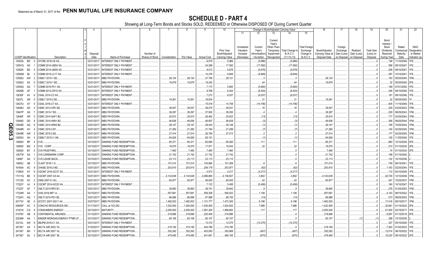|                 |                             |           |                                       |                      |                              |                 |                    | 8                 | 9                  | 10                          |                                     |                                   |                                                             | Change in Book/Adjusted Carrying Value |                                               | 16                                 | 17                                 | 18                      | 19                             | 20                                                 | 21                                | 22                                      |
|-----------------|-----------------------------|-----------|---------------------------------------|----------------------|------------------------------|-----------------|--------------------|-------------------|--------------------|-----------------------------|-------------------------------------|-----------------------------------|-------------------------------------------------------------|----------------------------------------|-----------------------------------------------|------------------------------------|------------------------------------|-------------------------|--------------------------------|----------------------------------------------------|-----------------------------------|-----------------------------------------|
|                 |                             |           |                                       |                      |                              |                 |                    |                   |                    |                             | 11                                  | 12                                | 13                                                          | 14                                     | 15                                            |                                    |                                    |                         |                                |                                                    |                                   |                                         |
|                 |                             |           |                                       | Disposal             |                              | Number of       |                    |                   |                    | Prior Year<br>Book/Adjusted | Unrealized<br>Valuation<br>Increase | Current<br>Year's<br>Amortizatior | Current<br>Year's<br>Other-Than-<br>Temporary<br>Impairment | Total Change i<br><b>B./A.C.V.</b>     | <b>Total Foreign</b><br>Exchange<br>Change in | Book/Adjusted<br>Carrying Value at | Foreign<br>Exchange<br>Gain (Loss) | Realized<br>Gain (Loss) | <b>Total Gain</b><br>(Loss) on | Bond<br>Interest<br>Stock<br>Dividends<br>Received | Stated<br>Contractual<br>Maturity | <b>NAIC</b><br>Designation<br>or Market |
|                 | <b>CUSIP</b> Identification |           | Description                           | Date                 | Name of Purchaser            | Shares of Stock | Consideration      | Par Value         | <b>Actual Cost</b> | Carrying Value              | (Decrease)                          | Accretion                         | Recognized                                                  | $(11+12-13)$                           | <b>B./A.C.V.</b>                              | Disposal Date                      | on Disposal                        | on Disposal             | Disposal                       | During Year                                        | Date                              | Indicator (a)                           |
|                 | 12532A                      | BD        | CFCRE 2016-C6 XA.                     | 03/31/2017           | INTEREST ONLY PAYMENT.       |                 |                    |                   | 6,079              | 5,966                       |                                     | (5,966)                           |                                                             | (5,966)                                |                                               |                                    |                                    |                         |                                | .148                                               | 1/10/2049                         | FE.                                     |
|                 | 12591Q AS                   |           | COMM 2014-UBS4 XA.                    | 03/31/201            | INTEREST ONLY PAYMENT.       |                 |                    |                   | 24,268             | .17,592                     |                                     | (17,592)                          |                                                             | (17, 592)                              |                                               |                                    |                                    |                         |                                | .598                                               | 08/10/2047                        | FE.                                     |
|                 | 12592K                      | <b>BD</b> | COMM 2014-UBS5 XA                     | 03/31/201            | INTEREST ONLY PAYMENT.       |                 |                    |                   | .8,012             | .5,678                      |                                     | (5,678)                           |                                                             | (5,678)                                |                                               |                                    |                                    |                         |                                | .208                                               | 09/10/2047                        | FE.                                     |
|                 | 12592M                      | <b>BL</b> | COMM 2014-LC17 XA                     | 03/31/201            | INTEREST ONLY PAYMENT.       |                 |                    |                   | .14,276            | .9,849                      |                                     | (9,849)                           |                                                             | (9,849)                                |                                               |                                    |                                    |                         |                                | .387                                               | 10/10/2047                        | FE.                                     |
|                 | 12592U                      | AW        | CSMLT 2015-1 B2.                      | 03/01/201            | MBS PAYDOWN.                 |                 | .28,124            | 28,124            | .27,756            | 28,121                      |                                     |                                   |                                                             |                                        |                                               | .28,124                            |                                    |                         | . 0                            | 183                                                | 05/25/2045                        | FM.                                     |
|                 | 12592U                      | AX        | CSMLT 2015-1 B3.                      | 03/01/201            | MBS PAYDOWN                  |                 | .19,679            | 19,679            | .19,242            |                             |                                     | .44                               |                                                             | .44                                    |                                               | .19,679                            |                                    |                         |                                | .32                                                | 05/25/2045.                       | 2FE.                                    |
|                 | 12593G                      | AG        | COMM 2015-PC1 XA.                     | 03/31/201            | INTEREST ONLY PAYMENT.       |                 |                    |                   | .7,173             | .5,800                      |                                     | (5,800)                           |                                                             | (5,800)                                |                                               |                                    |                                    |                         |                                | 189                                                | 07/01/2050                        | IFE.                                    |
|                 | 12626B                      | AF        | COMM 2013-CR10 XA.                    | 03/31/20             | INTEREST ONLY PAYMENT.       |                 |                    |                   | 9,768              | .6,424                      |                                     | (6, 424)                          |                                                             | .(6,424)                               |                                               |                                    |                                    |                         |                                | 346                                                | 08/10/2046                        |                                         |
|                 | 12635F                      | AV        | CSAIL 2015-C3 XA.                     | 03/31/20             | INTEREST ONLY PAYMENT.       |                 |                    |                   | 7,273              | .6,037                      |                                     | (6,037)                           |                                                             | (6,037)                                |                                               |                                    |                                    |                         |                                | 191                                                | 08/15/2048                        |                                         |
|                 | 12637L                      | AR        | CSMLT 2015-2 B3.                      | 03/01/20             | MBS PAYDOWN.                 |                 | .19,261            | 19,261            | .18,834            |                             |                                     | 31                                |                                                             | 31                                     |                                               | .19,261                            |                                    |                         |                                | .32                                                | 08/25/2045                        |                                         |
|                 | 12637U                      | AY        | CSAIL 2016-C7 XA.                     | 03/31/201            | INTEREST ONLY PAYMENT.       |                 |                    |                   | .15,016            | .14,706                     |                                     | (14,706)                          |                                                             | (14,706)                               |                                               |                                    |                                    |                         |                                | 405                                                | 11/15/2049.                       |                                         |
|                 | 12646U<br>12647P            | AD<br>AS  | CSMC 2013-IVR1 B2.<br>CSMC 2013-7 B2. | 03/01/20<br>03/01/20 | MBS PAYDOWN.<br>MBS PAYDOWN. |                 | .39,547<br>.38,297 | .39,547<br>38,297 | .38,075<br>.37,902 | .39,531<br>.38,293          |                                     | .16                               |                                                             |                                        |                                               | .39,547<br>.38,297                 |                                    |                         |                                | .229<br>.229                                       | 03/25/2043<br>08/25/2043          | FM.<br>FM.                              |
|                 | 12648F                      | AR        | CSMC 2014-SAF1 B2                     | 03/01/201            | MBS PAYDOWN.                 |                 | .25,610            | .25,610           | .26,462            | .25,623                     |                                     |                                   |                                                             | (13)                                   |                                               | .25,610                            |                                    |                         |                                | 177                                                | 03/25/2044                        | FM.                                     |
|                 | 12648X                      | DD        | CSMC 2014-WIN1 B2                     | 03/01/201            | MBS PAYDOWN.                 |                 | .46,636            | .46,636           | .46,807            | .46,639                     |                                     | (13)<br>(.3)                      |                                                             | .(3)                                   |                                               | .46,636                            |                                    |                         |                                | .306                                               | 09/25/2044                        | FM.                                     |
| O               | 12649D                      | AQ        | <b>CSMC 2014-WIN2 B2</b>              | 03/01/201            | MBS PAYDOWN.                 |                 | .29,147            | .29,147           | .29,443            | 29,148                      |                                     | (1                                |                                                             | .(1                                    |                                               | .29,147                            |                                    |                         |                                | 195                                                | 10/25/2044                        | FM.                                     |
| ш               | 12649R                      | AV        | CSMC 2015-2 B1                        | 03/01/201            | MBS PAYDOWN.                 |                 | .21,282            | .21,282           | 21,764             | .21,289                     |                                     | (7)                               |                                                             | .(7                                    |                                               | 21,282                             |                                    |                         |                                | 140                                                | 02/25/2045                        |                                         |
| 0               | 12649R                      |           | CSMC 2015-2 B2.                       | 03/01/201            | MBS PAYDOWN.                 |                 | .27,014            | .27,014           | 26,760             | .27,013                     |                                     |                                   |                                                             |                                        |                                               | .27,014                            |                                    |                         |                                | 177                                                | 02/25/2045.                       |                                         |
| <b>ຕາ</b><br>ىن | 12650U                      | AH        | CSMLT 2015-3 1A6                      | 03/01/201            | MBS PAYDOWN.                 |                 | .64,626            | .64,626           | .65,151            |                             |                                     | (1)                               |                                                             | .(1                                    |                                               | .64,626                            |                                    |                         |                                | 126                                                | 1/25/2045.                        |                                         |
|                 | 126650                      | <b>BP</b> | :VS.                                  | 03/10/201            | SINKING FUND REDEMPTION      |                 | .85,371            | .85,371           | .82,894            | .85,260                     |                                     | .111                              |                                                             | .111                                   |                                               | .85,371                            |                                    |                         |                                | 860                                                | 12/10/2028.                       |                                         |
|                 | 126650                      | BQ        | CVS CORP                              | 03/10/201            | SINKING FUND REDEMPTION      |                 | 18,075             | 18,075            | .17,971            | 18,043                      |                                     | .32                               |                                                             | .32                                    |                                               | .18,075                            |                                    |                         |                                | .210                                               | 01/10/2030.                       |                                         |
|                 | 126650                      | <b>BY</b> | CVS PASSTHRU.                         | 03/10/201            | SINKING FUND REDEMPTION      |                 | .7,460             | .7,460            | .7,460             | .7,460                      |                                     |                                   |                                                             |                                        |                                               | .7,460                             |                                    |                         | 0                              | 74                                                 | 01/10/2034.                       |                                         |
|                 | 12677#                      | AA        | CVS CAREMARK CORP.                    | 03/15/201            | SINKING FUND REDEMPTION.     |                 | .21,742            | .21,742           | .21,742            | .21,742                     |                                     |                                   |                                                             |                                        |                                               | .21,742                            |                                    |                         |                                | 198                                                | 01/15/2040                        |                                         |
|                 | 12695*                      | AA        | <b>CVS LEASE BACK</b>                 | 03/10/201            | SINKING FUND REDEMPTION      |                 | .23,113            | 23,113            | 23,113             | 23,113                      |                                     |                                   |                                                             |                                        |                                               | .23,113                            |                                    |                         |                                | 132                                                | 10/10/2038                        |                                         |
|                 | 14855J                      | AB        | CLAST 2016-1 A.                       | 03/15/201            | MBS PAYDOWN.                 |                 | .101,014           | 101,014           | 100,984            | .101,008                    |                                     | . 6                               |                                                             |                                        |                                               | 101,014                            |                                    |                         |                                | .749                                               | 08/15/2041                        |                                         |
|                 | 16164A                      | AC        | CHASE 2016-2 M2.                      | 03/01/201            | MBS PAYDOWN.                 |                 | .203,915           | .203,915          | .209,178           | .203,977                    |                                     | (62)                              |                                                             | (62)                                   |                                               | 203,915                            |                                    |                         |                                | 1,183                                              | 02/25/2044                        |                                         |
|                 | 17290X                      | AY        | CGCMT 2016-GC37 XA                    | 03/31/201            | INTEREST ONLY PAYMENT.       |                 |                    |                   | .4,573             | 4,217                       |                                     | (4,217)                           |                                                             | (4,217                                 |                                               |                                    |                                    |                         |                                | 110                                                | 04/10/2049                        |                                         |
|                 | 17311Q                      | BK        | CGCMT 2007-C6 A4.                     | 03/01/201            | MBS PAYDOWN.                 |                 | 4,143,638          | 4,143,638         | 4,086,865          | .4,139,837                  |                                     | .3,802                            |                                                             | .3,802                                 |                                               | 4,143,638                          |                                    |                         | . 0                            | .42,729                                            | 12/10/2049.                       | <b>FM</b>                               |
|                 | 17312D                      | AC        | CMSI 2007-8 1A3.                      | 03/01/201            | MBS PAYDOWN.                 |                 | .60,977            | .60,977           | .56,830            | 60,935                      |                                     | 42                                |                                                             | . . 42                                 |                                               | .60,977                            |                                    |                         |                                | .407                                               | 10/25/2037                        | FM.                                     |
|                 | 17322Y                      | AJ        | CGCMT 2014-GC25 XA                    | 03/31/201            | INTEREST ONLY PAYMENT.       |                 |                    |                   | .7,122             | .5,458                      |                                     | (5,458)                           |                                                             | (5,458)                                |                                               |                                    |                                    |                         |                                | 160                                                | 10/10/2047                        | FE.                                     |
|                 | 17323T                      | AF        | CMLTI 2015-RP2 B1                     | 03/01/201            | MBS PAYDOWN.                 |                 | .39,850            | .39,850           | .38,741            | .39,842                     |                                     |                                   |                                                             |                                        |                                               | .39,850                            |                                    |                         |                                | 278                                                | 1/25/2053.                        | FM.                                     |
|                 | 17324R                      | AA        | CHAI 2016-MF1 A.                      | 03/15/20             | MBS PAYDOWN.                 |                 | .557,681           | .557,681          | 556,308            | .556,523                    |                                     | .1,158                            |                                                             | .1,158                                 |                                               | 557,681                            |                                    |                         |                                | .4.143                                             | 08/15/2022                        | FE.                                     |
|                 | 17324V                      | AQ.       | CMLTI 2015-PS1 B2.                    | 03/01/20             | MBS PAYDOWN.                 |                 | .66,686            | .66,686           | .67,886            | 66,700                      |                                     | (14                               |                                                             | (14)                                   |                                               | .66,686                            |                                    |                         |                                | 573                                                | 09/25/2042                        | IFM.                                    |
|                 | 20173V                      | AE        | GCCFC 2007-GG11 A4                    | 03/07/20             | <b>MBS PAYDOWN.</b>          |                 | 1,482,503          | 1,482,503         | .1,131,777         | .1,473,305                  |                                     | 9,198                             |                                                             | .9,198                                 |                                               | 1,482,503                          |                                    |                         |                                | .17.418                                            | 08/10/2017                        |                                         |
|                 | 20605P                      | AC        | CONCHO RESOURCES INC                  | 01/17/201            | CALL at 103.250.             |                 | 1,032,500          | .1,000,000        | .1,030,000         | .1,024,502                  |                                     | 7,998                             |                                                             | .7,998                                 |                                               | 1,032,500                          |                                    |                         |                                | .32,681                                            | 01/15/2022.                       | 3FE.                                    |
|                 | 210518                      | CG        | CONSUMERS ENERGY                      | 02/15/20             | MATURITY.                    |                 | .2,000,000         | .2,000,000        | 1,991,200          | 1,999,883                   |                                     | .117                              |                                                             | .117                                   |                                               | 2,000,000                          |                                    |                         |                                | 51,500                                             | 02/15/2017                        |                                         |
|                 | 21079V                      | AB        | CONTINENTAL AIRLINES.                 | 01/12/20             | SINKING FUND REDEMPTION      |                 | 218,896            | .218,896          | .225,406           | .218,896                    |                                     |                                   |                                                             |                                        |                                               | 218,896                            |                                    |                         |                                | . 6,567                                            | 01/12/2019.                       |                                         |
|                 | 22536#                      | AA        | KINDER MORGAN ENERGY PTNR LP.         | 03/10/201            | SINKING FUND REDEMPTION      |                 | .60,106            | .60,106           | 60,107             | 60,107                      |                                     |                                   |                                                             |                                        |                                               | .60, 107                           |                                    |                         |                                | 398                                                | 12/10/2035                        |                                         |
|                 | 23312L                      | AW        | DBJPM 2016-C1 XA.                     | 03/31/201            | INTEREST ONLY PAYMENT.       |                 |                    |                   | .13,312            | 12,270                      |                                     | (12,270)                          |                                                             | (12, 270)                              |                                               |                                    |                                    |                         |                                | .327                                               | 05/10/2049.                       |                                         |
|                 | 247367                      | AX        | DELTA AIR 2002 1G.                    | 01/02/201            | SINKING FUND REDEMPTION.     |                 | 219,190            | .219,190          | .244,786           | .219,190                    |                                     |                                   |                                                             |                                        |                                               | 219,190                            |                                    |                         |                                | 7,363                                              | 01/02/2023                        |                                         |
|                 | 247367                      | BH        | DELTA AIR 2007 1A                     | 02/10/201            | SINKING FUND REDEMPTION.     |                 | .352,262           | 352,262           | 403,083            | .352,669                    |                                     | (407)                             |                                                             | (407)                                  |                                               | .352,262                           |                                    |                         |                                | .12,014                                            | 08/10/2022.                       |                                         |
|                 | 247367                      | BJ        | DELTA AIR 2007 1B.<br>- 3             | 02/10/2017           | SINKING FUND REDEMPTION.     |                 | 479,485            | 479,485           | 541,691            | 480,155                     |                                     | (670)                             |                                                             | (670)                                  |                                               | 479,485                            |                                    |                         |                                | 19,230                                             | 08/10/2022.                       |                                         |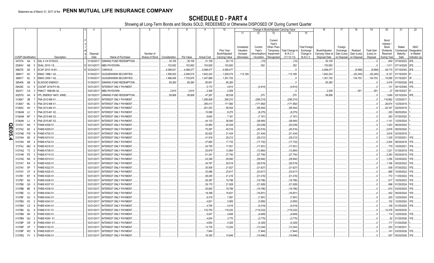|                |                             |                      |                                     | 4                      |                                                 |                 |               |            | 9                  | 10                                 |                                     |                                   |                                                            | Change in Book/Adjusted Carrying Value |                                               | 16                                 | 17                                 | 18                      | 19                             | 20                                                 | 21                                | 22                                      |
|----------------|-----------------------------|----------------------|-------------------------------------|------------------------|-------------------------------------------------|-----------------|---------------|------------|--------------------|------------------------------------|-------------------------------------|-----------------------------------|------------------------------------------------------------|----------------------------------------|-----------------------------------------------|------------------------------------|------------------------------------|-------------------------|--------------------------------|----------------------------------------------------|-----------------------------------|-----------------------------------------|
|                |                             |                      |                                     |                        |                                                 |                 |               |            |                    |                                    | 11                                  | 12                                | 13                                                         | 14                                     | 15                                            |                                    |                                    |                         |                                |                                                    |                                   |                                         |
|                |                             |                      |                                     | Disposal               |                                                 | Number of       |               |            |                    | <b>Prior Year</b><br>Book/Adjusted | Unrealized<br>Valuation<br>Increase | Current<br>Year's<br>Amortization | Current<br>Year's<br>Other-Than<br>Temporary<br>Impairment | Total Change i<br>B./A.C.V.            | <b>Total Foreign</b><br>Exchange<br>Change in | Book/Adjusted<br>Carrying Value at | Foreign<br>Exchange<br>Gain (Loss) | Realized<br>Gain (Loss) | <b>Total Gain</b><br>(Loss) on | Bond<br>Interest<br>Stock<br>Dividends<br>Received | Stated<br>Contractual<br>Maturity | <b>NAIC</b><br>Designation<br>or Market |
|                | <b>CUSIP</b> Identification |                      | Description                         | Date                   | Name of Purchaser                               | Shares of Stock | Consideration | Par Value  | <b>Actual Cost</b> | Carrying Value                     | (Decrease)                          | / Accretion                       | Recognized                                                 | $(11+12-13)$                           | <b>B./A.C.V.</b>                              | Disposal Date                      | on Disposal                        | on Disposal             | Disposal                       | During Year                                        | Date                              | Indicator (a)                           |
|                | 24737A                      | AA                   | DAL 4 1/4 07/30/23.                 | 01/30/2017             | SINKING FUND REDEMPTION.                        |                 | .30,105       | .30,105    | .31,159            | 30,115                             |                                     | . (10                             |                                                            | .(10)                                  |                                               | .30,105                            |                                    |                         |                                | .640                                               | 07/30/2023.                       | 2FE.                                    |
|                | 25264V                      | AB                   | DHAL 2015-1 B.                      | 03/14/201              | <b>MBS PAYDOWN.</b>                             |                 | 153,952       | 153,952    | .153,928           | .153,600                           |                                     | .352                              |                                                            | .352                                   |                                               | .153,952                           |                                    |                         |                                | .1,511                                             | 07/14/2028.                       | 2FE.                                    |
|                | 26827E                      | AE                   | ECAF 2015-1A B1                     | 02/24/201              | <b>/ARIOUS.</b>                                 |                 | .4,089,52     | .4,099,477 | .4,099,477         | .4,099,477                         |                                     |                                   |                                                            |                                        |                                               | 4,099,477                          |                                    | (9,956)                 | (9,956)                        | .49,715                                            | 07/15/2040.                       |                                         |
|                | 268617                      | AC                   | EMAC 1998-1 A3.                     | 01/04/201              | <b>GUGGENHEIM SECURITIES.</b>                   |                 | .1,590,003    | .2,046,515 | .1,642,243         | .1,529,074                         | 113,169                             |                                   |                                                            | .113,169                               |                                               | 1,642,243                          |                                    | (52, 240)               | (52, 240)                      | .9,127                                             | 01/15/2025.                       |                                         |
|                | 268617                      | BJ                   | EMAC 2000-1 A2.                     | 01/04/201              | <b>GUGGENHEIM SECURITIES.</b>                   |                 | 1,486,405     | .1,753,870 | 1,347,689          | .1,351,702                         |                                     |                                   |                                                            |                                        |                                               | 1,351,702                          |                                    | .134,703                | 134,703                        | 10,595                                             | 01/15/2027.                       |                                         |
|                | 290408                      | AB                   | <b>ELWOOD ENERGY</b>                | 01/05/201              | SINKING FUND REDEMPTION.                        |                 | .85,260       | .85,260    | .85,651            | .85,260                            |                                     |                                   |                                                            |                                        |                                               | .85,260                            |                                    |                         |                                | .3.478                                             | 07/05/2026.                       |                                         |
|                | 29429C                      | AJ                   | CGCMT 2016-P3 XA                    | 03/31/201              | INTEREST ONLY PAYMENT.                          |                 |               |            | .5,172             | .4,814                             |                                     | (4,814)                           |                                                            | (4,814)                                |                                               |                                    |                                    |                         |                                | .131                                               | 04/15/2049.                       |                                         |
|                | 302471                      | CA                   | FMACT 1998-BA A2.                   | 03/01/201              | MBS PAYDOWN.                                    |                 | .2,810        | .2,810     | .2,306             | .2,259                             |                                     |                                   |                                                            |                                        |                                               | .2,259                             |                                    | .551                    | .551                           | .27                                                | 09/15/2027                        |                                         |
|                | 30257G                      | AA                   | FPL ENERGY NATL WIND                | 03/10/201              | SINKING FUND REDEMPTION.                        |                 | .58,808       | .58,808    | .47,267            | .58,538                            |                                     | .270                              |                                                            | 270                                    |                                               | .58,808                            |                                    |                         |                                | .1,649                                             | 03/10/2024.                       |                                         |
|                | 3136A7                      | 2B                   | FNA 2012-M9 X1                      | 03/31/201              | INTEREST ONLY PAYMENT.                          |                 |               |            | 1,256,828          | .290,210                           |                                     | (290, 210)                        |                                                            | (290, 210)                             |                                               |                                    |                                    |                         |                                | .116,882                                           | 12/25/2017                        |                                         |
|                | 3136A7                      | ML                   | FNA 2012-M8 X1                      | 03/31/201              | INTEREST ONLY PAYMENT.                          |                 |               |            | .395,413           | 171,992                            |                                     | .(171,992)                        |                                                            | (171, 992)                             |                                               |                                    |                                    |                         |                                | .26,874                                            | 12/25/2019.                       |                                         |
|                | 3136AC                      | 4H                   | FNA 2013-M4 X1                      | 03/31/201              | INTEREST ONLY PAYMENT                           |                 |               |            | 201,253            | .56,504                            |                                     | (56, 504)                         |                                                            | (56, 504)                              |                                               |                                    |                                    |                         |                                | .20,167                                            | 02/25/2018.                       |                                         |
|                | 3136AM LC                   |                      | FNA 2015-M1 X2                      | 03/31/201              | <b>INTEREST ONLY PAYMENT</b>                    |                 |               |            | 10,096             | .8,275                             |                                     | (8,275)                           |                                                            | (8,275)                                |                                               |                                    |                                    |                         |                                | .220                                               | 09/25/2024.                       |                                         |
|                | 3136AM M7                   |                      | FNA 2015-M4 X2                      | 03/31/201              | INTEREST ONLY PAYMENT                           |                 |               |            | .9,640             | 7,161                              |                                     | (7,161                            |                                                            | (7, 161)                               |                                               |                                    |                                    |                         |                                | .283                                               | 07/25/2022.                       |                                         |
|                | 3136AN LJ                   |                      | FNA 2015-M7 X2                      | 03/31/2017             | INTEREST ONLY PAYMENT.                          |                 |               |            | 44,133             | .36,940                            |                                     | (36,940)                          |                                                            | (36, 940)                              |                                               |                                    |                                    |                         |                                | .1,141                                             | 12/25/2024.                       |                                         |
| O<br>m         | 3137A1                      | <b>NA</b>            | <b>FHMS K008 X1</b>                 | 03/31/201              | <b>INTEREST ONLY PAYMENT</b>                    |                 |               |            | .33,963            | .20,039                            |                                     | (20, 039)                         |                                                            | (20, 039)                              |                                               |                                    |                                    |                         |                                | .1,403                                             | 06/25/2020.                       |                                         |
|                | 3137A2                      | B <sub>3</sub>       | <b>HMS K009 X1</b>                  | 03/31/201              | INTEREST ONLY PAYMENT.                          |                 |               |            | 70,297             | .40,516                            |                                     | (40,516)                          |                                                            | (40, 516)                              |                                               |                                    |                                    |                         |                                | .2,678                                             | 08/25/2020.                       |                                         |
| $\overline{5}$ | 3137AB                      | <b>FW</b>            | <b>FHMS K702 X1</b>                 | 03/31/201              | INTEREST ONLY PAYMENT.                          |                 |               |            | .62,832            | .21,434                            |                                     | (21,434)                          |                                                            | (21, 434)                              |                                               |                                    |                                    |                         |                                | .3,816                                             | 02/25/2018.                       |                                         |
| 4              | 3137AH                      | 6D                   | FHMS K015 X1<br><b>FHMS K704 X1</b> | 03/31/201              | INTEREST ONLY PAYMENT.                          |                 |               |            | .41,918            | 29,212                             |                                     | (29, 212)                         |                                                            | (29, 212)                              |                                               |                                    |                                    |                         |                                | .1,339                                             | 07/25/2021                        | 1FE.                                    |
|                | 3137AH                      | 6R                   |                                     | 03/31/201              | INTEREST ONLY PAYMENT                           |                 |               |            | 37,893             | .17,732                            |                                     | (17,732)                          |                                                            | (17, 732)                              |                                               |                                    |                                    |                         |                                | .2,304<br>.779                                     | 08/25/2018.                       | 1FE.<br>IFE.                            |
|                | 3137AJ<br>3137AQ            | MG<br>T <sub>3</sub> | FHMS K016 X1<br><b>FHMS K708 X1</b> | 03/31/201<br>03/31/201 | INTEREST ONLY PAYMENT.<br>INTEREST ONLY PAYMENT |                 |               |            | .24,755<br>.25,879 | 17,931<br>.12,864                  |                                     | (17,931)                          |                                                            | (17, 931)                              |                                               |                                    |                                    |                         |                                | .1,221                                             | 10/25/2021<br>01/25/2019.         | 1FE.                                    |
|                | 3137AR                      | <b>PZ</b>            | <b>FHMS K710 X1</b>                 | 03/31/201              | INTEREST ONLY PAYMENT.                          |                 |               |            | 51,341             | 27,750                             |                                     | (12,864)<br>(27,750)              |                                                            | (12,864)<br>(27, 750)                  |                                               |                                    |                                    |                         |                                | 2,383                                              | 05/25/2019.                       | 1FE.                                    |
|                | 3137AS                      | <b>NK</b>            | <b>FHMS K019 X1</b>                 | 03/31/201              | INTEREST ONLY PAYMENT                           |                 |               |            | 43,348             | 29,940                             |                                     | (29,940)                          |                                                            | (29,940)                               |                                               |                                    |                                    |                         |                                | .1,256                                             | 03/25/2022.                       | 1FE.                                    |
|                | 3137AT RX                   |                      | FHMS K020 X1                        | 03/31/201              | INTEREST ONLY PAYMENT.                          |                 |               |            | .34,767            | 29,519                             |                                     | (29,519)                          |                                                            | (29, 519)                              |                                               |                                    |                                    |                         |                                | .1,186                                             | 05/25/2022.                       | 1FE.                                    |
|                | 3137AV                      | XP                   | <b>FHMS K022 X1</b>                 | 03/31/201              | <b>INTEREST ONLY PAYMENT</b>                    |                 |               |            | .30,506            | .21,627                            |                                     | (21,627)                          |                                                            | (21, 627)                              |                                               |                                    |                                    |                         |                                | .838                                               | 07/25/2022.                       | IFE.                                    |
|                | 3137AY                      | CF                   | FHMS K025 X1                        | 03/31/20               | INTEREST ONLY PAYMENT.                          |                 |               |            | .33,086            | 23,617                             |                                     | (23, 617)                         |                                                            | (23, 617)                              |                                               |                                    |                                    |                         |                                | .868                                               | 10/25/2022.                       | 1FE.                                    |
|                | 3137B1                      | <b>BT</b>            | FHMS K026 X1                        | 03/31/201              | INTEREST ONLY PAYMENT.                          |                 |               |            | .29,245            | .21,216                            |                                     | (21, 216)                         |                                                            | (21, 216)                              |                                               |                                    |                                    |                         |                                | .772                                               | 1/25/2022.                        | 1FE.                                    |
|                | 3137B7                      | N2                   | FHMS K036 X1                        | 03/31/201              | INTEREST ONLY PAYMENT.                          |                 |               |            | .26,387            | .19,796                            |                                     | (19,796)                          |                                                            | (19,796)                               |                                               |                                    |                                    |                         |                                | .617                                               | 10/25/2023.                       | IFE.                                    |
|                | 3137B8                      | G5                   | <b>FHMS K037 X1</b>                 | 03/31/201              | INTEREST ONLY PAYMENT                           |                 |               |            | .29,170            | 21,928                             |                                     | (21, 928)                         |                                                            | (21, 928)                              |                                               |                                    |                                    |                         |                                | .696                                               | 01/25/2024                        | 1FE.                                    |
|                | 3137BB                      | BE                   | FHMS K038 X1                        | 03/31/201              | INTEREST ONLY PAYMENT.                          |                 |               |            | .25,842            | .19,766                            |                                     | (19,766)                          |                                                            | (19,766)                               |                                               |                                    |                                    |                         |                                | .610                                               | 03/25/2024.                       | 1FE.                                    |
|                | 3137BE                      | VJ                   | FHMS K040 X1                        | 03/31/201              | INTEREST ONLY PAYMENT.                          |                 |               |            | 18,399             | .16,831                            |                                     | (16,831                           |                                                            | .(16,831                               |                                               |                                    |                                    |                         |                                | 452                                                | 09/25/2024                        | 1FE.                                    |
|                | 3137BF XU                   |                      | <b>FHMS K042 X1</b>                 | 03/31/201              | INTEREST ONLY PAYMENT.                          |                 |               |            | .9,318             | 7,591                              |                                     | (7,591                            |                                                            | (7,591)                                |                                               |                                    |                                    |                         |                                | .200                                               | 12/25/2024.                       | 1FE.                                    |
|                | 3137BG                      | K3                   | FHMS K043 X                         | 03/31/201              | INTEREST ONLY PAYMENT                           |                 |               |            | .4,821             | .3,955                             |                                     | (3,955)                           |                                                            | (3,955)                                |                                               |                                    |                                    |                         |                                | 102                                                | 12/25/2024                        | 1FE.                                    |
|                | 3137BH                      | CZ                   | FHMS K044 X1                        | 03/31/201              | INTEREST ONLY PAYMENT                           |                 |               |            | .4,794             | .4,019                             |                                     | (4,019)                           |                                                            | (4,019)                                |                                               |                                    |                                    |                         |                                | 108                                                | 01/25/2025.                       |                                         |
|                | 3137BK GL                   |                      | FHMS K151 X1                        | 03/31/201              | INTEREST ONLY PAYMENT.                          |                 |               |            | 133,755            | 119,232                            |                                     | (119,232)                         |                                                            | (119,232)                              |                                               |                                    |                                    |                         |                                | .14,378                                            | 04/25/2030                        |                                         |
|                | 3137BN                      | 6H                   | <b>FHMS K053 X1</b>                 | 03/31/201              | INTEREST ONLY PAYMENT                           |                 |               |            | .5,047             | .4,649                             |                                     | (4,649)                           |                                                            | (4,649)                                |                                               |                                    |                                    |                         |                                | .114                                               | 12/25/2025.                       |                                         |
|                | 3137BN GU                   |                      | FHMS K054 X1                        | 03/31/201              | <b>INTEREST ONLY PAYMENT</b>                    |                 |               |            | .4,054             | .3,770                             |                                     | (3,770)                           |                                                            | (3,770)                                |                                               |                                    |                                    |                         |                                | .92                                                | 01/25/2026.                       |                                         |
|                | 3137BP                      | CR                   | <b>HMS KW01 X1</b>                  | 03/31/201              | NTEREST ONLY PAYMENT                            |                 |               |            | .4,654             | .4,329                             |                                     | (4,329)                           |                                                            | (4,329)                                |                                               |                                    |                                    |                         |                                | .117                                               | 01/25/2026.                       |                                         |
|                | 3137BP                      | VP                   | <b>HMS K152 X1</b>                  | 03/31/201              | INTEREST ONLY PAYMENT.                          |                 |               |            | 13,735             | .13,244                            |                                     | (13,244                           |                                                            | (13,244)                               |                                               |                                    |                                    |                         |                                | .253                                               | 01/25/2031                        |                                         |
|                | 3137BP                      | W3                   | FHMS K055 X1                        | 03/31/2017             | INTEREST ONLY PAYMENT                           |                 |               |            | 7,944              |                                    |                                     | (7,944)                           |                                                            | (7,944)                                |                                               |                                    |                                    |                         |                                | .141                                               | 03/25/2026.                       |                                         |
|                | 3137BQ                      | YV                   | <b>FHMS K056 X1</b>                 | 03/31/2017             | INTEREST ONLY PAYMENT                           |                 |               |            | 16,300             | 15,646                             |                                     | (15, 646)                         |                                                            | (15, 646)                              |                                               |                                    |                                    |                         |                                | 507                                                | 05/25/2026.                       |                                         |
|                |                             |                      |                                     |                        |                                                 |                 |               |            |                    |                                    |                                     |                                   |                                                            |                                        |                                               |                                    |                                    |                         |                                |                                                    |                                   |                                         |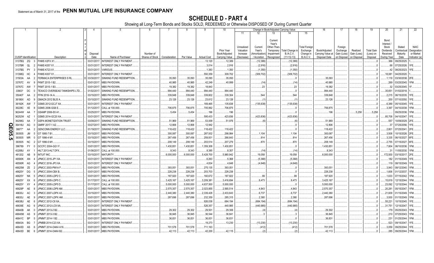|           |                             |           | 2                                     | 4                | -5                            | 6                            |               | -8         | 9                  | 10                              |                        |                             |                          | Change in Book/Adjusted Carrying Value |                               | 16                                 | 17                         | 18                         | 19                    | 20                      | 21               | 22                         |
|-----------|-----------------------------|-----------|---------------------------------------|------------------|-------------------------------|------------------------------|---------------|------------|--------------------|---------------------------------|------------------------|-----------------------------|--------------------------|----------------------------------------|-------------------------------|------------------------------------|----------------------------|----------------------------|-----------------------|-------------------------|------------------|----------------------------|
|           |                             |           |                                       |                  |                               |                              |               |            |                    |                                 | 11                     | 12                          | 13                       | 14                                     | 15                            |                                    |                            |                            |                       |                         |                  |                            |
|           |                             |           |                                       |                  |                               |                              |               |            |                    |                                 |                        |                             |                          |                                        |                               |                                    |                            |                            |                       |                         |                  |                            |
|           |                             |           |                                       |                  |                               |                              |               |            |                    |                                 |                        |                             | Current                  |                                        |                               |                                    |                            |                            |                       | Bond                    |                  |                            |
|           |                             |           |                                       |                  |                               |                              |               |            |                    |                                 |                        |                             | Year's                   |                                        |                               |                                    |                            |                            |                       | Interest /              |                  |                            |
|           |                             |           |                                       |                  |                               |                              |               |            |                    |                                 | Unrealized             | Current                     | Other-Than               |                                        | <b>Total Foreign</b>          |                                    | Foreign                    |                            |                       | Stock                   | Stated           | <b>NAIC</b>                |
|           |                             |           |                                       |                  |                               |                              |               |            |                    | Prior Year                      | Valuation              | Year's                      | Temporary                | Total Change i                         | Exchange                      | Book/Adjusted                      | Exchange                   | Realized                   | Total Gain            | <b>Dividends</b>        | Contractual      | Designation                |
|           | <b>CUSIP</b> Identification |           | Description                           | Disposal<br>Date | Name of Purchaser             | Number of<br>Shares of Stock | Consideration | Par Value  | <b>Actual Cost</b> | Book/Adjusted<br>Carrying Value | Increase<br>(Decrease) | Amortization<br>/ Accretion | Impairment<br>Recognized | <b>B./A.C.V.</b><br>$(11+12-13)$       | Change in<br><b>B./A.C.V.</b> | Carrying Value at<br>Disposal Date | Gain (Loss)<br>on Disposal | Gain (Loss)<br>on Disposal | (Loss) on<br>Disposal | Received<br>During Year | Maturity<br>Date | or Market<br>Indicator (a) |
|           |                             |           |                                       |                  |                               |                              |               |            |                    |                                 |                        |                             |                          |                                        |                               |                                    |                            |                            |                       |                         |                  |                            |
|           | 3137BQ                      | ZQ        | FHMS X2FX X1                          | 03/31/2011       | <b>INTEREST ONLY PAYMENT</b>  |                              |               |            | 13,120             | .12,389                         |                        | (12,389)                    |                          | (12,389                                |                               |                                    |                            |                            |                       | .366                    | 09/25/2025.      |                            |
|           | 3137BR                      | QL        | <b>FHMS K057 X1</b>                   | 03/31/201        | <b>INTEREST ONLY PAYMENT.</b> |                              |               |            | .3,014             | .2,916                          |                        | (2,916)                     |                          | (2,916)                                |                               |                                    |                            |                            |                       | 68                      | 07/25/2026.      | IFE.                       |
|           | 3137BS                      | <b>PY</b> | HMS K723 X1                           | 03/31/201        | ARIOUS.                       |                              |               |            | .1,383             | .1,350                          |                        | (1,350)                     |                          | (1,350)                                |                               |                                    |                            |                            |                       | 42                      | 08/25/2023       | IFE.                       |
|           | 31398Q                      | НC        | FHMS K007 X1                          | 03/31/201        | INTEREST ONLY PAYMENT.        |                              |               |            | .550,359           | 309,702                         |                        | (309, 702)                  |                          | (309, 702)                             |                               |                                    |                            |                            |                       | .18,081                 | 04/25/2020       |                            |
|           | 31503A                      | AA        | FERMACA ENTERPRISES S RL              | 03/30/20         | SINKING FUND REDEMPTION.      |                              | .35,093       | .35,093    | .35,093            | .35,093                         |                        |                             |                          |                                        |                               | .35,093                            |                            |                            |                       | .1.119                  | 03/30/2038.      |                            |
|           | 33767C                      | AV        | FKMT 2015-1 B2.                       | 03/01/20         | MBS PAYDOWN.                  |                              | .40,985       | 40,985     | .42,249            | .40,999                         |                        | (14)                        |                          | (14)                                   |                               | .40,985                            |                            |                            |                       | .269                    | 03/25/2045.      |                            |
|           | 33767C                      | AW        | FKMT 2015-1 B3.                       | 03/01/201        | MBS PAYDOWN.                  |                              | .19,382       | 19,382     | .18,843            |                                 |                        | .23                         |                          | .23                                    |                               | .19,382                            |                            |                            |                       | .32                     | 03/25/2045.      |                            |
|           |                             |           | <b>TEXACO OVERSEAS TANKSHIPS LTD.</b> |                  | SINKING FUND REDEMPTION.      |                              | .994,440      | .994,440   |                    | .994,440                        |                        |                             |                          |                                        |                               | .994,440                           |                            |                            |                       | .35,651                 | 01/02/2018.      |                            |
|           | 33903*                      | DC        |                                       | 01/02/201        |                               |                              |               |            | .994,440           |                                 |                        |                             |                          |                                        |                               |                                    |                            |                            |                       |                         |                  |                            |
|           | 35040T                      | AA        | FFIN 2016-1A A                        | 03/15/201        | MBS PAYDOWN.                  |                              | .339,848      | .339,848   | .339,802           | .339,304                        |                        | .544                        |                          | .544                                   |                               | .339,848                           |                            |                            |                       | .2,215                  | 06/15/2035.      |                            |
|           | 36186X                      | AD        | GMACN 2012 BLIS A                     | 03/10/201        | SINKING FUND REDEMPTION.      |                              | .23,126       | .23,126    | .23,612            | .23,126                         |                        |                             |                          |                                        |                               | .23,126                            |                            |                            |                       | .200                    | 07/10/2050.      | 1FE.                       |
|           | 36192K                      | AW        | GSMS 2012-GCJ7 XA                     | 03/31/201        | <b>INTEREST ONLY PAYMENT.</b> |                              |               |            | 169,465            | 135,638                         |                        | (135, 638)                  |                          | (135, 638)                             |                               |                                    |                            |                            |                       | .6,389                  | 05/10/2045.      | 1FE.                       |
|           | 36228C                      | XE        | GSMS 2006-GG6 E.                      | 01/12/201        | CALL at 100.000.              |                              | .706,875      | 706,875    | .705,992           | .706,875                        |                        |                             |                          |                                        |                               | .706,875                           |                            |                            |                       | .3,397                  | 04/10/2038.      | 1FM.                       |
|           | 36244W                      | AA        | GSAMP 2006-S5 A1                      | 03/25/201        | MBS PAYDOWN.                  |                              | .5,454        | .5,454     | 196                | 196                             |                        |                             |                          |                                        |                               | .196                               |                            | 5,258                      | .5,258                |                         | 09/25/2036.      | 1FM.                       |
|           | 36252W                      | AZ        | GSMS 2014-GC20 XA.                    | 03/31/201        | INTEREST ONLY PAYMENT.        |                              |               |            | .595,433           | .423,836                        |                        | (423,836)                   |                          | (423,836).                             |                               |                                    |                            |                            |                       | .85,708                 | 04/10/2047       | 1FE.                       |
|           | 36298G                      | AA        | <b>GSPA MONETIZATION TRUST</b>        | 03/09/201        | SINKING FUND REDEMPTION.      |                              | .51,969       | .51,969    | .53,009            | .51,976                         |                        | (6)                         |                          | (6)                                    |                               | .51,969                            |                            |                            |                       | .557                    | 10/09/2029.      |                            |
| Q         | 36416U                      | AG        | GMRF 2017-1 A2.                       | 03/27/20         | MBS PAYDOWN.                  |                              | .12,806       | .12,806    | .12,942            |                                 |                        |                             |                          |                                        |                               | .12,806                            |                            |                            |                       | -37                     | 07/25/2056.      | 1FE.                       |
| Ш         | 36877*                      | AA        | <b>GENCONN ENERGY LLC</b>             | 01/19/201        | SINKING FUND REDEMPTION       |                              | .118,422      | 118,422    | 118,422            |                                 |                        |                             |                          |                                        |                               | .118,422                           |                            |                            |                       | .2.801                  |                  | 2FE.                       |
| $\bullet$ |                             |           |                                       |                  |                               |                              |               |            |                    | 118,422                         |                        |                             |                          |                                        |                               |                                    |                            |                            |                       |                         | 07/25/2041.      |                            |
| σī        | 393505                      |           | GT 1995-7 B1                          | 03/15/201        | MBS PAYDOWN.                  |                              | .300,087      | .300,087   | 287,932            | .298,984                        |                        | .1,104                      |                          | .1,104                                 |                               | .300,087                           |                            |                            |                       | .3.508                  | 10/15/2026. 2FE. |                            |
| ໍທ        | 393505                      | <b>MR</b> | GT 1996-4 M1                          | 03/15/201        | MBS PAYDOWN.                  |                              | .267,456      | .267,456   | .259,931           | 266,643                         |                        | .814                        |                          | 814                                    |                               | .267,456                           |                            |                            |                       | .3,335                  | 06/15/2027.      | 6FE.                       |
|           | 393505                      | <b>NC</b> | GT 1996-5 M1                          | 03/15/201        | MBS PAYDOWN.                  |                              | .208,149      | .208,149   | 203,514            | .207,279                        |                        | .870                        |                          | 870                                    |                               | .208,149                           |                            |                            |                       | .2.755                  | 07/15/2027. 6FE. |                            |
|           | 396789                      | <b>FY</b> | GCCFC 2004-GG1 F.                     | 03/01/201        | <b>MBS PAYDOWN.</b>           |                              | 1,430,851     | 1,430,851  | 1,359,308          | 1,430,851                       |                        |                             |                          |                                        |                               | 1,430,851                          |                            |                            |                       | .7,804                  | 06/10/2036. 1FM. |                            |
|           | 43289U                      | AY        | HILT 2013-HLT DFX.                    | 01/06/201        | CALL at 100.000.              |                              | .8,343        | .8,343     | .8,385             | .8,357                          |                        | (14)                        |                          | (14                                    |                               | 8,343                              |                            |                            |                       |                         | 11/05/2030.      | 1FM.                       |
|           | 461202                      | AB        | <b>NTUIT INC</b>                      | 03/15/201        | <b>MATURITY.</b>              |                              | .6,000,000    | .6,000,000 | .5,428,700         | 5,980,942                       |                        | .19,058                     |                          | .19,058                                |                               | .6,000,000                         |                            |                            |                       | 172,500                 | 03/15/2017.      | 2FE.                       |
|           | 46590K                      | AN        | JPMCC 2015-JP1 XA                     | 03/31/201        | <b>INTEREST ONLY PAYMENT</b>  |                              |               |            | .6,263             | .5,368                          |                        | (5,368)                     |                          | (5,368)                                |                               |                                    |                            |                            |                       | 182                     | 01/15/2049.      | 1FE.                       |
|           | 46590R                      | AG        | JPMCC 2016-JP3 XA                     | 03/31/201        | <b>INTEREST ONLY PAYMENT.</b> |                              |               |            | .4,834             | .4,648                          |                        | (4,648)                     |                          | (4,648)                                |                               |                                    |                            |                            |                       | .119                    | 08/15/2049.      | 1FE.                       |
|           |                             |           | JPMCC 2003-PM1A F                     | 03/01/201        | MBS PAYDOWN.                  |                              |               |            |                    |                                 |                        |                             |                          |                                        |                               |                                    |                            |                            |                       | .3.943                  |                  |                            |
|           | 46625M                      | ΖE        |                                       |                  |                               |                              | .393,051      | .393,051   | .275,135           | .393,051                        |                        |                             |                          |                                        |                               | .393,051                           |                            |                            |                       |                         | 08/12/2040.      | 1FM.                       |
|           | 46625Y                      | DG        | JPMCC 2004-CBX B.                     | 03/01/201        | MBS PAYDOWN.                  |                              | .228,238      | .228,238   | 203,703            | .228,238                        |                        |                             |                          |                                        |                               | .228,238                           |                            |                            |                       | .1,606                  | 01/12/2037       | 1FM.                       |
|           | 46625Y                      | NΚ        | JPMCC 2005-LDP2 C                     | 03/01/201        | MBS PAYDOWN.                  |                              | 187,920       | 187,920    | 160,672            | .187,822                        |                        | 99                          |                          | .99                                    |                               | .187,920                           |                            |                            |                       | .1,633                  | 07/15/2042.      | 1FM.                       |
|           | 46625Y                      | XX        | JPMCC 2005-LDP5 C                     | 01/17/201        | CALL at 100.000.              |                              | 3,425,167     | .3,425,167 | .3,209,381         | .3,416,694                      |                        | .8,473                      |                          | .8,473                                 |                               | .3,425,167                         |                            |                            |                       | .15,819                 | 12/15/2044.      | 1FM.                       |
|           | 46625Y                      | XY        | JPMCC 2005-LDP5 D                     | 01/17/201        | CALL at 100.000.              |                              | .5,000,000    | .5,000,000 | .4,637,500         | .5,000,000                      |                        |                             |                          |                                        |                               | .5,000,000                         |                            |                            |                       | .23,092                 | 12/15/2044.      | 1FM.                       |
|           | 46629P                      | AE        | JPMCC 2006-LDP9 AM                    | 03/01/201        | MBS PAYDOWN.                  |                              | .2,570,357    | .2,570,357 | .2,023,855         | .2,565,514                      |                        | .4,843                      |                          | .4,843                                 |                               | .2,570,357                         |                            |                            |                       | .20,281                 | 05/15/2047.      | 1FM.                       |
|           | 46630J                      | AC        | JPMCC 2007-LDPX A3                    | 03/15/201        | <b>MBS PAYDOWN.</b>           |                              | .2,440,380    | .2,440,380 | .2,339,428         | 2,433,643                       |                        | .6,737                      |                          | .6,737                                 |                               | .2,440,380                         |                            |                            |                       | .21,609                 | 01/15/2049.      |                            |
|           | 46630J                      | AE        | JPMCC 2007-LDPX AM                    | 03/01/201        | <b>MBS PAYDOWN.</b>           |                              | .287,696      | .287,696   | .232,359           | 285,315                         |                        | .2,380                      |                          | 2,380                                  |                               | .287,696                           |                            |                            |                       | .3.930                  | 01/15/2049.      | 1FM.                       |
|           | 46638U                      | AE        | JPMCC 2012-C8 XA                      | 03/31/201        | INTEREST ONLY PAYMENT.        |                              |               |            | .926,038           | 684,194                         |                        | (684, 194)                  |                          | (684,194                               |                               |                                    |                            |                            |                       | .55,221                 | 10/15/2045.      | 1FE.                       |
|           |                             |           |                                       | 03/31/201        |                               |                              |               |            | 526,357            |                                 |                        |                             |                          |                                        |                               |                                    |                            |                            |                       |                         |                  |                            |
|           | 46639E                      | AG        | JPMCC 2012-LC9 XA                     |                  | <b>INTEREST ONLY PAYMENT</b>  |                              |               |            |                    | .440,985                        |                        | (440, 985)                  |                          | (440, 985)                             |                               |                                    |                            |                            |                       | .31.751                 | 12/15/2047       | 1FE.                       |
|           | 46640B                      | AK        | JPMMT 2013-2 B2                       | 03/01/201        | MBS PAYDOWN.                  |                              | .29,302       | .29,302    | 29,501             | .29,306                         |                        |                             |                          |                                        |                               | 29,302                             |                            |                            |                       | .179                    | 05/25/2043.      | 1FM.                       |
|           | 46640M                      | AS        | JPMMT 2013-3 B2.                      | 03/01/20         | MBS PAYDOWN.                  |                              | .36,845       | .36,845    | .36,544            | .36,841                         |                        |                             |                          |                                        |                               | .36,845                            |                            |                            |                       | .210                    | 07/25/2043       | 1FM.                       |
|           | 46641C BP                   |           | JPMMT 2014-1 B2.                      | 03/01/201        | MBS PAYDOWN.                  |                              | .36,831       | .36,831    | .36,831            | .36,831                         |                        |                             |                          |                                        |                               | .36,831                            |                            |                            |                       | .231                    | 01/25/2044.      | 1FM.                       |
|           | 46643A                      | BG        | JPMBB 2014-C23 XA                     | 03/31/201        | INTEREST ONLY PAYMENT.        |                              |               |            | .19,273            | .13,230                         |                        | (13,230)                    |                          | (13, 230)                              |                               |                                    |                            |                            |                       | .523                    | 09/15/2047       | 1FE.                       |
|           | 46643D                      | AS        | JPMMT 2014-OAK4 A16                   | 03/01/201        | <b>MBS PAYDOWN.</b>           |                              | 701,578       | 701,578    | 711,163            |                                 |                        | (412)                       |                          | (412)                                  |                               | .701,578                           |                            |                            |                       | .3,059                  | 09/25/2044.      | 1FE.                       |
|           | 46643D                      | BE<br>. რ | JPMMT 2014-OAK4 B2.                   | 03/01/201        | MBS PAYDOWN.                  |                              | 42,113        | 42.113     | 42,200             | .42,115                         |                        | (2)                         |                          | (2)                                    |                               | .42,113                            |                            |                            |                       | .285                    | 09/25/2044.      | 1FM.                       |
|           |                             |           |                                       |                  |                               |                              |               |            |                    |                                 |                        |                             |                          |                                        |                               |                                    |                            |                            |                       |                         |                  |                            |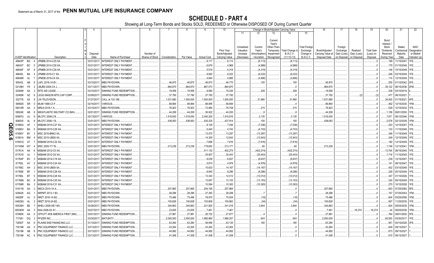|      |                             |                 | 2                                                   | 4                      | 5                                                |                 |               | 8          | 9                  | 10                |                         |                        |                                              | Change in Book/Adjusted Carrying Value |                                  | 16                | 17                  | 18          | 19                | 20                                     | 21                         | 22                         |
|------|-----------------------------|-----------------|-----------------------------------------------------|------------------------|--------------------------------------------------|-----------------|---------------|------------|--------------------|-------------------|-------------------------|------------------------|----------------------------------------------|----------------------------------------|----------------------------------|-------------------|---------------------|-------------|-------------------|----------------------------------------|----------------------------|----------------------------|
|      |                             |                 |                                                     |                        |                                                  |                 |               |            |                    |                   | 11                      | 12                     | 13                                           | 14                                     | 15                               |                   |                     |             |                   |                                        |                            |                            |
|      |                             |                 |                                                     |                        |                                                  |                 |               |            |                    | Prior Year        | Unrealized<br>Valuation | Current<br>Year's      | Current<br>Year's<br>Other-Than<br>Temporary | Total Change i                         | <b>Total Foreign</b><br>Exchange | Book/Adjusted     | Foreign<br>Exchange | Realized    | <b>Total Gain</b> | Bond<br>Interest<br>Stock<br>Dividends | Stated<br>Contractual      | <b>NAIC</b><br>Designation |
|      |                             |                 |                                                     | Disposa                |                                                  | Number of       |               |            |                    | Book/Adjusted     | Increase                | Amortizatior           | Impairment                                   | B./A.C.V.                              | Change in                        | Carrying Value at | Gain (Loss)         | Gain (Loss) | (Loss) on         | Received                               | Maturity                   | or Market                  |
|      | <b>CUSIP</b> Identification |                 | Description                                         | Date                   | Name of Purchaser                                | Shares of Stock | Consideration | Par Value  | <b>Actual Cost</b> | Carrying Value    | (Decrease)              | / Accretion            | Recognized                                   | $(11+12-13)$                           | <b>B./A.C.V.</b>                 | Disposal Date     | on Disposal         | on Disposal | Disposal          | During Year                            | Date                       | Indicator (a)              |
|      | 46643P                      | <b>BG</b>       | JPMBB 2014-C25 XA.                                  | 03/31/201              | <b>INTEREST ONLY PAYMENT</b>                     |                 |               |            | .8,117             | .6,113            |                         | (6, 113)               |                                              | (6, 113)                               |                                  |                   |                     |             |                   | .199                                   | 11/15/2047                 | 1FE.                       |
|      | 46643T                      | BC              | JPMBB 2014-C26 XA.                                  | 03/31/201              | NTEREST ONLY PAYMENT.                            |                 |               |            | .6,676             | .4,968            |                         | (4,968)                |                                              | (4,968)                                |                                  |                   |                     |             |                   | .179                                   | 01/15/2048.                | IFE.                       |
|      | 46644F                      | AF              | JPMBB 2015-C28 XA                                   | 03/31/201              | <b>INTEREST ONLY PAYMENT</b>                     |                 |               |            | .5,518             | .4,319            |                         | (4,319)                |                                              | (4,319)                                |                                  |                   |                     |             |                   | 146                                    | 10/15/2048                 | IFE.                       |
|      | 46645L                      | BA              | JPMBB 2016-C1 XA.                                   | 03/31/201              | INTEREST ONLY PAYMENT.                           |                 |               |            | .9,092             | .8,222            |                         | (8, 222)               |                                              | (8,222)                                |                                  |                   |                     |             |                   | .246                                   | 03/15/2049.                | 1FE.                       |
|      | 46646R                      | AL              | JPMDB 2016-C4 XA.                                   | 03/31/201              | INTEREST ONLY PAYMENT.                           |                 |               |            | .4,944             | .4,856            |                         | (4, 856)               |                                              | (4,856)                                |                                  |                   |                     |             |                   | .114                                   | 12/15/2049.                | 1FE.                       |
|      | 50543L                      | AB              | <b>AFL 2016-1A B1</b>                               | 03/15/20               | MBS PAYDOWN.                                     |                 | .46,875       | .46,875    | .46,873            | .46,770           |                         | 105                    |                                              | .105                                   |                                  | .46,875           |                     |             |                   | .555                                   | 01/15/2042.                | 2FE.                       |
|      | 52108H                      | F8              | <b>LBUBS 2004-C4 J</b>                              | 03/11/201              | MBS PAYDOWN.                                     |                 | 864,870       | 864,870    | .867,573           | .864,870          |                         |                        |                                              |                                        |                                  | .864,870          |                     |             |                   | .35,122                                | 06/15/2036.                | 2FM                        |
|      | 52465#                      | AA              | RITE AID LEASE.                                     | 03/10/201              | SINKING FUND REDEMPTION                          |                 | .19,558       | .19,558    | .9,580             | .19,330           |                         | .228                   |                                              | .228                                   |                                  | .19,558           |                     |             |                   | .238                                   | 03/10/2019.                |                            |
|      | 52465#                      | AZ              | <b>LEGG MASON MTG CAP CORP</b>                      | 03/08/20               | SINKING FUND REDEMPTION.                         |                 | .37,790       | .37,790    | .37,792            | .37,792           |                         |                        |                                              |                                        |                                  | .37,792           |                     | (2)         |                   | .477                                   | 06/10/2021                 |                            |
|      | 532776                      | AX              | LIN TELEVISION.                                     | 01/27/201              | CALL at 103.188.                                 |                 | 1,031,880     | 1,000,000  | 1,000,000          | .1,000,000        |                         | 31,880                 |                                              | .31,880                                |                                  | 1,031,880         |                     |             |                   | .34,000                                | 01/15/2021.                | <b>AFF</b>                 |
|      | 589929                      | <b>SR</b>       | <b>MLMI 1998-C3 F.</b>                              | 02/16/201              | <b>/ARIOUS</b>                                   |                 | .89,894       | .89,894    | .88,995            | .89,894           |                         |                        |                                              |                                        |                                  | .89,894           |                     |             |                   | .462                                   | 12/15/2030.                | 1FM.                       |
|      | 59010R                      | AA              | MRLN 2016-1 A.                                      | 03/15/201              | MBS PAYDOWN.                                     |                 | .76,923       | .76,923    | 73,965             | 76,708            |                         | .215                   |                                              | .215                                   |                                  | .76,923           |                     |             |                   | .529                                   | 12/15/2032.                | 1FE.                       |
|      | 59524E                      | AB              | MIDATLANTIC MILITARY CO (MH).                       | 02/01/201              | SINKING FUND REDEMPTION                          |                 | .44,208       | .44,208    | .36,922            | .44,200           |                         |                        |                                              |                                        |                                  | .44,208           |                     |             |                   | .1,158                                 | 08/01/2050.                | 1FE.                       |
|      | 60687U                      | AJ              | MLCFC 2006-2 B.                                     | 02/13/201              | ARIOUS.                                          |                 | 1,518,050     | 1,518,050  | .2,040,200         | 1,515,916         |                         | .2,135                 |                                              | .2,135                                 |                                  | 1,518,050         |                     |             |                   | .7,871                                 | 06/12/2046.                | 1FM.                       |
|      | 606935                      | AL              | <b>MLCFC 2006-1 B.</b>                              | 03/01/201              | <b>MBS PAYDOWN.</b>                              |                 | .438,063      | 438,063    | 435,325            | .437,914          |                         | 150                    |                                              | .150                                   |                                  | .438,063          |                     |             |                   | .2,578                                 | 02/12/2039.                | 1FM.                       |
| O    | 61690A                      | AF              | MSBAM 2015-C27 XA                                   | 03/31/201              | INTEREST ONLY PAYMENT.                           |                 |               |            | .8,128             | .7,036            |                         | (7,036)                |                                              | (7,036)                                |                                  |                   |                     |             |                   | .203                                   | 12/15/2047.                | 1FE.                       |
| m    | 61690V                      | <b>BA</b>       | <b>MSBAM 2015-C26 XA</b>                            | 03/31/201              | INTEREST ONLY PAYMENT.                           |                 |               |            | .5,440             | .4,743            |                         | (4,743)                |                                              | (4,743)                                |                                  |                   |                     |             |                   | 133                                    | 11/15/2048.                | 1FE.                       |
| 9.50 | 61690Y                      | BV              | MSC 2016-BNK2 XA                                    | 03/31/201              | INTEREST ONLY PAYMENT.                           |                 |               |            | .13,572            | .13,297           |                         | (13, 297)              |                                              | (13, 297)                              |                                  |                   |                     |             |                   | .348                                   | 11/15/2049.                | 1FE.                       |
|      | 61691A                      | <b>BM</b>       | MSC 2015-UBS8 XA                                    | 03/31/201              | INTEREST ONLY PAYMENT.                           |                 |               |            | 14,300             | .12,643           |                         | (12,643)               |                                              | (12, 643)                              |                                  |                   |                     |             |                   | .349                                   | 12/15/2048.                | IFE.                       |
|      | 61691G                      | AT              | MSBAM 2016-C32 XA                                   | 03/31/201              | INTEREST ONLY PAYMENT.                           |                 |               |            | .7,696             | .7,616            |                         | (7,616)                |                                              | (7,616)                                |                                  |                   |                     |             |                   | 190                                    | 12/15/2049.                | IFE.                       |
|      | 61745M                      | W7              | MSC 2005-T17 B.                                     | 03/01/201              | <b>MBS PAYDOWN.</b>                              |                 | .213,236      | .213,236   | 179,652            | 213,171           |                         | 65                     |                                              | 65                                     |                                  | .213,236          |                     |             |                   | .1.748                                 | 12/13/2041                 | 1FM.                       |
|      | 61761A                      | AA              | MSBAM 2012-C5 XA                                    | 03/31/201              | <b>INTEREST ONLY PAYMENT.</b>                    |                 |               |            | .511,132           | .402,274          |                         | (402, 274)             |                                              | (402,274                               |                                  |                   |                     |             |                   | .13,764                                | 08/15/2045.                | 1FE.                       |
|      | 61761D                      | AJ<br><b>BV</b> | <b>MSBAM 2012-C6 XA</b><br><b>MSBAM 2014-C19 XA</b> | 03/31/201              | <b>INTEREST ONLY PAYMENT.</b>                    |                 |               |            | .35,907            | .30,443           |                         | (30, 443)              |                                              | (30, 443)                              |                                  |                   |                     |             |                   | .1.716                                 | 11/15/2045.                | 1FE.<br>1FE.               |
|      | 61764P                      |                 |                                                     | 03/31/201              | INTEREST ONLY PAYMENT.                           |                 |               |            | .9,039             | .6,637            |                         | (6, 637)               |                                              | (6,637)                                |                                  |                   |                     |             |                   | .239<br>.141                           | 12/15/2047                 | 1FE.                       |
|      | 61765L                      | AV              | MSBAM 2015-C24 XA                                   | 03/31/201              | INTEREST ONLY PAYMENT.                           |                 |               |            | .5,910             | .4,978            |                         | (4,978)                |                                              | (4,978)                                |                                  |                   |                     |             |                   |                                        | 08/15/2047                 | IFE.                       |
|      | 61766C                      | AH              | MSC 2016-UBS9 XA.                                   | 03/31/201<br>03/31/201 | <b>INTEREST ONLY PAYMENT</b>                     |                 |               |            | .15,633            | .14,167           |                         | (14, 167)              |                                              | (14, 167)                              |                                  |                   |                     |             |                   | .402<br>.228                           | 03/15/2049.                |                            |
|      | 61766E<br>61766L            | BF<br>BT        | MSBAM 2016-C29 XA.<br>MSBAM 2016-C28 XA             | 03/31/201              | INTEREST ONLY PAYMENT.<br>INTEREST ONLY PAYMENT. |                 |               |            | .8,945<br>.13,343  | .8,296<br>.12,012 |                         | (8,296)                |                                              | (8,296)<br>(12,012)                    |                                  |                   |                     |             |                   | .347                                   | 05/15/2049.<br>01/15/2026. | 1FE<br>1FE.                |
|      | 61766N                      | BC              | MSBAM 2016-C30 XA                                   | 03/31/20               | INTEREST ONLY PAYMENT.                           |                 |               |            | .13,657            | 13,153            |                         | (12,012)               |                                              |                                        |                                  |                   |                     |             |                   | .324                                   | 09/15/2049.                | 1FE.                       |
|      | 61766R                      | BA              | <b>MSBAM 2016-C31 XA</b>                            | 03/31/20               | INTEREST ONLY PAYMENT.                           |                 |               |            | .10,584            | 10,383            |                         | (13, 153)<br>(10, 383) |                                              | (13, 153)                              |                                  |                   |                     |             |                   | .270                                   | 10/15/2026.                | 1FE.                       |
|      | 61911B                      | AA              | MECA 2010-1A A.                                     | 03/01/20               | MBS PAYDOWN.                                     |                 | .207,865      | .207,865   | .204,195           | 207,865           |                         |                        |                                              | (10, 383)                              |                                  | .207,865          |                     |             |                   | .603                                   | 07/25/2060.                | 5FE.                       |
|      | 62942K                      | AG              | NRPMT 2013-1 B3.                                    | 03/01/201              | MBS PAYDOWN.                                     |                 | .28,296       | .28,296    | .27,363            | .28,288           |                         |                        |                                              |                                        |                                  | .28,296           |                     |             |                   | 157                                    | 07/25/2043.                | 1FM.                       |
|      | 64829F                      | AJ              | NRZT 2016-1A B2.                                    | 03/01/20               | MBS PAYDOWN.                                     |                 | 75,486        | .75,486    | 78,970             | 75,504            |                         |                        |                                              |                                        |                                  | .75,486           |                     |             |                   | .604                                   | 03/25/2056.                | 1FM.                       |
|      | 64829G                      | <b>AL</b>       | <b>VRZT 2016-2A B2.</b>                             | 03/01/20               | MBS PAYDOWN.                                     |                 | 100,828       | 100,828    | 103,808            | 100,862           |                         | (18)<br>(34)           |                                              | (34)                                   |                                  | .100,828          |                     |             |                   | .807                                   | 11/25/2035.                | 1FE.                       |
|      | 65536H                      | <b>BE</b>       | NHELI 2005-HE1 M3                                   | 03/26/201              | MBS PAYDOWN.                                     |                 | .344,863      | .344,863   | .231,920           | 341,018           |                         | .3,844                 |                                              | .3,844                                 |                                  | .344,863          |                     |             |                   | .824                                   | 09/25/2035.                | 1FM.                       |
|      | 65536W                      | AA              | NAA 2006-S3 A1.                                     | 03/27/201              | MBS PAYDOWN.                                     |                 | .23,835       | .23,835    | .7,461             | .7,461            |                         |                        |                                              |                                        |                                  | .7,461            |                     | .16,374     | 16,374            |                                        | 08/25/2036.                |                            |
|      | 67085K                      | AA              | OFFUTT AFB AMERICA FIRST (MH)                       | 03/01/201              | SINKING FUND REDEMPTION                          |                 | .27,981       | .27,981    | 26,722             | .27,977           |                         |                        |                                              |                                        |                                  | 27,981            |                     |             |                   | .764                                   | 09/01/2050.                |                            |
|      | 717081                      | DQ              | PFIZER INC.                                         | 03/30/201              | <b>MATURITY</b>                                  |                 | .2,000,000    | .2,000,000 | 1,980,960          | 1,999,357         |                         | .643                   |                                              | 643                                    |                                  | .2,000,000        |                     |             |                   | .60,500                                | 03/30/2017                 |                            |
|      | 72650T                      | AA              | PLAINS END FINANCING LLC.                           | 01/15/201              | SINKING FUND REDEMPTION                          |                 | .63,280       | .63,280    | .59,958            | .63,120           |                         | 160                    |                                              | .160                                   |                                  | .63,280           |                     |             |                   | .951                                   | 04/15/2028.                |                            |
|      | 73019#                      | AA              | PNC EQUIPMENT FINANCE LLC                           | 03/13/201              | SINKING FUND REDEMPTION                          |                 | .43,264       | .43,264    | .43,264            | .43,264           |                         |                        |                                              |                                        |                                  | .43,264           |                     |             |                   | .649                                   | 09/13/2027                 |                            |
|      | 73019#                      | AB              | PNC EQUIPMENT FINANCE LLC                           | 03/13/201              | SINKING FUND REDEMPTION                          |                 | .44,892       | .44,892    | .44,892            | .44,892           |                         |                        |                                              |                                        |                                  | .44,892           |                     |             |                   | .673                                   | 09/13/2027                 |                            |
|      | 73019#                      | AC              | PNC EQUIPMENT FINANCE LLC                           | 03/13/2017             | SINKING FUND REDEMPTION                          |                 | .41,008       | .41.008    | .41,008            | .41,008           |                         |                        |                                              |                                        |                                  | .41,008           |                     |             |                   | 615                                    | 09/13/2027                 |                            |
|      |                             |                 |                                                     |                        |                                                  |                 |               |            |                    |                   |                         |                        |                                              |                                        |                                  |                   |                     |             |                   |                                        |                            |                            |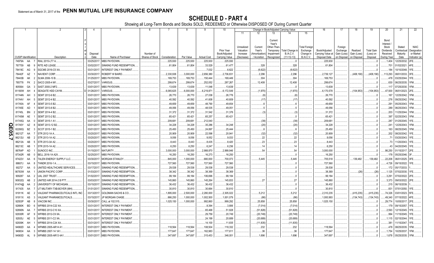|   |                             |           |                                  |                  | -5                       | 6                            |               | 8          | 9                  | 10                                                   |                                                   |                                                 | Change in Book/Adjusted Carrying Value                                    |                                                         |                                                                   | 16                                                  | 17                                                | 18                                     | 19                                         | 20                                                                 | 21                                        | 22                                                       |
|---|-----------------------------|-----------|----------------------------------|------------------|--------------------------|------------------------------|---------------|------------|--------------------|------------------------------------------------------|---------------------------------------------------|-------------------------------------------------|---------------------------------------------------------------------------|---------------------------------------------------------|-------------------------------------------------------------------|-----------------------------------------------------|---------------------------------------------------|----------------------------------------|--------------------------------------------|--------------------------------------------------------------------|-------------------------------------------|----------------------------------------------------------|
|   |                             |           |                                  |                  |                          |                              |               |            |                    |                                                      | 11                                                | 12                                              | 13                                                                        | 14                                                      | 15                                                                |                                                     |                                                   |                                        |                                            |                                                                    |                                           |                                                          |
|   | <b>CUSIP</b> Identification |           | Description                      | Disposal<br>Date | Name of Purchaser        | Number of<br>Shares of Stock | Consideration | Par Value  | <b>Actual Cost</b> | <b>Prior Year</b><br>Book/Adjusted<br>Carrying Value | Unrealized<br>Valuation<br>Increase<br>(Decrease) | Current<br>Year's<br>Amortization)<br>Accretion | Current<br>Year's<br>Other-Than-<br>Temporary<br>Impairment<br>Recognized | <b>Total Change</b><br><b>B./A.C.V.</b><br>$(11+12-13)$ | <b>Total Foreign</b><br>Exchange<br>Change in<br><b>B./A.C.V.</b> | Book/Adjusted<br>Carrying Value at<br>Disposal Date | Foreign<br>Exchange<br>Gain (Loss)<br>on Disposal | Realized<br>Gain (Loss)<br>on Disposal | <b>Total Gain</b><br>(Loss) on<br>Disposal | Bond<br>Interest/<br>Stock<br>Dividends<br>Received<br>During Year | Stated<br>Contractual<br>Maturity<br>Date | <b>NAIC</b><br>Designation<br>or Market<br>Indicator (a) |
|   | 74979A                      | AA        | RIAL 2015-LT7 A.                 | 03/25/2017       | MBS PAYDOWN.             |                              | .225,930      | .225,930   | 225,930            | .225,930                                             |                                                   |                                                 |                                                                           |                                                         |                                                                   | .225,930                                            |                                                   |                                        | . 0                                        | .1,404                                                             | 12/25/2032.                               | 2FE.                                                     |
|   | 767759                      | AB        | RITE AID LEASE.                  | 03/02/201        | SINKING FUND REDEMPTION. |                              | 61,804        | 61,804     | .33,529            | 61,477                                               |                                                   | .328                                            |                                                                           | .328                                                    |                                                                   | 61,804                                              |                                                   |                                        | C                                          | .701                                                               | 01/02/2021                                | 4FE.                                                     |
|   | 78419C                      | AG        | SGCMS 2016-C5 XA                 | 03/31/201        | INTEREST ONLY PAYMENT.   |                              |               |            | .7,032             | .6,622                                               |                                                   | (6,622)                                         |                                                                           | (6,622)                                                 |                                                                   |                                                     |                                                   |                                        | . (                                        | .184                                                               | 10/10/2048.                               | 1FE.                                                     |
|   | 78442F                      | AZ        | <b>NAVIENT CORP</b>              | 03/30/201        | ROBERT W BAIRD.          |                              | .2,330,938    | .3,000,000 | .2,656,380         | .2,736,831                                           |                                                   | .2,296                                          |                                                                           | .2,296                                                  |                                                                   | .2,739,127                                          |                                                   | (408,190)                              | (408, 190)                                 | 113,293                                                            | 08/01/2033.                               | 3FE.                                                     |
|   | 78443B                      | AK        | SLMA 2006-10 B.                  | 01/25/201        | MBS PAYDOWN.             |                              | .169,753      | 169,753    | 150,444            | .169,449                                             |                                                   | 304                                             |                                                                           | .304                                                    |                                                                   | 169,753                                             |                                                   |                                        | . 0                                        | 478                                                                | 03/25/2044.                               | 1FE.                                                     |
|   | 785778                      | <b>FK</b> | SACO 2005-4 M1.                  | 03/27/201        | /ARIOUS.                 |                              | .299,674      | .299,674   | .252,052           | .287,267                                             |                                                   | .12,408                                         |                                                                           | .12,408                                                 |                                                                   | 299,674                                             |                                                   |                                        | . (                                        | .630                                                               | 06/25/2035.                               | 1FM.                                                     |
|   | 805564                      | GA        | SAST 2000-2 MF2.                 | 03/01/201        | MBS PAYDOWN.             |                              | 13,639        | .13,639    | .11,048            | 13,639                                               |                                                   |                                                 |                                                                           |                                                         |                                                                   | 13,639                                              |                                                   |                                        | . 0                                        | .117                                                               | 07/25/2030.                               | 1FM.                                                     |
|   | 81180W                      | AH        | <b>SEAGATE HDD CAYM</b>          | 01/26/20         | /ARIOUS.                 |                              | .6,065,625    | .6,000,000 | .6,219,871         | .6,172,549                                           |                                                   | (1,970)                                         |                                                                           | (1,970)                                                 |                                                                   | 6,170,578                                           |                                                   | (104,953)                              | (104,953)                                  | 47,500                                                             | 06/01/2023.                               | 2FE.                                                     |
|   | 81744N                      | AH        | SEMT 2012-6 B2.                  | 03/01/20         | <b>MBS PAYDOWN.</b>      |                              | .26,770       | .26,770    | 27,038             | 26,776                                               |                                                   | (6)                                             |                                                                           | .(6                                                     |                                                                   | 26,770                                              |                                                   |                                        |                                            | 167                                                                | 12/25/2042.                               | 1FM.                                                     |
|   | 81744V AH                   |           | SEMT 2012-4 B2.                  | 03/01/20         | MBS PAYDOWN.             |                              | .40,592       | 40,592     | 41,608             | .40,609                                              |                                                   | (17)                                            |                                                                           | (17)                                                    |                                                                   | .40,592                                             |                                                   |                                        |                                            | .276                                                               | 09/25/2042.                               | 1FM.                                                     |
|   | 81745A                      | AF        | SEMT 2013-5 B2.                  | 03/01/20         | <b>MBS PAYDOWN.</b>      |                              | .49,659       | 49,659     | 48,790             | .49,654                                              |                                                   |                                                 |                                                                           |                                                         |                                                                   | .49,659                                             |                                                   |                                        |                                            | .291                                                               | 05/25/2043.                               | 1FM.                                                     |
|   | 81745E AD                   |           | SEMT 2013-8 B2.                  | 03/01/20         | <b>MBS PAYDOWN.</b>      |                              | .49,056       | 49,056     | 48,535             | .49,051                                              |                                                   |                                                 |                                                                           |                                                         |                                                                   | .49,056                                             |                                                   |                                        |                                            | 289                                                                | 06/25/2043.                               | 1FM.                                                     |
|   | 81745L                      | <b>BN</b> | SEMT 2014-4 B2.                  | 03/01/20         | <b>MBS PAYDOWN.</b>      |                              | 31,372        | .31,372    | .31,542            | .31,376                                              |                                                   | (.3)                                            |                                                                           | (3)                                                     |                                                                   | .31,372                                             |                                                   |                                        |                                            | 203                                                                | 11/25/2044.                               | FM.                                                      |
|   | 81745M                      | AE        | SEMT 2013-2 B2.                  | 03/01/20         | MBS PAYDOWN.             |                              | .65,421       | .65,421    | .65,257            | .65,421                                              |                                                   |                                                 |                                                                           |                                                         |                                                                   | .65,421                                             |                                                   |                                        |                                            | 397                                                                | 02/25/2043.                               | 1FM.                                                     |
|   | 81745Q                      | AA        | SEMT 2015-1 A1                   | 03/01/201        | MBS PAYDOWN.             |                              | .209,681      | 209,681    | .212,040           |                                                      |                                                   | (39)                                            |                                                                           | (39)                                                    |                                                                   | .209,681                                            |                                                   |                                        |                                            | 287                                                                | 01/25/2045.                               | 1FE.                                                     |
| O | 81745Y                      | AZ        | SEMT 2013-12 B2                  | 03/01/201        | MBS PAYDOWN.             |                              | 34,228        | .34,228    | .35,286            | 34,248                                               |                                                   | (20)                                            |                                                                           | (20)                                                    |                                                                   | 34,228                                              |                                                   |                                        |                                            | .241                                                               | 12/25/2043.                               | 1FM.                                                     |
| ш | 82280Q                      | BZ        | SCOT 2015-1 B2.                  | 03/01/201        | MBS PAYDOWN.             |                              | .25,450       | .25,450    | 24,897             | .25,444                                              |                                                   | 6                                               |                                                                           |                                                         |                                                                   | 25,450                                              |                                                   |                                        |                                            |                                                                    | 163 08/25/2045.                           | 1FM.                                                     |
| ဌ | 86212T                      | AA        | STR 2012-1A A.                   | 03/20/201        | MBS PAYDOWN.             |                              | .20,909       | .20,909    | .22,598            | .20,941                                              |                                                   | (32)                                            |                                                                           | (32)                                                    |                                                                   | 20,909                                              |                                                   |                                        |                                            | .202                                                               | 08/20/2042.                               | 1FE.                                                     |
| ◡ | 86212U                      | AB        | STR 2013-1A A2.                  | 03/20/201        | MBS PAYDOWN.             |                              | .9,056        | .9,056     | .9,052             | .9,033                                               |                                                   | .22                                             |                                                                           | .22                                                     |                                                                   | .9,056                                              |                                                   |                                        |                                            | 71                                                                 | 03/20/2043.                               | 1FE.                                                     |
|   | 86213A                      | AB        | STR 2013-3A A2.                  | 03/20/201        | MBS PAYDOWN.             |                              | .8,443        | .8,443     | 8,435              | .8,420                                               |                                                   | .23                                             |                                                                           | .23                                                     |                                                                   | .8,443                                              |                                                   |                                        | . (                                        | .73                                                                | 11/20/2043.                               | 1FE.                                                     |
|   | 86213C                      | AB        | STR 2015-1A A2.                  | 03/20/20         | MBS PAYDOWN.             |                              | .6,250        | .6,250     | 6,247              | .6,236                                               |                                                   | . 14                                            |                                                                           | .14                                                     |                                                                   | .6,250                                              |                                                   |                                        | . (                                        | 43                                                                 | 04/20/2045.                               | 1FE.                                                     |
|   | 86764P                      | AD        | SUNOCO INC.                      | 01/15/201        | <b>MATURITY.</b>         |                              | .3,000,000    | .3,000,000 | 2,988,870          | .2,999,946                                           |                                                   | .54                                             |                                                                           | .54                                                     |                                                                   | .3,000,000                                          |                                                   |                                        | C                                          | .86,250                                                            | 01/15/2017. 2FE.                          |                                                          |
|   | 87342R                      | AB        | BELL 2016-1A A2II.               | 02/25/201        | MBS PAYDOWN.             |                              | .16,250       | .16,250    | .16,273            | .16,250                                              |                                                   |                                                 |                                                                           |                                                         |                                                                   | .16,250                                             |                                                   |                                        |                                            | .178                                                               | 05/25/2046.                               |                                                          |
|   | 87422V                      | AA        | <b>TALEN ENERGY SUPPLY LLC</b>   | 03/30/20         | <b>MORGAN STANLEY</b>    |                              | .845,000      | 1,000,000  | 680,000            | .700,073                                             |                                                   | .5,445                                          |                                                                           | .5,445                                                  |                                                                   | 705,518                                             |                                                   | 139,482                                | 139,482                                    | .22,208                                                            | 06/01/2025. 3FE.                          |                                                          |
|   | 88607J                      | AA        | <b>HNDR 2016-1 A.</b>            | 03/15/201        | MBS PAYDOWN.             |                              | .727,560      | 727,560    | .727,560           | .727,560                                             |                                                   |                                                 |                                                                           |                                                         |                                                                   | .727,560                                            |                                                   |                                        |                                            | .4,726                                                             | 09/15/2022.                               |                                                          |
|   | 90272*                      | AA        | UNITED HEALTHCARE SERVICES.      | 03/17/201        | SINKING FUND REDEMPTION. |                              | 29,538        | .29,538    | .29,538            | .29,538                                              |                                                   |                                                 |                                                                           |                                                         |                                                                   | 29,538                                              |                                                   |                                        | 0                                          | 172                                                                | 05/17/2033                                |                                                          |
|   | 90783W                      | AA        | <b>JNION PACIFIC CORP.</b>       | 01/03/201        | SINKING FUND REDEMPTION. |                              | .38,342       | .38,342    | .38,369            | .38,369                                              |                                                   |                                                 |                                                                           |                                                         |                                                                   | .38,369                                             |                                                   | (26)                                   | (26)                                       | .1,125                                                             | 07/02/2030.                               | 1FE.                                                     |
|   | 909287                      | AA        | JAL 2007 TRUST.                  | 01/02/201        | SINKING FUND REDEMPTION. |                              | .99,184       | .99,184    | 106,696            | .99,184                                              |                                                   |                                                 |                                                                           |                                                         |                                                                   | .99,184                                             |                                                   |                                        | . 0                                        | .3,291                                                             | 07/02/2022.                               | 2FE.                                                     |
|   | 90932Q                      | AB        | JNITED AIR 2014-2 B PTT          | 03/03/20         | SINKING FUND REDEMPTION  |                              | 145,860       | 145,860    | 145,264            | 145,833                                              |                                                   | .27                                             |                                                                           | .27                                                     |                                                                   | 145,860                                             |                                                   |                                        | . 0                                        | .3,373                                                             | 09/03/2022.                               | 2FE.                                                     |
|   | 91474@                      | AA        | UNIVERSITY OF MICHIGAN.          | 03/15/201        | SINKING FUND REDEMPTION  |                              | .36,432       | .36,432    | .36,432            | .36,432                                              |                                                   |                                                 |                                                                           |                                                         |                                                                   | .36,432                                             |                                                   |                                        | $\dots 0$                                  |                                                                    | .215 06/15/2039.                          |                                                          |
|   | 917435                      | AA        | JT MILITARY-TXB-BOYER (MH).      | 01/01/201        | SINKING FUND REDEMPTION. |                              | 30,810        | 30,810     | 30,664             | 30,810                                               |                                                   |                                                 |                                                                           |                                                         |                                                                   | .30,810                                             |                                                   |                                        | . 0                                        | .831                                                               | 07/01/2050.                               | 1FE.                                                     |
|   | 91911K                      | AE        | /ALEANT PHARMACEUTICALS INTL INC | 03/13/201        | GOLDMAN SACHS & CO.      |                              | 1,895,000     | .2,500,000 | .2,280,000         | .2,305,022                                           |                                                   | .5,212                                          |                                                                           | .5,212                                                  |                                                                   | .2,310,235                                          |                                                   | (415,235)                              | (415, 235)                                 | 74.326                                                             | 03/01/2023.                               | 5FE.                                                     |
|   | 91911X AS                   |           | ALEANT PHARAMCEUTICALS           | 03/15/201        | JP MORGAN CHASE.         |                              | 866,250       | .1,000,000 | .1,002,500         | .1,001,079                                           |                                                   | (86)                                            |                                                                           | (86                                                     |                                                                   | .1,000,993                                          |                                                   | (134,743)                              | (134, 743)                                 | .49,340                                                            | 07/15/2022.                               | 4FE.                                                     |
|   | 92553P                      | AB        | <b>IACOM INC</b>                 | 03/30/201        | CALL at 102.515          |                              | .1,025,150    | .1,000,000 | .992,860           | .999,292                                             |                                                   | .25,858                                         |                                                                           | 25,858                                                  |                                                                   | .1,025,150                                          |                                                   |                                        | (                                          | .29,774                                                            | 10/05/2017                                | 2FE.                                                     |
|   | 92890K                      | BD        | VFRBS 2014-C22 XA                | 03/31/20         | INTEREST ONLY PAYMENT.   |                              |               |            | .8,394             | .3,806                                               |                                                   | (7,014)                                         |                                                                           | (7,014)                                                 |                                                                   |                                                     |                                                   |                                        |                                            | .179                                                               | 09/15/2057                                | 1FE.                                                     |
|   | 92890N                      | AA        | <b>NFRBS 2012-C10 XA</b>         | 03/31/20         | INTEREST ONLY PAYMENT.   |                              |               |            | .65,468            | 51,828                                               |                                                   | (51,828)                                        |                                                                           | (51, 828)                                               |                                                                   |                                                     |                                                   |                                        | C                                          | .2,593                                                             | 12/15/2045.                               | IFE.                                                     |
|   | 92930R                      | AF        | <b>NFRBS 2012-C9 XA</b>          | 03/31/20         | INTEREST ONLY PAYMENT.   |                              |               |            | .29,759            | .20,749                                              |                                                   | (20, 749)                                       |                                                                           | (20, 749)                                               |                                                                   |                                                     |                                                   |                                        |                                            | .994                                                               | 11/15/2045.                               | 1FE.                                                     |
|   | 92935J                      | AE        | <b>NFRBS 2011-C2 XA</b>          | 03/31/201        | INTEREST ONLY PAYMENT.   |                              |               |            | .24,199            | .20,689                                              |                                                   | (20, 689)                                       |                                                                           | .(20,689                                                |                                                                   |                                                     |                                                   |                                        |                                            |                                                                    | .1,115 02/15/2044.                        | 1FE.                                                     |
|   | 92939K                      | AH        | NFRBS 2014-C24 XA                | 03/31/201        | INTEREST ONLY PAYMENT.   |                              |               |            | .14,100            | 11,835                                               |                                                   | (11,835)                                        |                                                                           | (11, 835)                                               |                                                                   |                                                     |                                                   |                                        |                                            | .381                                                               | 11/15/2047.                               | 1FE.                                                     |
|   | 94982D                      | AA        | VFMBS 2005-AR14 A1               | 03/01/201        | MBS PAYDOWN.             |                              | .118,564      | 118,564    | 108,504            | .118,332                                             |                                                   | 232                                             |                                                                           | 232                                                     |                                                                   | .118,564                                            |                                                   |                                        |                                            |                                                                    | 478 08/25/2035.                           | 1FM.                                                     |
|   | 949834                      | AA        | WFMBS 2007-14 1A1                | 03/01/201        | MBS PAYDOWN.             |                              | .177,647      | 177,647    | 162,983            | 177,611                                              |                                                   | 36                                              |                                                                           | .36                                                     |                                                                   | .177,647                                            |                                                   |                                        |                                            | .1,754                                                             | 10/25/2037.                               | 1FM.                                                     |
|   | 94983D                      | AL        | WFMBS 2005-AR13 4A1<br>9         | 03/01/201        | MBS PAYDOWN.             |                              | .347,697      | 347,697    | .315,453           | 346,001                                              |                                                   | 1,696                                           |                                                                           | 1,696                                                   |                                                                   | 347,697                                             |                                                   |                                        |                                            | 1,678                                                              | 05/25/2035.                               |                                                          |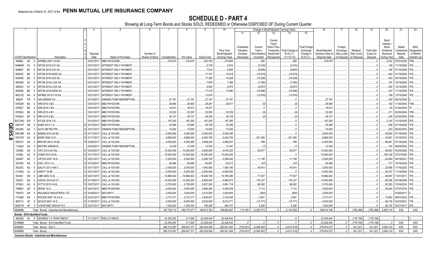|               |                             |                 | 2                                                   | 4                      | 5                                        |                                     |                    | -8                | 9                  | 10                |                        |                             |                   | Change in Book/Adjusted Carrying Value |                               | 16                                               | 17          | 18          | 19                    | 20               | 21                         | 22                    |
|---------------|-----------------------------|-----------------|-----------------------------------------------------|------------------------|------------------------------------------|-------------------------------------|--------------------|-------------------|--------------------|-------------------|------------------------|-----------------------------|-------------------|----------------------------------------|-------------------------------|--------------------------------------------------|-------------|-------------|-----------------------|------------------|----------------------------|-----------------------|
|               |                             |                 |                                                     |                        |                                          |                                     |                    |                   |                    |                   | 11                     | 12                          | 13                | 14                                     | 15                            |                                                  |             |             |                       |                  |                            |                       |
|               |                             |                 |                                                     |                        |                                          |                                     |                    |                   |                    |                   |                        |                             |                   |                                        |                               |                                                  |             |             |                       |                  |                            |                       |
|               |                             |                 |                                                     |                        |                                          |                                     |                    |                   |                    |                   |                        |                             | Current<br>Year's |                                        |                               |                                                  |             |             |                       | Bond<br>Interest |                            |                       |
|               |                             |                 |                                                     |                        |                                          |                                     |                    |                   |                    |                   | Unrealized             | Current                     | Other-Than-       |                                        | Total Foreign                 |                                                  | Foreign     |             |                       | Stock            | Stated                     | <b>NAIC</b>           |
|               |                             |                 |                                                     |                        |                                          |                                     |                    |                   |                    | Prior Year        | Valuation              | Year's                      | Temporary         | Total Change i                         | Exchange                      | Book/Adjusted                                    | Exchange    | Realized    | <b>Total Gain</b>     | Dividends        | Contractual                | Designation           |
|               | <b>CUSIP</b> Identification |                 | Description                                         | Disposal<br>Date       | Name of Purchaser                        | Number of<br><b>Shares of Stock</b> | Consideration      | Par Value         | <b>Actual Cost</b> | Book/Adjusted     | Increase<br>(Decrease) | Amortization<br>/ Accretion | Impairment        | <b>B./A.C.V.</b><br>$(11+12-13)$       | Change in<br><b>B./A.C.V.</b> | Carrying Value at<br>Disposal Date   on Disposal | Gain (Loss) | Gain (Loss) | (Loss) on<br>Disposal | Received         | Maturity<br>Date           | or Market             |
|               | 94986L                      |                 | WFMBS 2007-16 2A1<br>- 0                            | 03/01/201              | MBS PAYDOWN.                             |                                     |                    |                   |                    | Carrying Value    |                        |                             | Recognized        | 385                                    |                               |                                                  |             | on Disposal |                       | During Year      |                            | Indicator (a)<br>1FM. |
|               | 94989W                      | AK<br>AV        | <b>NFCM 2015-C31 XA</b>                             | 03/31/201              | INTEREST ONLY PAYMENT.                   |                                     | .216,070           | 216,070           | .203,750<br>.5,739 | 215,684<br>.5,016 |                        | .385                        |                   |                                        |                               | 216,070                                          |             |             |                       | .2,032<br>.138   | 07/01/2038.<br>11/15/2048. | 1FE                   |
|               | 94989Y                      | <b>BC</b>       | WFCM 2016-C32 XA.                                   | 03/31/201              | INTEREST ONLY PAYMENT.                   |                                     |                    |                   | .7,614             | .6,855            |                        | (5,016)                     |                   | (5,016)<br>(6,855)                     |                               |                                                  |             |             |                       | 194              | 01/15/2059.                | 1FE.                  |
|               | 95000C                      | <b>BE</b>       | NFCM 2016-NXS5 XA.                                  | 03/31/201              | INTEREST ONLY PAYMENT.                   |                                     |                    |                   | .17,747            | .15,819           |                        | (6, 855)<br>(15, 819)       |                   |                                        |                               |                                                  |             |             |                       | .483             | 01/15/2059.                | 1FE.                  |
|               | 95000D                      | <b>BG</b>       | WFCM 2016-C34 XA.                                   | 03/31/201              | INTEREST ONLY PAYMENT.                   |                                     |                    |                   | .17,392            | 16,028            |                        |                             |                   | (15, 819)<br>(16,028)                  |                               |                                                  |             |             |                       | .463             | 05/15/2049.                | 1FE.                  |
|               | 95000H                      |                 | NFCM 2016-LC24 XA.                                  | 03/31/201              | INTEREST ONLY PAYMENT.                   |                                     |                    |                   | .7,678             | .7,384            |                        | (16,028)                    |                   |                                        |                               |                                                  |             |             |                       | .191             | 10/15/2049.                | 1FE.                  |
|               | 95000J                      | BJ<br>AY        | WFCM 2016-LC25 XA.                                  | 03/31/201              | INTEREST ONLY PAYMENT.                   |                                     |                    |                   | .9,064             | .8,972            |                        | (7, 384)                    |                   | (7, 384)<br>(8,972)                    |                               |                                                  |             |             |                       | .250             | 12/15/2059.                | 1FE.                  |
|               |                             | <b>BE</b>       |                                                     |                        |                                          |                                     |                    |                   |                    |                   |                        | (8,972)                     |                   |                                        |                               |                                                  |             |             |                       |                  |                            | 1FE.                  |
|               | 95000K                      |                 | WFCM 2016-NXS6 XA.                                  | 03/31/201              | INTEREST ONLY PAYMENT.                   |                                     |                    |                   | .17,419            | .13,960           |                        | (16,986)                    |                   | (16,986)                               |                               |                                                  |             |             |                       | .437             | 11/15/2049.                | 1FE.                  |
|               | 96221Q                      | AH<br><b>FR</b> | WFRBS 2013-C18 XA<br><b>NALGREEN CO.</b>            | 03/31/201<br>03/15/201 | INTEREST ONLY PAYMENT.                   |                                     |                    | .27,181           | .13,616            |                   |                        | (13,616)                    |                   | (13, 616)                              |                               |                                                  |             |             |                       | 158<br>.230      | 12/15/2046.                |                       |
|               | 96928*<br>97652R            | BA              | WIN 2014-3 B2                                       | 03/01/201              | SINKING FUND REDEMPTION.<br>MBS PAYDOWN. |                                     | .27,181<br>.28,906 | .28,906           | .27,181            | .27,181           |                        |                             |                   |                                        |                               | .27,181<br>.28,906                               |             |             |                       | 192              | 09/15/2038.<br>11/20/2044. | 1FM.                  |
|               |                             | <b>BD</b>       | WIN 2015-1 B3                                       | 03/01/201              | <b>MBS PAYDOWN.</b>                      |                                     |                    |                   | .29,281            | .28,911           |                        | (5)                         |                   |                                        |                               |                                                  |             |             |                       | .83              |                            |                       |
|               | 97652T                      | BE              | VIN 2015-2 B1                                       | 03/01/201              | MBS PAYDOWN.                             |                                     | .16,913            | 16,913<br>.32,220 | .16,477            |                   |                        |                             |                   |                                        |                               | .16,913                                          |             |             |                       |                  | 01/20/2045.                | 1FM.                  |
|               | 97652U                      |                 |                                                     |                        |                                          |                                     | .32,220            |                   | .32,952            | .32,229           |                        | (9)                         |                   |                                        |                               | .32,220                                          |             |             |                       | .211             | 02/20/2045.                |                       |
|               | 97652U                      | <b>BF</b>       | WIN 2015-2 B2                                       | 03/01/201              | MBS PAYDOWN.                             |                                     | .36,127            | .36,127           | .36,228            | .36,128           |                        | .(2)                        |                   | .(2                                    |                               | .36,127                                          |             |             |                       | .236             | 02/20/2045.                | 1FM.                  |
|               | BCC28G                      | EW              | ATLSS 2014-1 B.                                     | 03/15/201              | MBS PAYDOWN.                             |                                     | 187,200            | 187,200           | 187,200            | .187,200          |                        |                             |                   |                                        |                               | .187,200                                         |             |             |                       | .2,145           | 12/15/2039.                | 2FE.                  |
| Q<br>m        | G0014F                      |                 | AABS 2013-1 A.                                      | 03/15/201              | MBS PAYDOWN.                             |                                     | .35,385            | .35,385           | .35,739            | .35,385           |                        |                             |                   |                                        |                               | .35,385                                          |             |             |                       | .288             | 01/15/2038.                | 1FE.                  |
|               | 05330K                      | AA              | AUTO METRO PR.                                      | 03/31/201              | SINKING FUND REDEMPTION                  |                                     | .15,000            | .15,000           | .15,000            | 15,000            |                        |                             |                   |                                        |                               | .15,000                                          |             |             |                       | .253             | 06/30/2035. 3FE.           |                       |
| $\frac{6}{8}$ | 05618M                      | AG              | BABSN 2014-3A B2.                                   | 01/17/201              | CALL at 100.000.                         |                                     | .5,000,000         | .5,000,000        | .5,000,000         | .5,000,000        |                        |                             |                   |                                        |                               | .5,000,000                                       |             |             |                       | .54,625          | 01/15/2026. 1FE.           |                       |
|               | 05741R                      | AG              | BAKR 2006-1A D.                                     | 01/17/201              | CALL at 100.000.                         |                                     | .6,666,000         | .6,666,000        | .6,282,705         | 6,444,720         |                        | .221,280                    |                   | .221,280                               |                               | 6,666,000                                        |             |             |                       | .43,951          | 10/15/2019.                | 1FE.                  |
|               | 09073V                      | AE              | BRCHW 2014-1A B2                                    | 03/02/201              | CALL at 100.000.                         |                                     | .4,000,000         | .4,000,000        | .3,998,226         | .3,999,201        |                        | .799                        |                   | 799                                    |                               | 4,000,000                                        |             |             |                       | .66,491          | 07/15/2026.                | 1FE.                  |
|               | 11042A                      | AA              | BRITISH AIRWAYS.                                    | 03/20/201              | SINKING FUND REDEMPTION                  |                                     | .12,439            | .12,439           | .12,533            | 12,441            |                        |                             |                   |                                        |                               | .12,439                                          |             |             |                       | 144              | 06/20/2024.                | 1FE.                  |
|               | 12548C                      | AD              | CIFC 2014-2A A3L                                    | 02/24/2011             | CALL at 100.000.                         |                                     | .10,000,000        | .10,000,000       | .9,895,000         | .9,916,323        |                        | .83,677                     |                   | .83,677                                |                               | 10,000,000                                       |             |             |                       | .95,553          | 05/24/2026.                | 1FE.                  |
|               | 14308L                      | AG              | CGMS 2014-3A B                                      | 03/17/2017             | CALL at 100.000.                         |                                     | .10,000,000        | .10,000,000       | 10,000,000         | 10,000,000        |                        |                             |                   |                                        |                               | 10,000,000                                       |             |             |                       | .160,128         | 07/27/2026.                | 1FE                   |
|               | 224607                      | AE              | CRTOS 2007-1A D                                     | 02/21/201              | CALL at 100.000.                         |                                     | .5,300,000         | .5,300,000        | .5,286,750         | .5,288,842        |                        | 11,158                      |                   | .11,158                                |                               | 5,300,000                                        |             |             |                       | .44.849          | 05/19/2021.                | 1FE.                  |
|               | 29100X                      | AA              | EAFL 2013-1 A                                       | 03/15/201              | MBS PAYDOWN.                             |                                     | .92,466            | .92,466           | 94,951             | .92,513           |                        | (47)                        |                   | (47                                    |                               | .92,466                                          |             |             |                       | .717             | 10/15/2038.                | 1FE.                  |
|               | 36320C                      | AG              | GALXY 2013-16A C.                                   | 03/17/201              | CALL at 100.000.                         |                                     | .2,000,000         | .2,000,000        | 1,943,000          | 1,954,190         |                        | .45,810                     |                   | .45,810                                |                               | .2,000,000                                       |             |             |                       | .23,806          | 11/16/2025.                | 1FE.                  |
|               | 41165G                      | AJ              | HARV7 7A BF                                         | 02/21/201              | CALL at 100.000.                         |                                     | .5,000,000         | .5,000,000        | .5,000,000         | .5,000,000        |                        |                             |                   |                                        |                               | .5,000,000                                       |             |             |                       | .54,767          | 11/18/2026.                | 1FE.                  |
|               | 530361                      | AN              | LIBR 2005-1A B.                                     | 02/01/201              | CALL at 100.000.                         |                                     | 10,866,822         | .10,866,822       | 10,646,105         | 10,789,366        |                        | .77,457                     |                   | .77,457                                |                               | 10,866,822                                       |             |             |                       | .49,597          | 11/01/2017.                | 1FE.                  |
|               | 532621                      | AG              | ROCK 2014-2A C1                                     | 01/18/201              | CALL at 100.000.                         |                                     | 10,000,000         | .10,000,000       | .9,850,000         | 9,880,873         |                        | .119,127                    |                   | .119,127                               |                               | 10,000,000                                       |             |             |                       | .95,365          | 04/18/2026.                | 1FE.                  |
|               | 67590J                      | AG              | OCT18 2013-1A B.                                    | 03/07/201              | CALL at 100.000.                         |                                     | .5,750,000         | .5,750,000        | .5,637,500         | 5,661,718         |                        | .88,282                     |                   | .88,282                                |                               | 5,750,000                                        |             |             |                       | .65,293          | 12/16/2024.                | 1FE.                  |
|               | 75686V                      | AD              | redri 1a d.                                         | 02/01/201              | MBS PAYDOWN.                             |                                     | 4,052,640          | .4,052,640        | .3,985,265         | 4,045,528         |                        | .7,112                      |                   | 7,112                                  |                               | .4,052,640                                       |             |             |                       | 26,264           | 07/27/2018.                | 1FE.                  |
|               | 759470                      | A#              | RELIANCE INDUSTRIES LTD                             | 03/26/201              | MATURITY.                                |                                     | .3,000,000         | .3,000,000        | .3,015,000         | .3,000,804        |                        | (804)                       |                   | (804)                                  |                               | .3,000,000                                       |             |             |                       |                  | 03/26/2017                 |                       |
|               | 77426N                      | AA              | ROCKW 2007-1A A1LA                                  | 02/01/201              | MBS PAYDOWN.                             |                                     | .3,737,417         | .3,737,417        | .3,630,421         | .3,734,536        |                        | .2,881                      |                   | .2,881                                 |                               | .3,737,417                                       |             |             |                       | .10,850          | 08/01/2024.                | 1FE.                  |
|               | 806713                      | AF              | SCHLR 2007-1A D.<br>$\mathsf{r}$                    | 01/25/201              | CALL at 100.000.                         |                                     | .8,000,000         | .8,000,000        | .8,025,000         | 8,014,771         |                        | (14, 771)                   |                   | (14, 771)                              |                               | .8,000,000                                       |             |             |                       | .69,139          | 04/25/2021.                | 1FE.                  |
|               | 92857W                      | AP              | VODAFONE GROUP PLC.<br>-5                           | 02/27/2017             | MATURITY.                                |                                     | 1,000,000          | .1,000,000        | 795,280            | .994,701          |                        | .5,299                      |                   | .5,299                                 | $\cap$                        | 1,000,000                                        |             |             |                       | .28,125          | 02/27/2017. 2FE.           |                       |
|               | 3899999.                    |                 | Total - Bonds - Industrial and Miscellaneous.       |                        |                                          |                                     | 187,728,712        | 189,775,577       | 189,912,763        | 189,890,827       | .113,169               | (3,255,721)                 | $\Omega$          | (3, 142, 552)                          |                               | 188,514,109                                      |             | .(785, 398) | (785,398)             | .2,825,119       | XXX                        | <b>XXX</b>            |
|               |                             |                 | <b>Bonds - SVO Identified Funds</b>                 |                        |                                          |                                     |                    |                   |                    |                   |                        |                             |                   |                                        |                               |                                                  |             |             |                       |                  |                            |                       |
|               | 464288                      | 64              | 6 ISHARES 1-3 YEAR CREDIT                           |                        | 01/12/2017. WELLS FARGO.                 |                                     | .22.250.283        | .211.926          | .22,428,442        | .22,428,442       | $\Omega$               | $\Omega$                    | $\Omega$          | $\Omega$<br>$\Omega$                   |                               | .22,428,442                                      |             | (178, 159)  | (178, 159)            | 0 <sup>1</sup>   |                            |                       |
|               | 8199999                     |                 | Total - Bonds - SVO Identified Funds                |                        |                                          |                                     | .22,250,283        | .211,926          | .22,428,442        | .22,428,442       |                        |                             |                   |                                        | $\Omega$                      | .22,428,442                                      |             | (178,159    | .(178,159)            |                  | <b>XXX</b>                 | XXX                   |
|               | 8399997                     |                 | Total - Bonds - Part 4.                             |                        |                                          |                                     | .280,315,297       | .258,947,371      | .283,029,584       | .282,821,454      | (703,831)              | (3,909,387)                 | $\Omega$          | (4,613,218)                            | $0 \ldots$<br>$\Omega$        | .279,974,073                                     |             | .341,223    | 341,223               | .3,094,133       | <b>XXX</b>                 | XXX                   |
|               | 3399999.                    |                 | Total - Bonds                                       |                        |                                          |                                     | .280,315,297       | .258,947,371      | .283,029,584       | .282,821,454      | (703, 831)             | (3,909,387)                 | $0-1$             | (4,613,218)                            |                               | .279,974,073                                     |             | .341,223    | 341,223               | .3,094,133       | XXX                        | XXX                   |
|               |                             |                 | <b>Common Stocks - Industrial and Miscellaneous</b> |                        |                                          |                                     |                    |                   |                    |                   |                        |                             |                   |                                        |                               |                                                  |             |             |                       |                  |                            |                       |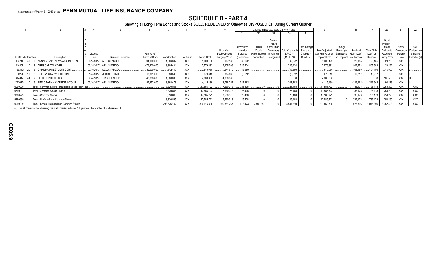## **SCHEDULE D - PART 4**

Showing all Long-Term Bonds and Stocks SOLD, REDEEMED or Otherwise DISPOSED OF During Current Quarter

|                             |                                                       |                  |                            |                 |               |             |                    |                             |                        |                              | Change in Book/Adjusted Carrying Value |                                  |                               | 16.                                |                                     |            |                       | 20                      | 21                     | 22                       |
|-----------------------------|-------------------------------------------------------|------------------|----------------------------|-----------------|---------------|-------------|--------------------|-----------------------------|------------------------|------------------------------|----------------------------------------|----------------------------------|-------------------------------|------------------------------------|-------------------------------------|------------|-----------------------|-------------------------|------------------------|--------------------------|
|                             |                                                       |                  |                            |                 |               |             |                    |                             |                        |                              |                                        |                                  |                               |                                    |                                     |            |                       |                         |                        |                          |
|                             |                                                       |                  |                            |                 |               |             |                    |                             |                        |                              |                                        |                                  |                               |                                    |                                     |            |                       |                         |                        |                          |
|                             |                                                       |                  |                            |                 |               |             |                    |                             |                        |                              | Current                                |                                  |                               |                                    |                                     |            |                       | Bond                    |                        |                          |
|                             |                                                       |                  |                            |                 |               |             |                    |                             |                        |                              | Year's                                 |                                  |                               |                                    |                                     |            |                       | Interest                |                        |                          |
|                             |                                                       |                  |                            |                 |               |             |                    |                             | Unrealized             | Current                      | Other-Than-                            |                                  | <b>Total Foreign</b>          |                                    | Foreign                             |            |                       | Stock                   | Stated                 | <b>NAIC</b>              |
|                             |                                                       |                  |                            | Number of       |               |             |                    | Prior Year<br>Book/Adiusted | Valuation              | Year's                       | Temporary<br>Impairment                | <b>Fotal Change</b><br>B./A.C.V. | Exchange                      | Book/Adjusted                      | Exchange<br>Gain (Loss) Gain (Loss) | Realized   | <b>Total Gain</b>     | <b>Dividends</b>        | Contractua<br>Maturity | Designation<br>or Market |
| <b>CUSIP</b> Identification | Description                                           | Disposal<br>Date | Name of Purchaser          | Shares of Stock | Consideration | Par Value   | <b>Actual Cost</b> | Carrying Value              | Increase<br>(Decrease) | 'Amortization<br>/ Accretion | Recognized                             | $11+12-13$                       | Change in<br><b>B./A.C.V.</b> | Carrying Value at<br>Disposal Date | on Disposal on Disposal             |            | (Loss) on<br>Disposal | Received<br>During Year | Date                   | Indicator (a)            |
| 035710<br>- 40              | ANNALY CAPITAL MANAGEMENT INC.                        |                  | 03/15/2017. WELLS FARGO.   | .94,000.000     | .1,026,307    | <b>XXX</b>  | 1,000,122          | 937,180                     | 62.942                 |                              |                                        | .62.942                          |                               | 1,000,122                          |                                     | .26,185    | 26,185                | 28,200                  | <b>XXX</b>             |                          |
|                             |                                                       |                  | 03/15/2017. WELLS FARGO.   |                 |               |             |                    |                             |                        |                              |                                        |                                  |                               |                                    |                                     |            |                       |                         |                        |                          |
| 04010L<br>10                | <b>ARES CAPITAL CORP.</b>                             | .479,400.000     | .8,385,434                 | <b>XXX</b>      | 7,579,882     | 7,905,306   | (325, 424)         |                             |                        | (325,424                     |                                        | 7,579,882                        |                               | 805,553                            | .805,553                            | 20,292     | <b>XXX</b>            |                         |                        |                          |
| 16934Q 20                   | <b>CHIMERA INVESTMENT CORP.</b>                       | 32.000.000       | 612.140                    | <b>XXX</b>      | .510,960      | .544,640    | (33,680            |                             |                        | (33,680)                     |                                        | .510,960                         |                               | .101,180                           | .101,180                            | .16,000    | <b>XXX</b>            |                         |                        |                          |
| 19625X                      | <b>COLONY STARWOOD HOMES.</b>                         |                  | 01/25/2017. MERRILL LYNCH. | 13,361.000      | .398.536      | <b>XXX</b>  | .379,319           | .384,930                    | (5,612)                |                              |                                        | (5,612)                          |                               | .379,319                           |                                     | 19.217     | 19,217                |                         | <b>XXX</b>             |                          |
| 444444<br>- 44              | <b>I FHLN OF PITTSBURGH</b>                           |                  | 02/24/2017. DIRECT ISSUER. | 40,000.000      | .4,000,000    | <b>XXX</b>  | .4,000,000         | .4,000,000                  |                        |                              |                                        |                                  |                               | 4.000.000                          |                                     |            |                       | .101,585                | <b>XXX</b>             |                          |
| 72202D                      | 10 6 PIMCO DYNAMIC CREDIT INCOME.                     |                  | 03/16/2017. WELLS FARGO.   | .187.352.000    | .3,898,478    | <b>XXX</b>  | 4,115,439          | 3,788,257                   | .327,182               |                              |                                        | .327,182                         |                               | .4,115,439                         |                                     | (216,962)  | (216,962)             | .92,213                 | <b>XXX</b>             |                          |
| 9099999.                    | Total - Common Stocks - Industrial and Miscellaneous. |                  |                            |                 | 18,320,895    | <b>XXX</b>  | 17,585,722         | 17,560,313                  | 25,408                 |                              |                                        | .25,408                          |                               | 17,585,722                         |                                     | 735,173    | .735,173              | 258,290                 | <b>XXX</b>             | XXX                      |
| 9799997.                    | Total - Common Stocks - Part 4.                       |                  | 18,320,895                 | <b>XXX</b>      | 17,585,722    | 17,560,313  | .25.408            |                             |                        | .25,408                      |                                        | 17,585,722                       |                               | 735,173                            | 735,173                             | 258,290    | <b>XXX</b>            | <b>XXX</b>              |                        |                          |
| 9799999.                    | Total - Common Stocks.                                |                  | 18,320,895                 | <b>XXX</b>      | 17,585,722    | 17,560,313  | .25,408            |                             |                        | .25.408                      |                                        | 17,585,722                       |                               | 735,173                            | 735,173                             | 258,290    | <b>XXX</b>            | XXX                     |                        |                          |
| 9899999.                    | Total - Preferred and Common Stocks.                  |                  | 18,320,895                 | XXX             | .17,585,722   | 17,560,313  | .25,408            |                             |                        | .25,408                      |                                        | 17,585,722                       |                               | 735,173                            | 735,173                             | 258,290    | XXX                   | <b>XXX</b>              |                        |                          |
| 9999999.                    | Total - Bonds, Preferred and Common Stocks.           |                  | 298,636,192                | <b>XXX</b>      | 300,615,306   | 300,381,767 | (678, 423)         | (3,909,387)                 |                        | (4,587,810)                  |                                        | 297,559,795                      |                               | .1,076,396                         | 1,076,396                           | .3,352,423 | <b>XXX</b>            | <b>XXX</b>              |                        |                          |

(a) For all common stock bearing the NAIC market indicator "U" provide: the number of such issues: 1.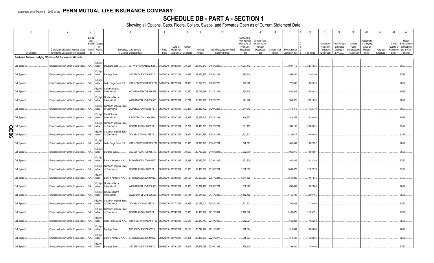## **SCHEDULE DB - PART A - SECTION 1**

|        |              | $\overline{2}$                                                                                           | $\mathbf{3}$   | $\overline{4}$                           |                                                  | 5                                                                | 6     | $\overline{7}$         | - 8          | $\mathbf{q}$            | 10                          | 11                                                                     | 12                                                              | 13                  | 14             | 16         | 17                                  | 18                                            | 19                                 | 20                                              | 21        | 22                                | 23                                                     |
|--------|--------------|----------------------------------------------------------------------------------------------------------|----------------|------------------------------------------|--------------------------------------------------|------------------------------------------------------------------|-------|------------------------|--------------|-------------------------|-----------------------------|------------------------------------------------------------------------|-----------------------------------------------------------------|---------------------|----------------|------------|-------------------------------------|-----------------------------------------------|------------------------------------|-------------------------------------------------|-----------|-----------------------------------|--------------------------------------------------------|
|        |              | Description of Item(s) Hedged, Used                                                                      | Sched<br>ule / | Exhibi Type(s)<br>of<br>Identifi Risk(s) |                                                  | Exchange, Counterparty                                           | Trade | Date of<br>Maturity or | Number<br>of | Notional                | Strike Price, Rate of Index | Cumulative<br>Prior Year(s)<br>Initial Cost o<br>Premium<br>(Received) | <b>Current Year</b><br>Initial Cost of<br>Premium<br>(Received) | <b>Current Year</b> | Book/Adjusted  |            | Unrealized<br>Valuation<br>Increase | <b>Total Foreign</b><br>Exchange<br>Change in | Current<br>Year's<br>(Amortization | Adjustment<br>to Carrying<br>Value of<br>Hedged | Potential | Credit<br>Quality of<br>Reference | Hedge<br>Effectiveness<br>at Inception<br>and at Year- |
|        | Description  | for Income Generation or Replicated<br>Purchased Options - Hedging Effective - Call Options and Warrants | er             | (a)                                      |                                                  | or Central Clearinghouse                                         | Date  | Expiration             | Contracts    | Amount                  | Received (Paid)             | Paid                                                                   | Paid                                                            | Income              | Carrying Value | Fair Value | (Decrease)                          | B./A.C.V.                                     | ) / Accretion                      | Items                                           | Exposure  | Entity                            | end(b)                                                 |
|        |              |                                                                                                          |                |                                          |                                                  |                                                                  |       |                        |              |                         |                             |                                                                        |                                                                 |                     |                |            |                                     |                                               |                                    |                                                 |           |                                   |                                                        |
|        | Call Spread  | Embedded option within IUL products                                                                      | N/A            | Equity/<br>ndex                          | Deutsche Bank                                    | 7LTWFZYICNSX8D621K86                                             |       | 04/06/2016 04/03/2017  | .17,504      | 36,177,617 2108 / 2253. |                             | .1,037,112                                                             |                                                                 |                     | .1,037,112     | 2,535,025  |                                     |                                               |                                    |                                                 |           |                                   | 96/97.                                                 |
|        | Call Spread. | Embedded option within IUL products                                                                      | N/A            | Equity/<br>ndex                          | Barclays Bank.                                   | G5GSEF7VJP5I7OUK5573                                             |       | 04/13/2016 04/10/2017  | 14,638       | 29,983,455 2089 / 2233. |                             | .995,530                                                               |                                                                 |                     | .995,530       | 2,100,396  |                                     |                                               |                                    |                                                 |           |                                   | 97/98.                                                 |
|        | Call Spread  | Embedded option within IUL products                                                                      | N/A            | Equity/<br>ndex                          |                                                  | Wells Fargo Bank, N.A KB1H1DSPRFMYMCUFXT09 04/19/2016 04/17/2017 |       |                        | .11,316      | 23,622,603 2129 / 2275. |                             | 723,998                                                                |                                                                 |                     | 723,998        | .1,630,275 |                                     |                                               |                                    |                                                 |           |                                   | 96/97.                                                 |
|        | Call Spread  | Embedded option within IUL products                                                                      | N/A            | ndex                                     | Equity/I Goldman Sachs<br>International          | W22LROWP2IHZNBB6K528                                             |       | 04/25/2016 04/21/2017  | .10,850      | 22,735,958 2137 / 2284. |                             | .630,928                                                               |                                                                 |                     | .630,928       | .1,559,922 |                                     |                                               |                                    |                                                 |           |                                   | 98/98.                                                 |
|        | Call Spread  | Embedded option within IUL products N/A                                                                  |                | ndex                                     | Equity/I Goldman Sachs<br>International          | W22LROWP2IHZNBB6K528                                             |       | 04/29/2016 04/28/2017  | 16,271       | 33,929,916 2127 / 2273. |                             | 941,928                                                                |                                                                 |                     | .941,928       | 2,291,635  |                                     |                                               |                                    |                                                 |           |                                   | 96/96.                                                 |
|        | Call Spread. | Embedded option within IUL products N/A                                                                  |                | ndex                                     | Equity/I   Canadian Imperial Bank<br>of Commerce | 2IGI19DL77OX0HC3ZE78                                             |       | 05/04/2016 05/01/2017  | .10,268      | 21,338,752 2120 / 2265  |                             | 571,312                                                                |                                                                 |                     | .571,312       | 1,432,719  |                                     |                                               |                                    |                                                 |           |                                   | 96/97.                                                 |
|        | Call Spread. | Embedded option within IUL products N/A                                                                  |                | Equity/I<br>ndex                         | <b>Credit Suisse</b><br>International            | E58DKGMJYYYJLN8C3868.                                            |       | 05/10/2016 05/08/2017  | 13,927       | 28,637,115 2097 / 2241  |                             | 916,257                                                                |                                                                 |                     | 916,257        | .1,939,506 |                                     |                                               |                                    |                                                 |           |                                   | 95/96.                                                 |
| O<br>m | Call Spread. | Embedded option within IUL products N/A                                                                  |                | Equity/I<br>ndex                         | Canadian Imperial Bank<br>of Commerce            | 2IGI19DL77OX0HC3ZE78                                             |       | 05/17/2016 05/15/2017  | 15,237       | 31,470,805              | 2107 / 2251                 | 931,133                                                                |                                                                 |                     | 931,133        | 2,080,651  |                                     |                                               |                                    |                                                 |           |                                   | 95/96.                                                 |
| 0<br>თ | Call Spread  | Embedded option within IUL products N/A                                                                  |                | Equity/I<br>ndex                         | Canadian Imperial Bank<br>of Commerce            | 2IGI19DL77OX0HC3ZE78                                             |       | 05/24/2016 05/22/2017  | 18,374       | 37,610,476 2088 / 2231  |                             | .1,223,61                                                              |                                                                 |                     | .1,223,617     | 2,498,894  |                                     |                                               |                                    |                                                 |           |                                   | 93/95.                                                 |
|        | Call Spread  | Embedded option within IUL products                                                                      | N/A            | ndex                                     |                                                  | Wells Fargo Bank, N.A KB1H1DSPRFMYMCUFXT09 06/01/2016 05/30/2017 |       |                        | .13,378      | 27,991,325 2134 / 2281  |                             | .848,567                                                               |                                                                 |                     | .848,567       | .1,802,997 |                                     |                                               |                                    |                                                 |           |                                   | 96/97.                                                 |
|        | Call Spread  | Embedded option within IUL products N/A                                                                  |                | ndex                                     | Barclays Bank                                    | G5GSEF7VJP5I7OUK5573                                             |       | 06/07/2016 06/01/2017  | .14,609      | 30,739,966 2146 / 2294  |                             | .962,879                                                               |                                                                 |                     | .962,879       | 1,950,957  |                                     |                                               |                                    |                                                 |           |                                   | 96/98.                                                 |
|        | Call Spread  | Embedded option within IUL products N/A                                                                  |                | Equity/<br>ndex                          |                                                  | Bank of America, N.A B4TYDEB6GKMZO031MB27.                       |       | 06/14/2016 06/12/2017  | .15,387      | 32,269,770 2139 / 2286  |                             | .921,835                                                               |                                                                 |                     | .921,835       | 2,018,203  |                                     |                                               |                                    |                                                 |           |                                   | 97/97.                                                 |
|        | Call Spread  | Embedded option within IUL products N/A                                                                  |                | Equity/I<br>ndex                         | Canadian Imperial Bank<br>of Commerce            | 2IGI19DL77OX0HC3ZE78                                             |       | 06/21/2016 06/16/2017  | 16,086       | 33,416,252 2119 / 2264  |                             | 1,068,673                                                              |                                                                 |                     | .1,068,673     | .2,107,378 |                                     |                                               |                                    |                                                 |           |                                   | 97/96.                                                 |
|        | Call Spread. | Embedded option within IUL products                                                                      | N/A            | Equity/<br>ndex                          |                                                  | Bank of America, N.A B4TYDEB6GKMZO031MB27.                       |       | 06/29/2016 06/28/2017  | 24,153       | 49,503,023 2091 / 2234. |                             | 1,544,826                                                              |                                                                 |                     | .1,544,826     | 3,151,835  |                                     |                                               |                                    |                                                 |           |                                   | 97/97.                                                 |
|        | Call Spread. | Embedded option within IUL products                                                                      | $N/A$          | Equity/I<br>ndex                         | Goldman Sachs<br>International                   | W22LROWP2IHZNBB6K528                                             |       | 07/06/2016 07/03/2017  | .12,865      | 26,837,419 2128 / 2274. |                             | .838,669                                                               |                                                                 |                     | .838,669       | .1,652,868 |                                     |                                               |                                    |                                                 |           |                                   | 96/98.                                                 |
|        | Call Spread  | Embedded option within IUL products                                                                      | N/A            | Equity/I<br>ndex                         | Goldman Sachs<br>International                   | W22LROWP2IHZNBB6K528                                             |       | 07/14/2016 07/12/2017  | 17,131       | 36,511,129 2174 / 2323. |                             | .1,152,402                                                             |                                                                 |                     | 1,152,402      | 2,090,185  |                                     |                                               |                                    |                                                 |           |                                   | 98/96.                                                 |
|        | Call Spread  | Embedded option within IUL products                                                                      | $N/A$          | Equity/I<br>ndex                         | Canadian Imperial Bank<br>of Commerce            | 2IGI19DL77OX0HC3ZE78                                             |       | 07/19/2016 07/17/2017  | 11,435       | 24,757,004 2208 / 2360. |                             | 701,923                                                                |                                                                 |                     | 701,923        | 1,319,055  |                                     |                                               |                                    |                                                 |           |                                   | 97/97.                                                 |
|        | Call Spread. | Embedded option within IUL products                                                                      | N/A            | Equity/I<br>ndex                         | Canadian Imperial Bank<br>of Commerce            | 2IGI19DL77OX0HC3ZE78                                             |       | 07/26/2016 07/24/2017  | .18,673      | 40,490,907              | 2212 / 2364.                | .1,166,876                                                             |                                                                 |                     | 1,166,876      | .2,125,721 |                                     |                                               |                                    |                                                 |           |                                   | 97/97.                                                 |
|        | Call Spread  | Embedded option within IUL products N/A ndex                                                             |                | Equity/                                  |                                                  | Wells Fargo Bank, N.A KB1H1DSPRFMYMCUFXT09 08/01/2016 07/28/2017 |       |                        | 10,518       | 22,817,749 2213 / 2365  |                             | .652,221                                                               |                                                                 |                     | .652,221       | 1,192,254  |                                     |                                               |                                    |                                                 |           |                                   | 96/96.                                                 |
|        | Call Spread. | Embedded option within IUL products                                                                      | N/A            | Equity<br>ndex                           | Barclays Bank.                                   | G5GSEF7VJP5I7OUK5573                                             |       | 08/08/2016 08/01/2017  | .14,180      | 30,742,949 2211 / 2363. |                             | 918,864                                                                |                                                                 |                     | .918,864       | .1,600,064 |                                     |                                               |                                    |                                                 |           |                                   | 96/97.                                                 |
|        | Call Spread. | Embedded option within IUL products N/A                                                                  |                | ndex                                     |                                                  | Bank of America, N.A B4TYDEB6GKMZO031MB27. 08/12/2016 08/07/2017 |       |                        | 13,061       | 28,487,608              | 2225 / 2377.                | 818,533                                                                |                                                                 |                     | .818,533       | .1,429,554 |                                     |                                               |                                    |                                                 |           |                                   | 95/95.                                                 |
|        | Call Spread. | Embedded option within IUL products N/A                                                                  |                | Equity/<br>ndex                          | Barclays Bank                                    | G5GSEF7VJP5I7OUK5573                                             |       | 08/18/2016 08/14/2017  | 12,615       | 27,576,768 2230 / 2383  |                             | .798.530                                                               |                                                                 |                     | .798,530       | .1,349,496 |                                     |                                               |                                    |                                                 |           |                                   | 97/97.                                                 |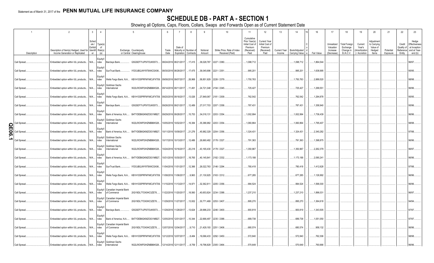## **SCHEDULE DB - PART A - SECTION 1**

|             |              | $\mathcal{P}$                                                              | $\mathbf{3}$                                             | 5<br>$\overline{4}$                                                        | 6             |                                                          |               | $\mathsf{Q}$       | 10 <sup>1</sup>                                | 11                                                                              | 12                                                                      | 13                            | 14                              | 15 <sup>1</sup> | 16         | 17                                                | 18                                                         | 19                                                  | 20                                                       | 21                    | 22               | 23                                                                                     |
|-------------|--------------|----------------------------------------------------------------------------|----------------------------------------------------------|----------------------------------------------------------------------------|---------------|----------------------------------------------------------|---------------|--------------------|------------------------------------------------|---------------------------------------------------------------------------------|-------------------------------------------------------------------------|-------------------------------|---------------------------------|-----------------|------------|---------------------------------------------------|------------------------------------------------------------|-----------------------------------------------------|----------------------------------------------------------|-----------------------|------------------|----------------------------------------------------------------------------------------|
|             | Description  | Description of Item(s) Hedged, Used for<br>Income Generation or Replicated | Sched<br>ule /<br>Type(s)<br>Exhibit<br>Identifi Risk(s) | nf<br>Exchange, Counterparty<br>(a)<br>or Central Clearinghouse            | Trade<br>Date | Date of<br>Maturity or Number of<br>Expiration Contracts |               | Notional<br>Amount | Strike Price, Rate of Index<br>Received (Paid) | Cumulative<br>Prior Year(s)<br>Initial Cost of<br>Premium<br>(Received)<br>Paid | <b>Current Year</b><br>Initial Cost of<br>Premium<br>(Received)<br>Paid | <b>Current Year</b><br>Income | Book/Adjusted<br>Carrying Value |                 | Fair Value | Unrealized<br>Valuation<br>Increase<br>(Decrease) | <b>Total Foreign</b><br>Exchange<br>Change in<br>B./A.C.V. | Current<br>Year's<br>(Amortization<br>) / Accretion | Adjustment<br>to Carrying<br>Value of<br>Hedged<br>Items | Potential<br>Exposure | Credit<br>Entity | Hedge<br>Effectiveness<br>Quality of at Inception<br>Reference and at Year-<br>end (b) |
|             | Call Spread  | Embedded option within IUL products                                        | Equity/<br>N/A ndex                                      | G5GSEF7VJP5I7OUK5573<br>Barclays Bank                                      |               | 08/24/2016 08/21/2017                                    | 17,415        |                    | .38,028,787 2227 / 2380.                       | 1,098,712                                                                       |                                                                         |                               | .1,098,712                      |                 | 1,864,544  |                                                   |                                                            |                                                     |                                                          |                       |                  | 96/97                                                                                  |
|             | Call Spread. | Embedded option within IUL products                                        | N/A<br>ndex                                              | IYDOJBGJWY9T8XKCSX06<br>SunTrust Bank                                      |               | 08/30/2016 08/28/2017                                    | 17,475        |                    | .38,045,696 2221 / 2351                        | 995,201                                                                         |                                                                         |                               | .995,201                        |                 | 1,638,995  |                                                   |                                                            |                                                     |                                                          |                       |                  | 95/95                                                                                  |
|             | Call Spread. | Embedded option within IUL products                                        | Equity.<br>$N/A$<br>ndex                                 | Wells Fargo Bank, N.A KB1H1DSPRFMYMCUFXT09.                                |               | 09/08/2016 09/07/2017                                    | 26,968        |                    | 58,851,929 2226 / 2379.                        | 1,750,763                                                                       |                                                                         |                               | .1,750,763                      |                 | 2,889,520  |                                                   |                                                            |                                                     |                                                          |                       |                  | 98/98.                                                                                 |
|             | Call Spread. | Embedded option within IUL products                                        | Equity/<br>N/A<br>ndex                                   | Goldman Sachs<br>W22LROWP2IHZNBB6K528.<br>International                    |               | 09/14/2016 09/11/2017                                    | 11,491        |                    | 24,721,048 2194 / 2345.                        | 725,427                                                                         |                                                                         |                               | 725,427                         |                 | 1,299,551  |                                                   |                                                            |                                                     |                                                          |                       |                  | 96/96.                                                                                 |
|             | Call Spread. | Embedded option within IUL products                                        | Equity<br>$N/A$<br>ndex                                  | Wells Fargo Bank, N.A KB1H1DSPRFMYMCUFXT09. 09/20/2016 09/18/2017          |               |                                                          | 13,026        |                    | 27,849,067 2181 / 2309.                        | 762,542                                                                         |                                                                         |                               | .762,542                        |                 | 1,294,878  |                                                   |                                                            |                                                     |                                                          |                       |                  | 95/95.                                                                                 |
|             | Call Spread. | Embedded option within IUL products                                        | N/A<br>ndex                                              | G5GSEF7VJP5I7OUK5573<br>Barclays Bank                                      |               | 09/26/2016 09/21/2017                                    | 12,489        |                    | 27,017,703 2207 / 2358                         | 787,431                                                                         |                                                                         |                               | 787,431                         |                 | 1,358,940  |                                                   |                                                            |                                                     |                                                          |                       |                  | 95/96                                                                                  |
|             | Call Spread. | Embedded option within IUL products                                        | Equity<br>N/A<br>ndex                                    | B4TYDEB6GKMZO031MB27.<br>Bank of America, N.A                              |               | 09/29/2016 09/28/2017                                    | 15,753        |                    | 34,018,131 2203 / 2354.                        | 1,002,994                                                                       |                                                                         |                               | .1,002,994                      |                 | 1,736,439  |                                                   |                                                            |                                                     |                                                          |                       |                  | 96/96.                                                                                 |
| O           | Call Spread  | Embedded option within IUL products                                        | $N/A$<br>ndex                                            | Equity/I<br>Goldman Sachs<br>W22LROWP2IHZNBB6K528.<br>International        |               | 10/05/2016 10/02/2017                                    | 16,384        |                    | 35,386,982 2203 / 2354.                        | 1,060,864                                                                       |                                                                         |                               | .1,060,864                      |                 | 1,795,407  |                                                   |                                                            |                                                     |                                                          |                       |                  | 98/98.                                                                                 |
| π<br>0<br>ග | Call Spread  | Embedded option within IUL products                                        | Equity<br>ndex<br>N/A                                    | B4TYDEB6GKMZO031MB27.<br>Bank of America, N.A                              |               | 10/11/2016 10/09/2017                                    | 21,276        |                    | .45,982,329 2204 / 2356.                       | 1,324,431                                                                       |                                                                         |                               | .1,324,431                      |                 | 2,340,282  |                                                   |                                                            |                                                     |                                                          |                       |                  | 97/98.                                                                                 |
|             | Call Spread  | Embedded option within IUL products                                        | N/A<br>ndex                                              | Equity/I<br>Goldman Sachs<br>W22LROWP2IHZNBB6K528.<br>International        |               | 10/17/2016 10/13/2017                                    | 12,486        |                    | 26,660,482 2178 / 2327                         | 791,363                                                                         |                                                                         |                               | 791,363                         |                 | 1,398,875  |                                                   |                                                            |                                                     |                                                          |                       |                  | 96/96.                                                                                 |
|             | Call Spread  | Embedded option within IUL products                                        | N/A<br>ndex                                              | Equity/I<br>Goldman Sachs<br>W22LROWP2IHZNBB6K528.<br>International        |               | 10/24/2016 10/16/2017                                    | 20,218        |                    | 43,165,430 2178 / 2327.                        | 1,350,967                                                                       |                                                                         |                               | .1,350,967                      |                 | 2,262,379  |                                                   |                                                            |                                                     |                                                          |                       |                  | 96/97.                                                                                 |
|             | Call Spread  | Embedded option within IUL products                                        | ndex<br>N/A                                              | Bank of America, N.A B4TYDEB6GKMZO031MB27.                                 |               | 10/31/2016 10/30/2017                                    | 18,765        |                    | 40,145,841 2182 / 2332.                        | 1,173,188                                                                       |                                                                         |                               | 1,173,188                       |                 | .2,090,241 |                                                   |                                                            |                                                     |                                                          |                       |                  | 96/96.                                                                                 |
|             | Call Spread  | Embedded option within IUL products N/A                                    | Equity<br>ndex                                           | SunTrust Bank.<br>IYDOJBGJWY9T8XKCSX06                                     |               | 11/04/2016 11/01/2017                                    | 12,366        |                    | 26,022,763 2146 / 2294.                        | 780,418                                                                         |                                                                         |                               | 780,418                         |                 | .1,412,628 |                                                   |                                                            |                                                     |                                                          |                       |                  | 97/98                                                                                  |
|             | Call Spread. | Embedded option within IUL products N/A                                    | ndex                                                     | Wells Fargo Bank, N.A KB1H1DSPRFMYMCUFXT09. 11/08/2016 11/06/2017          |               |                                                          | 9,963         |                    | 21,130,925 2163 / 2312.                        | 677,285                                                                         |                                                                         |                               | 677,285                         |                 | 1,126,992  |                                                   |                                                            |                                                     |                                                          |                       |                  | 96/96.                                                                                 |
|             | Call Spread  | Embedded option within IUL products N/A                                    | Equity<br>ndex                                           | Wells Fargo Bank, N.A KB1H1DSPRFMYMCUFXT09. 11/15/2016 11/13/2017          |               |                                                          | 14,971        |                    | 32,362,811 2205 / 2356.                        | 994,524                                                                         |                                                                         |                               | .994,524                        |                 | 1,599,300  |                                                   |                                                            |                                                     |                                                          |                       |                  | 96/96.                                                                                 |
|             | Call Spread  | Embedded option within IUL products                                        | N/A<br>ndex                                              | Equity/I<br>Canadian Imperial Bank<br>of Commerce<br>2IGI19DL77OX0HC3ZE78  |               | 1/22/2016 11/20/2017                                     | 18,560        |                    | .40,653,824 2234 / 2388.                       | 1,237,210                                                                       |                                                                         |                               | .1,237,210                      |                 | 1,896,031  |                                                   |                                                            |                                                     |                                                          |                       |                  | 96/97                                                                                  |
|             | Call Spread  | Embedded option within IUL products                                        | ndex<br>N/A                                              | Equity/I<br>Canadian Imperial Bank<br>2IGI19DL77OX0HC3ZE78.<br>of Commerce |               | 1/29/2016 11/27/2017                                     | 13,932        |                    | 30,771,469 2253 / 2407.                        | 895,270                                                                         |                                                                         |                               | .895,270                        |                 | 1,364,618  |                                                   |                                                            |                                                     |                                                          |                       |                  | 94/94.                                                                                 |
|             | Call Spread  | Embedded option within IUL products                                        | N/A<br>ndex                                              | G5GSEF7VJP5I7OUK5573<br>Barclays Bank.                                     |               | 1/29/2016 11/28/2017                                     | 13,624        |                    | 29,996,233 2246 / 2400.                        | 900,819                                                                         |                                                                         |                               | .900,819                        |                 | 1,343,505  |                                                   |                                                            |                                                     |                                                          |                       |                  | 97/97                                                                                  |
|             | Call Spread  | Embedded option within IUL products                                        | Equity<br>N/A<br>ndex                                    | B4TYDEB6GKMZO031MB27.<br>Bank of America, N.A                              |               | 12/05/2016 12/01/2017                                    | .10,344       |                    | 22,666,497 2235 / 2388.                        | .689,738                                                                        |                                                                         |                               | .689,738                        |                 | .1,051,050 |                                                   |                                                            |                                                     |                                                          |                       |                  | 97/97.                                                                                 |
|             | Call Spread. | Embedded option within IUL products N/A                                    | ndex                                                     | Equity/I<br>Canadian Imperial Bank<br>2IGI19DL77OX0HC3ZE78<br>of Commerce  |               | 12/07/2016 12/04/2017                                    | 9,710         |                    | 21,429,193 2251 / 2406.                        | .680,574                                                                        |                                                                         |                               | .680,574                        |                 | .958,132   |                                                   |                                                            |                                                     |                                                          |                       |                  | 96/96                                                                                  |
|             | Call Spread  | Embedded option within IUL products N/A                                    | ndex                                                     | Wells Fargo Bank, N.A KB1H1DSPRFMYMCUFXT09. 12/12/2016 12/07/2017          |               |                                                          | $\dots 8,484$ |                    | 19,066,433 2292 / 2450.                        | 572,840                                                                         |                                                                         |                               | .572,840                        |                 | 762,306    |                                                   |                                                            |                                                     |                                                          |                       |                  | 98/98.                                                                                 |
|             | Call Spread. | Embedded option within IUL products N/A                                    | ndex                                                     | Equity/I<br>Goldman Sachs<br>W22LROWP2IHZNBB6K528<br>International         |               | 12/14/2016 12/11/2017                                    | 8,759         |                    | 19,796,829 2305 / 2464.                        | .570,649                                                                        |                                                                         |                               | .570,649                        |                 | 760,666    |                                                   |                                                            |                                                     |                                                          |                       |                  | 96/96.                                                                                 |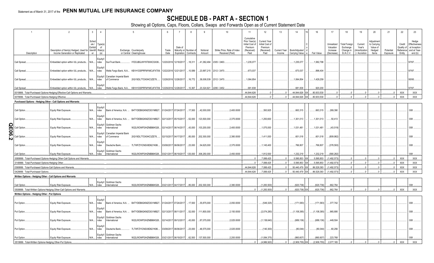## **SCHEDULE DB - PART A - SECTION 1**

|                                                                         | 2                                                                             | $\mathbf{3}$<br>$\overline{4}$                                |                                              | 5                                                                 | 6     |                       | -8                    |              | 10 <sup>°</sup>             | 11                                                                      | 12                                                              | 13                  | 14                         | 15<br>16               | 17                                  | 18                                            | 19                                | 20                                              | 21        | 22                   | 23                                                              |
|-------------------------------------------------------------------------|-------------------------------------------------------------------------------|---------------------------------------------------------------|----------------------------------------------|-------------------------------------------------------------------|-------|-----------------------|-----------------------|--------------|-----------------------------|-------------------------------------------------------------------------|-----------------------------------------------------------------|---------------------|----------------------------|------------------------|-------------------------------------|-----------------------------------------------|-----------------------------------|-------------------------------------------------|-----------|----------------------|-----------------------------------------------------------------|
|                                                                         | Description of Item(s) Hedged, Used for                                       | Sched<br>$ule /$ Type(s)<br>Exhibit<br>of<br>Identifi Risk(s) |                                              | Exchange, Counterparty                                            | Trade | Date of               | Maturity or Number of | Notional     | Strike Price, Rate of Index | Cumulative<br>Prior Year(s)<br>Initial Cost of<br>Premium<br>(Received) | <b>Current Year</b><br>Initial Cost of<br>Premium<br>(Received) | <b>Current Year</b> | Book/Adjusted              |                        | Unrealized<br>Valuation<br>Increase | <b>Total Foreign</b><br>Exchange<br>Change in | Current<br>Year's<br>Amortization | Adjustment<br>to Carrying<br>Value of<br>Hedged | Potential | Credit<br>Quality of | Hedge<br>Effectiveness<br>at Inception<br>Reference and at Year |
| Description                                                             | Income Generation or Replicated                                               | er<br>(a)                                                     |                                              | or Central Clearinghouse                                          | Date  |                       | Expiration Contracts  | Amount       | Received (Paid)             | Paid                                                                    | Paid                                                            | Income              | Carrying Value e           | Fair Value             | (Decrease)                          | B./A.C.V.                                     | ) / Accretion                     | Items                                           | Exposure  | Entity               | end(b)                                                          |
| Call Spread                                                             | Embedded option within IUL products N/A ndex                                  | Equity/                                                       | SunTrust Bank.                               | IYDOJBGJWY9T8XKCSX06.                                             |       | 12/20/2016 12/18/2017 | 18,311                |              | 41,382,494 2305 / 2463.     | 1,235,077                                                               |                                                                 |                     | .1,235,077                 | 1,582,798              |                                     |                                               |                                   |                                                 |           |                      | 97/97.                                                          |
| Call Spread                                                             | Embedded option within IUL products N/A                                       | Equity<br>ndex                                                |                                              | Wells Fargo Bank, N.A KB1H1DSPRFMYMCUFXT09. 12/22/2016 12/21/2017 |       |                       | 10,589                |              | 23,997,215 2312 / 2470.     | 673,037                                                                 |                                                                 |                     | 673,037                    | 896,404                |                                     |                                               |                                   |                                                 |           |                      | 97/97.                                                          |
| Call Spread                                                             | Embedded option within IUL products N/A                                       | Equity/I<br>ndex                                              | Canadian Imperial Bank<br>of Commerce        | 2IGI19DL77OX0HC3ZE78                                              |       | 12/28/2016 12/26/2017 | 16,772                |              | 38,008,539 2312 / 2470.     | 1,064,854                                                               |                                                                 |                     | .1,064,854                 | .1,429,259             |                                     |                                               |                                   |                                                 |           |                      | 95/95.                                                          |
| Call Spread                                                             | Embedded option within IUL products                                           | Equity/<br>N/A                                                |                                              | ndex   Wells Fargo Bank, N.A KB1H1DSPRFMYMCUFXT09.                |       | 12/29/2016 12/28/2017 | 10.367                |              | 23,324,921 2295 / 2452.     | .681.838                                                                |                                                                 |                     | .681.838                   | .920.200               |                                     |                                               |                                   |                                                 |           |                      | 97/97.                                                          |
|                                                                         | 0019999. Total-Purchased Options-Hedging Effective-Call Options and Warrants. |                                                               |                                              |                                                                   |       |                       |                       |              |                             | .44,844,626                                                             |                                                                 |                     | 44,844,626                 | .80.933.530<br>XXI     |                                     |                                               |                                   |                                                 |           | XXX                  | XXX                                                             |
| 0079999. Total-Purchased Options-Hedging Effective.                     |                                                                               |                                                               |                                              |                                                                   |       |                       |                       |              |                             | .44,844,626                                                             |                                                                 |                     | 44,844,626                 | 80,933,530             |                                     |                                               |                                   |                                                 |           | <b>XXX</b>           | XXX                                                             |
| Purchased Options - Hedging Other - Call Options and Warrants           |                                                                               |                                                               |                                              |                                                                   |       |                       |                       |              |                             |                                                                         |                                                                 |                     |                            |                        |                                     |                                               |                                   |                                                 |           |                      |                                                                 |
| Call Option.                                                            | Equity Risk Exposure.                                                         | <b>Equity</b><br>$N/A$<br>ndex                                |                                              | Bank of America, N.A.  B4TYDEB6GKMZ0031MB27                       |       | 01/24/2017 07/24/2017 | 17,500                | 42,000,000   | 2,400.0000                  |                                                                         | .393,925                                                        |                     | 663,315                    | .663,315               | 269,390                             |                                               |                                   |                                                 |           |                      | 008.                                                            |
| Call Option.                                                            | Equity Risk Exposure.                                                         | <b>Equity</b><br>N/A ndex                                     |                                              | Bank of America, N.A.  B4TYDEB6GKMZO031MB27 02/13/2017 05/15/2017 |       |                       | 52,000                | 123,500,000  | 2,375.0000                  |                                                                         | 1,250,600                                                       |                     | 1,301,013                  | .1,301,013             | 50,413                              |                                               |                                   |                                                 |           |                      | 008.                                                            |
| Call Option.<br>п<br>Ξ                                                  | Equity Risk Exposure.                                                         | Equity/I<br>N/A<br>ndex                                       | Goldman Sachs<br>International               | W22LROWP2IHZNBB6K528.                                             |       | 02/14/2017 06/14/2017 | 43,000                | 103,200,000  | 2,400.0000                  |                                                                         | 1,075,000                                                       |                     | 1,031,481                  | 1,031,481              | (43,519)                            |                                               |                                   |                                                 |           |                      | 008.                                                            |
| თ<br>Call Option                                                        | <b>Equity Risk Exposure</b>                                                   | Equity/I<br>N/A ndex                                          | Canadian Imperial Bank<br>of Commerce        | 2IGI19DL77OX0HC3ZE78                                              |       | 02/15/2017 04/17/2017 | 85,000                | .202,300,000 | 2,380.0000                  |                                                                         | 1,411,000                                                       |                     | 601,018                    | .601,018               | (809,982)                           |                                               |                                   |                                                 |           |                      | 008                                                             |
| Call Option.                                                            | Equity Risk Exposure.                                                         | Equity/<br>N/A<br>ndex                                        | Deutsche Bank.                               | 7LTWFZYICNSX8D621K86                                              |       | 03/08/2017 06/06/2017 | 23,000                | 54,625,000   | .2,375.0000                 |                                                                         | 1,145,400                                                       |                     | 766,807                    | .766,807               | (378,593)                           |                                               |                                   |                                                 |           |                      | 008.                                                            |
| Call Option.                                                            | Equity Risk Exposure.                                                         | $N/A$<br>ndex                                                 | Equity/I Goldman Sachs<br>International      | W22LROWP2IHZNBB6K528.                                             |       | 03/21/2017 06/19/2017 | 125.000               | .306,250,000 | .2,450.0000                 |                                                                         | 1,812,500                                                       |                     | 1,232,219                  | .1,232,219             | (580, 282)                          |                                               |                                   |                                                 |           |                      | 008.                                                            |
|                                                                         | 0089999. Total-Purchased Options-Hedging Other-Call Options and Warrants      |                                                               |                                              |                                                                   |       |                       |                       |              |                             |                                                                         | .7,088,425                                                      |                     | .5,595,853 XX              | 5,595,853              | (1, 492, 573)                       |                                               |                                   |                                                 |           | <b>XXX</b>           | XXX                                                             |
| 149999. Total-Purchased Options-Hedging Other.                          |                                                                               |                                                               |                                              |                                                                   |       |                       |                       |              |                             | $\cap$                                                                  | 7,088,425                                                       |                     | .5,595,853                 | 5,595,853              | (1, 492, 573)                       |                                               |                                   |                                                 |           | XXX                  | XXX                                                             |
| 0369999. Total-Purchased Options-Call Options and Warrants.             |                                                                               |                                                               |                                              |                                                                   |       |                       |                       |              |                             | .44,844,626                                                             | 7,088,425                                                       |                     | 50,440,479                 | 86,529,383             | (1, 492, 573)                       |                                               |                                   | $\Omega$                                        |           | XXX                  | XXX                                                             |
| 0429999. Total-Purchased Options                                        |                                                                               |                                                               |                                              |                                                                   |       |                       |                       |              |                             | 44,844,626                                                              | 7,088,425                                                       |                     | .50,440,479                | .86,529,383            | (1,492,573)                         |                                               |                                   |                                                 |           | <b>XXX</b>           | XXX                                                             |
| Written Options - Hedging Other - Call Options and Warrants             |                                                                               |                                                               |                                              |                                                                   |       |                       |                       |              |                             |                                                                         |                                                                 |                     |                            |                        |                                     |                                               |                                   |                                                 |           |                      |                                                                 |
| Call Option.                                                            | <b>Equity Risk Exposure</b>                                                   | N/A                                                           | Equity/I Goldman Sachs<br>ndex International | W22LROWP2IHZNBB6K528.                                             |       | 03/21/2017 04/17/2017 | 85,000                | .202,300,000 | 2,380.0000                  |                                                                         | (1, 283, 500)                                                   |                     | (620, 736)                 | (620,736               | 662,764                             |                                               |                                   |                                                 |           |                      | 008                                                             |
|                                                                         | 0509999. Total-Written Options-Hedging Other-Call Options and Warrants        |                                                               |                                              |                                                                   |       |                       |                       |              |                             |                                                                         | (1,283,500)                                                     |                     | $(620, 736)$ XX            | .(620,736)             | .662,764                            |                                               |                                   |                                                 |           | <b>XXX</b>           | XXX                                                             |
| Written Options - Hedging Other - Put Options                           |                                                                               |                                                               |                                              |                                                                   |       |                       |                       |              |                             |                                                                         |                                                                 |                     |                            |                        |                                     |                                               |                                   |                                                 |           |                      |                                                                 |
| Put Option.                                                             | Equity Risk Exposure.                                                         | Equity/<br>N/A ndex                                           |                                              | Bank of America, N.A.  B4TYDEB6GKMZO031MB27 01/24/2017 07/24/2017 |       |                       | 17,500                | 35,875,000   | .2,050.0000                 |                                                                         | (549, 325)                                                      |                     | (171,583)                  | (171, 583)             | 377,742                             |                                               |                                   |                                                 |           |                      | 008.                                                            |
| Put Option.                                                             | Equity Risk Exposure.                                                         | Equity/<br>N/A<br>ndex                                        | Bank of America, N.A.                        | B4TYDEB6GKMZO031MB27.                                             |       | 02/13/2017 08/11/2017 | 52,000                | 111,800,000  | 2,150.0000                  |                                                                         | (2,074,280)                                                     |                     | (1, 108, 385)              | (1, 108, 385)          | .965,895                            |                                               |                                   |                                                 |           |                      | 008                                                             |
| Put Option.                                                             | Equity Risk Exposure.                                                         | Equity/I<br>N/A<br>ndex                                       | Goldman Sachs<br>International               | W22LROWP2IHZNBB6K528.                                             |       | 02/14/2017 09/12/2017 | 43,000                | 87,075,000   | .2,025.0000                 |                                                                         | (1, 138, 640)                                                   |                     | (689,136)                  | (689, 136)             | .449,504                            |                                               |                                   |                                                 |           |                      | 008.                                                            |
| Put Option.                                                             | Equity Risk Exposure.                                                         | Equity<br>N/A<br>ndex                                         | Deutsche Bank.                               | 7LTWFZYICNSX8D621K86                                              |       | 03/08/2017 06/06/2017 | 0.23,000              | .46,575,000  | .2,025.0000                 |                                                                         | (140,300)                                                       |                     | (80,044)                   | (80,044)               | .60,256                             |                                               |                                   |                                                 |           |                      | 008                                                             |
| Put Option.<br>0519999. Total-Written Options-Hedging Other-Put Options | <b>Equity Risk Exposure</b>                                                   | Equity/I<br>N/A.<br>ndex                                      | Goldman Sachs<br>International               | W22LROWP2IHZNBB6K528.                                             |       | 03/21/2017 06/19/2017 | 62.500                | 137.500.000  | .2,200.0000                 |                                                                         | (1,084,375)<br>(4.986.920)                                      |                     | (860,607<br>(2.909.755) XX | (860,607<br>(2.909.755 | 223,768<br>.2.077.165               |                                               |                                   | $\Omega$                                        |           | <b>XXX</b>           | 008.<br><b>XXX</b>                                              |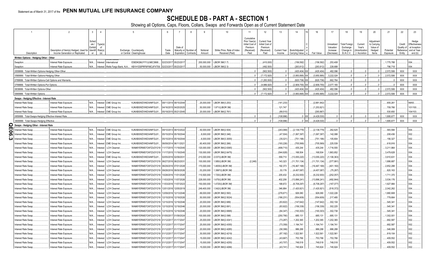## **SCHEDULE DB - PART A - SECTION 1**

|                                                         | $\mathfrak{D}$                                                             | $\mathbf{3}$     | $\overline{4}$       | $5\overline{)}$                                                                | 6                     |                                                |                                    | 8         | 9                          | 10 <sup>°</sup>                                | 11                         | 12                                   | 13                            | 14                              | 16                  | 17                      | 18                               | 19                                   | 20                      | 21                    | 22                  | 23                            |
|---------------------------------------------------------|----------------------------------------------------------------------------|------------------|----------------------|--------------------------------------------------------------------------------|-----------------------|------------------------------------------------|------------------------------------|-----------|----------------------------|------------------------------------------------|----------------------------|--------------------------------------|-------------------------------|---------------------------------|---------------------|-------------------------|----------------------------------|--------------------------------------|-------------------------|-----------------------|---------------------|-------------------------------|
|                                                         |                                                                            |                  |                      |                                                                                |                       |                                                |                                    |           |                            |                                                | Cumulative                 |                                      |                               |                                 |                     |                         |                                  |                                      |                         |                       |                     |                               |
|                                                         |                                                                            | Sched            |                      |                                                                                |                       |                                                |                                    |           |                            |                                                | Prior Year(s)              | <b>Current Yea</b><br>Initial Cost o |                               |                                 |                     |                         |                                  |                                      | Adjustment              |                       |                     | Hedge                         |
|                                                         |                                                                            | ule /<br>Exhibit | Type(s)<br>of        |                                                                                |                       |                                                | Date of                            |           |                            |                                                | Initial Cost of<br>Premium | Premium                              |                               |                                 |                     | Unrealized<br>Valuation | <b>Total Foreign</b><br>Exchange | Current<br>Year's                    | to Carrying<br>Value of |                       | Credit<br>Quality o | Effectiveness<br>at Inception |
| Description                                             | Description of Item(s) Hedged, Used for<br>Income Generation or Replicated | Identifi         | Risk(s)<br>(a)       | Exchange, Counterparty<br>or Central Clearinghouse                             | Trade<br>Date         |                                                | Maturity or Number o<br>Expiration | Contracts | Notional<br>Amount         | Strike Price, Rate of Index<br>Received (Paid) | (Received)<br>Paid         | (Received)<br>Paid                   | <b>Current Year</b><br>Income | Book/Adjusted<br>Carrying Value | Fair Value          | Increase<br>(Decrease)  | Change in<br>B./A.C.V.           | <b>Amortization</b><br>) / Accretion | Hedged<br>Items         | Potential<br>Exposure | Reference<br>Entity | and at Year<br>end (b)        |
| Written Options - Hedging Other - Other                 |                                                                            |                  |                      |                                                                                |                       |                                                |                                    |           |                            |                                                |                            |                                      |                               |                                 |                     |                         |                                  |                                      |                         |                       |                     |                               |
| <b>Swaption</b>                                         | Interest Rate Exposure.                                                    | N/A              | Interest I           | E58DKGMJYYYJLN8C3868.<br>International                                         | 02/23/201             |                                                | 05/23/2017                         |           | 200,000,000                | LIBOR 3M/(1.7)                                 |                            | (410,000)                            |                               | (156, 592)                      | (156, 592)          | 253,408                 |                                  |                                      |                         | 1,775,788             |                     | 004.                          |
| Swaption.                                               | Interest Rate Exposure.                                                    |                  |                      | N/A Interest   Wells Fargo Bank, N.A KB1H1DSPRFMYMCUFXT09.                     | 02/23/2017 05/23/2017 |                                                |                                    |           |                            | .50,000,000 LIBOR 3M/(2.3)                     |                            | (492, 500)                           |                               | (263, 812)                      | (263, 812)          | .228,688                |                                  |                                      |                         | .796,718              |                     | 004.                          |
| 0559999. Total-Written Options-Hedging Other-Other      |                                                                            |                  |                      |                                                                                |                       |                                                |                                    |           |                            |                                                | 0                          | (902, 500)                           | $\Omega$                      | (420, 404)                      | (420, 404)          | .482.096                | 0                                |                                      | $\bigcap$               | .2,572,506            | XXX                 | <b>XXX</b>                    |
| 0569999. Total-Written Options-Hedging Other            |                                                                            |                  |                      |                                                                                |                       |                                                |                                    |           |                            |                                                | $\mathbf{0}$               | (7.172.920                           | $\sqrt{ }$                    | (3.950.895)                     | .(3.950.895         | 3.222.024               | $\mathbf{0}$                     |                                      | $\Omega$                | .2.572.506            | <b>XXX</b>          | XXX                           |
| 789999. Total-Written Options-Call Options and Warrants |                                                                            |                  |                      |                                                                                |                       |                                                |                                    |           |                            |                                                | 0                          | (1, 283, 500)                        | $\Omega$ .                    | (620, 736)                      | (620,736            | .662,764                | $0$ .                            |                                      | $\Omega$                |                       | XXX                 | XXX                           |
| 799999. Total-Written Options-Put Options               |                                                                            |                  |                      |                                                                                |                       |                                                |                                    |           |                            |                                                | $\Omega$                   | (4.986.920                           |                               | (2.909.755)                     | (2.909.75)          | 2.077.165               | $\Omega$ .                       |                                      |                         |                       | <b>XXX</b>          | <b>XXX</b>                    |
| 0839999. Total-Written Options-Other                    |                                                                            |                  |                      |                                                                                |                       |                                                |                                    |           |                            |                                                | 0                          | (902,500                             | $\Omega$                      | (420, 404)                      | (420,404            | 482.096                 | $0$ .                            |                                      |                         | .2.572.506            | XXX                 | XXX                           |
| 0849999. Total-Written Options                          |                                                                            |                  |                      |                                                                                |                       |                                                |                                    |           |                            |                                                | $\Omega$                   | (7, 172, 920)                        |                               | (3,950,895)                     | (3,950,895)         | .3.222.024              | $\Omega$                         |                                      |                         | 2.572.506             | <b>XXX</b>          | <b>XXX</b>                    |
| Swaps - Hedging Effective - Interest Rate               |                                                                            |                  |                      |                                                                                |                       |                                                |                                    |           |                            |                                                |                            |                                      |                               |                                 |                     |                         |                                  |                                      |                         |                       |                     |                               |
| nterest Rate Swap.                                      | Interest Rate Exposure.                                                    | N/A              | Interest             | CME Group Inc.<br>KJNXBSWZVIKEX4NFOL81                                         |                       | 09/11/2014 09/15/2044                          |                                    |           | .25,000,000                | LIBOR 3M/(3.253)                               |                            |                                      | (141, 233)                    |                                 | (2,881,842)         |                         |                                  |                                      |                         | .655,261              |                     | 99/93.                        |
| nterest Rate Swap.                                      | Interest Rate Exposure.                                                    | N/A              | Interest             | CME Group Inc.<br>KJNXBSWZVIKEX4NFOL81                                         |                       | 04/16/2015 04/20/2025                          |                                    |           | .50,000,000                | 1.971/(LIBOR 3M)                               |                            |                                      | .121,747                      |                                 | (1,253,82)          |                         |                                  |                                      |                         | 709,766               |                     | 101/100                       |
| nterest Rate Swap                                       | Interest Rate Exposure.                                                    | N/A              | Interest             | KJNXBSWZVIKEX4NFOL81.<br>CME Group Inc.                                        |                       | 05/19/2015 05/21/2045                          |                                    |           | .20,000,000                | LIBOR 3M/(2.761)                               |                            |                                      | (89,510                       |                                 | (293, 86)           |                         |                                  |                                      |                         | 530,650               |                     | 104/103.                      |
| 859999. Total-Swaps-Hedging Effective-Interest Rate     |                                                                            |                  |                      |                                                                                |                       |                                                |                                    |           |                            |                                                | 0                          |                                      | (108,996).                    | $0-1$                           | (4,429,530)         | 0                       | $\Omega$ .                       |                                      |                         | 1.895.677             | <b>XXX</b>          | <b>XXX</b>                    |
| 0909999. Total-Swaps-Hedging Effective                  |                                                                            |                  |                      |                                                                                |                       |                                                |                                    |           |                            |                                                | $\sim$                     |                                      | (108, 996)                    |                                 | (4.429.530)         | $\Omega$                | $\sqrt{2}$                       |                                      |                         | 1,895,677             | <b>XXX</b>          | <b>XXX</b>                    |
| $\mathbf D$ Swaps - Hedging Other - Interest Rate       |                                                                            |                  |                      |                                                                                |                       |                                                |                                    |           |                            |                                                |                            |                                      |                               |                                 |                     |                         |                                  |                                      |                         |                       |                     |                               |
| nterest Rate Swap.                                      | Interest Rate Exposure.                                                    | N/A              | Interest             | CME Group Inc<br>KJNXBSWZVIKEX4NFOL81.                                         |                       | 09/10/2013 09/10/2022                          |                                    |           | .50,000,000                | LIBOR 3M/(2.934)                               |                            |                                      | (243,069)                     | (2, 139, 779)                   | (2, 139, 779)       | 262,625                 |                                  |                                      |                         | 583,594               |                     | 004.                          |
| თ<br>nterest Rate Swap.                                 | Interest Rate Exposure.                                                    | N/A              | Interest             | KJNXBSWZVIKEX4NFOL81.<br>CME Group Inc                                         |                       | 05/15/2014 05/19/2044                          |                                    |           | 0.8,000,000                | LIBOR 3M/(3.346)                               |                            |                                      | (47,504)                      | 1,067,397)                      | (1,067,397)         | .142,088                |                                  |                                      |                         | 208,436               |                     | 002.                          |
| nterest Rate Swap<br>دد                                 | Interest Rate Exposure.                                                    | N/A              | Interest             | KJNXBSWZVIKEX4NFOL81.<br><b>CME Group Inc</b>                                  |                       | 05/15/2014 05/19/2044                          |                                    |           | 6,000,000                  | LIBOR 3M/(3.3055)                              |                            |                                      | (35,021)                      | (751, 196)                      | .(751,196           | 105,804                 |                                  |                                      |                         | 156,327<br>.618,916   |                     | 002.                          |
| nterest Rate Swap<br>nterest Rate Swap.                 | Interest Rate Exposure.<br>Interest Rate Exposure.                         | N/A<br>N/A       | Interest<br>Interest | KJNXBSWZVIKEX4NFOL81.<br>CME Group Inc<br>LCH Clearnet<br>WAM6YERMS7OXFZUOY219 |                       | 06/09/2014 06/11/2021<br>11/17/2015 11/19/2045 |                                    |           | .60,400,000<br>120,000,000 | LIBOR 3M/(2.266)<br>LIBOR 3M/(2.6365)          |                            |                                      | (193,226)<br>(499,710)        | (705, 569)<br>.435,244          | (705,569<br>435,244 | 225,539<br>.1,716,555   |                                  |                                      |                         | 3,211,964             |                     | 004.<br>004.                  |
| nterest Rate Swap.                                      | Interest Rate Exposure.                                                    | N/A              | Interest             | <b>LCH Clearnet</b><br>WAM6YERMS7OXFZUOY219                                    |                       | 11/17/2015 11/19/2045                          |                                    |           | 130,000,000                | LIBOR 3M/(2.6475)                              |                            |                                      | (544, 928)                    | 168,504                         | .168,504            | 1,863,852               |                                  |                                      |                         | 3.479.628             |                     | 004.                          |
| nterest Rate Swap                                       | Interest Rate Exposure.                                                    | N/A              | Interest             | CME Group Inc<br>KJNXBSWZVIKEX4NFOL81.                                         | 02/05/2010            | 6 02/09/203                                    |                                    |           | 210,000,000                | 2.037/(LIBOR 3M)                               |                            |                                      | .559,710                      | (13,055,220)                    | (13,055,220         | (1, 106, 363)           |                                  |                                      |                         | 3,910,631             |                     | 004.                          |
| nterest Rate Swap                                       | Interest Rate Exposure.                                                    | N/A              | Interest             | LCH Clearne<br>WAM6YERMS7OXFZUOY219                                            | 06/27/201             | 6 06/23/203                                    |                                    |           | 100,000,000                | 1.585/(LIBOR 3M)                               | (2,248)                    |                                      | .143,323                      | (11,701,134).                   | (11,701,134         | (377,991).              |                                  |                                      |                         | 1,886,687             |                     | 004.                          |
| nterest Rate Swap                                       | Interest Rate Exposure.                                                    | N/A              | Interest             | <b>LCH Clearne</b><br>WAM6YERMS7OXFZUOY219                                     |                       | 06/29/2016 07/01/2028                          |                                    |           | 170,000,000                | .4835/(LIBOR 3M)                               |                            |                                      | .192,373                      | (16,467,168).                   | (16,467,168         | (401, 160)              |                                  |                                      |                         | 2,852,288             |                     | 004.                          |
| nterest Rate Swap                                       | Interest Rate Exposure                                                     | N/A.             | Interes              | LCH Clearnet<br>WAM6YERMS7OXFZUOY219                                           |                       | 09/28/2016 09/30/2026                          |                                    |           | .53,200,000                | 1.3997/(LIBOR 3M)                              |                            |                                      | 53,176                        | (4,457,087)                     | (4,457,087)         | (75,287)                |                                  |                                      |                         | .820,163              |                     | 004.                          |
| nterest Rate Swap.                                      | Interest Rate Exposure.                                                    | N/A              | Interest             | WAM6YERMS7OXFZUOY219<br>LCH Clearne                                            |                       | 10/28/2016 11/01/2026                          |                                    |           | 110,500,000                | 1.725/(LIBOR 3M)                               |                            |                                      | .205,432                      | (6, 232, 930)                   | (6,232,930          | (252,057)               |                                  |                                      |                         | 1,711,370             |                     | 004.                          |
| terest Rate Swap.                                       | Interest Rate Exposure.                                                    | N/A.             | Interest             | LCH Clearnet<br>WAM6YERMS7OXFZUOY219                                           | 11/03/201             |                                                | 1/07/2026                          |           | 228,000,000                | 1.675/(LIBOR 3M)                               |                            |                                      | .402,206                      | (13,896,241                     | (13,896,24)         | .(492,844)              |                                  |                                      |                         | .3,534,176            |                     | 004.                          |
| terest Rate Swap.                                       | Interest Rate Exposure.                                                    | N/A              | Interest             | LCH Clearnet<br>WAM6YERMS7OXFZUOY219                                           | 11/03/201             |                                                | 1/07/2023                          |           | 150,000,000                | 1.4725/(LIBOR 3M)                              |                            |                                      | .188,672                      | (6,708,297)                     | (6,708,297          | (167,077).              |                                  |                                      |                         | 1,927,984             |                     | 004.                          |
| nterest Rate Swap                                       | Interest Rate Exposure.                                                    | N/A.             | Interest             | <b>LCH Clearnet</b><br>WAM6YERMS7OXFZUOY219                                    | 12/01/201             |                                                | 12/05/2019                         |           | 249,400,000                | 1.542/(LIBOR 3M)                               |                            |                                      | .346,884                      | (1,420,921)                     | (1,420,92)          | (518, 372)              |                                  |                                      |                         | .2,042,262            |                     | 004.                          |
| terest Rate Swap                                        | Interest Rate Exposure.                                                    | N/A              | Interest             | <b>LCH Clearnet</b><br>WAM6YERMS7OXFZUOY219                                    | 12/09/201             |                                                | 12/13/2046                         |           | 69,000,000                 | LIBOR 3M/(2.593)                               |                            |                                      | (276, 671)                    | .926,080                        | .926,080            | .1,022,226              |                                  |                                      |                         | 1,880,908             |                     | 004.                          |
| nterest Rate Swap                                       | Interest Rate Exposure.                                                    | N/A              | Interest             | WAM6YERMS7OXFZUOY219<br><b>LCH Clearnet</b>                                    |                       | 12/15/2016 12/19/2020                          |                                    |           | .50,000,000                | LIBOR 3M/(2.5024)                              |                            |                                      | (186, 231)                    | (554, 609)                      | (554,609            | 217,485                 |                                  |                                      |                         | .779,664              |                     | 004.                          |
| nterest Rate Swap                                       | Interest Rate Exposure.                                                    | N/A              | Interest             | WAM6YERMS7OXFZUOY219<br><b>LCH Clearne</b>                                     |                       | 12/15/2016 12/19/2046                          |                                    |           | .20,000,000                | LIBOR 3M/(2.689)                               |                            |                                      | (83, 822)                     | (147, 642)                      | (147, 642)          | 302,104                 |                                  |                                      |                         | 545,341               |                     | 004.                          |
| nterest Rate Swap                                       | Interest Rate Exposure.                                                    | N/A              | Interest             | WAM6YERMS7OXFZUOY219<br>LCH Clearne                                            |                       | 12/15/2016 12/19/2046                          |                                    |           | 20,000,000                 | LIBOR 3M/(2.691)                               |                            |                                      | (83,922)                      | (156, 339)                      | (156,339            | 302,225                 |                                  |                                      |                         | 545,341               |                     | 004.                          |
| terest Rate Swap.                                       | Interest Rate Exposure.                                                    | N/A              | Interest             | LCH Clearnet<br>WAM6YERMS7OXFZUOY219                                           |                       | 12/15/2016 12/19/2046                          |                                    |           | .20,000,000                | LIBOR 3M/(2.6995)                              |                            |                                      | (84, 347)                     | (193, 303)                      | (193,303            | 302,738                 |                                  |                                      |                         | 545,341               |                     | 004.                          |
| nterest Rate Swap                                       | Interest Rate Exposure.                                                    | N/A              | Interest             | <b>LCH Clearne</b><br>WAM6YERMS7OXFZUOY219                                     | 01/05/201             |                                                | 1/09/2024                          |           | 100,000,000                | LIBOR 3M/(2.098)                               |                            |                                      | (250, 790)                    | 685,131                         | .685,131            | 685,131                 |                                  |                                      |                         | 1,302,001             |                     | 004.                          |
| nterest Rate Swap                                       | Interest Rate Exposure.                                                    | N/A              | Interest             | <b>LCH Clearne</b><br>WAM6YERMS7OXFZUOY219                                     | 01/12/201             |                                                | 01/17/2041                         |           | 25,000,000                 | LIBOR 3M/(2.4341)                              |                            |                                      | (73, 287)                     | 1,202,365                       | 1,202,365           | .1,202,365              |                                  |                                      |                         | 682,587               |                     | 002.                          |
| nterest Rate Swap                                       | Interest Rate Exposure.                                                    | N/A              | Interest             | <b>LCH Clearne</b><br>WAM6YERMS7OXFZUOY219                                     | 01/12/201             |                                                | 1/17/2041                          |           | .25,000,000                | LIBOR 3M/(2.4355)                              |                            |                                      | (73,359)                      | 1,194,741                       | 1,194,741           | 1,194,741               |                                  |                                      |                         | 682,587               |                     | 002.                          |
| nterest Rate Swap                                       | Interest Rate Exposure                                                     | N/A              | Interest             | LCH Clearnet<br>WAM6YERMS7OXFZUOY219                                           | 01/12/201             |                                                | 01/17/2047                         |           | .20,000,000                | LIBOR 3M/(2.4285)                              |                            |                                      | (58, 399)                     | .986,288                        | .986,288            | 986,288                 |                                  |                                      |                         | 546,069               |                     | 002.                          |
| terest Rate Swap                                        | Interest Rate Exposure.                                                    | N/A              | Interest             | LCH Clearne<br>WAM6YERMS7OXFZUOY219 01/12/201                                  |                       |                                                | 01/17/2041                         |           | .30,000,000                | LIBOR 3M/(2.4219)                              |                            |                                      | (87, 192)                     | 1,522,561                       | .1,522,561          | .1,522,561              |                                  |                                      |                         | .819,104              |                     | 002.                          |
| nterest Rate Swap.                                      | Interest Rate Exposure.                                                    | N/A              | nteres               | <b>LCH Clearne</b><br>WAM6YERMS7OXFZUOY219                                     | 01/12/201             |                                                | 01/17/204                          |           | 15,000,000                 | LIBOR 3M/(2.4242)                              |                            |                                      | (43,667)                      | .753,766                        | .753,766            | 753,766                 |                                  |                                      |                         | 409,552               |                     | 002.                          |
| nterest Rate Swap.                                      | Interest Rate Exposure.                                                    | N/A<br>N/A.      | Interest             | <b>LCH Clearnet</b><br>WAM6YERMS7OXFZUOY219<br>WAM6YERMS7OXFZUOY219            | 01/12/201             |                                                | 01/17/2047                         |           | 15,000,000<br>15.000.000   | LIBOR 3M/(2.4255)                              |                            |                                      | (43,707)<br>(43.741)          | .749,518<br>745.924             | .749,518<br>745.924 | 749,518<br>.745.924     |                                  |                                      |                         | 409,552<br>409.552    |                     | 002.<br>002.                  |
| terest Rate Swap.                                       | Interest Rate Exposure.                                                    |                  | nteres               | <b>LCH Clearnet</b>                                                            | 01/12/201             |                                                | 01/17/2047                         |           |                            | LIBOR 3M/(2.4266)                              |                            |                                      |                               |                                 |                     |                         |                                  |                                      |                         |                       |                     |                               |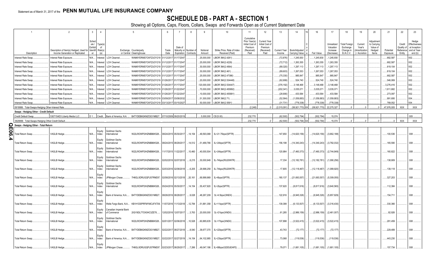## **SCHEDULE DB - PART A - SECTION 1**

|   |                                                      | $\overline{2}$                                                             | 3                                             | $\overline{4}$            | $\sqrt{2}$                                                                              | 6                     |                       | 8                                             | $\mathbf{q}$         | 10 <sup>°</sup>                                 | 11                                                                              | 12                                                                      | 13                            | 14                              | 16                       | 17                                              | 18                                                         | 19                                                | 20                                                       | 21                    | 22                                          | 23                                                                |
|---|------------------------------------------------------|----------------------------------------------------------------------------|-----------------------------------------------|---------------------------|-----------------------------------------------------------------------------------------|-----------------------|-----------------------|-----------------------------------------------|----------------------|-------------------------------------------------|---------------------------------------------------------------------------------|-------------------------------------------------------------------------|-------------------------------|---------------------------------|--------------------------|-------------------------------------------------|------------------------------------------------------------|---------------------------------------------------|----------------------------------------------------------|-----------------------|---------------------------------------------|-------------------------------------------------------------------|
|   | Description                                          | Description of Item(s) Hedged, Used for<br>Income Generation or Replicated | Sched<br>ule /<br>Exhibit<br>Identifi Risk(s) | Type(s)<br>of<br>(a)      | Exchange, Counterparty<br>or Central Clearinghouse                                      | Trade<br>Date         | Date of               | Maturity or Number of<br>Expiration Contracts | Notional<br>Amount   | Strike Price, Rate of Index<br>Received (Paid)  | Cumulative<br>Prior Year(s)<br>Initial Cost of<br>Premium<br>(Received)<br>Paid | <b>Current Year</b><br>Initial Cost of<br>Premium<br>(Received)<br>Paid | <b>Current Year</b><br>Income | Book/Adjusted<br>Carrying Value | Fair Value               | Unrealized<br>Valuation<br>Increase<br>Decrease | <b>Total Foreign</b><br>Exchange<br>Change in<br>B./A.C.V. | Current<br>Year's<br>(Amortization<br>/ Accretion | Adjustment<br>to Carrying<br>Value of<br>Hedged<br>Items | Potential<br>Exposure | Credit<br>Quality of<br>Reference<br>Entity | Hedge<br>Effectiveness<br>at Inception<br>and at Year-<br>end (b) |
|   | terest Rate Swap.                                    | Interest Rate Exposure.                                                    | N/A                                           | Interest                  | LCH Clearnet.<br>WAM6YERMS7OXFZUOY219 01/12/2017 01/17/2047                             |                       |                       |                                               | .25,000,000          | LIBOR 3M/(2.4261)                               |                                                                                 |                                                                         | (72,876)                      | .1,245,930                      | 1,245,930                | .1,245,930                                      |                                                            |                                                   |                                                          | .682,587              |                                             | 002.                                                              |
|   | terest Rate Swap.                                    |                                                                            | N/A                                           |                           | WAM6YERMS7OXFZUOY219 01/12/201<br><b>LCH Clearnet</b>                                   |                       | 01/17/2047            |                                               | .25,000,000          | LIBOR 3M/(2.4229)                               |                                                                                 |                                                                         | (72,712)                      | .1,263,355                      | 1,263,355                | .1,263,355                                      |                                                            |                                                   |                                                          | .682,587              |                                             | 002.                                                              |
|   |                                                      | Interest Rate Exposure.                                                    | N/A                                           | Interest                  |                                                                                         |                       |                       |                                               | 30,000,000           | LIBOR 3M/(2.4564)                               |                                                                                 |                                                                         |                               | .1,297,113                      | 1,297,113                | .1,297,113                                      |                                                            |                                                   |                                                          | .819,104              |                                             | 002.                                                              |
|   | iterest Rate Swap.                                   | Interest Rate Exposure.                                                    |                                               | Interest                  | WAM6YERMS7OXFZUOY219 01/12/201<br><b>LCH Clearnet</b>                                   |                       | 01/17/2047            |                                               |                      |                                                 |                                                                                 |                                                                         | (89, 320)                     |                                 |                          |                                                 |                                                            |                                                   |                                                          |                       |                                             | 002.                                                              |
|   | nterest Rate Swap.                                   | Interest Rate Exposure.                                                    | N/A                                           | Interest                  | <b>LCH Clearnet.</b><br>WAM6YERMS7OXFZUOY219 01/12/201                                  |                       | 01/17/2047            |                                               | 30,000,000           | LIBOR 3M/(2.461)                                |                                                                                 |                                                                         | (89,603)                      | 1,267,053                       | 1,267,053                | .1,267,053                                      |                                                            |                                                   |                                                          | .819,104              |                                             |                                                                   |
|   | terest Rate Swap.                                    | Interest Rate Exposure.                                                    | N/A                                           | Interest                  | <b>LCH Clearnet</b><br>WAM6YERMS7OXFZUOY219 01/12/201                                   |                       | 01/17/2047            |                                               | .25,000,000          | LIBOR 3M/(2.47386)                              |                                                                                 |                                                                         | (75, 330)                     | .985,847                        | .985,847                 | 985,847                                         |                                                            |                                                   |                                                          | .682,587              |                                             | 002.                                                              |
|   | nterest Rate Swap.                                   | Interest Rate Exposure.                                                    | N/A                                           | Interest                  | <b>LCH Clearnet</b><br>WAM6YERMS7OXFZUOY219 01/26/201                                   |                       | 01/17/2047            |                                               | 20,000,000           | LIBOR 3M/(2.534448)                             |                                                                                 |                                                                         | (62, 699)                     | 524,740                         | .524,740                 | 524,740                                         |                                                            |                                                   |                                                          | .546,069              |                                             | 002.                                                              |
|   | terest Rate Swap.                                    | Interest Rate Exposure.                                                    | N/A                                           | Interest                  | <b>LCH Clearnet</b><br>WAM6YERMS7OXFZUOY219 01/26/201                                   |                       | 01/17/2047            |                                               | 120,000,000          | LIBOR 3M/(2.534447)                             |                                                                                 |                                                                         | (376, 192)                    | .3,148,468                      | .3,148,468               | 3,148,468                                       |                                                            |                                                   |                                                          | .3,276,416            |                                             | 002.                                                              |
|   | nterest Rate Swap.                                   | Interest Rate Exposure.                                                    | N/A                                           | Interest                  | WAM6YERMS7OXFZUOY219 01/26/201<br><b>LCH Clearnet</b>                                   |                       | 01/22/204             |                                               | 70,000,000           | LIBOR 3M/(2.455892)                             |                                                                                 |                                                                         | (202,341                      | .3,035,071                      | .3,035,071               | .3,035,071                                      |                                                            |                                                   |                                                          | 1,911,682             |                                             | 002.                                                              |
|   | nterest Rate Swap.                                   | Interest Rate Exposure.                                                    | N/A                                           | Interest                  | WAM6YERMS7OXFZUOY219 01/26/201<br><b>LCH Clearnet</b>                                   |                       | 01/22/2047            |                                               | 10,000,000           | LIBOR 3M/(2.455891)                             |                                                                                 |                                                                         | (28,906)                      | .433,584                        | .433,584                 | .433,584                                        |                                                            |                                                   |                                                          | .273,097              |                                             | 002.                                                              |
|   | nterest Rate Swap.                                   | Interest Rate Exposure.                                                    | N/A                                           | Interest                  | WAM6YERMS7OXFZUOY219<br><b>LCH Clearnet</b>                                             | 03/09/20              | 03/08/2032            |                                               | 51,300,000           | LIBOR 3M/(2.71)                                 |                                                                                 |                                                                         | (52, 564)                     | (1,059,883)                     | (1,059,883               | (1,059,883)                                     |                                                            |                                                   |                                                          | .991,695              |                                             | 004.                                                              |
|   | nterest Rate Swap.                                   | Interest Rate Exposure.                                                    | N/A                                           | Interest                  | WAM6YERMS7OXFZUOY219 03/13/201<br><b>LCH Clearnet</b>                                   |                       | 03/15/2027            |                                               | 50,000,000           | LIBOR 3M/(2.5591)                               |                                                                                 |                                                                         | (31,731)                      | (778,338)                       | (778, 338)               | (778, 338)                                      |                                                            |                                                   |                                                          | .789,052              |                                             | 004.                                                              |
|   | 0919999. Total-Swaps-Hedging Other-Interest Rate     |                                                                            |                                               |                           |                                                                                         |                       |                       |                                               |                      |                                                 | (2.248)                                                                         |                                                                         | (2.015.091)                   | (58.921.770) XX                 | (58.921.770)             | .22.275.327                                     |                                                            |                                                   |                                                          | 47.976.005            | <b>XXX</b>                                  | <b>XXX</b>                                                        |
|   | Swaps - Hedging Other - Credit Default               |                                                                            |                                               |                           |                                                                                         |                       |                       |                                               |                      |                                                 |                                                                                 |                                                                         |                               |                                 |                          |                                                 |                                                            |                                                   |                                                          |                       |                                             |                                                                   |
|   | Credit Default Swap.                                 | 530715AD3 Liberty Media LLC.                                               | D 1 Credit                                    |                           | Bank of America, N.A.<br>B4TYDEB6GKMZO031MB27.                                          | 07/10/2009 09/20/2019 |                       |                                               | .5,000,000 CE/(5.00) |                                                 | .232.770                                                                        |                                                                         | (62,500)                      | (502, 794)                      | (502, 794)               | .15.074                                         |                                                            |                                                   |                                                          |                       |                                             | 005                                                               |
|   | 0929999. Total-Swaps-Hedging Other-Credit Default    |                                                                            |                                               |                           |                                                                                         |                       |                       |                                               |                      |                                                 | .232,770                                                                        |                                                                         | (62.500)                      | $(502, 794)$ X)                 | (502, 794)               | .15.074                                         |                                                            |                                                   |                                                          |                       | <b>XXX</b>                                  | <b>XXX</b>                                                        |
| O | Swaps - Hedging Other - Total Return                 |                                                                            |                                               |                           |                                                                                         |                       |                       |                                               |                      |                                                 |                                                                                 |                                                                         |                               |                                 |                          |                                                 |                                                            |                                                   |                                                          |                       |                                             |                                                                   |
| თ | <b>Total Return Swap</b>                             | VAGLB Hedge                                                                | N/A                                           | Equity<br>Index           | Goldman Sachs<br>W22LROWP2IHZNBB6K528.<br>nternational                                  |                       | 08/24/2015 05/30/2017 | 14,154                                        | 49,593,068           | 3L+21.75bps/(SPTR)                              |                                                                                 |                                                                         | 147,650                       | (14,620,156)                    | (14,620,156)             | (3,662,188)                                     |                                                            |                                                   |                                                          | 100,536               |                                             | 008.                                                              |
|   | <b>Total Return Swap</b>                             | <b>VAGLB Hedge</b>                                                         | N/A                                           | Equity<br>Index           | Goldman Sachs<br>W22LROWP2IHZNBB6K528<br>nternational                                   |                       | 08/24/2015 08/29/2017 | .14,512                                       |                      | 51,489,766 3L+24bps/(SPTR)                      |                                                                                 |                                                                         | 156,198                       | (14, 340, 243)                  | (14,340,243)             | (3,782,032)                                     |                                                            |                                                   |                                                          | 165,590               |                                             | 008.                                                              |
|   | <b>Total Return Swap</b>                             | VAGLB Hedge                                                                | N/A                                           | Equity<br>Index           | Goldman Sachs<br>W22LROWP2IHZNBB6K528.<br>nternational                                  |                       | 1/17/2015 11/22/2017  | .10,460                                       | 40,000,504           | 3L+24bps/(SPTR)                                 |                                                                                 |                                                                         | .120,984                      | (7,460,373)                     | (7,460,373)              | (2,744,849)                                     |                                                            |                                                   |                                                          | 160,822               |                                             | 008.                                                              |
|   | <b>Total Return Swap</b>                             | VAGLB Hedge.                                                               | N/A                                           | Equity<br>Index<br>Equity | Goldman Sachs<br>W22LROWP2IHZNBB6K528.<br>nternational<br>Goldman Sachs                 |                       | 02/02/2016 02/07/2018 | 6,215                                         | 0.30,000,949         | 3L-74bps/(RU20INTR)                             |                                                                                 |                                                                         | .17,334                       | (12, 182, 781)                  | .(12,182,781             | (1,090,256).                                    |                                                            |                                                   |                                                          | 138,909               |                                             | 008.                                                              |
|   | <b>Total Return Swap</b>                             | VAGLB Hedge.                                                               | N/A                                           | Index<br>Equity           | W22LROWP2IHZNBB6K528.<br>International                                                  |                       | 02/03/2016 02/08/2018 | 6,205                                         | .29,998,259          | 3L-74bps/(RU20INTR)                             |                                                                                 |                                                                         | .17,805                       | (12,118,467)                    | .(12,118,467             | (1,089,920).                                    |                                                            |                                                   |                                                          | 139,118               |                                             | 008.                                                              |
|   | <b>Total Return Swap</b>                             | VAGLB Hedge                                                                | N/A                                           | Index<br>Equity           | JPMorgan Chase.<br>7H6GLXDRUGQFU57RNE97.<br>Goldman Sachs                               | 02/08/2016 02/13/2018 |                       | 20,161                                        | 69,999,969           | 3L+6bps/(SPTR)                                  |                                                                                 |                                                                         | .180,137                      | (21,693,557                     | .(21,693,557             | (5,309,055)                                     |                                                            |                                                   |                                                          | .327,203              |                                             | 008.                                                              |
|   | <b>Total Return Swap</b>                             | VAGLB Hedge                                                                | N/A                                           | Index<br>Equity           | W22LROWP2IHZNBB6K528.<br>nternational                                                   |                       | 05/24/2016 05/30/2017 | .14,154                                       | 55,437,920           | 3L+2bps/(SPTR)                                  |                                                                                 |                                                                         | 137,620                       | (8,817,616)                     | (8,817,616)              | (3,640,565)                                     |                                                            |                                                   |                                                          | .112,384              |                                             | 008.                                                              |
|   | <b>Total Return Swap</b>                             | VAGLB Hedge                                                                | N/A                                           | Index<br>Equity           | Bank of America, N.A B4TYDEB6GKMZO031MB27                                               | 08/26/2016 08/28/2017 |                       | 9,028                                         | .48,267,209          | 3L+4.5bps/(XNDX)                                |                                                                                 |                                                                         | .122,916                      | (6,945,326)                     | (6,945,326)              | (5,957,829)                                     |                                                            |                                                   |                                                          | .154,71'              |                                             | 008.                                                              |
|   | <b>Total Return Swap</b>                             | VAGLB Hedge                                                                | N/A                                           | Index<br>Equity           | Wells Fargo Bank, N.A KB1H1DSPRFMYMCUFXT09.<br>Canadian Imperial Bank                   |                       | 11/07/2016 11/13/2018 | .12,784                                       | 51,881,358           | 3L+11bps/(SPTR)                                 |                                                                                 |                                                                         | 139,399                       | (6, 133, 507)                   | (6, 133, 507)            | (3,316,430)                                     |                                                            |                                                   |                                                          | .330,366              |                                             | 008.                                                              |
|   | <b>Total Return Swap</b>                             | VAGLB Hedge.                                                               | N/A                                           | Index<br>Equity           | of Commerce<br>2IGI19DL77OX0HC3ZE78.<br><b>Goldman Sachs</b>                            |                       | 12/02/2016 12/07/2017 | 3,763                                         | 0.20,000,000         | 3L+21bps/(XNDX)                                 |                                                                                 |                                                                         | 61,285                        | (2,986,159)                     | (2,986,159)              | (2,461,007                                      |                                                            |                                                   |                                                          | .82.926               |                                             | 008.                                                              |
|   | <b>Total Return Swap</b>                             | VAGLB Hedge.                                                               | N/A                                           | Index<br>Equity           | W22LROWP2IHZNBB6K528.<br>nternational                                                   |                       | 02/01/2017 02/06/2018 | .10,528                                       | 60,885,635           | 3L+17bps/(XNDX)                                 |                                                                                 |                                                                         | 107,898                       | (3,522,415)                     | (3,522,415)              | (3,522,415)                                     |                                                            |                                                   |                                                          | .281,459              |                                             | 008.                                                              |
|   | <b>Total Return Swap</b>                             | VAGLB Hedge.<br>VAGLB Hedge                                                | N/A<br>N/A                                    | Index<br>Equity           | Bank of America, N.A B4TYDEB6GKMZO031MB27.<br>Bank of America, N.A B4TYDEB6GKMZO031MB27 | 02/22/2017 02/27/2019 | 02/22/2017 08/27/2018 | 8,540<br>14,154                               | 38,677,370           | 3L+22bps/(SPTR)<br>$64,102,985$ 3L+23bps/(SPTR) |                                                                                 |                                                                         | .43,743<br>73,068             | (72, 177)<br>(119.536)          | (72, 177)                | (72,177)                                        |                                                            |                                                   |                                                          | .229,489<br>.443,230  |                                             | 008.<br>008                                                       |
|   | <b>Total Return Swap</b><br><b>Total Return Swap</b> | <b>VAGLB Hedge</b>                                                         | N/A                                           | Index<br>Equity<br>Index  | JPMorgan Chase.<br>7H6GLXDRUGQFU57RNE97.                                                | 02/23/2017 08/29/2017 |                       | , 7,266                                       |                      | 49,047,186 3L+88bps/(GDDUEAFE)                  |                                                                                 |                                                                         | .79,071                       | (1,681,105)                     | (119,536)<br>(1,681,105) | (119,536)<br>(1,681,105)                        |                                                            |                                                   |                                                          | 157,734               |                                             | 008                                                               |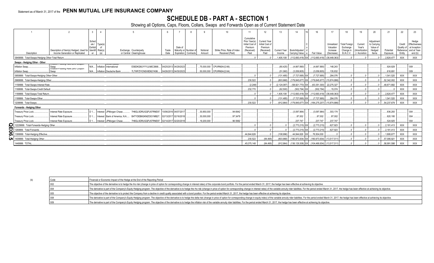## **SCHEDULE DB - PART A - SECTION 1**

|                                                  |                                                                                             |                           |                                |                                                                                      |               |                                                |           | Q                  | 10                                             |                                                                                 | 12                                                                     | 13          | 14                                           | 16                                              | 17                                                | 18                                                  | 19                                                | 20                                                       | 21                    | 22                                          | 23                                                                |
|--------------------------------------------------|---------------------------------------------------------------------------------------------|---------------------------|--------------------------------|--------------------------------------------------------------------------------------|---------------|------------------------------------------------|-----------|--------------------|------------------------------------------------|---------------------------------------------------------------------------------|------------------------------------------------------------------------|-------------|----------------------------------------------|-------------------------------------------------|---------------------------------------------------|-----------------------------------------------------|---------------------------------------------------|----------------------------------------------------------|-----------------------|---------------------------------------------|-------------------------------------------------------------------|
| Description                                      | Description of Item(s) Hedged, Used for Identifi Risk(s)<br>Income Generation or Replicated | Sched<br>ule /<br>Exhibit | Type(s)                        | Exchange, Counterparty<br>or Central Clearinghouse                                   | Trade<br>Date | Date of<br>Maturity or Number of<br>Expiration | Contracts | Notional<br>Amount | Strike Price, Rate of Index<br>Received (Paid) | Cumulative<br>Prior Year(s)<br>Initial Cost of<br>Premium<br>(Received)<br>Paid | <b>Current Year</b><br>Initial Cost of<br>Premium<br>(Received<br>Paid | Income      | Current Year Book/Adjusted<br>Carrying Value | Fair Value                                      | Unrealized<br>Valuation<br>Increase<br>(Decrease) | Total Foreign<br>Exchange<br>Change in<br>B./A.C.V. | Current<br>Year's<br>(Amortization<br>/ Accretion | Adjustment<br>to Carrying<br>Value of<br>Hedged<br>Items | Potential<br>Exposure | Credit<br>Quality of<br>Reference<br>Entity | Hedge<br>Effectiveness<br>at Inception<br>and at Year-<br>end (b) |
| 0949999. Total-Swaps-Hedging Other-Total Return. |                                                                                             |                           |                                |                                                                                      |               |                                                |           |                    |                                                |                                                                                 |                                                                        | 1.405.108   |                                              | $(112,693,418)$ XX $(112,693,418)$ (38,449,363) |                                                   |                                                     |                                                   |                                                          | 2.824.477             | <b>XXX</b>                                  | <b>XXX</b>                                                        |
| Swaps - Hedging Other - Other                    |                                                                                             |                           |                                |                                                                                      |               |                                                |           |                    |                                                |                                                                                 |                                                                        |             |                                              |                                                 |                                                   |                                                     |                                                   |                                                          |                       |                                             |                                                                   |
| Inflation Swap.                                  | πιατιστη ισατιπο ιχατε Σειτο συαρστ<br>Swap<br>  imalion-rioading Nate Zero Goupon          |                           | N/A Inflation International    | E58DKGMJYYYJLN8C3868                                                                 |               | 04/25/2013 04/29/2023                          |           |                    | 75,000,000 CPURNSA/(2.66)                      |                                                                                 |                                                                        | (80, 425)   | (4,667,890)                                  | (4,667,890)                                     | 148.243                                           |                                                     |                                                   |                                                          | .924.829              |                                             | 009.                                                              |
| Inflation Swap.                                  | Swap                                                                                        |                           | N/A Inflation Deutsche Bank    | 7LTWFZYICNSX8D621K86                                                                 |               | 04/26/2013 04/30/2023                          |           |                    | 50,000,000 CPURNSA/(2.64)                      |                                                                                 |                                                                        | (51.060)    | (3,059,805)                                  | (3,059,805)                                     | .135.832                                          |                                                     |                                                   |                                                          | .616.691              |                                             | 009                                                               |
| 0959999. Total-Swaps-Hedging Other-Other         |                                                                                             |                           |                                |                                                                                      |               |                                                |           |                    |                                                |                                                                                 |                                                                        | (131.485)   | $(7.727.695)$ XX                             | (7.727.695)                                     | 284.076                                           |                                                     |                                                   |                                                          | 1.541.520             | <b>XXX</b>                                  | <b>XXX</b>                                                        |
| 0969999. Total-Swaps-Hedging Other.              |                                                                                             |                           |                                |                                                                                      |               |                                                |           |                    |                                                | 230.522                                                                         |                                                                        | (803.968)   |                                              | $(179, 845, 677)$ XX $(179, 845, 677)$          | (15,874,886)                                      |                                                     |                                                   |                                                          | 52,342,002            | <b>XXX</b>                                  | <b>XXX</b>                                                        |
| 1159999. Total-Swaps-Interest Rate.              |                                                                                             |                           |                                |                                                                                      |               |                                                |           |                    |                                                | (2.248)                                                                         |                                                                        | (2.124.087) |                                              | $(58,921,770)$ XX $(63,351,300)$ $(22,275,327)$ |                                                   |                                                     |                                                   |                                                          | .49.871.682           | <b>XXX</b>                                  | <b>XXX</b>                                                        |
| 1169999. Total-Swaps-Credit Default              |                                                                                             |                           |                                |                                                                                      |               |                                                |           |                    |                                                | 232.770                                                                         |                                                                        | (62.500)    | $(502, 794)$ XX                              | (502.794)                                       | 15.074                                            |                                                     |                                                   |                                                          |                       | <b>XXX</b>                                  | XXX                                                               |
| 1189999. Total-Swaps-Total Return.               |                                                                                             |                           |                                |                                                                                      |               |                                                |           |                    |                                                |                                                                                 |                                                                        | 1.405.108   |                                              | (38,449,363) (112,693,418) XX (112,693,418)     |                                                   |                                                     |                                                   |                                                          | 2,824,477             | <b>XXX</b>                                  | XXX                                                               |
| 1199999. Total-Swaps-Other.                      |                                                                                             |                           |                                |                                                                                      |               |                                                |           |                    |                                                |                                                                                 |                                                                        | (131.485)   | $(7.727.695)$ XX.                            | (7,727,695)                                     | 284.076                                           |                                                     |                                                   |                                                          | .1,541,520            | <b>XXX</b>                                  | XXX                                                               |
| 1209999. Total-Swaps.                            |                                                                                             |                           |                                |                                                                                      |               |                                                |           |                    |                                                | 230.522                                                                         |                                                                        | (912.964)   |                                              | (179,845,677) XX (184,275,207) (15,874,886      |                                                   |                                                     |                                                   |                                                          | 54.237.679            | <b>XXX</b>                                  | <b>XXX</b>                                                        |
| Forwards - Hedging Other                         |                                                                                             |                           |                                |                                                                                      |               |                                                |           |                    |                                                |                                                                                 |                                                                        |             |                                              |                                                 |                                                   |                                                     |                                                   |                                                          |                       |                                             |                                                                   |
| Treasury Price Lock.                             | Interest Rate Exposure.                                                                     |                           | D 1 Interest JPMorgan Chase.   | 7H6GLXDRUGQFU57RNE97                                                                 |               | 10/06/2016 04/07/2017                          |           | 30.850.000         | 94.6942                                        |                                                                                 |                                                                        |             | (3,097,964)                                  | (3,097,964)                                     | 303,174                                           |                                                     |                                                   |                                                          | .836.293              |                                             | 004                                                               |
| Treasury Price Lock.                             | Interest Rate Exposure.                                                                     |                           |                                | D 1   Interest   Bank of America, N.A B4TYDEB6GKMZO031MB27   02/13/2017   02/16/2018 |               |                                                |           | 30,000,000         | .97.3479                                       |                                                                                 |                                                                        |             | 0.87,002                                     | .87,002                                         | 87,002                                            |                                                     |                                                   |                                                          | .820.195              |                                             | 004.                                                              |
| Treasury Price Lock.                             | Interest Rate Exposure.                                                                     |                           | D 1 Interest   JPMorgan Chase. | 7H6GLXDRUGQFU57RNE97. 02/14/2017 02/20/2018                                          |               |                                                |           | 19,200,000         | .96.5992                                       |                                                                                 |                                                                        |             | .237.747                                     | .237.747                                        | 237.747                                           |                                                     |                                                   |                                                          | .524.925              |                                             | 004.                                                              |
| 12229999. Total-Forwards-Hedging Other           |                                                                                             |                           |                                |                                                                                      |               |                                                |           |                    |                                                |                                                                                 |                                                                        |             | $(2.773.215)$ XX                             | (2,773,215)                                     | 627.923                                           |                                                     |                                                   |                                                          | .2,181,413            | <b>XXX</b>                                  | <b>XXX</b>                                                        |
| 1269999. Total-Forwards.                         |                                                                                             |                           |                                |                                                                                      |               |                                                |           |                    |                                                |                                                                                 |                                                                        |             | $(2.773.215)$ XX                             | (2.773.215)                                     | 627.923                                           |                                                     |                                                   |                                                          | .2.181.413            | <b>XXX</b>                                  | <b>XXX</b>                                                        |
| 1399999. Total-Hedging Effective.                |                                                                                             |                           |                                |                                                                                      |               |                                                |           |                    |                                                | .44.844.626                                                                     |                                                                        | (108,996).  | .44,844,626 XX                               | 76,504,000                                      |                                                   |                                                     |                                                   |                                                          | 1,895,677             | <b>XXX</b>                                  | XXX                                                               |
| 1409999. Total-Hedging Other.                    |                                                                                             |                           |                                |                                                                                      |               |                                                |           |                    |                                                | 230,522                                                                         | (84, 495)                                                              | (803,968)   |                                              | (180,973,934) XX .(180,973,934)                 | (13,517,511)                                      |                                                     |                                                   |                                                          | 57,095,921            | <b>XXX</b>                                  | <b>XXX</b>                                                        |
| 1449999. TOTAL.                                  |                                                                                             |                           |                                |                                                                                      |               |                                                |           |                    |                                                | .45.075.148                                                                     | (84, 495)                                                              | (912.964)   |                                              | (13,517,511) (13,517,511) XX (104,469,934)      |                                                   |                                                     |                                                   |                                                          | .58.991.598           | <b>XXX</b>                                  | <b>XXX</b>                                                        |

| Code | Financial or Economic Impact of the Hedge at the End of the Reporting Period                                                                                                                                                   |
|------|--------------------------------------------------------------------------------------------------------------------------------------------------------------------------------------------------------------------------------|
|      | The objective of the derivative is to hedge the rho risk (change in price of option for corresponding change in interest rates) of the corporate bond portfolio. For the period ended March 31, 2017, the hedge has been effec |
|      | The derivative is part of the Company's Equity Hedging program. The objective of the derivative is to hedge the rho risk (change in price of option for corresponding change in interest rates) of the variable annuity rider  |
|      | The objective of the derivative is to protect the Company from a decline in credit quality associated with a bond position. For the period ended March 31, 2017, the hedge has been effective at achieving its objective.      |
|      | The derivative is part of the Company's Equity Hedging program. The objective of the derivative is to hedge the delta risk (change in price of option for corresponding change in equity index) of the variable annuity rider  |
|      | The derivative is part of the Company's Equity Hedging program. The objective of the derivative is to hedge the inflation risk of the variable annuity rider liabilities. For the period ended March 31, 2017, the hedge has b |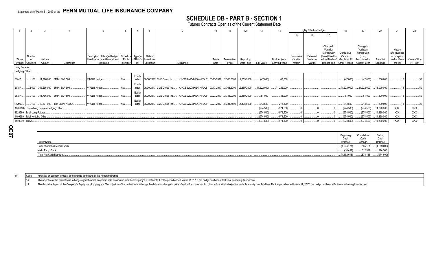## **SCHEDULE DB - PART B - SECTION 1**

Futures Contracts Open as of the Current Statement Date

|                     |                                                                                                                                                                                                                                              |                                            |                                  |                                                                                                                                 |            |                 |                       |                                                                                        |               | 12                   | 13                      | 14           |                                 | <b>Highly Effective Hedges</b>    |                                 | 18                                                                         | 19                                                                      |                                                                                         |                       |                                                                   |                           |
|---------------------|----------------------------------------------------------------------------------------------------------------------------------------------------------------------------------------------------------------------------------------------|--------------------------------------------|----------------------------------|---------------------------------------------------------------------------------------------------------------------------------|------------|-----------------|-----------------------|----------------------------------------------------------------------------------------|---------------|----------------------|-------------------------|--------------|---------------------------------|-----------------------------------|---------------------------------|----------------------------------------------------------------------------|-------------------------------------------------------------------------|-----------------------------------------------------------------------------------------|-----------------------|-------------------------------------------------------------------|---------------------------|
|                     |                                                                                                                                                                                                                                              |                                            |                                  |                                                                                                                                 |            |                 |                       |                                                                                        |               |                      |                         |              |                                 | 15                                |                                 | 17                                                                         |                                                                         |                                                                                         |                       |                                                                   |                           |
| Ticker              | Number<br>Symbol Contracts                                                                                                                                                                                                                   | Notional<br>Amount                         | Description                      | Description of Item(s) Hedged, Schedule Type(s)<br>Used for Income Generation or / Exhibit of Risk(s) Maturity or<br>Replicated | Identifier |                 | Date of<br>Expiration | Exchange                                                                               | Trade<br>Date | Transaction<br>Price | Reporting<br>Date Price | Fair Value   | Book/Adjusted<br>Carrying Value | Cumulative<br>Variation<br>Margin | Deferred<br>Variation<br>Margin | Change in<br>Variation<br>Margin Gain<br>(Loss) Used to<br>Adjust Basis of | Cumulative<br>Variation<br>Margin for All<br>Hedged Item   Other Hedges | Change in<br>Variation<br>Margin Gain<br>(Loss)<br>Recognized in<br><b>Current Year</b> | Potential<br>Exposure | Hedge<br>Effectiveness<br>at Inception<br>and at Year-<br>end (b) | Value of One<br>(1) Point |
| <b>Long Futures</b> |                                                                                                                                                                                                                                              |                                            |                                  |                                                                                                                                 |            |                 |                       |                                                                                        |               |                      |                         |              |                                 |                                   |                                 |                                                                            |                                                                         |                                                                                         |                       |                                                                   |                           |
|                     | <b>Hedging Other</b><br>Equity<br>06/30/2017 CME Group Inc.  KJNXBSWZVIKEX4NFOL81 03/13/2017 2,368.6000<br>(47,000)<br>(47,000)<br>(47,000)<br>(47,000)<br>500,000<br>11,796,000 EMINI S&P 500<br>VAGLB Hedge.<br>2,359.2000<br>Index<br>100 |                                            |                                  |                                                                                                                                 |            |                 |                       |                                                                                        |               |                      |                         |              |                                 |                                   |                                 |                                                                            |                                                                         |                                                                                         |                       |                                                                   |                           |
| ESM7.               |                                                                                                                                                                                                                                              |                                            |                                  |                                                                                                                                 |            |                 |                       |                                                                                        |               |                      |                         |              |                                 |                                   |                                 |                                                                            |                                                                         |                                                                                         |                       |                                                                   |                           |
| ESM7                |                                                                                                                                                                                                                                              |                                            | 2,600 306,696,000 EMINI S&P 500. | VAGLB Hedge                                                                                                                     |            | Equity<br>Index |                       | 06/30/2017 CME Group Inc.  KJNXBSWZVIKEX4NFOL81 03/13/2017 2,368.6000 2,359.2000       |               |                      |                         | .(1,222,000) | (1,222,000)                     |                                   |                                 |                                                                            | (1,222,000)                                                             | (1,222,000)                                                                             | 13,000,000            |                                                                   |                           |
| <b>ESM7</b>         |                                                                                                                                                                                                                                              |                                            | 100 11,796,000 EMINI S&P 500     | VAGLB Hedge.                                                                                                                    | N/A        | Eauity<br>Index |                       | 06/30/2017 CME Group Inc.  KJNXBSWZVIKEX4NFOL81 03/23/2017  2,343.0000  2,359.2000     |               |                      |                         | .81,000      | .81,000                         |                                   |                                 |                                                                            | .81.000                                                                 | .81,000                                                                                 | .500,000              |                                                                   |                           |
| <b>NQM7</b>         |                                                                                                                                                                                                                                              |                                            | 100 10,877,000 IMM EMINI NSDQ    | VAGLB Hedge.                                                                                                                    |            | Equity<br>Index |                       | 06/30/2017 CME Group Inc.<br>. KJNXBSWZVIKEX4NFOL81 03/27/2017 Ⅰ5.331.7500 Ⅰ5.438.5000 |               |                      |                         | 213,500      | .213,500                        |                                   |                                 |                                                                            | .213,500                                                                | 213,500                                                                                 | .390,000              |                                                                   |                           |
|                     |                                                                                                                                                                                                                                              | 12829999. Total-Long Futures-Hedging Other |                                  |                                                                                                                                 |            |                 |                       |                                                                                        |               |                      |                         | (974, 500)   | (974, 500)                      |                                   |                                 |                                                                            | (974,500)                                                               | . (974, 500)                                                                            | 14,390,000            | <b>XXX</b>                                                        | XXX                       |
|                     | 1329999. Total-Long Futures.                                                                                                                                                                                                                 |                                            |                                  |                                                                                                                                 |            |                 |                       |                                                                                        |               |                      |                         | (974, 500)   | (974, 500)                      |                                   |                                 |                                                                            | (974,500)                                                               | . (974, 500)                                                                            | .14,390,000           | <b>XXX</b>                                                        | <b>XXX</b>                |
|                     | 1409999. Total-Hedging Other.                                                                                                                                                                                                                |                                            |                                  |                                                                                                                                 |            |                 |                       |                                                                                        |               |                      |                         | (974, 500)   | (974, 500)                      |                                   |                                 |                                                                            | (974,500)                                                               | . (974, 500)                                                                            | 14,390,000            | XXX                                                               | XXX                       |
| 1449999. TOTAL.     |                                                                                                                                                                                                                                              |                                            |                                  |                                                                                                                                 |            |                 |                       |                                                                                        |               | (974, 500)           | .(974, 500)             |              |                                 |                                   | $(974,500)^{\dagger}$           | (974, 500)                                                                 | 14,390,000                                                              | <b>XXX</b>                                                                              | XXX                   |                                                                   |                           |

**Q E 0 7**

|                               | Beginning<br>Cash | Cumulative<br>Cash | Ending<br>Cash |
|-------------------------------|-------------------|--------------------|----------------|
| <b>Broker Name</b>            | Balance           | Change             | Balance        |
| Bank of America Merrill Lynch | (1,834,121        | .565, 12'          | (1,269,000)    |
| Wells Fargo Bank              | $\ldots$ (18,497) | .312,997           | 294,500        |
| Total Net Cash Deposits.      | (1,852,618)       | 878,118            | (974, 500)     |

(b) Code Financial or Economic Impact of the Hedge at the End of the Reporting Period

14 The objective of the derivative is to hedge against overall economic risks associated with the Company's investments. For the period ended March 31, 2017, the hedge has been effective at acheiving its objective.

15 The derivative is part of the Company's Equity Hedging program. The objective of the derivative is to hedge the delta risk (change in price of option for corresponding change in equity index) of the variable annuity rid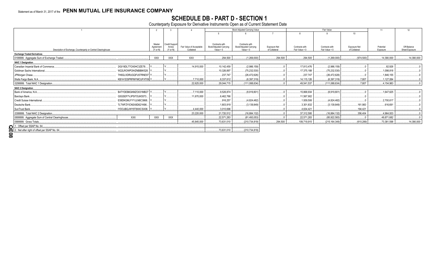# SCHEDULE DB - PART D - SECTION 1<br>Counterparty Exposure for Derivative Instruments Open as of Current Statement Date

|                                                                |                       |            |                       |                          |                        | Book Adjusted Carrying Value  |                     |                | Fair Value       |               | 11          | 12             |
|----------------------------------------------------------------|-----------------------|------------|-----------------------|--------------------------|------------------------|-------------------------------|---------------------|----------------|------------------|---------------|-------------|----------------|
|                                                                |                       |            |                       |                          |                        |                               |                     |                |                  | 10            |             |                |
|                                                                |                       |            |                       |                          |                        |                               |                     |                |                  |               |             |                |
|                                                                |                       | Master     | <b>Credit Support</b> |                          | Contracts with         | Contracts with                |                     |                |                  |               |             |                |
|                                                                |                       | Agreement  | Annex                 | Fair Value of Acceptable | Book/Adjusted Carrying | <b>Book/Adjusted Carrying</b> | <b>Exposure Net</b> | Contracts with | Contracts with   | Exposure Net  | Potential   | Off-Balance    |
| Description of Exchange, Counterparty or Central Clearinghouse |                       | (Y or N)   | (Y or N)              | Collateral               | Value $> 0$            | Value $< 0$                   | of Collateral       | Fair Value > 0 | Fair Value < 0   | of Collateral | Exposure    | Sheet Exposure |
| <b>Exchange Traded Derivatives</b>                             |                       |            |                       |                          |                        |                               |                     |                |                  |               |             |                |
| 0199999. Aggregate Sum of Exchange Traded                      |                       | <b>XXX</b> | <b>XXX</b>            | <b>XXX</b>               | .294,500               | (1,269,000)                   | .294,500            | .294,500       | (1,269,000)      | (974, 500)    | 14,390,000  | .14,390,000    |
| <b>NAIC 1 Designation</b>                                      |                       |            |                       |                          |                        |                               |                     |                |                  |               |             |                |
| Canadian Imperial Bank of Commerce.                            | 2IGI19DL77OX0HC3ZE78. |            |                       | 14,915,000               | 10,142,459             | (2,986,159)                   |                     | .17,813,476    | (2,986,159)      |               | .82.926     |                |
| Goldman Sachs International.                                   | W22LROWP2IHZNBB6K528. |            |                       |                          | 10,326,897             | (75, 232, 530)                |                     | 17,375,188     | (75,232,530)     |               | 1,098,818   |                |
| JPMorgan Chase                                                 | 7H6GLXDRUGQFU57RNE97  |            |                       |                          | .237,747               | (26, 472, 626)                |                     | .237,747       | (26, 472, 626)   |               | 1,846,155   |                |
| Wells Fargo Bank, N.A                                          | KB1H1DSPRFMYMCUFXT09  |            |                       | .7,710,000               | .8,337,612             | (6,397,319)                   |                     | .14,115,126    | (6, 397, 319)    | .7,807        | 1,127,084   |                |
| 0299999. Total NAIC 1 Designation.                             |                       |            |                       | .22,625,000              | 29,044,715             | (111,088,634)                 |                     | .49,541,537    | (111,088,634)    | .7.807        | .4,154,983  |                |
| <b>NAIC 2 Designation</b>                                      |                       |            |                       |                          |                        |                               |                     |                |                  |               |             |                |
| Bank of America, N.A.                                          | B4TYDEB6GKMZO031MB27  |            |                       | .7,110,000               | .9,526,874             | (8,919,801)                   |                     | 15,868,934     | (8,919,801)      |               | .1,647,625  |                |
| Barclays Bank.                                                 | G5GSEF7VJP5I7OUK5573. |            |                       | 11,670,000               | .6,462,766             |                               |                     | 11,567,902     |                  |               |             |                |
| Credit Suisse International.                                   | E58DKGMJYYYJLN8C3868. |            |                       |                          | .916,257               | (4,824,482)                   |                     | .1,939,506     | (4,824,482)      |               | .2.700.617  |                |
| Deutsche Bank.                                                 | 7LTWFZYICNSX8D621K86  |            |                       |                          | 1,803,919              | (3, 139, 849)                 |                     | .3,301,832     | (3, 139, 849)    | .161,983      | 616,691     |                |
| SunTrust Bank.                                                 | IYDOJBGJWY9T8XKCSX06. |            |                       | .4.440.000               | .3.010.696             |                               |                     | .4.634.421     |                  | 194.421       |             |                |
| 0399999. Total NAIC 2 Designation.                             |                       |            |                       | .23,220,000              | .21,720,512            | (16,884,132)                  |                     | .37,312,595    | (16,884,132)     | .356,404      | .4,964,933  |                |
| 0899999. Aggregate Sum of Central Clearinghouse.               | <b>XXX</b>            | <b>XXX</b> | <b>XXX</b>            |                          | .22,571,283            | (81, 493, 053)                |                     | .22,571,283    | (85, 922, 583)   |               | 49,871,682  |                |
| 0999999. Gross Totals                                          |                       |            |                       | .45.845.000              | 73.631.010             | (210, 734, 819)               | .294.500            | .109,719,915   | (215, 164, 349). | (610, 289)    | .73,381,598 | 14,390,000     |
| 1. Offset per SSAP No. 64.                                     |                       |            |                       |                          |                        |                               |                     |                |                  |               |             |                |
| 2. Net after right of offset per SSAP No. 64.                  |                       |            |                       |                          | 73,631,010             | (210,734,819)                 |                     |                |                  |               |             |                |
| $\overline{8}$                                                 |                       |            |                       |                          |                        |                               |                     |                |                  |               |             |                |
|                                                                |                       |            |                       |                          |                        |                               |                     |                |                  |               |             |                |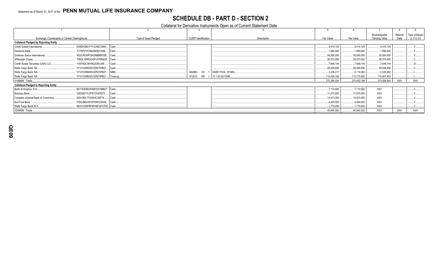## **SCHEDULE DB - PART D - SECTION 2**

Collateral for Derivative Instruments Open as of Current Statement Date

|                                                                  |                       |                             |                           |              |              | Book/Adjusted  | Maturity   | Type of Margi |
|------------------------------------------------------------------|-----------------------|-----------------------------|---------------------------|--------------|--------------|----------------|------------|---------------|
| Exchange, Counterparty or Central Clearinghouse                  | Type of Asset Pledged | <b>CUSIP</b> Identification | Description               | Fair Value   | Par Value    | Carrying Value | Date       | (I, V or IV)  |
| <b>Collateral Pledged by Reporting Entity</b>                    |                       |                             |                           |              |              |                |            |               |
| E58DKGMJYYYJLN8C3868 Cash<br>Credit Suisse International         |                       |                             |                           | 5,410,125    | .5,410,125   | 5,410,125      |            |               |
| Deutsche Bank<br>7LTWFZYICNSX8D621K86 Cash                       |                       |                             |                           | .1,680,000   | .1,680,000   | .1,680,000     |            |               |
| Goldman Sachs International<br>W22LROWP2IHZNBB6K528 Cash         |                       |                             |                           | 55,500,000   | .55,500,000  | .55,500,000    |            |               |
| JPMorgan Chase<br>7H6GLXDRUGQFU57RNE97. Cash                     |                       |                             |                           | 26,370,000   | .26,370,000  | .26,370,000    |            |               |
| Credit Suisse Securities (USA) LLC.<br>1V8Y6QCX6YMJ2OELII46 Cash |                       |                             |                           | .7,648,144   | .7,648,144   | .7,648,144     |            |               |
| Wells Fargo Bank, NA<br>VYVVCKR63DVZZN70PB21 Cash                |                       |                             |                           | .59,008,656  | .59,008,656  | .59,008,656    |            |               |
| VYVVCKR63DVZZN70PB21   MBS<br>Wells Fargo Bank, NA               |                       | 36296U<br>ZX 1              | GNSF POOL 701958          | .2,238,217   | .2,119,363   | .2,020,462     |            |               |
| Wells Fargo Bank, NA<br>VYVVCKR63DVZZN70PB21 Treasury            |                       | 912810                      | RR 1   TII 1.00 02/15/46. | .114,429,182 | 112,715,900  | 115,947,453    |            |               |
| 0199999. Totals                                                  |                       |                             |                           | .272,284,324 | .270,452,188 | .273,584,840   | <b>XXX</b> | <b>XXX</b>    |
| <b>Collateral Pledged to Reporting Entity</b>                    |                       |                             |                           |              |              |                |            |               |
| B4TYDEB6GKMZO031MB27 Cash<br>Bank of America, N.A                |                       |                             |                           | .7,110,000   | .7,110,000   | <b>XXX</b>     |            |               |
| Barclays Bank<br>G5GSEF7VJP5I7OUK5573 Cash                       |                       |                             |                           | 11,670,000   | 11,670,000   | <b>XXX</b>     |            |               |
| Canadian Imperial Bank of Commerce<br>2IGI19DL77OX0HC3ZE78       | Cash.                 |                             |                           | .14,915,000  | .14.915.000  | <b>XXX</b>     |            |               |
| SunTrust Bank<br>IYDOJBGJWY9T8XKCSX06 Cash                       |                       |                             |                           | .4,440,000   | 4,440,000    | <b>XXX</b>     |            |               |
| Wells Fargo Bank, N.A.<br>KB1H1DSPRFMYMCUFXT09. Cash             |                       |                             |                           | .7,710,000   | .7,710,000   | XXX            |            |               |
| 0299999. Totals                                                  |                       |                             |                           | 45,845,000   | .45,845,000  | XXX            | <b>XXX</b> | <b>XXX</b>    |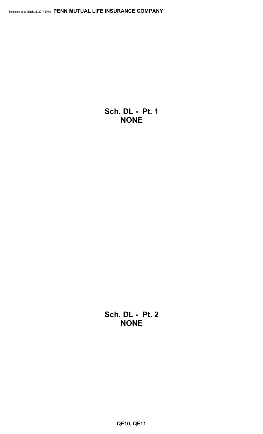**Sch. DL - Pt. 1 NONE**

**Sch. DL - Pt. 2 NONE**

**QE10, QE11**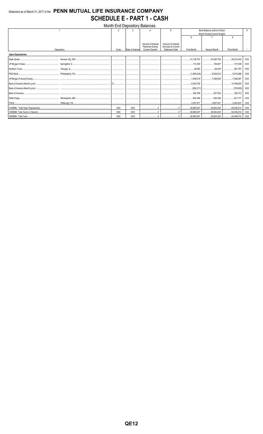## Statement as of March 31, 2017 of the PENN MUTUAL LIFE INSURANCE COMPANY **SCHEDULE E - PART 1 - CASH**

| Month End Depository Balances |            |            |                  |                                                                        |                                                                   |                              |                               |                                |            |  |  |  |
|-------------------------------|------------|------------|------------------|------------------------------------------------------------------------|-------------------------------------------------------------------|------------------------------|-------------------------------|--------------------------------|------------|--|--|--|
|                               |            |            |                  |                                                                        | 5                                                                 | Book Balance at End of Each  |                               |                                | Q          |  |  |  |
|                               |            |            |                  |                                                                        |                                                                   | Month During Current Quarter |                               |                                |            |  |  |  |
|                               |            |            |                  |                                                                        |                                                                   | 6                            |                               | 8                              |            |  |  |  |
|                               | Depository | Code       | Rate of Interest | Amount of Interest<br><b>Received During</b><br><b>Current Quarter</b> | Amount of Interest<br>Accrued at Current<br><b>Statement Date</b> | <b>First Month</b>           | Second Month                  | <b>Third Month</b>             |            |  |  |  |
|                               |            |            |                  |                                                                        |                                                                   |                              |                               |                                |            |  |  |  |
| <b>Open Depositories</b>      |            |            |                  |                                                                        |                                                                   |                              |                               |                                |            |  |  |  |
| State Street                  |            |            |                  |                                                                        |                                                                   | 21,138,797                   | 24,584,759                    | 26,270,440                     | XXX        |  |  |  |
|                               |            |            |                  |                                                                        |                                                                   |                              | 110,355   136,607             |                                | <b>XXX</b> |  |  |  |
|                               |            |            |                  |                                                                        |                                                                   |                              |                               | 367,757                        | XXX        |  |  |  |
|                               |            |            |                  |                                                                        |                                                                   |                              |                               | 5,919,296                      | <b>XXX</b> |  |  |  |
|                               |            |            |                  |                                                                        |                                                                   |                              |                               |                                | <b>XXX</b> |  |  |  |
|                               |            |            |                  |                                                                        |                                                                   |                              |                               |                                | <b>XXX</b> |  |  |  |
|                               |            |            |                  |                                                                        |                                                                   |                              |                               |                                | XXX        |  |  |  |
|                               |            |            |                  |                                                                        |                                                                   |                              | 358,765 427,534 169,312       |                                | XXX        |  |  |  |
|                               |            |            |                  |                                                                        |                                                                   | .                            |                               |                                | <b>XXX</b> |  |  |  |
|                               |            |            |                  |                                                                        |                                                                   | 3.557.871                    | 3,607,931                     | 5.493.637                      | XXX        |  |  |  |
|                               |            | XXX        | <b>XXX</b>       |                                                                        |                                                                   | 29.980.647                   | $\dots$ 36,804,453 54,046,514 |                                | XXX        |  |  |  |
|                               |            | <b>XXX</b> | <b>XXX</b>       |                                                                        |                                                                   | 29.980.647                   |                               | $\ldots$ 36,804,453 54,046,514 | XXX        |  |  |  |
|                               |            | XXX        | <b>XXX</b>       |                                                                        |                                                                   |                              |                               |                                | XXX        |  |  |  |